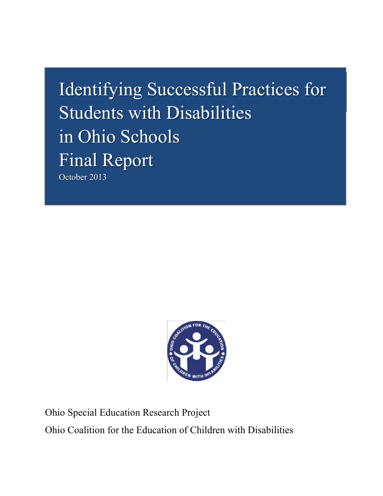# Identifying Successful Practices for Students with Disabilities in Ohio Schools Final Report October 2013



Ohio Special Education Research Project Ohio Coalition for the Education of Children with Disabilities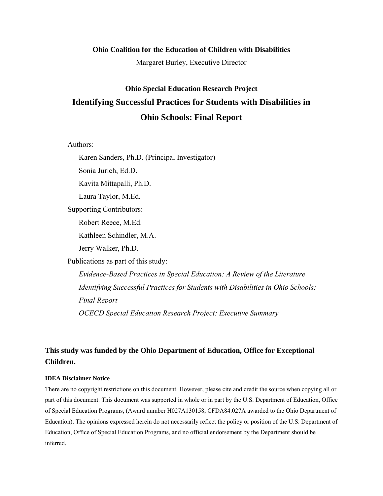#### **Ohio Coalition for the Education of Children with Disabilities**

Margaret Burley, Executive Director

# **Ohio Special Education Research Project Identifying Successful Practices for Students with Disabilities in Ohio Schools: Final Report**

#### Authors:

Karen Sanders, Ph.D. (Principal Investigator)

Sonia Jurich, Ed.D.

Kavita Mittapalli, Ph.D.

Laura Taylor, M.Ed.

Supporting Contributors:

Robert Reece, M.Ed.

Kathleen Schindler, M.A.

Jerry Walker, Ph.D.

Publications as part of this study:

*Evidence-Based Practices in Special Education: A Review of the Literature Identifying Successful Practices for Students with Disabilities in Ohio Schools: Final Report OCECD Special Education Research Project: Executive Summary* 

# **This study was funded by the Ohio Department of Education, Office for Exceptional Children.**

#### **IDEA Disclaimer Notice**

There are no copyright restrictions on this document. However, please cite and credit the source when copying all or part of this document. This document was supported in whole or in part by the U.S. Department of Education, Office of Special Education Programs, (Award number H027A130158, CFDA84.027A awarded to the Ohio Department of Education). The opinions expressed herein do not necessarily reflect the policy or position of the U.S. Department of Education, Office of Special Education Programs, and no official endorsement by the Department should be inferred.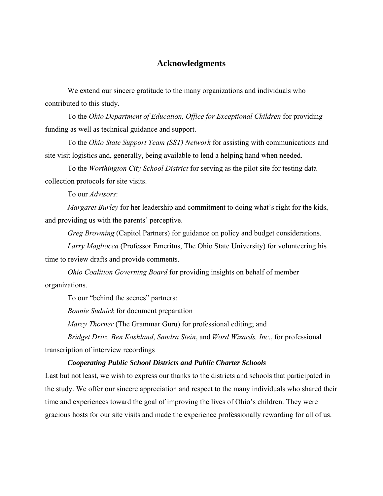#### **Acknowledgments**

We extend our sincere gratitude to the many organizations and individuals who contributed to this study.

To the *Ohio Department of Education, Office for Exceptional Children* for providing funding as well as technical guidance and support.

To the *Ohio State Support Team (SST) Network* for assisting with communications and site visit logistics and, generally, being available to lend a helping hand when needed.

To the *Worthington City School District* for serving as the pilot site for testing data collection protocols for site visits.

To our *Advisors*:

*Margaret Burley* for her leadership and commitment to doing what's right for the kids, and providing us with the parents' perceptive.

*Greg Browning* (Capitol Partners) for guidance on policy and budget considerations.

*Larry Magliocca* (Professor Emeritus, The Ohio State University) for volunteering his time to review drafts and provide comments.

*Ohio Coalition Governing Board* for providing insights on behalf of member organizations.

To our "behind the scenes" partners:

*Bonnie Sudnick* for document preparation

*Marcy Thorner* (The Grammar Guru) for professional editing; and

*Bridget Dritz, Ben Koshland*, *Sandra Stein*, and *Word Wizards, Inc*., for professional

transcription of interview recordings

#### *Cooperating Public School Districts and Public Charter Schools*

Last but not least, we wish to express our thanks to the districts and schools that participated in the study. We offer our sincere appreciation and respect to the many individuals who shared their time and experiences toward the goal of improving the lives of Ohio's children. They were gracious hosts for our site visits and made the experience professionally rewarding for all of us.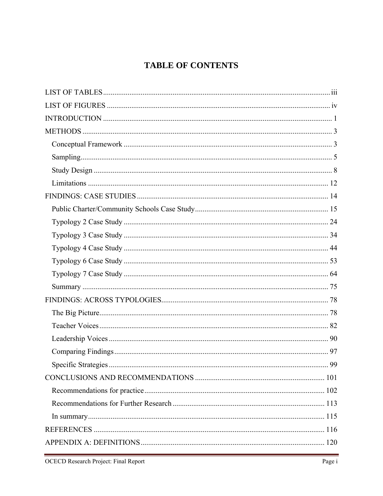# **TABLE OF CONTENTS**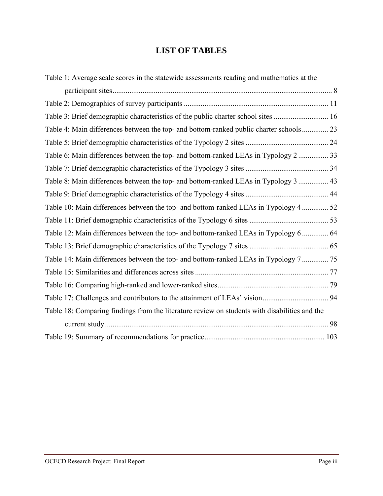# **LIST OF TABLES**

| Table 1: Average scale scores in the statewide assessments reading and mathematics at the     |    |
|-----------------------------------------------------------------------------------------------|----|
|                                                                                               |    |
|                                                                                               |    |
| Table 3: Brief demographic characteristics of the public charter school sites  16             |    |
| Table 4: Main differences between the top- and bottom-ranked public charter schools 23        |    |
|                                                                                               |    |
| Table 6: Main differences between the top- and bottom-ranked LEAs in Typology 2 33            |    |
|                                                                                               |    |
| Table 8: Main differences between the top- and bottom-ranked LEAs in Typology 3  43           |    |
|                                                                                               |    |
| Table 10: Main differences between the top- and bottom-ranked LEAs in Typology 4  52          |    |
|                                                                                               |    |
| Table 12: Main differences between the top- and bottom-ranked LEAs in Typology 6 64           |    |
|                                                                                               |    |
| Table 14: Main differences between the top- and bottom-ranked LEAs in Typology 7  75          |    |
|                                                                                               |    |
|                                                                                               |    |
|                                                                                               |    |
| Table 18: Comparing findings from the literature review on students with disabilities and the |    |
|                                                                                               | 98 |
|                                                                                               |    |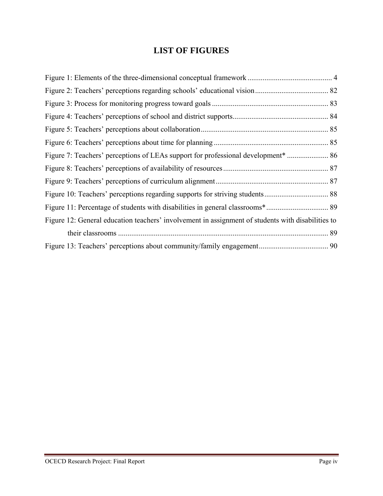# **LIST OF FIGURES**

| Figure 12: General education teachers' involvement in assignment of students with disabilities to |  |
|---------------------------------------------------------------------------------------------------|--|
|                                                                                                   |  |
|                                                                                                   |  |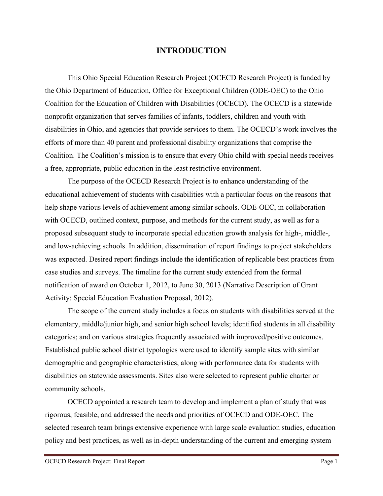# **INTRODUCTION**

 This Ohio Special Education Research Project (OCECD Research Project) is funded by the Ohio Department of Education, Office for Exceptional Children (ODE-OEC) to the Ohio Coalition for the Education of Children with Disabilities (OCECD). The OCECD is a statewide nonprofit organization that serves families of infants, toddlers, children and youth with disabilities in Ohio, and agencies that provide services to them. The OCECD's work involves the efforts of more than 40 parent and professional disability organizations that comprise the Coalition. The Coalition's mission is to ensure that every Ohio child with special needs receives a free, appropriate, public education in the least restrictive environment.

The purpose of the OCECD Research Project is to enhance understanding of the educational achievement of students with disabilities with a particular focus on the reasons that help shape various levels of achievement among similar schools. ODE-OEC, in collaboration with OCECD, outlined context, purpose, and methods for the current study, as well as for a proposed subsequent study to incorporate special education growth analysis for high-, middle-, and low-achieving schools. In addition, dissemination of report findings to project stakeholders was expected. Desired report findings include the identification of replicable best practices from case studies and surveys. The timeline for the current study extended from the formal notification of award on October 1, 2012, to June 30, 2013 (Narrative Description of Grant Activity: Special Education Evaluation Proposal, 2012).

The scope of the current study includes a focus on students with disabilities served at the elementary, middle/junior high, and senior high school levels; identified students in all disability categories; and on various strategies frequently associated with improved/positive outcomes. Established public school district typologies were used to identify sample sites with similar demographic and geographic characteristics, along with performance data for students with disabilities on statewide assessments. Sites also were selected to represent public charter or community schools.

OCECD appointed a research team to develop and implement a plan of study that was rigorous, feasible, and addressed the needs and priorities of OCECD and ODE-OEC. The selected research team brings extensive experience with large scale evaluation studies, education policy and best practices, as well as in-depth understanding of the current and emerging system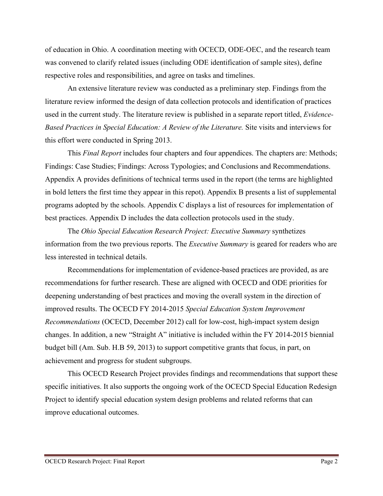of education in Ohio. A coordination meeting with OCECD, ODE-OEC, and the research team was convened to clarify related issues (including ODE identification of sample sites), define respective roles and responsibilities, and agree on tasks and timelines.

An extensive literature review was conducted as a preliminary step. Findings from the literature review informed the design of data collection protocols and identification of practices used in the current study. The literature review is published in a separate report titled, *Evidence-Based Practices in Special Education: A Review of the Literature.* Site visits and interviews for this effort were conducted in Spring 2013.

This *Final Report* includes four chapters and four appendices. The chapters are: Methods; Findings: Case Studies; Findings: Across Typologies; and Conclusions and Recommendations. Appendix A provides definitions of technical terms used in the report (the terms are highlighted in bold letters the first time they appear in this repot). Appendix B presents a list of supplemental programs adopted by the schools. Appendix C displays a list of resources for implementation of best practices. Appendix D includes the data collection protocols used in the study.

The *Ohio Special Education Research Project: Executive Summary* synthetizes information from the two previous reports. The *Executive Summary* is geared for readers who are less interested in technical details.

Recommendations for implementation of evidence-based practices are provided, as are recommendations for further research. These are aligned with OCECD and ODE priorities for deepening understanding of best practices and moving the overall system in the direction of improved results. The OCECD FY 2014-2015 *Special Education System Improvement Recommendations* (OCECD, December 2012) call for low-cost, high-impact system design changes. In addition, a new "Straight A" initiative is included within the FY 2014-2015 biennial budget bill (Am. Sub. H.B 59, 2013) to support competitive grants that focus, in part, on achievement and progress for student subgroups.

This OCECD Research Project provides findings and recommendations that support these specific initiatives. It also supports the ongoing work of the OCECD Special Education Redesign Project to identify special education system design problems and related reforms that can improve educational outcomes.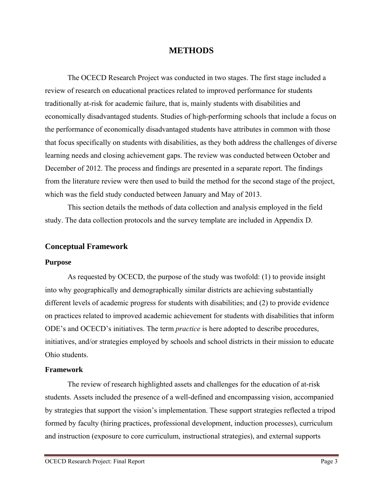#### **METHODS**

The OCECD Research Project was conducted in two stages. The first stage included a review of research on educational practices related to improved performance for students traditionally at-risk for academic failure, that is, mainly students with disabilities and economically disadvantaged students. Studies of high-performing schools that include a focus on the performance of economically disadvantaged students have attributes in common with those that focus specifically on students with disabilities, as they both address the challenges of diverse learning needs and closing achievement gaps. The review was conducted between October and December of 2012. The process and findings are presented in a separate report. The findings from the literature review were then used to build the method for the second stage of the project, which was the field study conducted between January and May of 2013.

This section details the methods of data collection and analysis employed in the field study. The data collection protocols and the survey template are included in Appendix D.

#### **Conceptual Framework**

#### **Purpose**

As requested by OCECD, the purpose of the study was twofold: (1) to provide insight into why geographically and demographically similar districts are achieving substantially different levels of academic progress for students with disabilities; and (2) to provide evidence on practices related to improved academic achievement for students with disabilities that inform ODE's and OCECD's initiatives. The term *practice* is here adopted to describe procedures, initiatives, and/or strategies employed by schools and school districts in their mission to educate Ohio students.

#### **Framework**

The review of research highlighted assets and challenges for the education of at-risk students. Assets included the presence of a well-defined and encompassing vision, accompanied by strategies that support the vision's implementation. These support strategies reflected a tripod formed by faculty (hiring practices, professional development, induction processes), curriculum and instruction (exposure to core curriculum, instructional strategies), and external supports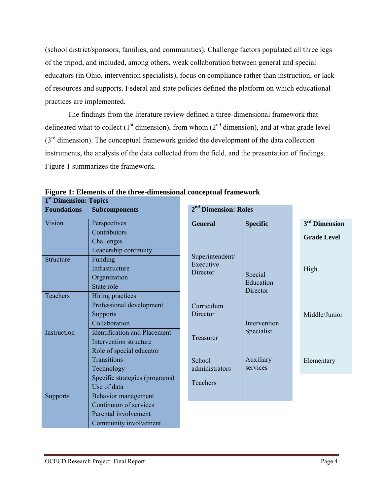(school district/sponsors, families, and communities). Challenge factors populated all three legs of the tripod, and included, among others, weak collaboration between general and special educators (in Ohio, intervention specialists), focus on compliance rather than instruction, or lack of resources and supports. Federal and state policies defined the platform on which educational practices are implemented.

The findings from the literature review defined a three-dimensional framework that delineated what to collect  $(1<sup>st</sup>$  dimension), from whom  $(2<sup>nd</sup>$  dimension), and at what grade level  $(3<sup>rd</sup>$  dimension). The conceptual framework guided the development of the data collection instruments, the analysis of the data collected from the field, and the presentation of findings. Figure 1 summarizes the framework.

| т рипсиями, торку  |                                     |                                  |                      |                           |
|--------------------|-------------------------------------|----------------------------------|----------------------|---------------------------|
| <b>Foundations</b> | <b>Subcomponents</b>                | 2 <sup>nd</sup> Dimension: Roles |                      |                           |
| Vision             | Perspectives                        | <b>General</b>                   | <b>Specific</b>      | 3 <sup>rd</sup> Dimension |
|                    | Contributors                        |                                  |                      | <b>Grade Level</b>        |
|                    | Challenges                          |                                  |                      |                           |
|                    | Leadership continuity               |                                  |                      |                           |
| <b>Structure</b>   | Funding                             | Superintendent/<br>Executive     |                      |                           |
|                    | Infrastructure                      | Director                         |                      | High                      |
|                    | Organization                        |                                  | Special<br>Education |                           |
|                    | State role                          |                                  | Director             |                           |
| Teachers           | Hiring practices                    |                                  |                      |                           |
|                    | Professional development            | Curriculum                       |                      |                           |
|                    | <b>Supports</b>                     | Director                         |                      | Middle/Junior             |
|                    | Collaboration                       |                                  | Intervention         |                           |
| Instruction        | <b>Identification and Placement</b> |                                  | Specialist           |                           |
|                    | Intervention structure              | Treasurer                        |                      |                           |
|                    | Role of special educator            |                                  |                      |                           |
|                    | <b>Transitions</b>                  | School                           | Auxiliary            | Elementary                |
|                    | Technology                          | administrators                   | services             |                           |
|                    | Specific strategies (programs)      |                                  |                      |                           |
|                    | Use of data                         | Teachers                         |                      |                           |
| <b>Supports</b>    | Behavior management                 |                                  |                      |                           |
|                    | Continuum of services               |                                  |                      |                           |
|                    | Parental involvement                |                                  |                      |                           |
|                    | Community involvement               |                                  |                      |                           |

**Figure 1: Elements of the three-dimensional conceptual framework 1st Dimension: Topics**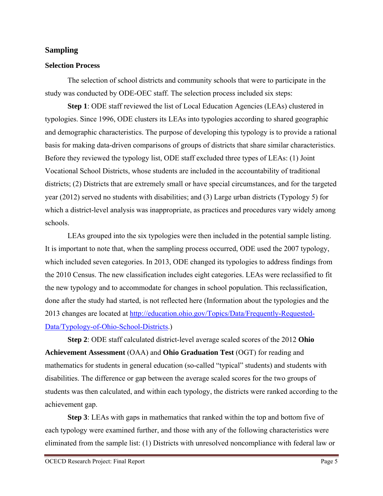#### **Sampling**

#### **Selection Process**

The selection of school districts and community schools that were to participate in the study was conducted by ODE-OEC staff. The selection process included six steps:

**Step 1**: ODE staff reviewed the list of Local Education Agencies (LEAs) clustered in typologies. Since 1996, ODE clusters its LEAs into typologies according to shared geographic and demographic characteristics. The purpose of developing this typology is to provide a rational basis for making data-driven comparisons of groups of districts that share similar characteristics. Before they reviewed the typology list, ODE staff excluded three types of LEAs: (1) Joint Vocational School Districts, whose students are included in the accountability of traditional districts; (2) Districts that are extremely small or have special circumstances, and for the targeted year (2012) served no students with disabilities; and (3) Large urban districts (Typology 5) for which a district-level analysis was inappropriate, as practices and procedures vary widely among schools.

LEAs grouped into the six typologies were then included in the potential sample listing. It is important to note that, when the sampling process occurred, ODE used the 2007 typology, which included seven categories. In 2013, ODE changed its typologies to address findings from the 2010 Census. The new classification includes eight categories. LEAs were reclassified to fit the new typology and to accommodate for changes in school population. This reclassification, done after the study had started, is not reflected here (Information about the typologies and the 2013 changes are located at http://education.ohio.gov/Topics/Data/Frequently-Requested-Data/Typology-of-Ohio-School-Districts.)

**Step 2**: ODE staff calculated district-level average scaled scores of the 2012 **Ohio Achievement Assessment** (OAA) and **Ohio Graduation Test** (OGT) for reading and mathematics for students in general education (so-called "typical" students) and students with disabilities. The difference or gap between the average scaled scores for the two groups of students was then calculated, and within each typology, the districts were ranked according to the achievement gap.

**Step 3**: LEAs with gaps in mathematics that ranked within the top and bottom five of each typology were examined further, and those with any of the following characteristics were eliminated from the sample list: (1) Districts with unresolved noncompliance with federal law or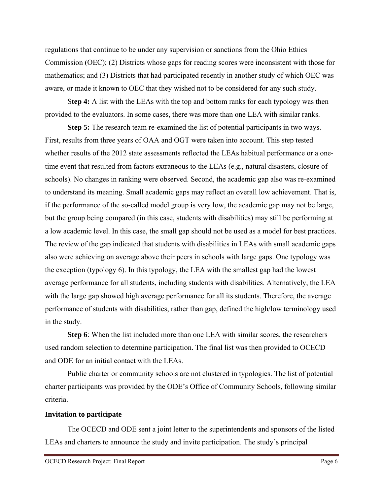regulations that continue to be under any supervision or sanctions from the Ohio Ethics Commission (OEC); (2) Districts whose gaps for reading scores were inconsistent with those for mathematics; and (3) Districts that had participated recently in another study of which OEC was aware, or made it known to OEC that they wished not to be considered for any such study.

S**tep 4:** A list with the LEAs with the top and bottom ranks for each typology was then provided to the evaluators. In some cases, there was more than one LEA with similar ranks.

**Step 5:** The research team re-examined the list of potential participants in two ways. First, results from three years of OAA and OGT were taken into account. This step tested whether results of the 2012 state assessments reflected the LEAs habitual performance or a onetime event that resulted from factors extraneous to the LEAs (e.g., natural disasters, closure of schools). No changes in ranking were observed. Second, the academic gap also was re-examined to understand its meaning. Small academic gaps may reflect an overall low achievement. That is, if the performance of the so-called model group is very low, the academic gap may not be large, but the group being compared (in this case, students with disabilities) may still be performing at a low academic level. In this case, the small gap should not be used as a model for best practices. The review of the gap indicated that students with disabilities in LEAs with small academic gaps also were achieving on average above their peers in schools with large gaps. One typology was the exception (typology 6). In this typology, the LEA with the smallest gap had the lowest average performance for all students, including students with disabilities. Alternatively, the LEA with the large gap showed high average performance for all its students. Therefore, the average performance of students with disabilities, rather than gap, defined the high/low terminology used in the study.

**Step 6**: When the list included more than one LEA with similar scores, the researchers used random selection to determine participation. The final list was then provided to OCECD and ODE for an initial contact with the LEAs.

Public charter or community schools are not clustered in typologies. The list of potential charter participants was provided by the ODE's Office of Community Schools, following similar criteria.

#### **Invitation to participate**

The OCECD and ODE sent a joint letter to the superintendents and sponsors of the listed LEAs and charters to announce the study and invite participation. The study's principal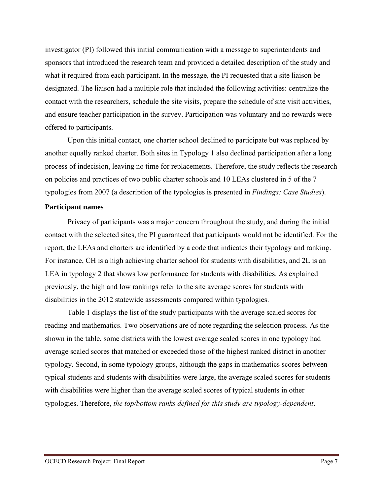investigator (PI) followed this initial communication with a message to superintendents and sponsors that introduced the research team and provided a detailed description of the study and what it required from each participant. In the message, the PI requested that a site liaison be designated. The liaison had a multiple role that included the following activities: centralize the contact with the researchers, schedule the site visits, prepare the schedule of site visit activities, and ensure teacher participation in the survey. Participation was voluntary and no rewards were offered to participants.

Upon this initial contact, one charter school declined to participate but was replaced by another equally ranked charter. Both sites in Typology 1 also declined participation after a long process of indecision, leaving no time for replacements. Therefore, the study reflects the research on policies and practices of two public charter schools and 10 LEAs clustered in 5 of the 7 typologies from 2007 (a description of the typologies is presented in *Findings: Case Studies*).

#### **Participant names**

Privacy of participants was a major concern throughout the study, and during the initial contact with the selected sites, the PI guaranteed that participants would not be identified. For the report, the LEAs and charters are identified by a code that indicates their typology and ranking. For instance, CH is a high achieving charter school for students with disabilities, and 2L is an LEA in typology 2 that shows low performance for students with disabilities. As explained previously, the high and low rankings refer to the site average scores for students with disabilities in the 2012 statewide assessments compared within typologies.

Table 1 displays the list of the study participants with the average scaled scores for reading and mathematics. Two observations are of note regarding the selection process. As the shown in the table, some districts with the lowest average scaled scores in one typology had average scaled scores that matched or exceeded those of the highest ranked district in another typology. Second, in some typology groups, although the gaps in mathematics scores between typical students and students with disabilities were large, the average scaled scores for students with disabilities were higher than the average scaled scores of typical students in other typologies. Therefore, *the top/bottom ranks defined for this study are typology-dependent*.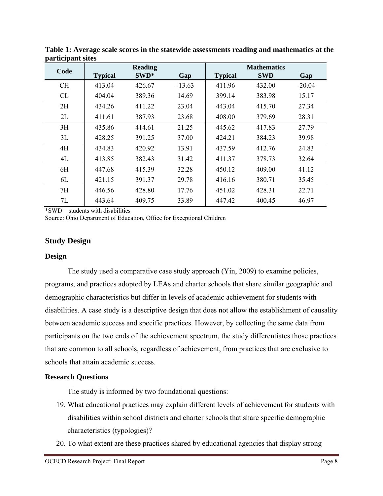|           |                | <b>Reading</b> |          |                | <b>Mathematics</b> |          |
|-----------|----------------|----------------|----------|----------------|--------------------|----------|
| Code      | <b>Typical</b> | SWD*           | Gap      | <b>Typical</b> | <b>SWD</b>         | Gap      |
| <b>CH</b> | 413.04         | 426.67         | $-13.63$ | 411.96         | 432.00             | $-20.04$ |
| CL        | 404.04         | 389.36         | 14.69    | 399.14         | 383.98             | 15.17    |
| 2H        | 434.26         | 411.22         | 23.04    | 443.04         | 415.70             | 27.34    |
| 2L        | 411.61         | 387.93         | 23.68    | 408.00         | 379.69             | 28.31    |
| 3H        | 435.86         | 414.61         | 21.25    | 445.62         | 417.83             | 27.79    |
| 3L        | 428.25         | 391.25         | 37.00    | 424.21         | 384.23             | 39.98    |
| 4H        | 434.83         | 420.92         | 13.91    | 437.59         | 412.76             | 24.83    |
| 4L        | 413.85         | 382.43         | 31.42    | 411.37         | 378.73             | 32.64    |
| 6H        | 447.68         | 415.39         | 32.28    | 450.12         | 409.00             | 41.12    |
| 6L        | 421.15         | 391.37         | 29.78    | 416.16         | 380.71             | 35.45    |
| 7H        | 446.56         | 428.80         | 17.76    | 451.02         | 428.31             | 22.71    |
| 7L        | 443.64         | 409.75         | 33.89    | 447.42         | 400.45             | 46.97    |

**Table 1: Average scale scores in the statewide assessments reading and mathematics at the participant sites** 

 $*SWD = students with disabilities$ 

Source: Ohio Department of Education, Office for Exceptional Children

# **Study Design**

#### **Design**

The study used a comparative case study approach (Yin, 2009) to examine policies, programs, and practices adopted by LEAs and charter schools that share similar geographic and demographic characteristics but differ in levels of academic achievement for students with disabilities. A case study is a descriptive design that does not allow the establishment of causality between academic success and specific practices. However, by collecting the same data from participants on the two ends of the achievement spectrum, the study differentiates those practices that are common to all schools, regardless of achievement, from practices that are exclusive to schools that attain academic success.

#### **Research Questions**

The study is informed by two foundational questions:

- 19. What educational practices may explain different levels of achievement for students with disabilities within school districts and charter schools that share specific demographic characteristics (typologies)?
- 20. To what extent are these practices shared by educational agencies that display strong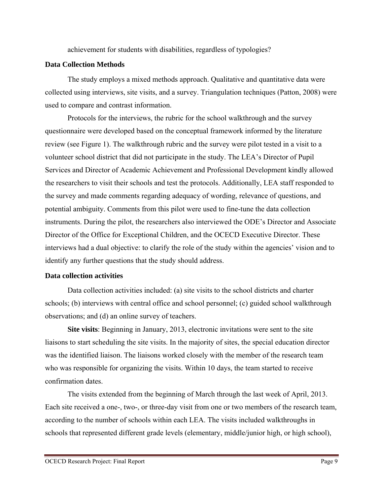achievement for students with disabilities, regardless of typologies?

#### **Data Collection Methods**

The study employs a mixed methods approach. Qualitative and quantitative data were collected using interviews, site visits, and a survey. Triangulation techniques (Patton, 2008) were used to compare and contrast information.

Protocols for the interviews, the rubric for the school walkthrough and the survey questionnaire were developed based on the conceptual framework informed by the literature review (see Figure 1). The walkthrough rubric and the survey were pilot tested in a visit to a volunteer school district that did not participate in the study. The LEA's Director of Pupil Services and Director of Academic Achievement and Professional Development kindly allowed the researchers to visit their schools and test the protocols. Additionally, LEA staff responded to the survey and made comments regarding adequacy of wording, relevance of questions, and potential ambiguity. Comments from this pilot were used to fine-tune the data collection instruments. During the pilot, the researchers also interviewed the ODE's Director and Associate Director of the Office for Exceptional Children, and the OCECD Executive Director. These interviews had a dual objective: to clarify the role of the study within the agencies' vision and to identify any further questions that the study should address.

#### **Data collection activities**

Data collection activities included: (a) site visits to the school districts and charter schools; (b) interviews with central office and school personnel; (c) guided school walkthrough observations; and (d) an online survey of teachers.

**Site visits**: Beginning in January, 2013, electronic invitations were sent to the site liaisons to start scheduling the site visits. In the majority of sites, the special education director was the identified liaison. The liaisons worked closely with the member of the research team who was responsible for organizing the visits. Within 10 days, the team started to receive confirmation dates.

The visits extended from the beginning of March through the last week of April, 2013. Each site received a one-, two-, or three-day visit from one or two members of the research team, according to the number of schools within each LEA. The visits included walkthroughs in schools that represented different grade levels (elementary, middle/junior high, or high school),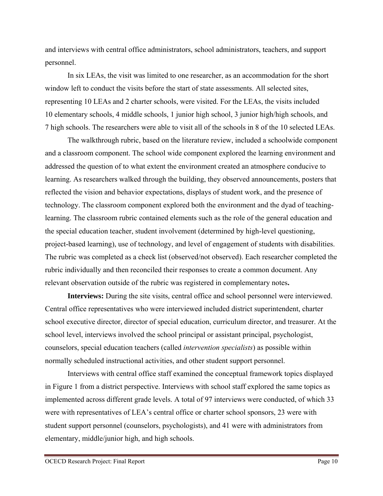and interviews with central office administrators, school administrators, teachers, and support personnel.

In six LEAs, the visit was limited to one researcher, as an accommodation for the short window left to conduct the visits before the start of state assessments. All selected sites, representing 10 LEAs and 2 charter schools, were visited. For the LEAs, the visits included 10 elementary schools, 4 middle schools, 1 junior high school, 3 junior high/high schools, and 7 high schools. The researchers were able to visit all of the schools in 8 of the 10 selected LEAs.

The walkthrough rubric, based on the literature review, included a schoolwide component and a classroom component. The school wide component explored the learning environment and addressed the question of to what extent the environment created an atmosphere conducive to learning. As researchers walked through the building, they observed announcements, posters that reflected the vision and behavior expectations, displays of student work, and the presence of technology. The classroom component explored both the environment and the dyad of teachinglearning. The classroom rubric contained elements such as the role of the general education and the special education teacher, student involvement (determined by high-level questioning, project-based learning), use of technology, and level of engagement of students with disabilities. The rubric was completed as a check list (observed/not observed). Each researcher completed the rubric individually and then reconciled their responses to create a common document. Any relevant observation outside of the rubric was registered in complementary notes**.**

**Interviews:** During the site visits, central office and school personnel were interviewed. Central office representatives who were interviewed included district superintendent, charter school executive director, director of special education, curriculum director, and treasurer. At the school level, interviews involved the school principal or assistant principal, psychologist, counselors, special education teachers (called *intervention specialists*) as possible within normally scheduled instructional activities, and other student support personnel.

Interviews with central office staff examined the conceptual framework topics displayed in Figure 1 from a district perspective. Interviews with school staff explored the same topics as implemented across different grade levels. A total of 97 interviews were conducted, of which 33 were with representatives of LEA's central office or charter school sponsors, 23 were with student support personnel (counselors, psychologists), and 41 were with administrators from elementary, middle/junior high, and high schools.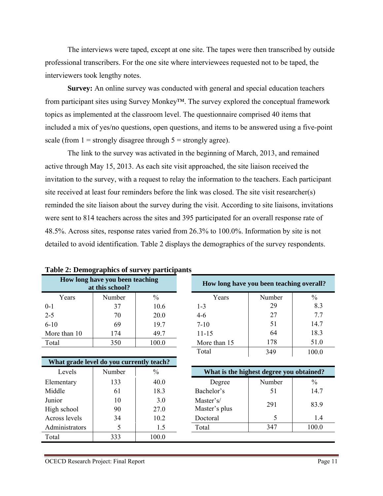The interviews were taped, except at one site. The tapes were then transcribed by outside professional transcribers. For the one site where interviewees requested not to be taped, the interviewers took lengthy notes.

**Survey:** An online survey was conducted with general and special education teachers from participant sites using Survey Monkey™. The survey explored the conceptual framework topics as implemented at the classroom level. The questionnaire comprised 40 items that included a mix of yes/no questions, open questions, and items to be answered using a five-point scale (from  $1 =$  strongly disagree through  $5 =$  strongly agree).

The link to the survey was activated in the beginning of March, 2013, and remained active through May 15, 2013. As each site visit approached, the site liaison received the invitation to the survey, with a request to relay the information to the teachers. Each participant site received at least four reminders before the link was closed. The site visit researcher(s) reminded the site liaison about the survey during the visit. According to site liaisons, invitations were sent to 814 teachers across the sites and 395 participated for an overall response rate of 48.5%. Across sites, response rates varied from 26.3% to 100.0%. Information by site is not detailed to avoid identification. Table 2 displays the demographics of the survey respondents.

| How long have you been teaching<br>at this school? |        |               | How long have you been teaching overall? |               |
|----------------------------------------------------|--------|---------------|------------------------------------------|---------------|
| Years                                              | Number | $\frac{0}{0}$ | Number<br>Years                          | $\frac{0}{0}$ |
| $0-1$                                              | 37     | 10.6          | 29<br>$1 - 3$                            | 8.3           |
| $2 - 5$                                            | 70     | 20.0          | 27<br>$4 - 6$                            | 7.7           |
| $6 - 10$                                           | 69     | 19.7          | 51<br>$7 - 10$                           | 14.7          |
| More than 10                                       | 174    | 49.7          | 64<br>$11 - 15$                          | 18.3          |
| Total                                              | 350    | 100.0         | 178<br>More than 15                      | 51.0          |
|                                                    |        |               | Total<br>349                             | 100.0         |
| What grade level do you currently teach?           |        |               |                                          |               |
| Levels                                             | Number | $\%$          | What is the highest degree you obtained? |               |
| Elementary                                         | 133    | 40.0          | Number<br>Degree                         | $\frac{0}{0}$ |
| Middle                                             | 61     | 18.3          | Bachelor's<br>51                         | 14.7          |
| Junior                                             | 10     | 3.0           | Master's/<br>291                         | 83.9          |
| High school                                        | 90     | 27.0          | Master's plus                            |               |
| Across levels                                      | 34     | 10.2          | 5<br>Doctoral                            | 1.4           |
| Administrators                                     | 5      | 1.5           | 347<br>Total                             | 100.0         |
| Total                                              | 333    | 100.0         |                                          |               |

| Table 2: Demographics of survey participants |  |  |  |  |
|----------------------------------------------|--|--|--|--|
|----------------------------------------------|--|--|--|--|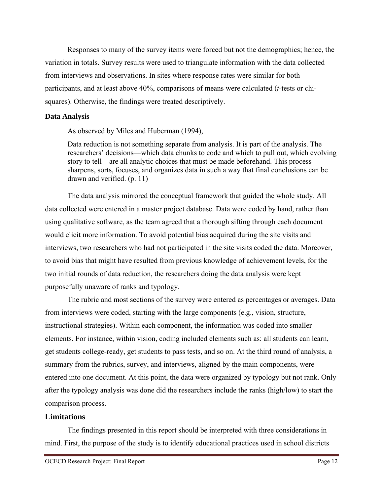Responses to many of the survey items were forced but not the demographics; hence, the variation in totals. Survey results were used to triangulate information with the data collected from interviews and observations. In sites where response rates were similar for both participants, and at least above 40%, comparisons of means were calculated (*t*-tests or chisquares). Otherwise, the findings were treated descriptively.

#### **Data Analysis**

As observed by Miles and Huberman (1994),

Data reduction is not something separate from analysis. It is part of the analysis. The researchers' decisions—which data chunks to code and which to pull out, which evolving story to tell—are all analytic choices that must be made beforehand. This process sharpens, sorts, focuses, and organizes data in such a way that final conclusions can be drawn and verified. (p. 11)

The data analysis mirrored the conceptual framework that guided the whole study. All data collected were entered in a master project database. Data were coded by hand, rather than using qualitative software, as the team agreed that a thorough sifting through each document would elicit more information. To avoid potential bias acquired during the site visits and interviews, two researchers who had not participated in the site visits coded the data. Moreover, to avoid bias that might have resulted from previous knowledge of achievement levels, for the two initial rounds of data reduction, the researchers doing the data analysis were kept purposefully unaware of ranks and typology.

The rubric and most sections of the survey were entered as percentages or averages. Data from interviews were coded, starting with the large components (e.g., vision, structure, instructional strategies). Within each component, the information was coded into smaller elements. For instance, within vision, coding included elements such as: all students can learn, get students college-ready, get students to pass tests, and so on. At the third round of analysis, a summary from the rubrics, survey, and interviews, aligned by the main components, were entered into one document. At this point, the data were organized by typology but not rank. Only after the typology analysis was done did the researchers include the ranks (high/low) to start the comparison process.

#### **Limitations**

The findings presented in this report should be interpreted with three considerations in mind. First, the purpose of the study is to identify educational practices used in school districts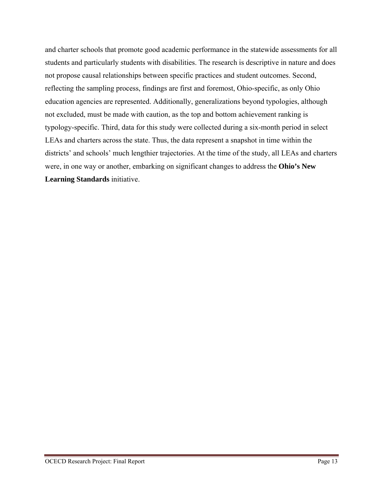and charter schools that promote good academic performance in the statewide assessments for all students and particularly students with disabilities. The research is descriptive in nature and does not propose causal relationships between specific practices and student outcomes. Second, reflecting the sampling process, findings are first and foremost, Ohio-specific, as only Ohio education agencies are represented. Additionally, generalizations beyond typologies, although not excluded, must be made with caution, as the top and bottom achievement ranking is typology-specific. Third, data for this study were collected during a six-month period in select LEAs and charters across the state. Thus, the data represent a snapshot in time within the districts' and schools' much lengthier trajectories. At the time of the study, all LEAs and charters were, in one way or another, embarking on significant changes to address the **Ohio's New Learning Standards** initiative.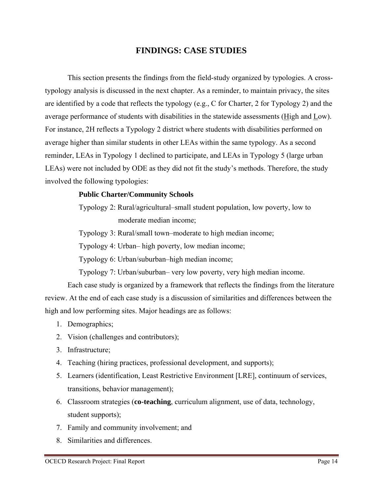# **FINDINGS: CASE STUDIES**

This section presents the findings from the field-study organized by typologies. A crosstypology analysis is discussed in the next chapter. As a reminder, to maintain privacy, the sites are identified by a code that reflects the typology (e.g., C for Charter, 2 for Typology 2) and the average performance of students with disabilities in the statewide assessments (High and Low). For instance, 2H reflects a Typology 2 district where students with disabilities performed on average higher than similar students in other LEAs within the same typology. As a second reminder, LEAs in Typology 1 declined to participate, and LEAs in Typology 5 (large urban LEAs) were not included by ODE as they did not fit the study's methods. Therefore, the study involved the following typologies:

#### **Public Charter/Community Schools**

Typology 2: Rural/agricultural–small student population, low poverty, low to moderate median income;

Typology 3: Rural/small town–moderate to high median income;

Typology 4: Urban– high poverty, low median income;

Typology 6: Urban/suburban–high median income;

Typology 7: Urban/suburban– very low poverty, very high median income.

Each case study is organized by a framework that reflects the findings from the literature review. At the end of each case study is a discussion of similarities and differences between the high and low performing sites. Major headings are as follows:

- 1. Demographics;
- 2. Vision (challenges and contributors);
- 3. Infrastructure;
- 4. Teaching (hiring practices, professional development, and supports);
- 5. Learners (identification, Least Restrictive Environment [LRE], continuum of services, transitions, behavior management);
- 6. Classroom strategies (**co-teaching**, curriculum alignment, use of data, technology, student supports);
- 7. Family and community involvement; and
- 8. Similarities and differences.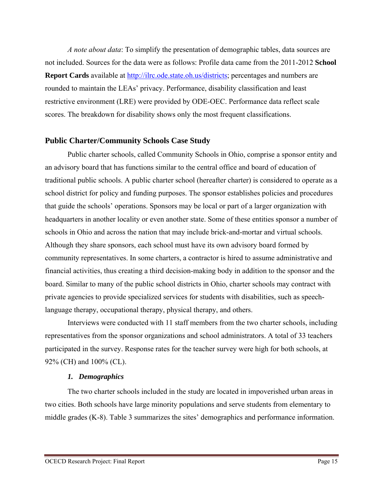*A note about data*: To simplify the presentation of demographic tables, data sources are not included. Sources for the data were as follows: Profile data came from the 2011-2012 **School Report Cards** available at http://ilrc.ode.state.oh.us/districts; percentages and numbers are rounded to maintain the LEAs' privacy. Performance, disability classification and least restrictive environment (LRE) were provided by ODE-OEC. Performance data reflect scale scores. The breakdown for disability shows only the most frequent classifications.

# **Public Charter/Community Schools Case Study**

Public charter schools, called Community Schools in Ohio, comprise a sponsor entity and an advisory board that has functions similar to the central office and board of education of traditional public schools. A public charter school (hereafter charter) is considered to operate as a school district for policy and funding purposes. The sponsor establishes policies and procedures that guide the schools' operations. Sponsors may be local or part of a larger organization with headquarters in another locality or even another state. Some of these entities sponsor a number of schools in Ohio and across the nation that may include brick-and-mortar and virtual schools. Although they share sponsors, each school must have its own advisory board formed by community representatives. In some charters, a contractor is hired to assume administrative and financial activities, thus creating a third decision-making body in addition to the sponsor and the board. Similar to many of the public school districts in Ohio, charter schools may contract with private agencies to provide specialized services for students with disabilities, such as speechlanguage therapy, occupational therapy, physical therapy, and others.

Interviews were conducted with 11 staff members from the two charter schools, including representatives from the sponsor organizations and school administrators. A total of 33 teachers participated in the survey. Response rates for the teacher survey were high for both schools, at 92% (CH) and 100% (CL).

#### *1. Demographics*

The two charter schools included in the study are located in impoverished urban areas in two cities. Both schools have large minority populations and serve students from elementary to middle grades (K-8). Table 3 summarizes the sites' demographics and performance information.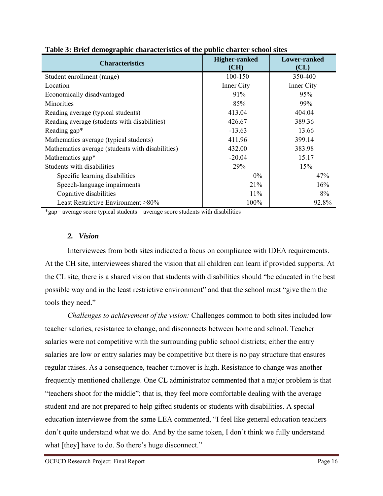| <b>Characteristics</b>                           | <b>Higher-ranked</b><br>(CH) | Lower-ranked<br>CL) |
|--------------------------------------------------|------------------------------|---------------------|
| Student enrollment (range)                       | 100-150                      | 350-400             |
| Location                                         | Inner City                   | Inner City          |
| Economically disadvantaged                       | 91%                          | 95%                 |
| Minorities                                       | 85%                          | 99%                 |
| Reading average (typical students)               | 413.04                       | 404.04              |
| Reading average (students with disabilities)     | 426.67                       | 389.36              |
| Reading gap*                                     | $-13.63$                     | 13.66               |
| Mathematics average (typical students)           | 411.96                       | 399.14              |
| Mathematics average (students with disabilities) | 432.00                       | 383.98              |
| Mathematics gap*                                 | $-20.04$                     | 15.17               |
| Students with disabilities                       | 29%                          | 15%                 |
| Specific learning disabilities                   | $0\%$                        | 47%                 |
| Speech-language impairments                      | 21%                          | 16%                 |
| Cognitive disabilities                           | 11%                          | 8%                  |
| Least Restrictive Environment >80%               | 100%                         | 92.8%               |

|  | Table 3: Brief demographic characteristics of the public charter school sites |  |  |  |
|--|-------------------------------------------------------------------------------|--|--|--|
|  |                                                                               |  |  |  |

\*gap= average score typical students – average score students with disabilities

#### *2. Vision*

Interviewees from both sites indicated a focus on compliance with IDEA requirements. At the CH site, interviewees shared the vision that all children can learn if provided supports. At the CL site, there is a shared vision that students with disabilities should "be educated in the best possible way and in the least restrictive environment" and that the school must "give them the tools they need."

*Challenges to achievement of the vision:* Challenges common to both sites included low teacher salaries, resistance to change, and disconnects between home and school. Teacher salaries were not competitive with the surrounding public school districts; either the entry salaries are low or entry salaries may be competitive but there is no pay structure that ensures regular raises. As a consequence, teacher turnover is high. Resistance to change was another frequently mentioned challenge. One CL administrator commented that a major problem is that "teachers shoot for the middle"; that is, they feel more comfortable dealing with the average student and are not prepared to help gifted students or students with disabilities. A special education interviewee from the same LEA commented, "I feel like general education teachers don't quite understand what we do. And by the same token, I don't think we fully understand what [they] have to do. So there's huge disconnect."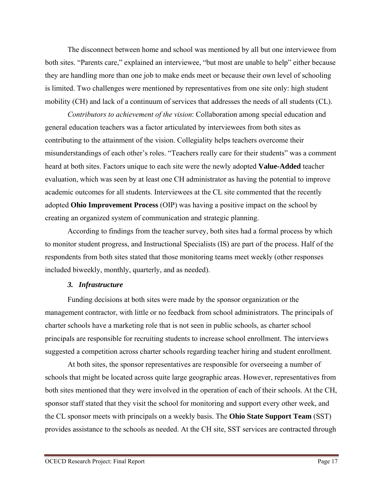The disconnect between home and school was mentioned by all but one interviewee from both sites. "Parents care," explained an interviewee, "but most are unable to help" either because they are handling more than one job to make ends meet or because their own level of schooling is limited. Two challenges were mentioned by representatives from one site only: high student mobility (CH) and lack of a continuum of services that addresses the needs of all students (CL).

*Contributors to achievement of the vision*: Collaboration among special education and general education teachers was a factor articulated by interviewees from both sites as contributing to the attainment of the vision. Collegiality helps teachers overcome their misunderstandings of each other's roles. "Teachers really care for their students" was a comment heard at both sites. Factors unique to each site were the newly adopted **Value-Added** teacher evaluation, which was seen by at least one CH administrator as having the potential to improve academic outcomes for all students. Interviewees at the CL site commented that the recently adopted **Ohio Improvement Process** (OIP) was having a positive impact on the school by creating an organized system of communication and strategic planning.

According to findings from the teacher survey, both sites had a formal process by which to monitor student progress, and Instructional Specialists (IS) are part of the process. Half of the respondents from both sites stated that those monitoring teams meet weekly (other responses included biweekly, monthly, quarterly, and as needed).

#### *3. Infrastructure*

Funding decisions at both sites were made by the sponsor organization or the management contractor, with little or no feedback from school administrators. The principals of charter schools have a marketing role that is not seen in public schools, as charter school principals are responsible for recruiting students to increase school enrollment. The interviews suggested a competition across charter schools regarding teacher hiring and student enrollment.

At both sites, the sponsor representatives are responsible for overseeing a number of schools that might be located across quite large geographic areas. However, representatives from both sites mentioned that they were involved in the operation of each of their schools. At the CH, sponsor staff stated that they visit the school for monitoring and support every other week, and the CL sponsor meets with principals on a weekly basis. The **Ohio State Support Team** (SST) provides assistance to the schools as needed. At the CH site, SST services are contracted through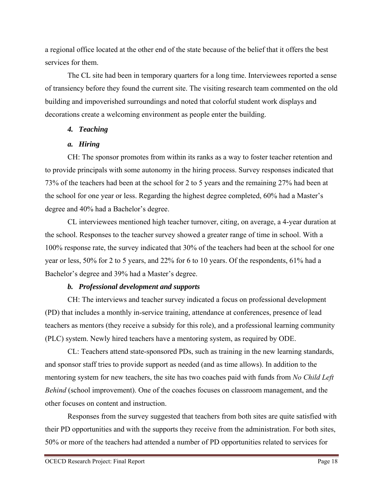a regional office located at the other end of the state because of the belief that it offers the best services for them.

The CL site had been in temporary quarters for a long time. Interviewees reported a sense of transiency before they found the current site. The visiting research team commented on the old building and impoverished surroundings and noted that colorful student work displays and decorations create a welcoming environment as people enter the building.

# *4. Teaching*

# *a. Hiring*

CH: The sponsor promotes from within its ranks as a way to foster teacher retention and to provide principals with some autonomy in the hiring process. Survey responses indicated that 73% of the teachers had been at the school for 2 to 5 years and the remaining 27% had been at the school for one year or less. Regarding the highest degree completed, 60% had a Master's degree and 40% had a Bachelor's degree.

CL interviewees mentioned high teacher turnover, citing, on average, a 4-year duration at the school. Responses to the teacher survey showed a greater range of time in school. With a 100% response rate, the survey indicated that 30% of the teachers had been at the school for one year or less, 50% for 2 to 5 years, and 22% for 6 to 10 years. Of the respondents, 61% had a Bachelor's degree and 39% had a Master's degree.

# *b. Professional development and supports*

CH: The interviews and teacher survey indicated a focus on professional development (PD) that includes a monthly in-service training, attendance at conferences, presence of lead teachers as mentors (they receive a subsidy for this role), and a professional learning community (PLC) system. Newly hired teachers have a mentoring system, as required by ODE.

CL: Teachers attend state-sponsored PDs, such as training in the new learning standards, and sponsor staff tries to provide support as needed (and as time allows). In addition to the mentoring system for new teachers, the site has two coaches paid with funds from *No Child Left Behind* (school improvement). One of the coaches focuses on classroom management, and the other focuses on content and instruction.

Responses from the survey suggested that teachers from both sites are quite satisfied with their PD opportunities and with the supports they receive from the administration. For both sites, 50% or more of the teachers had attended a number of PD opportunities related to services for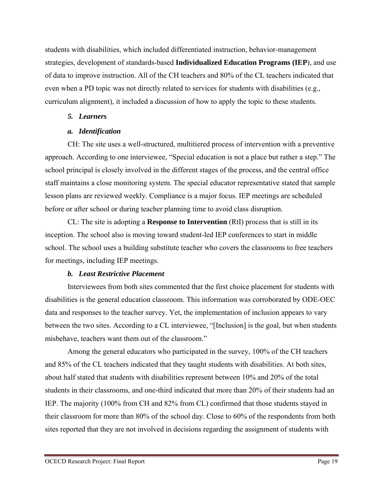students with disabilities, which included differentiated instruction, behavior-management strategies, development of standards-based **Individualized Education Programs (IEP**), and use of data to improve instruction. All of the CH teachers and 80% of the CL teachers indicated that even when a PD topic was not directly related to services for students with disabilities (e.g., curriculum alignment), it included a discussion of how to apply the topic to these students.

#### *5. Learners*

#### *a. Identification*

CH: The site uses a well-structured, multitiered process of intervention with a preventive approach. According to one interviewee, "Special education is not a place but rather a step." The school principal is closely involved in the different stages of the process, and the central office staff maintains a close monitoring system. The special educator representative stated that sample lesson plans are reviewed weekly. Compliance is a major focus. IEP meetings are scheduled before or after school or during teacher planning time to avoid class disruption.

CL: The site is adopting a **Response to Intervention** (RtI) process that is still in its inception. The school also is moving toward student-led IEP conferences to start in middle school. The school uses a building substitute teacher who covers the classrooms to free teachers for meetings, including IEP meetings.

#### *b. Least Restrictive Placement*

Interviewees from both sites commented that the first choice placement for students with disabilities is the general education classroom. This information was corroborated by ODE-OEC data and responses to the teacher survey. Yet, the implementation of inclusion appears to vary between the two sites. According to a CL interviewee, "[Inclusion] is the goal, but when students misbehave, teachers want them out of the classroom."

Among the general educators who participated in the survey, 100% of the CH teachers and 85% of the CL teachers indicated that they taught students with disabilities. At both sites, about half stated that students with disabilities represent between 10% and 20% of the total students in their classrooms, and one-third indicated that more than 20% of their students had an IEP. The majority (100% from CH and 82% from CL) confirmed that those students stayed in their classroom for more than 80% of the school day. Close to 60% of the respondents from both sites reported that they are not involved in decisions regarding the assignment of students with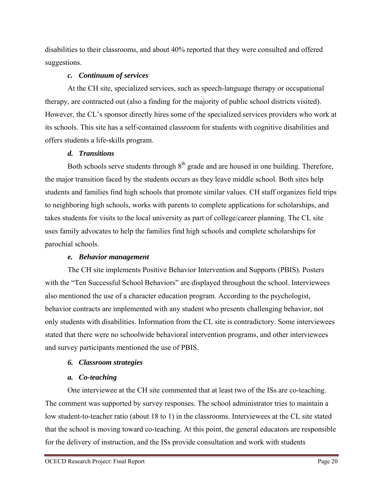disabilities to their classrooms, and about 40% reported that they were consulted and offered suggestions.

# *c. Continuum of services*

At the CH site, specialized services, such as speech-language therapy or occupational therapy, are contracted out (also a finding for the majority of public school districts visited). However, the CL's sponsor directly hires some of the specialized services providers who work at its schools. This site has a self-contained classroom for students with cognitive disabilities and offers students a life-skills program.

# *d. Transitions*

Both schools serve students through  $8<sup>th</sup>$  grade and are housed in one building. Therefore, the major transition faced by the students occurs as they leave middle school. Both sites help students and families find high schools that promote similar values. CH staff organizes field trips to neighboring high schools, works with parents to complete applications for scholarships, and takes students for visits to the local university as part of college/career planning. The CL site uses family advocates to help the families find high schools and complete scholarships for parochial schools.

# *e. Behavior management*

The CH site implements Positive Behavior Intervention and Supports (PBIS). Posters with the "Ten Successful School Behaviors" are displayed throughout the school. Interviewees also mentioned the use of a character education program. According to the psychologist, behavior contracts are implemented with any student who presents challenging behavior, not only students with disabilities. Information from the CL site is contradictory. Some interviewees stated that there were no schoolwide behavioral intervention programs, and other interviewees and survey participants mentioned the use of PBIS.

# *6. Classroom strategies*

# *a. Co-teaching*

One interviewee at the CH site commented that at least two of the ISs are co-teaching. The comment was supported by survey responses. The school administrator tries to maintain a low student-to-teacher ratio (about 18 to 1) in the classrooms. Interviewees at the CL site stated that the school is moving toward co-teaching. At this point, the general educators are responsible for the delivery of instruction, and the ISs provide consultation and work with students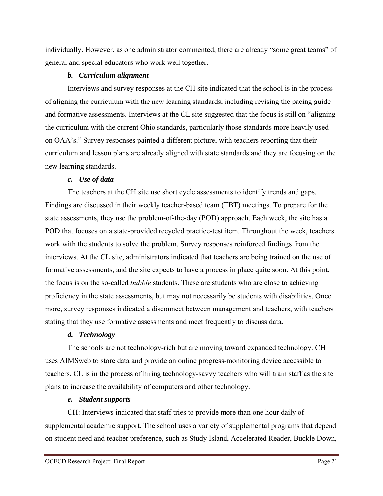individually. However, as one administrator commented, there are already "some great teams" of general and special educators who work well together.

#### *b. Curriculum alignment*

Interviews and survey responses at the CH site indicated that the school is in the process of aligning the curriculum with the new learning standards, including revising the pacing guide and formative assessments. Interviews at the CL site suggested that the focus is still on "aligning the curriculum with the current Ohio standards, particularly those standards more heavily used on OAA's." Survey responses painted a different picture, with teachers reporting that their curriculum and lesson plans are already aligned with state standards and they are focusing on the new learning standards.

#### *c. Use of data*

The teachers at the CH site use short cycle assessments to identify trends and gaps. Findings are discussed in their weekly teacher-based team (TBT) meetings. To prepare for the state assessments, they use the problem-of-the-day (POD) approach. Each week, the site has a POD that focuses on a state-provided recycled practice-test item. Throughout the week, teachers work with the students to solve the problem. Survey responses reinforced findings from the interviews. At the CL site, administrators indicated that teachers are being trained on the use of formative assessments, and the site expects to have a process in place quite soon. At this point, the focus is on the so-called *bubble* students. These are students who are close to achieving proficiency in the state assessments, but may not necessarily be students with disabilities. Once more, survey responses indicated a disconnect between management and teachers, with teachers stating that they use formative assessments and meet frequently to discuss data.

#### *d. Technology*

The schools are not technology-rich but are moving toward expanded technology. CH uses AIMSweb to store data and provide an online progress-monitoring device accessible to teachers. CL is in the process of hiring technology-savvy teachers who will train staff as the site plans to increase the availability of computers and other technology.

#### *e. Student supports*

CH: Interviews indicated that staff tries to provide more than one hour daily of supplemental academic support. The school uses a variety of supplemental programs that depend on student need and teacher preference, such as Study Island, Accelerated Reader, Buckle Down,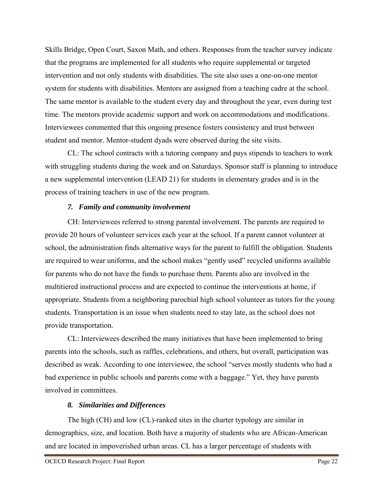Skills Bridge, Open Court, Saxon Math, and others. Responses from the teacher survey indicate that the programs are implemented for all students who require supplemental or targeted intervention and not only students with disabilities. The site also uses a one-on-one mentor system for students with disabilities. Mentors are assigned from a teaching cadre at the school. The same mentor is available to the student every day and throughout the year, even during test time. The mentors provide academic support and work on accommodations and modifications. Interviewees commented that this ongoing presence fosters consistency and trust between student and mentor. Mentor-student dyads were observed during the site visits.

CL: The school contracts with a tutoring company and pays stipends to teachers to work with struggling students during the week and on Saturdays. Sponsor staff is planning to introduce a new supplemental intervention (LEAD 21) for students in elementary grades and is in the process of training teachers in use of the new program.

#### *7. Family and community involvement*

CH: Interviewees referred to strong parental involvement. The parents are required to provide 20 hours of volunteer services each year at the school. If a parent cannot volunteer at school, the administration finds alternative ways for the parent to fulfill the obligation. Students are required to wear uniforms, and the school makes "gently used" recycled uniforms available for parents who do not have the funds to purchase them. Parents also are involved in the multitiered instructional process and are expected to continue the interventions at home, if appropriate. Students from a neighboring parochial high school volunteer as tutors for the young students. Transportation is an issue when students need to stay late, as the school does not provide transportation.

CL: Interviewees described the many initiatives that have been implemented to bring parents into the schools, such as raffles, celebrations, and others, but overall, participation was described as weak. According to one interviewee, the school "serves mostly students who had a bad experience in public schools and parents come with a baggage." Yet, they have parents involved in committees.

#### *8. Similarities and Differences*

The high (CH) and low (CL)-ranked sites in the charter typology are similar in demographics, size, and location. Both have a majority of students who are African-American and are located in impoverished urban areas. CL has a larger percentage of students with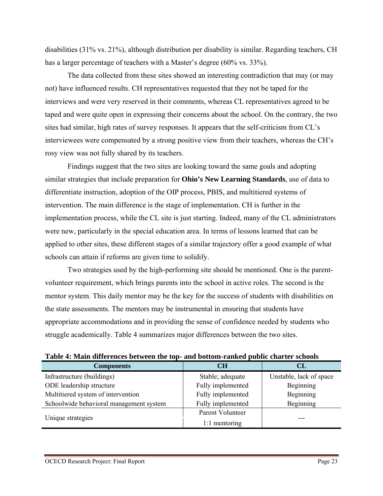disabilities (31% vs. 21%), although distribution per disability is similar. Regarding teachers, CH has a larger percentage of teachers with a Master's degree (60% vs. 33%).

The data collected from these sites showed an interesting contradiction that may (or may not) have influenced results. CH representatives requested that they not be taped for the interviews and were very reserved in their comments, whereas CL representatives agreed to be taped and were quite open in expressing their concerns about the school. On the contrary, the two sites had similar, high rates of survey responses. It appears that the self-criticism from CL's interviewees were compensated by a strong positive view from their teachers, whereas the CH's rosy view was not fully shared by its teachers.

Findings suggest that the two sites are looking toward the same goals and adopting similar strategies that include preparation for **Ohio's New Learning Standards**, use of data to differentiate instruction, adoption of the OIP process, PBIS, and multitiered systems of intervention. The main difference is the stage of implementation. CH is further in the implementation process, while the CL site is just starting. Indeed, many of the CL administrators were new, particularly in the special education area. In terms of lessons learned that can be applied to other sites, these different stages of a similar trajectory offer a good example of what schools can attain if reforms are given time to solidify.

Two strategies used by the high-performing site should be mentioned. One is the parentvolunteer requirement, which brings parents into the school in active roles. The second is the mentor system. This daily mentor may be the key for the success of students with disabilities on the state assessments. The mentors may be instrumental in ensuring that students have appropriate accommodations and in providing the sense of confidence needed by students who struggle academically. Table 4 summarizes major differences between the two sites.

| <b>Components</b>                       | <b>CH</b>         | <b>CL</b>               |
|-----------------------------------------|-------------------|-------------------------|
| Infrastructure (buildings)              | Stable; adequate  | Unstable, lack of space |
| ODE leadership structure                | Fully implemented | Beginning               |
| Multitiered system of intervention      | Fully implemented | Beginning               |
| Schoolwide behavioral management system | Fully implemented | Beginning               |
|                                         | Parent Volunteer  |                         |
| Unique strategies                       | 1:1 mentoring     |                         |

**Table 4: Main differences between the top- and bottom-ranked public charter schools**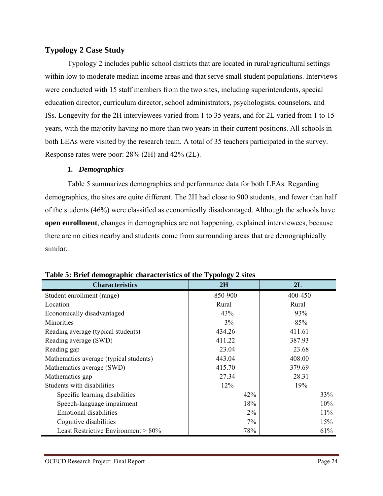# **Typology 2 Case Study**

Typology 2 includes public school districts that are located in rural/agricultural settings within low to moderate median income areas and that serve small student populations. Interviews were conducted with 15 staff members from the two sites, including superintendents, special education director, curriculum director, school administrators, psychologists, counselors, and ISs. Longevity for the 2H interviewees varied from 1 to 35 years, and for 2L varied from 1 to 15 years, with the majority having no more than two years in their current positions. All schools in both LEAs were visited by the research team. A total of 35 teachers participated in the survey. Response rates were poor: 28% (2H) and 42% (2L).

# *1. Demographics*

Table 5 summarizes demographics and performance data for both LEAs. Regarding demographics, the sites are quite different. The 2H had close to 900 students, and fewer than half of the students (46%) were classified as economically disadvantaged. Although the schools have **open enrollment**, changes in demographics are not happening, explained interviewees, because there are no cities nearby and students come from surrounding areas that are demographically similar.

| <b>Characteristics</b>                 | 2H        | 2L      |
|----------------------------------------|-----------|---------|
| Student enrollment (range)             | 850-900   | 400-450 |
| Location                               | Rural     | Rural   |
| Economically disadvantaged             | 43%       | 93%     |
| <b>Minorities</b>                      | 3%        | 85%     |
| Reading average (typical students)     | 434.26    | 411.61  |
| Reading average (SWD)                  | 411.22    | 387.93  |
| Reading gap                            | 23.04     | 23.68   |
| Mathematics average (typical students) | 443.04    | 408.00  |
| Mathematics average (SWD)              | 415.70    | 379.69  |
| Mathematics gap                        | 27.34     | 28.31   |
| Students with disabilities             | $12\%$    | 19%     |
| Specific learning disabilities         | 42%       | 33%     |
| Speech-language impairment             | 18%       | 10%     |
| <b>Emotional disabilities</b>          | $2\%$     | 11%     |
| Cognitive disabilities                 | 7%<br>15% |         |
| Least Restrictive Environment $> 80\%$ | 78%       | 61%     |

#### **Table 5: Brief demographic characteristics of the Typology 2 sites**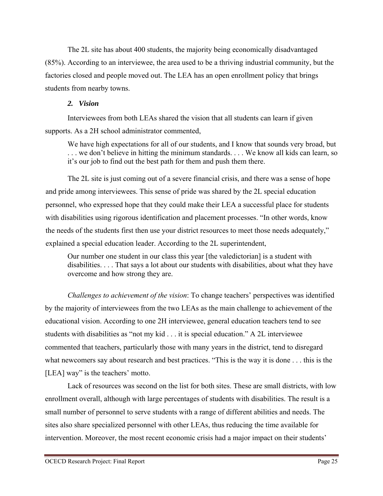The 2L site has about 400 students, the majority being economically disadvantaged (85%). According to an interviewee, the area used to be a thriving industrial community, but the factories closed and people moved out. The LEA has an open enrollment policy that brings students from nearby towns.

#### *2. Vision*

Interviewees from both LEAs shared the vision that all students can learn if given supports. As a 2H school administrator commented,

We have high expectations for all of our students, and I know that sounds very broad, but . . . we don't believe in hitting the minimum standards. . . . We know all kids can learn, so it's our job to find out the best path for them and push them there.

The 2L site is just coming out of a severe financial crisis, and there was a sense of hope and pride among interviewees. This sense of pride was shared by the 2L special education personnel, who expressed hope that they could make their LEA a successful place for students with disabilities using rigorous identification and placement processes. "In other words, know the needs of the students first then use your district resources to meet those needs adequately," explained a special education leader. According to the 2L superintendent,

Our number one student in our class this year [the valedictorian] is a student with disabilities. . . . That says a lot about our students with disabilities, about what they have overcome and how strong they are.

*Challenges to achievement of the vision*: To change teachers' perspectives was identified by the majority of interviewees from the two LEAs as the main challenge to achievement of the educational vision. According to one 2H interviewee, general education teachers tend to see students with disabilities as "not my kid . . . it is special education." A 2L interviewee commented that teachers, particularly those with many years in the district, tend to disregard what newcomers say about research and best practices. "This is the way it is done . . . this is the [LEA] way" is the teachers' motto.

Lack of resources was second on the list for both sites. These are small districts, with low enrollment overall, although with large percentages of students with disabilities. The result is a small number of personnel to serve students with a range of different abilities and needs. The sites also share specialized personnel with other LEAs, thus reducing the time available for intervention. Moreover, the most recent economic crisis had a major impact on their students'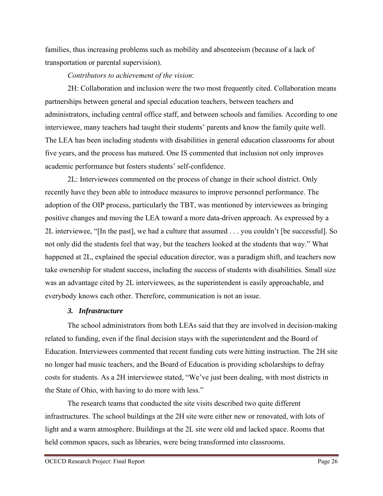families, thus increasing problems such as mobility and absenteeism (because of a lack of transportation or parental supervision).

#### *Contributors to achievement of the vision*:

2H: Collaboration and inclusion were the two most frequently cited. Collaboration means partnerships between general and special education teachers, between teachers and administrators, including central office staff, and between schools and families. According to one interviewee, many teachers had taught their students' parents and know the family quite well. The LEA has been including students with disabilities in general education classrooms for about five years, and the process has matured. One IS commented that inclusion not only improves academic performance but fosters students' self-confidence.

2L: Interviewees commented on the process of change in their school district. Only recently have they been able to introduce measures to improve personnel performance. The adoption of the OIP process, particularly the TBT, was mentioned by interviewees as bringing positive changes and moving the LEA toward a more data-driven approach. As expressed by a 2L interviewee, "[In the past], we had a culture that assumed . . . you couldn't [be successful]. So not only did the students feel that way, but the teachers looked at the students that way." What happened at 2L, explained the special education director, was a paradigm shift, and teachers now take ownership for student success, including the success of students with disabilities. Small size was an advantage cited by 2L interviewees, as the superintendent is easily approachable, and everybody knows each other. Therefore, communication is not an issue.

#### *3. Infrastructure*

The school administrators from both LEAs said that they are involved in decision-making related to funding, even if the final decision stays with the superintendent and the Board of Education. Interviewees commented that recent funding cuts were hitting instruction. The 2H site no longer had music teachers, and the Board of Education is providing scholarships to defray costs for students. As a 2H interviewee stated, "We've just been dealing, with most districts in the State of Ohio, with having to do more with less."

The research teams that conducted the site visits described two quite different infrastructures. The school buildings at the 2H site were either new or renovated, with lots of light and a warm atmosphere. Buildings at the 2L site were old and lacked space. Rooms that held common spaces, such as libraries, were being transformed into classrooms.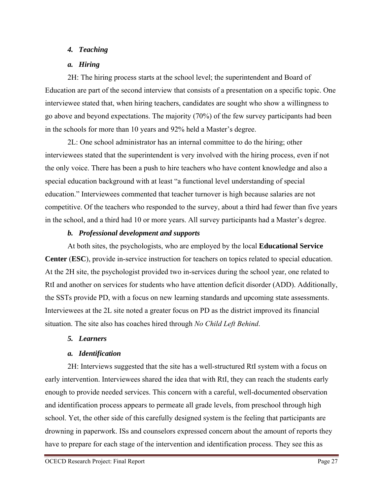# *4. Teaching*

# *a. Hiring*

2H: The hiring process starts at the school level; the superintendent and Board of Education are part of the second interview that consists of a presentation on a specific topic. One interviewee stated that, when hiring teachers, candidates are sought who show a willingness to go above and beyond expectations. The majority (70%) of the few survey participants had been in the schools for more than 10 years and 92% held a Master's degree.

2L: One school administrator has an internal committee to do the hiring; other interviewees stated that the superintendent is very involved with the hiring process, even if not the only voice. There has been a push to hire teachers who have content knowledge and also a special education background with at least "a functional level understanding of special education." Interviewees commented that teacher turnover is high because salaries are not competitive. Of the teachers who responded to the survey, about a third had fewer than five years in the school, and a third had 10 or more years. All survey participants had a Master's degree.

# *b. Professional development and supports*

At both sites, the psychologists, who are employed by the local **Educational Service Center** (**ESC**), provide in-service instruction for teachers on topics related to special education. At the 2H site, the psychologist provided two in-services during the school year, one related to RtI and another on services for students who have attention deficit disorder (ADD). Additionally, the SSTs provide PD, with a focus on new learning standards and upcoming state assessments. Interviewees at the 2L site noted a greater focus on PD as the district improved its financial situation. The site also has coaches hired through *No Child Left Behind*.

#### *5. Learners*

# *a. Identification*

2H: Interviews suggested that the site has a well-structured RtI system with a focus on early intervention. Interviewees shared the idea that with RtI, they can reach the students early enough to provide needed services. This concern with a careful, well-documented observation and identification process appears to permeate all grade levels, from preschool through high school. Yet, the other side of this carefully designed system is the feeling that participants are drowning in paperwork. ISs and counselors expressed concern about the amount of reports they have to prepare for each stage of the intervention and identification process. They see this as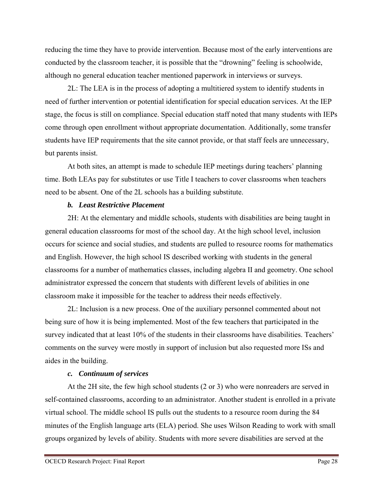reducing the time they have to provide intervention. Because most of the early interventions are conducted by the classroom teacher, it is possible that the "drowning" feeling is schoolwide, although no general education teacher mentioned paperwork in interviews or surveys.

2L: The LEA is in the process of adopting a multitiered system to identify students in need of further intervention or potential identification for special education services. At the IEP stage, the focus is still on compliance. Special education staff noted that many students with IEPs come through open enrollment without appropriate documentation. Additionally, some transfer students have IEP requirements that the site cannot provide, or that staff feels are unnecessary, but parents insist.

At both sites, an attempt is made to schedule IEP meetings during teachers' planning time. Both LEAs pay for substitutes or use Title I teachers to cover classrooms when teachers need to be absent. One of the 2L schools has a building substitute.

#### *b. Least Restrictive Placement*

2H: At the elementary and middle schools, students with disabilities are being taught in general education classrooms for most of the school day. At the high school level, inclusion occurs for science and social studies, and students are pulled to resource rooms for mathematics and English. However, the high school IS described working with students in the general classrooms for a number of mathematics classes, including algebra II and geometry. One school administrator expressed the concern that students with different levels of abilities in one classroom make it impossible for the teacher to address their needs effectively.

2L: Inclusion is a new process. One of the auxiliary personnel commented about not being sure of how it is being implemented. Most of the few teachers that participated in the survey indicated that at least 10% of the students in their classrooms have disabilities. Teachers' comments on the survey were mostly in support of inclusion but also requested more ISs and aides in the building.

#### *c. Continuum of services*

At the 2H site, the few high school students (2 or 3) who were nonreaders are served in self-contained classrooms, according to an administrator. Another student is enrolled in a private virtual school. The middle school IS pulls out the students to a resource room during the 84 minutes of the English language arts (ELA) period. She uses Wilson Reading to work with small groups organized by levels of ability. Students with more severe disabilities are served at the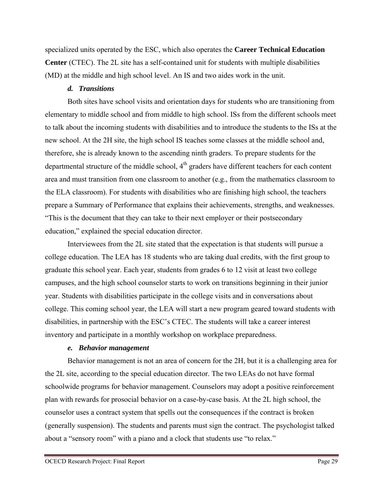specialized units operated by the ESC, which also operates the **Career Technical Education Center** (CTEC). The 2L site has a self-contained unit for students with multiple disabilities (MD) at the middle and high school level. An IS and two aides work in the unit.

# *d. Transitions*

Both sites have school visits and orientation days for students who are transitioning from elementary to middle school and from middle to high school. ISs from the different schools meet to talk about the incoming students with disabilities and to introduce the students to the ISs at the new school. At the 2H site, the high school IS teaches some classes at the middle school and, therefore, she is already known to the ascending ninth graders. To prepare students for the departmental structure of the middle school,  $4<sup>th</sup>$  graders have different teachers for each content area and must transition from one classroom to another (e.g., from the mathematics classroom to the ELA classroom). For students with disabilities who are finishing high school, the teachers prepare a Summary of Performance that explains their achievements, strengths, and weaknesses. "This is the document that they can take to their next employer or their postsecondary education," explained the special education director.

Interviewees from the 2L site stated that the expectation is that students will pursue a college education. The LEA has 18 students who are taking dual credits, with the first group to graduate this school year. Each year, students from grades 6 to 12 visit at least two college campuses, and the high school counselor starts to work on transitions beginning in their junior year. Students with disabilities participate in the college visits and in conversations about college. This coming school year, the LEA will start a new program geared toward students with disabilities, in partnership with the ESC's CTEC. The students will take a career interest inventory and participate in a monthly workshop on workplace preparedness.

#### *e. Behavior management*

Behavior management is not an area of concern for the 2H, but it is a challenging area for the 2L site, according to the special education director. The two LEAs do not have formal schoolwide programs for behavior management. Counselors may adopt a positive reinforcement plan with rewards for prosocial behavior on a case-by-case basis. At the 2L high school, the counselor uses a contract system that spells out the consequences if the contract is broken (generally suspension). The students and parents must sign the contract. The psychologist talked about a "sensory room" with a piano and a clock that students use "to relax."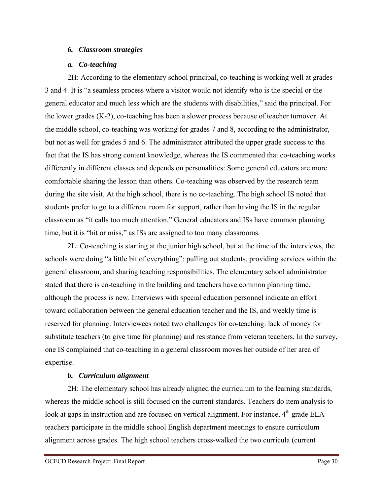#### *6. Classroom strategies*

### *a. Co-teaching*

2H: According to the elementary school principal, co-teaching is working well at grades 3 and 4. It is "a seamless process where a visitor would not identify who is the special or the general educator and much less which are the students with disabilities," said the principal. For the lower grades (K-2), co-teaching has been a slower process because of teacher turnover. At the middle school, co-teaching was working for grades 7 and 8, according to the administrator, but not as well for grades 5 and 6. The administrator attributed the upper grade success to the fact that the IS has strong content knowledge, whereas the IS commented that co-teaching works differently in different classes and depends on personalities: Some general educators are more comfortable sharing the lesson than others. Co-teaching was observed by the research team during the site visit. At the high school, there is no co-teaching. The high school IS noted that students prefer to go to a different room for support, rather than having the IS in the regular classroom as "it calls too much attention." General educators and ISs have common planning time, but it is "hit or miss," as ISs are assigned to too many classrooms.

2L: Co-teaching is starting at the junior high school, but at the time of the interviews, the schools were doing "a little bit of everything": pulling out students, providing services within the general classroom, and sharing teaching responsibilities. The elementary school administrator stated that there is co-teaching in the building and teachers have common planning time, although the process is new. Interviews with special education personnel indicate an effort toward collaboration between the general education teacher and the IS, and weekly time is reserved for planning. Interviewees noted two challenges for co-teaching: lack of money for substitute teachers (to give time for planning) and resistance from veteran teachers. In the survey, one IS complained that co-teaching in a general classroom moves her outside of her area of expertise.

## *b. Curriculum alignment*

2H: The elementary school has already aligned the curriculum to the learning standards, whereas the middle school is still focused on the current standards. Teachers do item analysis to look at gaps in instruction and are focused on vertical alignment. For instance,  $4<sup>th</sup>$  grade ELA teachers participate in the middle school English department meetings to ensure curriculum alignment across grades. The high school teachers cross-walked the two curricula (current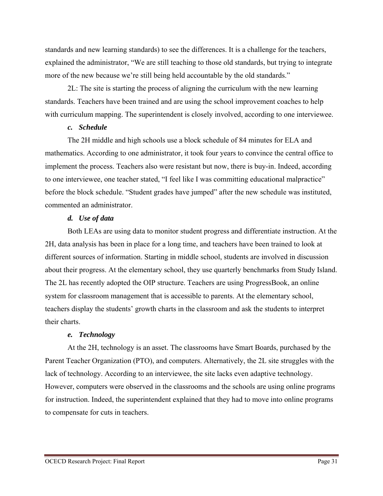standards and new learning standards) to see the differences. It is a challenge for the teachers, explained the administrator, "We are still teaching to those old standards, but trying to integrate more of the new because we're still being held accountable by the old standards."

2L: The site is starting the process of aligning the curriculum with the new learning standards. Teachers have been trained and are using the school improvement coaches to help with curriculum mapping. The superintendent is closely involved, according to one interviewee.

#### *c. Schedule*

The 2H middle and high schools use a block schedule of 84 minutes for ELA and mathematics. According to one administrator, it took four years to convince the central office to implement the process. Teachers also were resistant but now, there is buy-in. Indeed, according to one interviewee, one teacher stated, "I feel like I was committing educational malpractice" before the block schedule. "Student grades have jumped" after the new schedule was instituted, commented an administrator.

#### *d. Use of data*

Both LEAs are using data to monitor student progress and differentiate instruction. At the 2H, data analysis has been in place for a long time, and teachers have been trained to look at different sources of information. Starting in middle school, students are involved in discussion about their progress. At the elementary school, they use quarterly benchmarks from Study Island. The 2L has recently adopted the OIP structure. Teachers are using ProgressBook, an online system for classroom management that is accessible to parents. At the elementary school, teachers display the students' growth charts in the classroom and ask the students to interpret their charts.

## *e. Technology*

At the 2H, technology is an asset. The classrooms have Smart Boards, purchased by the Parent Teacher Organization (PTO), and computers. Alternatively, the 2L site struggles with the lack of technology. According to an interviewee, the site lacks even adaptive technology. However, computers were observed in the classrooms and the schools are using online programs for instruction. Indeed, the superintendent explained that they had to move into online programs to compensate for cuts in teachers.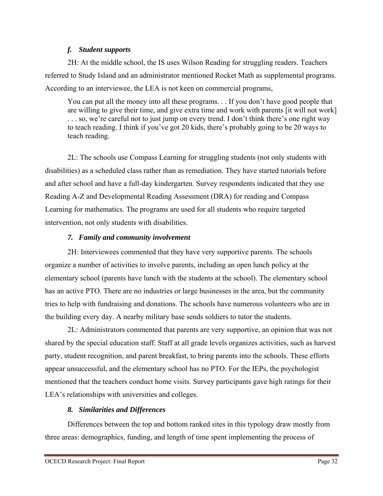## *f. Student supports*

2H: At the middle school, the IS uses Wilson Reading for struggling readers. Teachers referred to Study Island and an administrator mentioned Rocket Math as supplemental programs. According to an interviewee, the LEA is not keen on commercial programs,

You can put all the money into all these programs. . . If you don't have good people that are willing to give their time, and give extra time and work with parents [it will not work] ... so, we're careful not to just jump on every trend. I don't think there's one right way to teach reading. I think if you've got 20 kids, there's probably going to be 20 ways to teach reading.

2L: The schools use Compass Learning for struggling students (not only students with disabilities) as a scheduled class rather than as remediation. They have started tutorials before and after school and have a full-day kindergarten. Survey respondents indicated that they use Reading A-Z and Developmental Reading Assessment (DRA) for reading and Compass Learning for mathematics. The programs are used for all students who require targeted intervention, not only students with disabilities.

# *7. Family and community involvement*

2H: Interviewees commented that they have very supportive parents. The schools organize a number of activities to involve parents, including an open lunch policy at the elementary school (parents have lunch with the students at the school). The elementary school has an active PTO. There are no industries or large businesses in the area, but the community tries to help with fundraising and donations. The schools have numerous volunteers who are in the building every day. A nearby military base sends soldiers to tutor the students.

2L: Administrators commented that parents are very supportive, an opinion that was not shared by the special education staff. Staff at all grade levels organizes activities, such as harvest party, student recognition, and parent breakfast, to bring parents into the schools. These efforts appear unsuccessful, and the elementary school has no PTO. For the IEPs, the psychologist mentioned that the teachers conduct home visits. Survey participants gave high ratings for their LEA's relationships with universities and colleges.

# *8. Similarities and Differences*

Differences between the top and bottom ranked sites in this typology draw mostly from three areas: demographics, funding, and length of time spent implementing the process of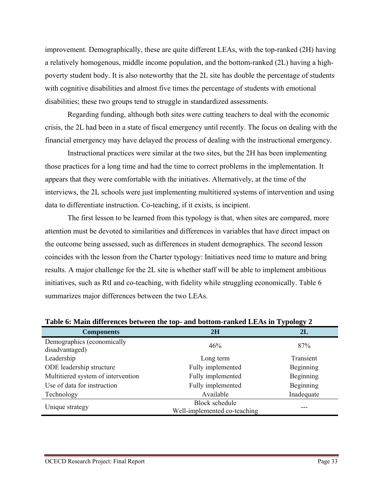improvement. Demographically, these are quite different LEAs, with the top-ranked (2H) having a relatively homogenous, middle income population, and the bottom-ranked (2L) having a highpoverty student body. It is also noteworthy that the 2L site has double the percentage of students with cognitive disabilities and almost five times the percentage of students with emotional disabilities; these two groups tend to struggle in standardized assessments.

Regarding funding, although both sites were cutting teachers to deal with the economic crisis, the 2L had been in a state of fiscal emergency until recently. The focus on dealing with the financial emergency may have delayed the process of dealing with the instructional emergency.

Instructional practices were similar at the two sites, but the 2H has been implementing those practices for a long time and had the time to correct problems in the implementation. It appears that they were comfortable with the initiatives. Alternatively, at the time of the interviews, the 2L schools were just implementing multitiered systems of intervention and using data to differentiate instruction. Co-teaching, if it exists, is incipient.

The first lesson to be learned from this typology is that, when sites are compared, more attention must be devoted to similarities and differences in variables that have direct impact on the outcome being assessed, such as differences in student demographics. The second lesson coincides with the lesson from the Charter typology: Initiatives need time to mature and bring results. A major challenge for the 2L site is whether staff will be able to implement ambitious initiatives, such as RtI and co-teaching, with fidelity while struggling economically. Table 6 summarizes major differences between the two LEAs.

| <b>Components</b>                            | 2H                           | 2L         |
|----------------------------------------------|------------------------------|------------|
| Demographics (economically<br>disadvantaged) | 46%                          | 87%        |
| Leadership                                   | Long term                    | Transient  |
| ODE leadership structure                     | Fully implemented            | Beginning  |
| Multitiered system of intervention           | Fully implemented            | Beginning  |
| Use of data for instruction                  | Fully implemented            | Beginning  |
| Technology                                   | Available                    | Inadequate |
| Unique strategy                              | <b>Block schedule</b>        |            |
|                                              | Well-implemented co-teaching |            |

**Table 6: Main differences between the top- and bottom-ranked LEAs in Typology 2**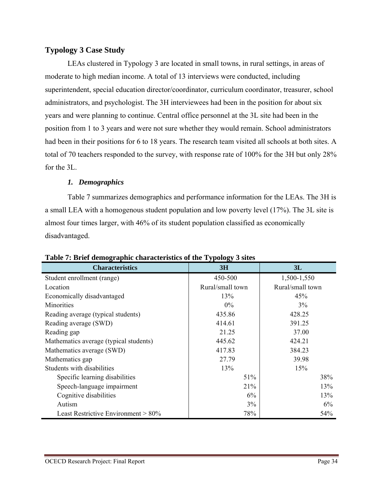# **Typology 3 Case Study**

LEAs clustered in Typology 3 are located in small towns, in rural settings, in areas of moderate to high median income. A total of 13 interviews were conducted, including superintendent, special education director/coordinator, curriculum coordinator, treasurer, school administrators, and psychologist. The 3H interviewees had been in the position for about six years and were planning to continue. Central office personnel at the 3L site had been in the position from 1 to 3 years and were not sure whether they would remain. School administrators had been in their positions for 6 to 18 years. The research team visited all schools at both sites. A total of 70 teachers responded to the survey, with response rate of 100% for the 3H but only 28% for the 3L.

## *1. Demographics*

Table 7 summarizes demographics and performance information for the LEAs. The 3H is a small LEA with a homogenous student population and low poverty level (17%). The 3L site is almost four times larger, with 46% of its student population classified as economically disadvantaged.

| o<br><b>Characteristics</b>            | $\sim$<br>3H     | 3L               |
|----------------------------------------|------------------|------------------|
| Student enrollment (range)             | 450-500          | 1,500-1,550      |
| Location                               | Rural/small town | Rural/small town |
| Economically disadvantaged             | 13%              | 45%              |
| Minorities                             | $0\%$            | 3%               |
| Reading average (typical students)     | 435.86           | 428.25           |
| Reading average (SWD)                  | 414.61           | 391.25           |
| Reading gap                            | 21.25            | 37.00            |
| Mathematics average (typical students) | 445.62           | 424.21           |
| Mathematics average (SWD)              | 417.83           | 384.23           |
| Mathematics gap                        | 27.79            | 39.98            |
| Students with disabilities             | 13%              | 15%              |
| Specific learning disabilities         | 51%              | 38%              |
| Speech-language impairment             | 21%              | 13%              |
| Cognitive disabilities                 | 6%               | 13%              |
| Autism                                 | 3%               | 6%               |
| Least Restrictive Environment $> 80\%$ | 78%              | 54%              |

#### **Table 7: Brief demographic characteristics of the Typology 3 sites**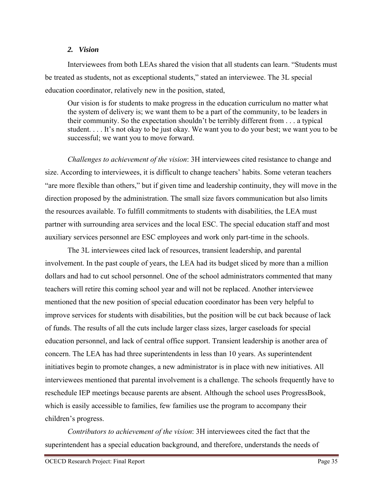#### *2. Vision*

Interviewees from both LEAs shared the vision that all students can learn. "Students must be treated as students, not as exceptional students," stated an interviewee. The 3L special education coordinator, relatively new in the position, stated,

Our vision is for students to make progress in the education curriculum no matter what the system of delivery is; we want them to be a part of the community, to be leaders in their community. So the expectation shouldn't be terribly different from . . . a typical student. . . . It's not okay to be just okay. We want you to do your best; we want you to be successful; we want you to move forward.

*Challenges to achievement of the vision*: 3H interviewees cited resistance to change and size. According to interviewees, it is difficult to change teachers' habits. Some veteran teachers "are more flexible than others," but if given time and leadership continuity, they will move in the direction proposed by the administration. The small size favors communication but also limits the resources available. To fulfill commitments to students with disabilities, the LEA must partner with surrounding area services and the local ESC. The special education staff and most auxiliary services personnel are ESC employees and work only part-time in the schools.

The 3L interviewees cited lack of resources, transient leadership, and parental involvement. In the past couple of years, the LEA had its budget sliced by more than a million dollars and had to cut school personnel. One of the school administrators commented that many teachers will retire this coming school year and will not be replaced. Another interviewee mentioned that the new position of special education coordinator has been very helpful to improve services for students with disabilities, but the position will be cut back because of lack of funds. The results of all the cuts include larger class sizes, larger caseloads for special education personnel, and lack of central office support. Transient leadership is another area of concern. The LEA has had three superintendents in less than 10 years. As superintendent initiatives begin to promote changes, a new administrator is in place with new initiatives. All interviewees mentioned that parental involvement is a challenge. The schools frequently have to reschedule IEP meetings because parents are absent. Although the school uses ProgressBook, which is easily accessible to families, few families use the program to accompany their children's progress.

*Contributors to achievement of the vision*: 3H interviewees cited the fact that the superintendent has a special education background, and therefore, understands the needs of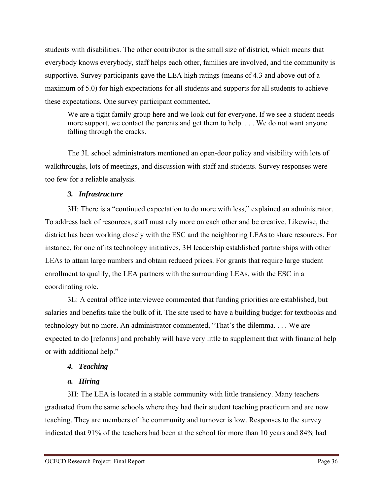students with disabilities. The other contributor is the small size of district, which means that everybody knows everybody, staff helps each other, families are involved, and the community is supportive. Survey participants gave the LEA high ratings (means of 4.3 and above out of a maximum of 5.0) for high expectations for all students and supports for all students to achieve these expectations. One survey participant commented,

We are a tight family group here and we look out for everyone. If we see a student needs more support, we contact the parents and get them to help. . . . We do not want anyone falling through the cracks.

The 3L school administrators mentioned an open-door policy and visibility with lots of walkthroughs, lots of meetings, and discussion with staff and students. Survey responses were too few for a reliable analysis.

# *3. Infrastructure*

3H: There is a "continued expectation to do more with less," explained an administrator. To address lack of resources, staff must rely more on each other and be creative. Likewise, the district has been working closely with the ESC and the neighboring LEAs to share resources. For instance, for one of its technology initiatives, 3H leadership established partnerships with other LEAs to attain large numbers and obtain reduced prices. For grants that require large student enrollment to qualify, the LEA partners with the surrounding LEAs, with the ESC in a coordinating role.

3L: A central office interviewee commented that funding priorities are established, but salaries and benefits take the bulk of it. The site used to have a building budget for textbooks and technology but no more. An administrator commented, "That's the dilemma. . . . We are expected to do [reforms] and probably will have very little to supplement that with financial help or with additional help."

# *4. Teaching*

# *a. Hiring*

3H: The LEA is located in a stable community with little transiency. Many teachers graduated from the same schools where they had their student teaching practicum and are now teaching. They are members of the community and turnover is low. Responses to the survey indicated that 91% of the teachers had been at the school for more than 10 years and 84% had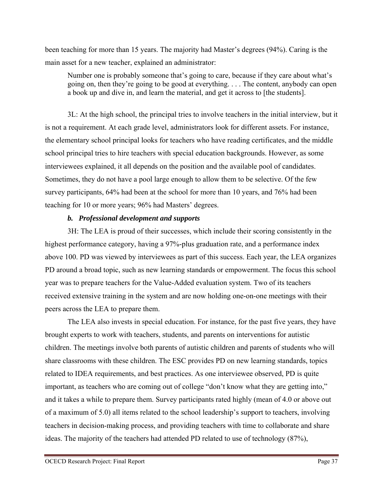been teaching for more than 15 years. The majority had Master's degrees (94%). Caring is the main asset for a new teacher, explained an administrator:

Number one is probably someone that's going to care, because if they care about what's going on, then they're going to be good at everything. . . . The content, anybody can open a book up and dive in, and learn the material, and get it across to [the students].

3L: At the high school, the principal tries to involve teachers in the initial interview, but it is not a requirement. At each grade level, administrators look for different assets. For instance, the elementary school principal looks for teachers who have reading certificates, and the middle school principal tries to hire teachers with special education backgrounds. However, as some interviewees explained, it all depends on the position and the available pool of candidates. Sometimes, they do not have a pool large enough to allow them to be selective. Of the few survey participants, 64% had been at the school for more than 10 years, and 76% had been teaching for 10 or more years; 96% had Masters' degrees.

## *b. Professional development and supports*

3H: The LEA is proud of their successes, which include their scoring consistently in the highest performance category, having a 97%-plus graduation rate, and a performance index above 100. PD was viewed by interviewees as part of this success. Each year, the LEA organizes PD around a broad topic, such as new learning standards or empowerment. The focus this school year was to prepare teachers for the Value-Added evaluation system. Two of its teachers received extensive training in the system and are now holding one-on-one meetings with their peers across the LEA to prepare them.

The LEA also invests in special education. For instance, for the past five years, they have brought experts to work with teachers, students, and parents on interventions for autistic children. The meetings involve both parents of autistic children and parents of students who will share classrooms with these children. The ESC provides PD on new learning standards, topics related to IDEA requirements, and best practices. As one interviewee observed, PD is quite important, as teachers who are coming out of college "don't know what they are getting into," and it takes a while to prepare them. Survey participants rated highly (mean of 4.0 or above out of a maximum of 5.0) all items related to the school leadership's support to teachers, involving teachers in decision-making process, and providing teachers with time to collaborate and share ideas. The majority of the teachers had attended PD related to use of technology (87%),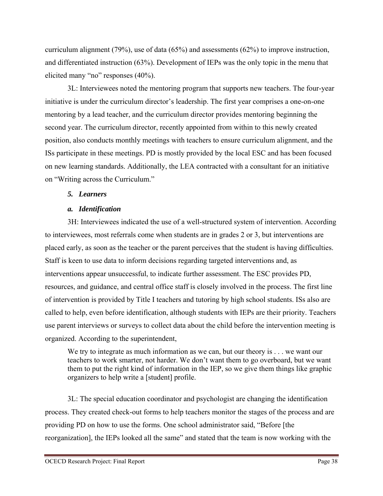curriculum alignment (79%), use of data (65%) and assessments (62%) to improve instruction, and differentiated instruction (63%). Development of IEPs was the only topic in the menu that elicited many "no" responses (40%).

3L: Interviewees noted the mentoring program that supports new teachers. The four-year initiative is under the curriculum director's leadership. The first year comprises a one-on-one mentoring by a lead teacher, and the curriculum director provides mentoring beginning the second year. The curriculum director, recently appointed from within to this newly created position, also conducts monthly meetings with teachers to ensure curriculum alignment, and the ISs participate in these meetings. PD is mostly provided by the local ESC and has been focused on new learning standards. Additionally, the LEA contracted with a consultant for an initiative on "Writing across the Curriculum."

## *5. Learners*

## *a. Identification*

3H: Interviewees indicated the use of a well-structured system of intervention. According to interviewees, most referrals come when students are in grades 2 or 3, but interventions are placed early, as soon as the teacher or the parent perceives that the student is having difficulties. Staff is keen to use data to inform decisions regarding targeted interventions and, as interventions appear unsuccessful, to indicate further assessment. The ESC provides PD, resources, and guidance, and central office staff is closely involved in the process. The first line of intervention is provided by Title I teachers and tutoring by high school students. ISs also are called to help, even before identification, although students with IEPs are their priority. Teachers use parent interviews or surveys to collect data about the child before the intervention meeting is organized. According to the superintendent,

We try to integrate as much information as we can, but our theory is . . . we want our teachers to work smarter, not harder. We don't want them to go overboard, but we want them to put the right kind of information in the IEP, so we give them things like graphic organizers to help write a [student] profile.

3L: The special education coordinator and psychologist are changing the identification process. They created check-out forms to help teachers monitor the stages of the process and are providing PD on how to use the forms. One school administrator said, "Before [the reorganization], the IEPs looked all the same" and stated that the team is now working with the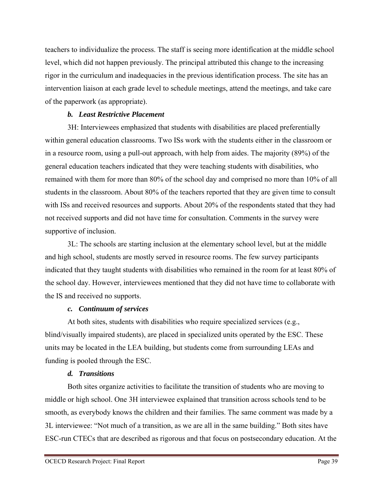teachers to individualize the process. The staff is seeing more identification at the middle school level, which did not happen previously. The principal attributed this change to the increasing rigor in the curriculum and inadequacies in the previous identification process. The site has an intervention liaison at each grade level to schedule meetings, attend the meetings, and take care of the paperwork (as appropriate).

#### *b. Least Restrictive Placement*

3H: Interviewees emphasized that students with disabilities are placed preferentially within general education classrooms. Two ISs work with the students either in the classroom or in a resource room, using a pull-out approach, with help from aides. The majority (89%) of the general education teachers indicated that they were teaching students with disabilities, who remained with them for more than 80% of the school day and comprised no more than 10% of all students in the classroom. About 80% of the teachers reported that they are given time to consult with ISs and received resources and supports. About 20% of the respondents stated that they had not received supports and did not have time for consultation. Comments in the survey were supportive of inclusion.

3L: The schools are starting inclusion at the elementary school level, but at the middle and high school, students are mostly served in resource rooms. The few survey participants indicated that they taught students with disabilities who remained in the room for at least 80% of the school day. However, interviewees mentioned that they did not have time to collaborate with the IS and received no supports.

## *c. Continuum of services*

At both sites, students with disabilities who require specialized services (e.g., blind/visually impaired students), are placed in specialized units operated by the ESC. These units may be located in the LEA building, but students come from surrounding LEAs and funding is pooled through the ESC.

## *d. Transitions*

Both sites organize activities to facilitate the transition of students who are moving to middle or high school. One 3H interviewee explained that transition across schools tend to be smooth, as everybody knows the children and their families. The same comment was made by a 3L interviewee: "Not much of a transition, as we are all in the same building." Both sites have ESC-run CTECs that are described as rigorous and that focus on postsecondary education. At the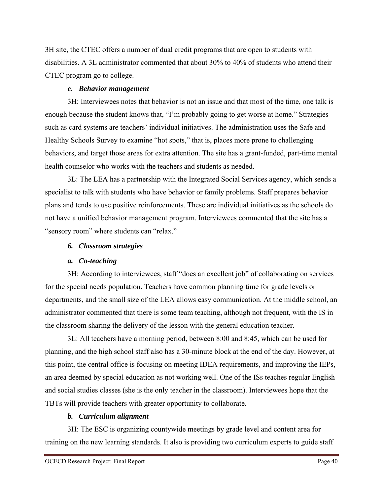3H site, the CTEC offers a number of dual credit programs that are open to students with disabilities. A 3L administrator commented that about 30% to 40% of students who attend their CTEC program go to college.

## *e. Behavior management*

3H: Interviewees notes that behavior is not an issue and that most of the time, one talk is enough because the student knows that, "I'm probably going to get worse at home." Strategies such as card systems are teachers' individual initiatives. The administration uses the Safe and Healthy Schools Survey to examine "hot spots," that is, places more prone to challenging behaviors, and target those areas for extra attention. The site has a grant-funded, part-time mental health counselor who works with the teachers and students as needed.

3L: The LEA has a partnership with the Integrated Social Services agency, which sends a specialist to talk with students who have behavior or family problems. Staff prepares behavior plans and tends to use positive reinforcements. These are individual initiatives as the schools do not have a unified behavior management program. Interviewees commented that the site has a "sensory room" where students can "relax."

## *6. Classroom strategies*

# *a. Co-teaching*

3H: According to interviewees, staff "does an excellent job" of collaborating on services for the special needs population. Teachers have common planning time for grade levels or departments, and the small size of the LEA allows easy communication. At the middle school, an administrator commented that there is some team teaching, although not frequent, with the IS in the classroom sharing the delivery of the lesson with the general education teacher.

3L: All teachers have a morning period, between 8:00 and 8:45, which can be used for planning, and the high school staff also has a 30-minute block at the end of the day. However, at this point, the central office is focusing on meeting IDEA requirements, and improving the IEPs, an area deemed by special education as not working well. One of the ISs teaches regular English and social studies classes (she is the only teacher in the classroom). Interviewees hope that the TBTs will provide teachers with greater opportunity to collaborate.

## *b. Curriculum alignment*

3H: The ESC is organizing countywide meetings by grade level and content area for training on the new learning standards. It also is providing two curriculum experts to guide staff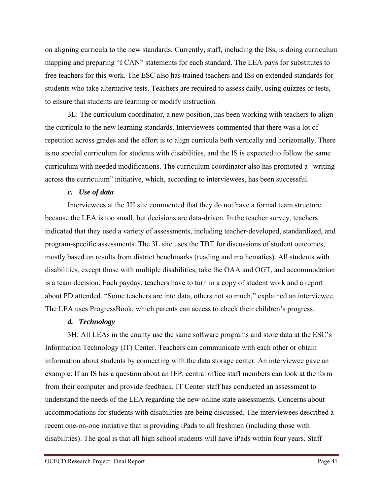on aligning curricula to the new standards. Currently, staff, including the ISs, is doing curriculum mapping and preparing "I CAN" statements for each standard. The LEA pays for substitutes to free teachers for this work. The ESC also has trained teachers and ISs on extended standards for students who take alternative tests. Teachers are required to assess daily, using quizzes or tests, to ensure that students are learning or modify instruction.

3L: The curriculum coordinator, a new position, has been working with teachers to align the curricula to the new learning standards. Interviewees commented that there was a lot of repetition across grades and the effort is to align curricula both vertically and horizontally. There is no special curriculum for students with disabilities, and the IS is expected to follow the same curriculum with needed modifications. The curriculum coordinator also has promoted a "writing across the curriculum" initiative, which, according to interviewees, has been successful.

#### *c. Use of data*

Interviewees at the 3H site commented that they do not have a formal team structure because the LEA is too small, but decisions are data-driven. In the teacher survey, teachers indicated that they used a variety of assessments, including teacher-developed, standardized, and program-specific assessments. The 3L site uses the TBT for discussions of student outcomes, mostly based on results from district benchmarks (reading and mathematics). All students with disabilities, except those with multiple disabilities, take the OAA and OGT, and accommodation is a team decision. Each payday, teachers have to turn in a copy of student work and a report about PD attended. "Some teachers are into data, others not so much," explained an interviewee. The LEA uses ProgressBook, which parents can access to check their children's progress.

## *d. Technology*

3H: All LEAs in the county use the same software programs and store data at the ESC's Information Technology (IT) Center. Teachers can communicate with each other or obtain information about students by connecting with the data storage center. An interviewee gave an example: If an IS has a question about an IEP, central office staff members can look at the form from their computer and provide feedback. IT Center staff has conducted an assessment to understand the needs of the LEA regarding the new online state assessments. Concerns about accommodations for students with disabilities are being discussed. The interviewees described a recent one-on-one initiative that is providing iPads to all freshmen (including those with disabilities). The goal is that all high school students will have iPads within four years. Staff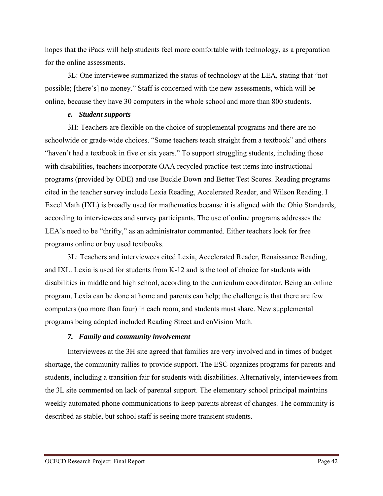hopes that the iPads will help students feel more comfortable with technology, as a preparation for the online assessments.

3L: One interviewee summarized the status of technology at the LEA, stating that "not possible; [there's] no money." Staff is concerned with the new assessments, which will be online, because they have 30 computers in the whole school and more than 800 students.

#### *e. Student supports*

3H: Teachers are flexible on the choice of supplemental programs and there are no schoolwide or grade-wide choices. "Some teachers teach straight from a textbook" and others "haven't had a textbook in five or six years." To support struggling students, including those with disabilities, teachers incorporate OAA recycled practice-test items into instructional programs (provided by ODE) and use Buckle Down and Better Test Scores. Reading programs cited in the teacher survey include Lexia Reading, Accelerated Reader, and Wilson Reading. I Excel Math (IXL) is broadly used for mathematics because it is aligned with the Ohio Standards, according to interviewees and survey participants. The use of online programs addresses the LEA's need to be "thrifty," as an administrator commented. Either teachers look for free programs online or buy used textbooks.

3L: Teachers and interviewees cited Lexia, Accelerated Reader, Renaissance Reading, and IXL. Lexia is used for students from K-12 and is the tool of choice for students with disabilities in middle and high school, according to the curriculum coordinator. Being an online program, Lexia can be done at home and parents can help; the challenge is that there are few computers (no more than four) in each room, and students must share. New supplemental programs being adopted included Reading Street and enVision Math.

# *7. Family and community involvement*

Interviewees at the 3H site agreed that families are very involved and in times of budget shortage, the community rallies to provide support. The ESC organizes programs for parents and students, including a transition fair for students with disabilities. Alternatively, interviewees from the 3L site commented on lack of parental support. The elementary school principal maintains weekly automated phone communications to keep parents abreast of changes. The community is described as stable, but school staff is seeing more transient students.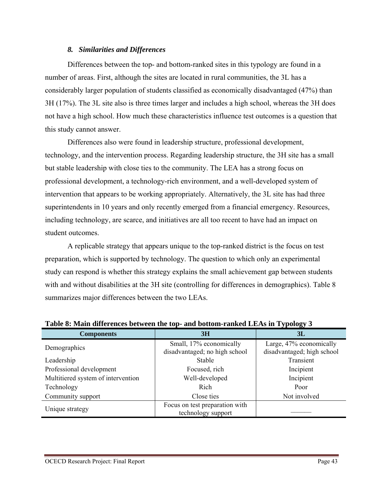## *8. Similarities and Differences*

Differences between the top- and bottom-ranked sites in this typology are found in a number of areas. First, although the sites are located in rural communities, the 3L has a considerably larger population of students classified as economically disadvantaged (47%) than 3H (17%). The 3L site also is three times larger and includes a high school, whereas the 3H does not have a high school. How much these characteristics influence test outcomes is a question that this study cannot answer.

Differences also were found in leadership structure, professional development, technology, and the intervention process. Regarding leadership structure, the 3H site has a small but stable leadership with close ties to the community. The LEA has a strong focus on professional development, a technology-rich environment, and a well-developed system of intervention that appears to be working appropriately. Alternatively, the 3L site has had three superintendents in 10 years and only recently emerged from a financial emergency. Resources, including technology, are scarce, and initiatives are all too recent to have had an impact on student outcomes.

A replicable strategy that appears unique to the top-ranked district is the focus on test preparation, which is supported by technology. The question to which only an experimental study can respond is whether this strategy explains the small achievement gap between students with and without disabilities at the 3H site (controlling for differences in demographics). Table 8 summarizes major differences between the two LEAs.

|                                    | Ö                                                        |                                                       |  |
|------------------------------------|----------------------------------------------------------|-------------------------------------------------------|--|
| <b>Components</b>                  | 3H                                                       | 3L                                                    |  |
| Demographics                       | Small, 17% economically<br>disadvantaged; no high school | Large, 47% economically<br>disadvantaged; high school |  |
| Leadership                         | Stable                                                   | Transient                                             |  |
| Professional development           | Focused, rich                                            | Incipient                                             |  |
| Multitiered system of intervention | Well-developed                                           | Incipient                                             |  |
| Technology                         | Rich                                                     | Poor                                                  |  |
| Community support                  | Close ties                                               | Not involved                                          |  |
| Unique strategy                    | Focus on test preparation with<br>technology support     |                                                       |  |

**Table 8: Main differences between the top- and bottom-ranked LEAs in Typology 3**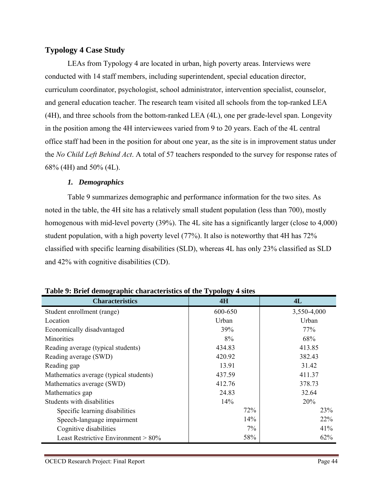# **Typology 4 Case Study**

LEAs from Typology 4 are located in urban, high poverty areas. Interviews were conducted with 14 staff members, including superintendent, special education director, curriculum coordinator, psychologist, school administrator, intervention specialist, counselor, and general education teacher. The research team visited all schools from the top-ranked LEA (4H), and three schools from the bottom-ranked LEA (4L), one per grade-level span. Longevity in the position among the 4H interviewees varied from 9 to 20 years. Each of the 4L central office staff had been in the position for about one year, as the site is in improvement status under the *No Child Left Behind Act*. A total of 57 teachers responded to the survey for response rates of 68% (4H) and 50% (4L).

## *1. Demographics*

Table 9 summarizes demographic and performance information for the two sites. As noted in the table, the 4H site has a relatively small student population (less than 700), mostly homogenous with mid-level poverty (39%). The 4L site has a significantly larger (close to 4,000) student population, with a high poverty level (77%). It also is noteworthy that 4H has 72% classified with specific learning disabilities (SLD), whereas 4L has only 23% classified as SLD and 42% with cognitive disabilities (CD).

| <b>Characteristics</b>                 | 4H      | 4L          |
|----------------------------------------|---------|-------------|
| Student enrollment (range)             | 600-650 | 3,550-4,000 |
| Location                               | Urban   | Urban       |
| Economically disadvantaged             | 39%     | 77%         |
| <b>Minorities</b>                      | 8%      | 68%         |
| Reading average (typical students)     | 434.83  | 413.85      |
| Reading average (SWD)                  | 420.92  | 382.43      |
| Reading gap                            | 13.91   | 31.42       |
| Mathematics average (typical students) | 437.59  | 411.37      |
| Mathematics average (SWD)              | 412.76  | 378.73      |
| Mathematics gap                        | 24.83   | 32.64       |
| Students with disabilities             | 14%     | 20%         |
| Specific learning disabilities         | 72%     | 23%         |
| Speech-language impairment             | 14%     | 22%         |
| Cognitive disabilities                 | $7\%$   | 41%         |
| Least Restrictive Environment > 80%    | 58%     | 62%         |

# **Table 9: Brief demographic characteristics of the Typology 4 sites**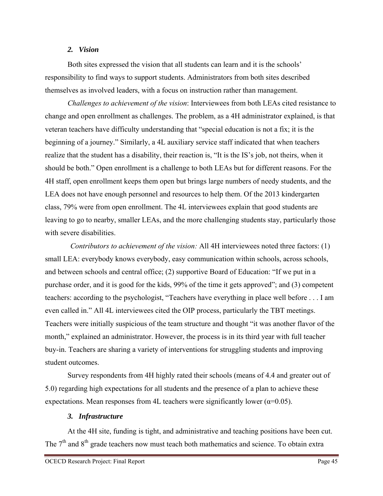### *2. Vision*

Both sites expressed the vision that all students can learn and it is the schools' responsibility to find ways to support students. Administrators from both sites described themselves as involved leaders, with a focus on instruction rather than management.

*Challenges to achievement of the vision*: Interviewees from both LEAs cited resistance to change and open enrollment as challenges. The problem, as a 4H administrator explained, is that veteran teachers have difficulty understanding that "special education is not a fix; it is the beginning of a journey." Similarly, a 4L auxiliary service staff indicated that when teachers realize that the student has a disability, their reaction is, "It is the IS's job, not theirs, when it should be both." Open enrollment is a challenge to both LEAs but for different reasons. For the 4H staff, open enrollment keeps them open but brings large numbers of needy students, and the LEA does not have enough personnel and resources to help them. Of the 2013 kindergarten class, 79% were from open enrollment. The 4L interviewees explain that good students are leaving to go to nearby, smaller LEAs, and the more challenging students stay, particularly those with severe disabilities.

 *Contributors to achievement of the vision:* All 4H interviewees noted three factors: (1) small LEA: everybody knows everybody, easy communication within schools, across schools, and between schools and central office; (2) supportive Board of Education: "If we put in a purchase order, and it is good for the kids, 99% of the time it gets approved"; and (3) competent teachers: according to the psychologist, "Teachers have everything in place well before . . . I am even called in." All 4L interviewees cited the OIP process, particularly the TBT meetings. Teachers were initially suspicious of the team structure and thought "it was another flavor of the month," explained an administrator. However, the process is in its third year with full teacher buy-in. Teachers are sharing a variety of interventions for struggling students and improving student outcomes.

Survey respondents from 4H highly rated their schools (means of 4.4 and greater out of 5.0) regarding high expectations for all students and the presence of a plan to achieve these expectations. Mean responses from 4L teachers were significantly lower ( $\alpha$ =0.05).

## *3. Infrastructure*

At the 4H site, funding is tight, and administrative and teaching positions have been cut. The  $7<sup>th</sup>$  and  $8<sup>th</sup>$  grade teachers now must teach both mathematics and science. To obtain extra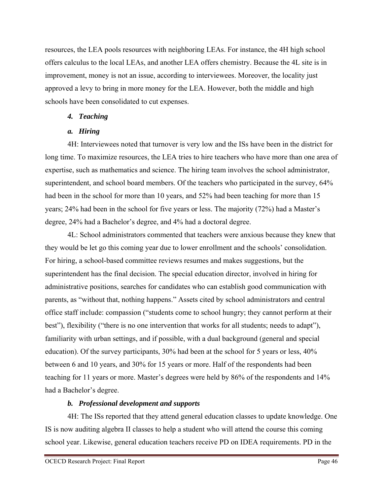resources, the LEA pools resources with neighboring LEAs. For instance, the 4H high school offers calculus to the local LEAs, and another LEA offers chemistry. Because the 4L site is in improvement, money is not an issue, according to interviewees. Moreover, the locality just approved a levy to bring in more money for the LEA. However, both the middle and high schools have been consolidated to cut expenses.

## *4. Teaching*

# *a. Hiring*

4H: Interviewees noted that turnover is very low and the ISs have been in the district for long time. To maximize resources, the LEA tries to hire teachers who have more than one area of expertise, such as mathematics and science. The hiring team involves the school administrator, superintendent, and school board members. Of the teachers who participated in the survey, 64% had been in the school for more than 10 years, and 52% had been teaching for more than 15 years; 24% had been in the school for five years or less. The majority (72%) had a Master's degree, 24% had a Bachelor's degree, and 4% had a doctoral degree.

4L: School administrators commented that teachers were anxious because they knew that they would be let go this coming year due to lower enrollment and the schools' consolidation. For hiring, a school-based committee reviews resumes and makes suggestions, but the superintendent has the final decision. The special education director, involved in hiring for administrative positions, searches for candidates who can establish good communication with parents, as "without that, nothing happens." Assets cited by school administrators and central office staff include: compassion ("students come to school hungry; they cannot perform at their best"), flexibility ("there is no one intervention that works for all students; needs to adapt"), familiarity with urban settings, and if possible, with a dual background (general and special education). Of the survey participants, 30% had been at the school for 5 years or less, 40% between 6 and 10 years, and 30% for 15 years or more. Half of the respondents had been teaching for 11 years or more. Master's degrees were held by 86% of the respondents and 14% had a Bachelor's degree.

# *b. Professional development and supports*

4H: The ISs reported that they attend general education classes to update knowledge. One IS is now auditing algebra II classes to help a student who will attend the course this coming school year. Likewise, general education teachers receive PD on IDEA requirements. PD in the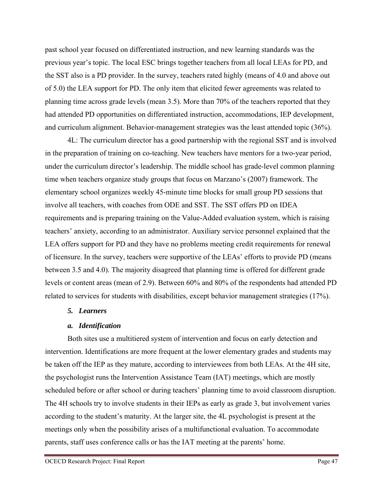past school year focused on differentiated instruction, and new learning standards was the previous year's topic. The local ESC brings together teachers from all local LEAs for PD, and the SST also is a PD provider. In the survey, teachers rated highly (means of 4.0 and above out of 5.0) the LEA support for PD. The only item that elicited fewer agreements was related to planning time across grade levels (mean 3.5). More than 70% of the teachers reported that they had attended PD opportunities on differentiated instruction, accommodations, IEP development, and curriculum alignment. Behavior-management strategies was the least attended topic (36%).

4L: The curriculum director has a good partnership with the regional SST and is involved in the preparation of training on co-teaching. New teachers have mentors for a two-year period, under the curriculum director's leadership. The middle school has grade-level common planning time when teachers organize study groups that focus on Marzano's (2007) framework. The elementary school organizes weekly 45-minute time blocks for small group PD sessions that involve all teachers, with coaches from ODE and SST. The SST offers PD on IDEA requirements and is preparing training on the Value-Added evaluation system, which is raising teachers' anxiety, according to an administrator. Auxiliary service personnel explained that the LEA offers support for PD and they have no problems meeting credit requirements for renewal of licensure. In the survey, teachers were supportive of the LEAs' efforts to provide PD (means between 3.5 and 4.0). The majority disagreed that planning time is offered for different grade levels or content areas (mean of 2.9). Between 60% and 80% of the respondents had attended PD related to services for students with disabilities, except behavior management strategies (17%).

## *5. Learners*

## *a. Identification*

Both sites use a multitiered system of intervention and focus on early detection and intervention. Identifications are more frequent at the lower elementary grades and students may be taken off the IEP as they mature, according to interviewees from both LEAs. At the 4H site, the psychologist runs the Intervention Assistance Team (IAT) meetings, which are mostly scheduled before or after school or during teachers' planning time to avoid classroom disruption. The 4H schools try to involve students in their IEPs as early as grade 3, but involvement varies according to the student's maturity. At the larger site, the 4L psychologist is present at the meetings only when the possibility arises of a multifunctional evaluation. To accommodate parents, staff uses conference calls or has the IAT meeting at the parents' home.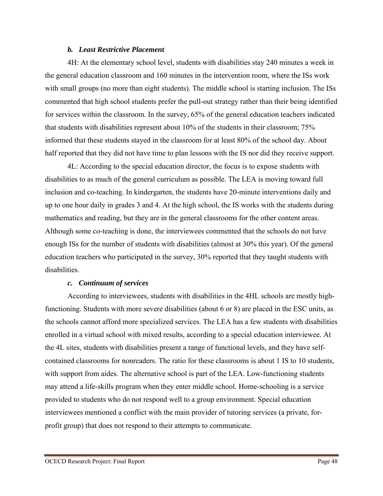#### *b. Least Restrictive Placement*

4H: At the elementary school level, students with disabilities stay 240 minutes a week in the general education classroom and 160 minutes in the intervention room, where the ISs work with small groups (no more than eight students). The middle school is starting inclusion. The ISs commented that high school students prefer the pull-out strategy rather than their being identified for services within the classroom. In the survey, 65% of the general education teachers indicated that students with disabilities represent about 10% of the students in their classroom; 75% informed that these students stayed in the classroom for at least 80% of the school day. About half reported that they did not have time to plan lessons with the IS nor did they receive support.

4L: According to the special education director, the focus is to expose students with disabilities to as much of the general curriculum as possible. The LEA is moving toward full inclusion and co-teaching. In kindergarten, the students have 20-minute interventions daily and up to one hour daily in grades 3 and 4. At the high school, the IS works with the students during mathematics and reading, but they are in the general classrooms for the other content areas. Although some co-teaching is done, the interviewees commented that the schools do not have enough ISs for the number of students with disabilities (almost at 30% this year). Of the general education teachers who participated in the survey, 30% reported that they taught students with disabilities.

#### *c. Continuum of services*

According to interviewees, students with disabilities in the 4HL schools are mostly highfunctioning. Students with more severe disabilities (about 6 or 8) are placed in the ESC units, as the schools cannot afford more specialized services. The LEA has a few students with disabilities enrolled in a virtual school with mixed results, according to a special education interviewee. At the 4L sites, students with disabilities present a range of functional levels, and they have selfcontained classrooms for nonreaders. The ratio for these classrooms is about 1 IS to 10 students, with support from aides. The alternative school is part of the LEA. Low-functioning students may attend a life-skills program when they enter middle school. Home-schooling is a service provided to students who do not respond well to a group environment. Special education interviewees mentioned a conflict with the main provider of tutoring services (a private, forprofit group) that does not respond to their attempts to communicate.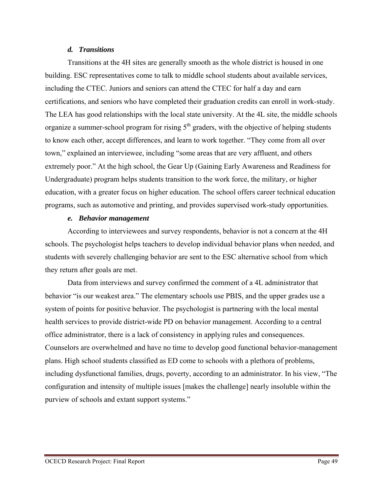#### *d. Transitions*

Transitions at the 4H sites are generally smooth as the whole district is housed in one building. ESC representatives come to talk to middle school students about available services, including the CTEC. Juniors and seniors can attend the CTEC for half a day and earn certifications, and seniors who have completed their graduation credits can enroll in work-study. The LEA has good relationships with the local state university. At the 4L site, the middle schools organize a summer-school program for rising  $5<sup>th</sup>$  graders, with the objective of helping students to know each other, accept differences, and learn to work together. "They come from all over town," explained an interviewee, including "some areas that are very affluent, and others extremely poor." At the high school, the Gear Up (Gaining Early Awareness and Readiness for Undergraduate) program helps students transition to the work force, the military, or higher education, with a greater focus on higher education. The school offers career technical education programs, such as automotive and printing, and provides supervised work-study opportunities.

#### *e. Behavior management*

According to interviewees and survey respondents, behavior is not a concern at the 4H schools. The psychologist helps teachers to develop individual behavior plans when needed, and students with severely challenging behavior are sent to the ESC alternative school from which they return after goals are met.

Data from interviews and survey confirmed the comment of a 4L administrator that behavior "is our weakest area." The elementary schools use PBIS, and the upper grades use a system of points for positive behavior. The psychologist is partnering with the local mental health services to provide district-wide PD on behavior management. According to a central office administrator, there is a lack of consistency in applying rules and consequences. Counselors are overwhelmed and have no time to develop good functional behavior-management plans. High school students classified as ED come to schools with a plethora of problems, including dysfunctional families, drugs, poverty, according to an administrator. In his view, "The configuration and intensity of multiple issues [makes the challenge] nearly insoluble within the purview of schools and extant support systems."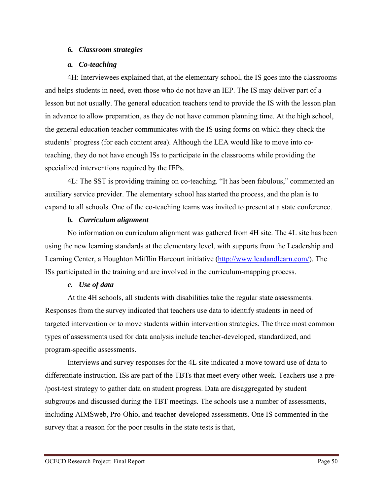### *6. Classroom strategies*

#### *a. Co-teaching*

4H: Interviewees explained that, at the elementary school, the IS goes into the classrooms and helps students in need, even those who do not have an IEP. The IS may deliver part of a lesson but not usually. The general education teachers tend to provide the IS with the lesson plan in advance to allow preparation, as they do not have common planning time. At the high school, the general education teacher communicates with the IS using forms on which they check the students' progress (for each content area). Although the LEA would like to move into coteaching, they do not have enough ISs to participate in the classrooms while providing the specialized interventions required by the IEPs.

4L: The SST is providing training on co-teaching. "It has been fabulous," commented an auxiliary service provider. The elementary school has started the process, and the plan is to expand to all schools. One of the co-teaching teams was invited to present at a state conference.

#### *b. Curriculum alignment*

No information on curriculum alignment was gathered from 4H site. The 4L site has been using the new learning standards at the elementary level, with supports from the Leadership and Learning Center, a Houghton Mifflin Harcourt initiative (http://www.leadandlearn.com/). The ISs participated in the training and are involved in the curriculum-mapping process.

## *c. Use of data*

At the 4H schools, all students with disabilities take the regular state assessments. Responses from the survey indicated that teachers use data to identify students in need of targeted intervention or to move students within intervention strategies. The three most common types of assessments used for data analysis include teacher-developed, standardized, and program-specific assessments.

Interviews and survey responses for the 4L site indicated a move toward use of data to differentiate instruction. ISs are part of the TBTs that meet every other week. Teachers use a pre- /post-test strategy to gather data on student progress. Data are disaggregated by student subgroups and discussed during the TBT meetings. The schools use a number of assessments, including AIMSweb, Pro-Ohio, and teacher-developed assessments. One IS commented in the survey that a reason for the poor results in the state tests is that,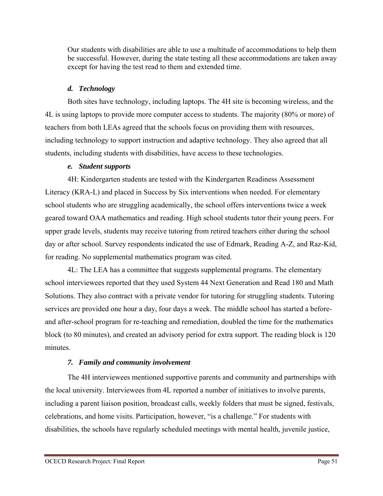Our students with disabilities are able to use a multitude of accommodations to help them be successful. However, during the state testing all these accommodations are taken away except for having the test read to them and extended time.

# *d. Technology*

Both sites have technology, including laptops. The 4H site is becoming wireless, and the 4L is using laptops to provide more computer access to students. The majority (80% or more) of teachers from both LEAs agreed that the schools focus on providing them with resources, including technology to support instruction and adaptive technology. They also agreed that all students, including students with disabilities, have access to these technologies.

# *e. Student supports*

4H: Kindergarten students are tested with the Kindergarten Readiness Assessment Literacy (KRA-L) and placed in Success by Six interventions when needed. For elementary school students who are struggling academically, the school offers interventions twice a week geared toward OAA mathematics and reading. High school students tutor their young peers. For upper grade levels, students may receive tutoring from retired teachers either during the school day or after school. Survey respondents indicated the use of Edmark, Reading A-Z, and Raz-Kid, for reading. No supplemental mathematics program was cited.

4L: The LEA has a committee that suggests supplemental programs. The elementary school interviewees reported that they used System 44 Next Generation and Read 180 and Math Solutions. They also contract with a private vendor for tutoring for struggling students. Tutoring services are provided one hour a day, four days a week. The middle school has started a beforeand after-school program for re-teaching and remediation, doubled the time for the mathematics block (to 80 minutes), and created an advisory period for extra support. The reading block is 120 minutes.

# *7. Family and community involvement*

The 4H interviewees mentioned supportive parents and community and partnerships with the local university. Interviewees from 4L reported a number of initiatives to involve parents, including a parent liaison position, broadcast calls, weekly folders that must be signed, festivals, celebrations, and home visits. Participation, however, "is a challenge." For students with disabilities, the schools have regularly scheduled meetings with mental health, juvenile justice,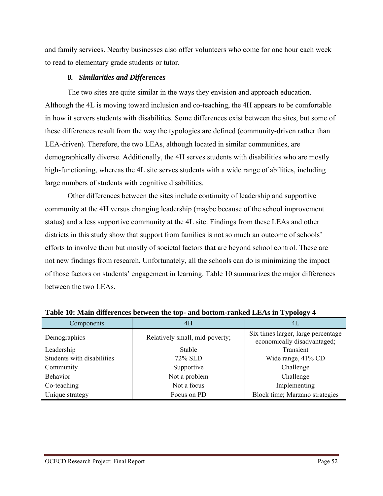and family services. Nearby businesses also offer volunteers who come for one hour each week to read to elementary grade students or tutor.

### *8. Similarities and Differences*

The two sites are quite similar in the ways they envision and approach education. Although the 4L is moving toward inclusion and co-teaching, the 4H appears to be comfortable in how it servers students with disabilities. Some differences exist between the sites, but some of these differences result from the way the typologies are defined (community-driven rather than LEA-driven). Therefore, the two LEAs, although located in similar communities, are demographically diverse. Additionally, the 4H serves students with disabilities who are mostly high-functioning, whereas the 4L site serves students with a wide range of abilities, including large numbers of students with cognitive disabilities.

Other differences between the sites include continuity of leadership and supportive community at the 4H versus changing leadership (maybe because of the school improvement status) and a less supportive community at the 4L site. Findings from these LEAs and other districts in this study show that support from families is not so much an outcome of schools' efforts to involve them but mostly of societal factors that are beyond school control. These are not new findings from research. Unfortunately, all the schools can do is minimizing the impact of those factors on students' engagement in learning. Table 10 summarizes the major differences between the two LEAs.

| Components                 | 4H                             | 4L                                                                |  |
|----------------------------|--------------------------------|-------------------------------------------------------------------|--|
| Demographics               | Relatively small, mid-poverty; | Six times larger, large percentage<br>economically disadvantaged; |  |
| Leadership                 | <b>Stable</b>                  | Transient                                                         |  |
| Students with disabilities | 72% SLD                        | Wide range, 41% CD                                                |  |
| Community                  | Supportive                     | Challenge                                                         |  |
| <b>Behavior</b>            | Not a problem                  | Challenge                                                         |  |
| Co-teaching                | Not a focus                    | Implementing                                                      |  |
| Unique strategy            | Focus on PD                    | Block time; Marzano strategies                                    |  |

| Table 10: Main differences between the top- and bottom-ranked LEAs in Typology 4 |  |  |  |
|----------------------------------------------------------------------------------|--|--|--|
|                                                                                  |  |  |  |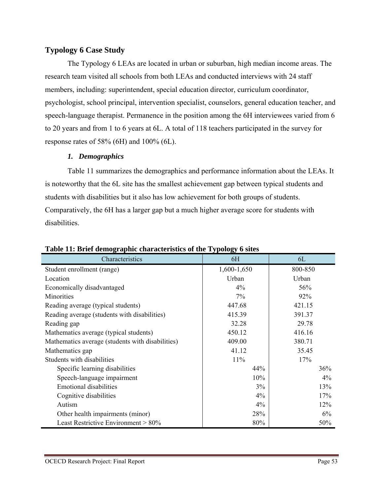# **Typology 6 Case Study**

The Typology 6 LEAs are located in urban or suburban, high median income areas. The research team visited all schools from both LEAs and conducted interviews with 24 staff members, including: superintendent, special education director, curriculum coordinator, psychologist, school principal, intervention specialist, counselors, general education teacher, and speech-language therapist. Permanence in the position among the 6H interviewees varied from 6 to 20 years and from 1 to 6 years at 6L. A total of 118 teachers participated in the survey for response rates of 58% (6H) and 100% (6L).

## *1. Demographics*

Table 11 summarizes the demographics and performance information about the LEAs. It is noteworthy that the 6L site has the smallest achievement gap between typical students and students with disabilities but it also has low achievement for both groups of students. Comparatively, the 6H has a larger gap but a much higher average score for students with disabilities.

| Characteristics                                  | ~<br>6H     | 6L      |
|--------------------------------------------------|-------------|---------|
| Student enrollment (range)                       | 1,600-1,650 | 800-850 |
| Location                                         | Urban       | Urban   |
| Economically disadvantaged                       | 4%          | 56%     |
| Minorities                                       | 7%          | $92\%$  |
| Reading average (typical students)               | 447.68      | 421.15  |
| Reading average (students with disabilities)     | 415.39      | 391.37  |
| Reading gap                                      | 32.28       | 29.78   |
| Mathematics average (typical students)           | 450.12      | 416.16  |
| Mathematics average (students with disabilities) | 409.00      | 380.71  |
| Mathematics gap                                  | 41.12       | 35.45   |
| Students with disabilities                       | 11%         | 17%     |
| Specific learning disabilities                   | 44%         | 36%     |
| Speech-language impairment                       | 10%         | 4%      |
| <b>Emotional disabilities</b>                    | 3%          | 13%     |
| Cognitive disabilities                           | 4%          | 17%     |
| Autism                                           | 4%          | 12%     |
| Other health impairments (minor)                 | 28%         | 6%      |
| Least Restrictive Environment $> 80\%$           | 80%         | 50%     |

**Table 11: Brief demographic characteristics of the Typology 6 sites**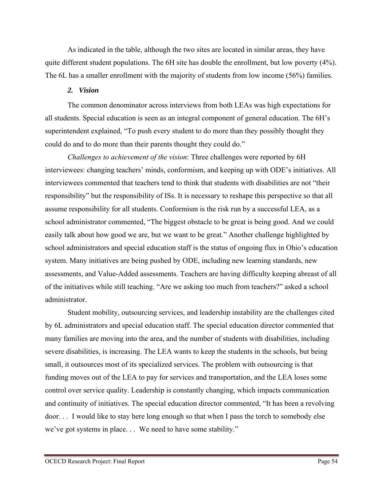As indicated in the table, although the two sites are located in similar areas, they have quite different student populations. The 6H site has double the enrollment, but low poverty (4%). The 6L has a smaller enrollment with the majority of students from low income (56%) families.

### *2. Vision*

The common denominator across interviews from both LEAs was high expectations for all students. Special education is seen as an integral component of general education. The 6H's superintendent explained, "To push every student to do more than they possibly thought they could do and to do more than their parents thought they could do."

*Challenges to achievement of the vision*: Three challenges were reported by 6H interviewees: changing teachers' minds, conformism, and keeping up with ODE's initiatives. All interviewees commented that teachers tend to think that students with disabilities are not "their responsibility" but the responsibility of ISs. It is necessary to reshape this perspective so that all assume responsibility for all students. Conformism is the risk run by a successful LEA, as a school administrator commented, "The biggest obstacle to be great is being good. And we could easily talk about how good we are, but we want to be great." Another challenge highlighted by school administrators and special education staff is the status of ongoing flux in Ohio's education system. Many initiatives are being pushed by ODE, including new learning standards, new assessments, and Value-Added assessments. Teachers are having difficulty keeping abreast of all of the initiatives while still teaching. "Are we asking too much from teachers?" asked a school administrator.

Student mobility, outsourcing services, and leadership instability are the challenges cited by 6L administrators and special education staff. The special education director commented that many families are moving into the area, and the number of students with disabilities, including severe disabilities, is increasing. The LEA wants to keep the students in the schools, but being small, it outsources most of its specialized services. The problem with outsourcing is that funding moves out of the LEA to pay for services and transportation, and the LEA loses some control over service quality. Leadership is constantly changing, which impacts communication and continuity of initiatives. The special education director commented, "It has been a revolving door. . . I would like to stay here long enough so that when I pass the torch to somebody else we've got systems in place. . . We need to have some stability."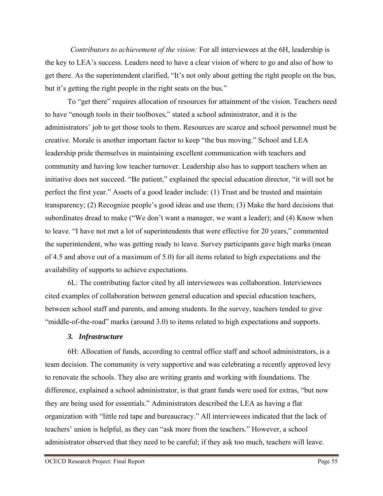*Contributors to achievement of the vision:* For all interviewees at the 6H, leadership is the key to LEA's success. Leaders need to have a clear vision of where to go and also of how to get there. As the superintendent clarified, "It's not only about getting the right people on the bus, but it's getting the right people in the right seats on the bus."

To "get there" requires allocation of resources for attainment of the vision. Teachers need to have "enough tools in their toolboxes," stated a school administrator, and it is the administrators' job to get those tools to them. Resources are scarce and school personnel must be creative. Morale is another important factor to keep "the bus moving." School and LEA leadership pride themselves in maintaining excellent communication with teachers and community and having low teacher turnover. Leadership also has to support teachers when an initiative does not succeed. "Be patient," explained the special education director, "it will not be perfect the first year." Assets of a good leader include: (1) Trust and be trusted and maintain transparency; (2) Recognize people's good ideas and use them; (3) Make the hard decisions that subordinates dread to make ("We don't want a manager, we want a leader); and (4) Know when to leave. "I have not met a lot of superintendents that were effective for 20 years," commented the superintendent, who was getting ready to leave. Survey participants gave high marks (mean of 4.5 and above out of a maximum of 5.0) for all items related to high expectations and the availability of supports to achieve expectations.

6L: The contributing factor cited by all interviewees was collaboration. Interviewees cited examples of collaboration between general education and special education teachers, between school staff and parents, and among students. In the survey, teachers tended to give "middle-of-the-road" marks (around 3.0) to items related to high expectations and supports.

#### *3. Infrastructure*

6H: Allocation of funds, according to central office staff and school administrators, is a team decision. The community is very supportive and was celebrating a recently approved levy to renovate the schools. They also are writing grants and working with foundations. The difference, explained a school administrator, is that grant funds were used for extras, "but now they are being used for essentials." Administrators described the LEA as having a flat organization with "little red tape and bureaucracy." All interviewees indicated that the lack of teachers' union is helpful, as they can "ask more from the teachers." However, a school administrator observed that they need to be careful; if they ask too much, teachers will leave.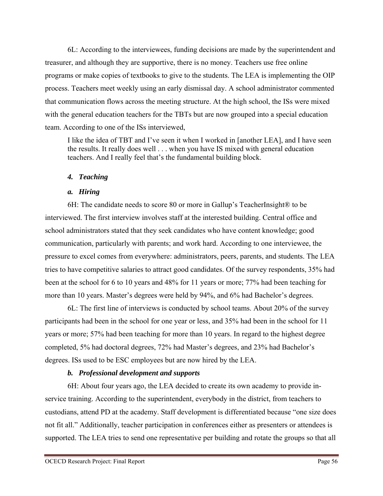6L: According to the interviewees, funding decisions are made by the superintendent and treasurer, and although they are supportive, there is no money. Teachers use free online programs or make copies of textbooks to give to the students. The LEA is implementing the OIP process. Teachers meet weekly using an early dismissal day. A school administrator commented that communication flows across the meeting structure. At the high school, the ISs were mixed with the general education teachers for the TBTs but are now grouped into a special education team. According to one of the ISs interviewed,

I like the idea of TBT and I've seen it when I worked in [another LEA], and I have seen the results. It really does well . . . when you have IS mixed with general education teachers. And I really feel that's the fundamental building block.

# *4. Teaching*

## *a. Hiring*

6H: The candidate needs to score 80 or more in Gallup's TeacherInsight® to be interviewed. The first interview involves staff at the interested building. Central office and school administrators stated that they seek candidates who have content knowledge; good communication, particularly with parents; and work hard. According to one interviewee, the pressure to excel comes from everywhere: administrators, peers, parents, and students. The LEA tries to have competitive salaries to attract good candidates. Of the survey respondents, 35% had been at the school for 6 to 10 years and 48% for 11 years or more; 77% had been teaching for more than 10 years. Master's degrees were held by 94%, and 6% had Bachelor's degrees.

6L: The first line of interviews is conducted by school teams. About 20% of the survey participants had been in the school for one year or less, and 35% had been in the school for 11 years or more; 57% had been teaching for more than 10 years. In regard to the highest degree completed, 5% had doctoral degrees, 72% had Master's degrees, and 23% had Bachelor's degrees. ISs used to be ESC employees but are now hired by the LEA.

# *b. Professional development and supports*

6H: About four years ago, the LEA decided to create its own academy to provide inservice training. According to the superintendent, everybody in the district, from teachers to custodians, attend PD at the academy. Staff development is differentiated because "one size does not fit all." Additionally, teacher participation in conferences either as presenters or attendees is supported. The LEA tries to send one representative per building and rotate the groups so that all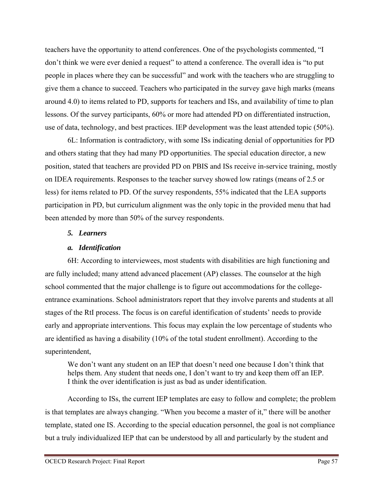teachers have the opportunity to attend conferences. One of the psychologists commented, "I don't think we were ever denied a request" to attend a conference. The overall idea is "to put people in places where they can be successful" and work with the teachers who are struggling to give them a chance to succeed. Teachers who participated in the survey gave high marks (means around 4.0) to items related to PD, supports for teachers and ISs, and availability of time to plan lessons. Of the survey participants, 60% or more had attended PD on differentiated instruction, use of data, technology, and best practices. IEP development was the least attended topic (50%).

6L: Information is contradictory, with some ISs indicating denial of opportunities for PD and others stating that they had many PD opportunities. The special education director, a new position, stated that teachers are provided PD on PBIS and ISs receive in-service training, mostly on IDEA requirements. Responses to the teacher survey showed low ratings (means of 2.5 or less) for items related to PD. Of the survey respondents, 55% indicated that the LEA supports participation in PD, but curriculum alignment was the only topic in the provided menu that had been attended by more than 50% of the survey respondents.

## *5. Learners*

## *a. Identification*

6H: According to interviewees, most students with disabilities are high functioning and are fully included; many attend advanced placement (AP) classes. The counselor at the high school commented that the major challenge is to figure out accommodations for the collegeentrance examinations. School administrators report that they involve parents and students at all stages of the RtI process. The focus is on careful identification of students' needs to provide early and appropriate interventions. This focus may explain the low percentage of students who are identified as having a disability (10% of the total student enrollment). According to the superintendent,

We don't want any student on an IEP that doesn't need one because I don't think that helps them. Any student that needs one, I don't want to try and keep them off an IEP. I think the over identification is just as bad as under identification.

According to ISs, the current IEP templates are easy to follow and complete; the problem is that templates are always changing. "When you become a master of it," there will be another template, stated one IS. According to the special education personnel, the goal is not compliance but a truly individualized IEP that can be understood by all and particularly by the student and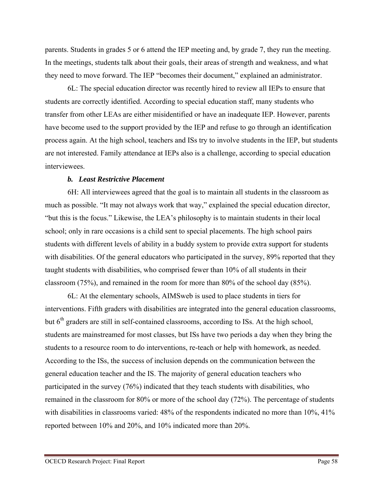parents. Students in grades 5 or 6 attend the IEP meeting and, by grade 7, they run the meeting. In the meetings, students talk about their goals, their areas of strength and weakness, and what they need to move forward. The IEP "becomes their document," explained an administrator.

6L: The special education director was recently hired to review all IEPs to ensure that students are correctly identified. According to special education staff, many students who transfer from other LEAs are either misidentified or have an inadequate IEP. However, parents have become used to the support provided by the IEP and refuse to go through an identification process again. At the high school, teachers and ISs try to involve students in the IEP, but students are not interested. Family attendance at IEPs also is a challenge, according to special education interviewees.

#### *b. Least Restrictive Placement*

6H: All interviewees agreed that the goal is to maintain all students in the classroom as much as possible. "It may not always work that way," explained the special education director, "but this is the focus." Likewise, the LEA's philosophy is to maintain students in their local school; only in rare occasions is a child sent to special placements. The high school pairs students with different levels of ability in a buddy system to provide extra support for students with disabilities. Of the general educators who participated in the survey, 89% reported that they taught students with disabilities, who comprised fewer than 10% of all students in their classroom (75%), and remained in the room for more than 80% of the school day (85%).

6L: At the elementary schools, AIMSweb is used to place students in tiers for interventions. Fifth graders with disabilities are integrated into the general education classrooms, but 6<sup>th</sup> graders are still in self-contained classrooms, according to ISs. At the high school, students are mainstreamed for most classes, but ISs have two periods a day when they bring the students to a resource room to do interventions, re-teach or help with homework, as needed. According to the ISs, the success of inclusion depends on the communication between the general education teacher and the IS. The majority of general education teachers who participated in the survey (76%) indicated that they teach students with disabilities, who remained in the classroom for 80% or more of the school day (72%). The percentage of students with disabilities in classrooms varied: 48% of the respondents indicated no more than 10%, 41% reported between 10% and 20%, and 10% indicated more than 20%.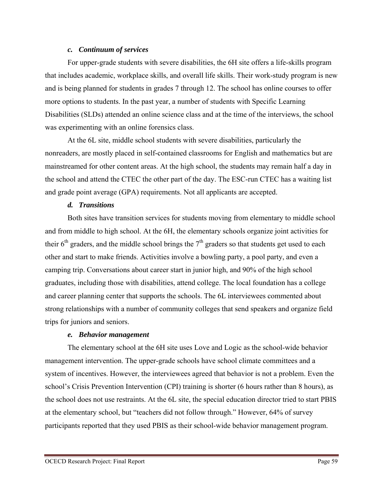#### *c. Continuum of services*

For upper-grade students with severe disabilities, the 6H site offers a life-skills program that includes academic, workplace skills, and overall life skills. Their work-study program is new and is being planned for students in grades 7 through 12. The school has online courses to offer more options to students. In the past year, a number of students with Specific Learning Disabilities (SLDs) attended an online science class and at the time of the interviews, the school was experimenting with an online forensics class.

At the 6L site, middle school students with severe disabilities, particularly the nonreaders, are mostly placed in self-contained classrooms for English and mathematics but are mainstreamed for other content areas. At the high school, the students may remain half a day in the school and attend the CTEC the other part of the day. The ESC-run CTEC has a waiting list and grade point average (GPA) requirements. Not all applicants are accepted.

## *d. Transitions*

Both sites have transition services for students moving from elementary to middle school and from middle to high school. At the 6H, the elementary schools organize joint activities for their  $6<sup>th</sup>$  graders, and the middle school brings the  $7<sup>th</sup>$  graders so that students get used to each other and start to make friends. Activities involve a bowling party, a pool party, and even a camping trip. Conversations about career start in junior high, and 90% of the high school graduates, including those with disabilities, attend college. The local foundation has a college and career planning center that supports the schools. The 6L interviewees commented about strong relationships with a number of community colleges that send speakers and organize field trips for juniors and seniors.

## *e. Behavior management*

The elementary school at the 6H site uses Love and Logic as the school-wide behavior management intervention. The upper-grade schools have school climate committees and a system of incentives. However, the interviewees agreed that behavior is not a problem. Even the school's Crisis Prevention Intervention (CPI) training is shorter (6 hours rather than 8 hours), as the school does not use restraints. At the 6L site, the special education director tried to start PBIS at the elementary school, but "teachers did not follow through." However, 64% of survey participants reported that they used PBIS as their school-wide behavior management program.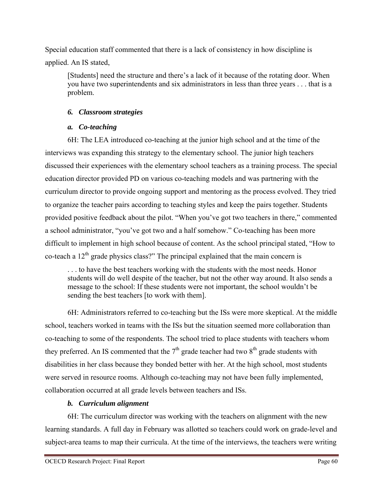Special education staff commented that there is a lack of consistency in how discipline is applied. An IS stated,

[Students] need the structure and there's a lack of it because of the rotating door. When you have two superintendents and six administrators in less than three years . . . that is a problem.

# *6. Classroom strategies*

# *a. Co-teaching*

6H: The LEA introduced co-teaching at the junior high school and at the time of the interviews was expanding this strategy to the elementary school. The junior high teachers discussed their experiences with the elementary school teachers as a training process. The special education director provided PD on various co-teaching models and was partnering with the curriculum director to provide ongoing support and mentoring as the process evolved. They tried to organize the teacher pairs according to teaching styles and keep the pairs together. Students provided positive feedback about the pilot. "When you've got two teachers in there," commented a school administrator, "you've got two and a half somehow." Co-teaching has been more difficult to implement in high school because of content. As the school principal stated, "How to co-teach a  $12<sup>th</sup>$  grade physics class?" The principal explained that the main concern is

. . . to have the best teachers working with the students with the most needs. Honor students will do well despite of the teacher, but not the other way around. It also sends a message to the school: If these students were not important, the school wouldn't be sending the best teachers [to work with them].

6H: Administrators referred to co-teaching but the ISs were more skeptical. At the middle school, teachers worked in teams with the ISs but the situation seemed more collaboration than co-teaching to some of the respondents. The school tried to place students with teachers whom they preferred. An IS commented that the  $7<sup>th</sup>$  grade teacher had two  $8<sup>th</sup>$  grade students with disabilities in her class because they bonded better with her. At the high school, most students were served in resource rooms. Although co-teaching may not have been fully implemented, collaboration occurred at all grade levels between teachers and ISs.

# *b. Curriculum alignment*

6H: The curriculum director was working with the teachers on alignment with the new learning standards. A full day in February was allotted so teachers could work on grade-level and subject-area teams to map their curricula. At the time of the interviews, the teachers were writing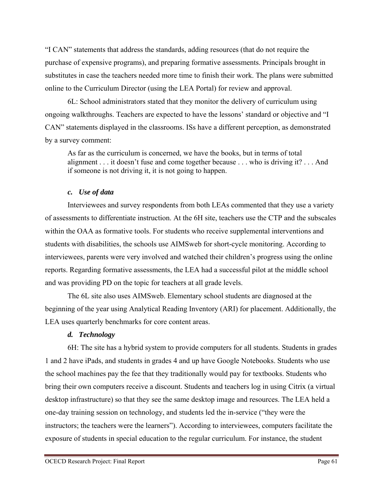"I CAN" statements that address the standards, adding resources (that do not require the purchase of expensive programs), and preparing formative assessments. Principals brought in substitutes in case the teachers needed more time to finish their work. The plans were submitted online to the Curriculum Director (using the LEA Portal) for review and approval.

6L: School administrators stated that they monitor the delivery of curriculum using ongoing walkthroughs. Teachers are expected to have the lessons' standard or objective and "I CAN" statements displayed in the classrooms. ISs have a different perception, as demonstrated by a survey comment:

As far as the curriculum is concerned, we have the books, but in terms of total alignment . . . it doesn't fuse and come together because . . . who is driving it? . . . And if someone is not driving it, it is not going to happen.

## *c. Use of data*

Interviewees and survey respondents from both LEAs commented that they use a variety of assessments to differentiate instruction. At the 6H site, teachers use the CTP and the subscales within the OAA as formative tools. For students who receive supplemental interventions and students with disabilities, the schools use AIMSweb for short-cycle monitoring. According to interviewees, parents were very involved and watched their children's progress using the online reports. Regarding formative assessments, the LEA had a successful pilot at the middle school and was providing PD on the topic for teachers at all grade levels.

The 6L site also uses AIMSweb. Elementary school students are diagnosed at the beginning of the year using Analytical Reading Inventory (ARI) for placement. Additionally, the LEA uses quarterly benchmarks for core content areas.

# *d. Technology*

6H: The site has a hybrid system to provide computers for all students. Students in grades 1 and 2 have iPads, and students in grades 4 and up have Google Notebooks. Students who use the school machines pay the fee that they traditionally would pay for textbooks. Students who bring their own computers receive a discount. Students and teachers log in using Citrix (a virtual desktop infrastructure) so that they see the same desktop image and resources. The LEA held a one-day training session on technology, and students led the in-service ("they were the instructors; the teachers were the learners"). According to interviewees, computers facilitate the exposure of students in special education to the regular curriculum. For instance, the student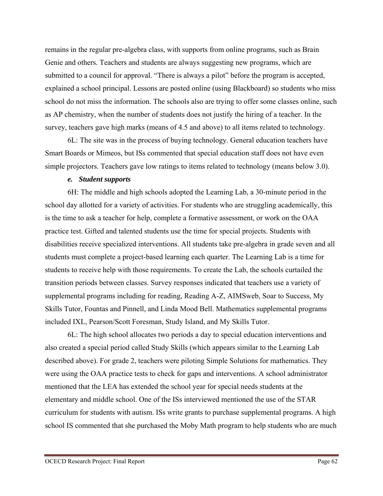remains in the regular pre-algebra class, with supports from online programs, such as Brain Genie and others. Teachers and students are always suggesting new programs, which are submitted to a council for approval. "There is always a pilot" before the program is accepted, explained a school principal. Lessons are posted online (using Blackboard) so students who miss school do not miss the information. The schools also are trying to offer some classes online, such as AP chemistry, when the number of students does not justify the hiring of a teacher. In the survey, teachers gave high marks (means of 4.5 and above) to all items related to technology.

6L: The site was in the process of buying technology. General education teachers have Smart Boards or Mimeos, but ISs commented that special education staff does not have even simple projectors. Teachers gave low ratings to items related to technology (means below 3.0).

### *e. Student supports*

6H: The middle and high schools adopted the Learning Lab, a 30-minute period in the school day allotted for a variety of activities. For students who are struggling academically, this is the time to ask a teacher for help, complete a formative assessment, or work on the OAA practice test. Gifted and talented students use the time for special projects. Students with disabilities receive specialized interventions. All students take pre-algebra in grade seven and all students must complete a project-based learning each quarter. The Learning Lab is a time for students to receive help with those requirements. To create the Lab, the schools curtailed the transition periods between classes. Survey responses indicated that teachers use a variety of supplemental programs including for reading, Reading A-Z, AIMSweb, Soar to Success, My Skills Tutor, Fountas and Pinnell, and Linda Mood Bell. Mathematics supplemental programs included IXL, Pearson/Scott Foresman, Study Island, and My Skills Tutor.

6L: The high school allocates two periods a day to special education interventions and also created a special period called Study Skills (which appears similar to the Learning Lab described above). For grade 2, teachers were piloting Simple Solutions for mathematics. They were using the OAA practice tests to check for gaps and interventions. A school administrator mentioned that the LEA has extended the school year for special needs students at the elementary and middle school. One of the ISs interviewed mentioned the use of the STAR curriculum for students with autism. ISs write grants to purchase supplemental programs. A high school IS commented that she purchased the Moby Math program to help students who are much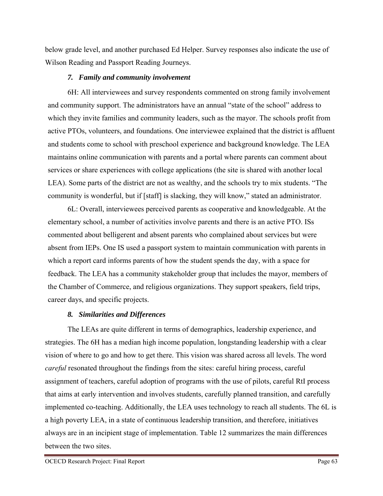below grade level, and another purchased Ed Helper. Survey responses also indicate the use of Wilson Reading and Passport Reading Journeys.

## *7. Family and community involvement*

6H: All interviewees and survey respondents commented on strong family involvement and community support. The administrators have an annual "state of the school" address to which they invite families and community leaders, such as the mayor. The schools profit from active PTOs, volunteers, and foundations. One interviewee explained that the district is affluent and students come to school with preschool experience and background knowledge. The LEA maintains online communication with parents and a portal where parents can comment about services or share experiences with college applications (the site is shared with another local LEA). Some parts of the district are not as wealthy, and the schools try to mix students. "The community is wonderful, but if [staff] is slacking, they will know," stated an administrator.

6L: Overall, interviewees perceived parents as cooperative and knowledgeable. At the elementary school, a number of activities involve parents and there is an active PTO. ISs commented about belligerent and absent parents who complained about services but were absent from IEPs. One IS used a passport system to maintain communication with parents in which a report card informs parents of how the student spends the day, with a space for feedback. The LEA has a community stakeholder group that includes the mayor, members of the Chamber of Commerce, and religious organizations. They support speakers, field trips, career days, and specific projects.

# *8. Similarities and Differences*

The LEAs are quite different in terms of demographics, leadership experience, and strategies. The 6H has a median high income population, longstanding leadership with a clear vision of where to go and how to get there. This vision was shared across all levels. The word *careful* resonated throughout the findings from the sites: careful hiring process, careful assignment of teachers, careful adoption of programs with the use of pilots, careful RtI process that aims at early intervention and involves students, carefully planned transition, and carefully implemented co-teaching. Additionally, the LEA uses technology to reach all students. The 6L is a high poverty LEA, in a state of continuous leadership transition, and therefore, initiatives always are in an incipient stage of implementation. Table 12 summarizes the main differences between the two sites.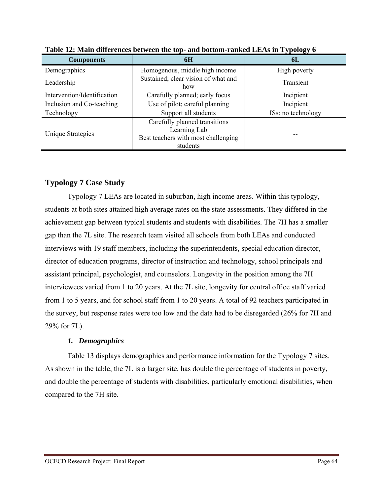| <b>Components</b>           | 6H                                              | 6L                 |
|-----------------------------|-------------------------------------------------|--------------------|
| Demographics                | Homogenous, middle high income                  | High poverty       |
| Leadership                  | Sustained; clear vision of what and<br>how      | Transient          |
| Intervention/Identification | Carefully planned; early focus                  |                    |
| Inclusion and Co-teaching   | Use of pilot; careful planning                  | Incipient          |
| Technology                  | Support all students                            | ISs: no technology |
|                             | Carefully planned transitions<br>Learning Lab   |                    |
| Unique Strategies           | Best teachers with most challenging<br>students | --                 |

**Table 12: Main differences between the top- and bottom-ranked LEAs in Typology 6** 

# **Typology 7 Case Study**

Typology 7 LEAs are located in suburban, high income areas. Within this typology, students at both sites attained high average rates on the state assessments. They differed in the achievement gap between typical students and students with disabilities. The 7H has a smaller gap than the 7L site. The research team visited all schools from both LEAs and conducted interviews with 19 staff members, including the superintendents, special education director, director of education programs, director of instruction and technology, school principals and assistant principal, psychologist, and counselors. Longevity in the position among the 7H interviewees varied from 1 to 20 years. At the 7L site, longevity for central office staff varied from 1 to 5 years, and for school staff from 1 to 20 years. A total of 92 teachers participated in the survey, but response rates were too low and the data had to be disregarded (26% for 7H and 29% for 7L).

# *1. Demographics*

Table 13 displays demographics and performance information for the Typology 7 sites. As shown in the table, the 7L is a larger site, has double the percentage of students in poverty, and double the percentage of students with disabilities, particularly emotional disabilities, when compared to the 7H site.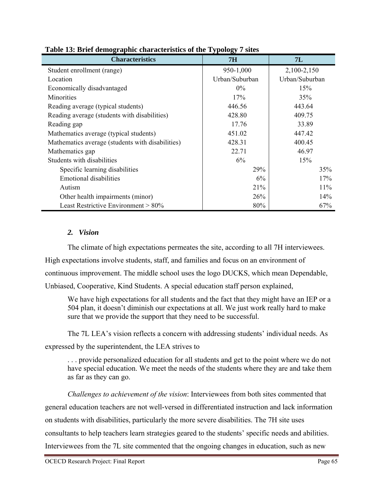| <b>Characteristics</b>                           | <b>7H</b>      | 7L             |  |
|--------------------------------------------------|----------------|----------------|--|
| Student enrollment (range)                       | 950-1,000      | 2,100-2,150    |  |
| Location                                         | Urban/Suburban | Urban/Suburban |  |
| Economically disadvantaged                       | $0\%$          | 15%            |  |
| <b>Minorities</b>                                | 17%            | 35%            |  |
| Reading average (typical students)               | 446.56         | 443.64         |  |
| Reading average (students with disabilities)     | 428.80         | 409.75         |  |
| Reading gap                                      | 17.76          | 33.89          |  |
| Mathematics average (typical students)           | 451.02         | 447.42         |  |
| Mathematics average (students with disabilities) | 428.31         | 400.45         |  |
| Mathematics gap                                  | 22.71          | 46.97          |  |
| Students with disabilities                       | 6%             | 15%            |  |
| Specific learning disabilities                   | 29%            | 35%            |  |
| <b>Emotional disabilities</b>                    | 6%             | 17%            |  |
| Autism                                           | 21%            | 11%            |  |
| Other health impairments (minor)                 | 26%            | 14%            |  |
| Least Restrictive Environment > 80%              | 80%            | 67%            |  |

## **Table 13: Brief demographic characteristics of the Typology 7 sites**

## *2. Vision*

The climate of high expectations permeates the site, according to all 7H interviewees. High expectations involve students, staff, and families and focus on an environment of continuous improvement. The middle school uses the logo DUCKS, which mean Dependable, Unbiased, Cooperative, Kind Students. A special education staff person explained,

We have high expectations for all students and the fact that they might have an IEP or a 504 plan, it doesn't diminish our expectations at all. We just work really hard to make sure that we provide the support that they need to be successful.

The 7L LEA's vision reflects a concern with addressing students' individual needs. As expressed by the superintendent, the LEA strives to

. . . provide personalized education for all students and get to the point where we do not have special education. We meet the needs of the students where they are and take them as far as they can go.

*Challenges to achievement of the vision*: Interviewees from both sites commented that general education teachers are not well-versed in differentiated instruction and lack information on students with disabilities, particularly the more severe disabilities. The 7H site uses consultants to help teachers learn strategies geared to the students' specific needs and abilities. Interviewees from the 7L site commented that the ongoing changes in education, such as new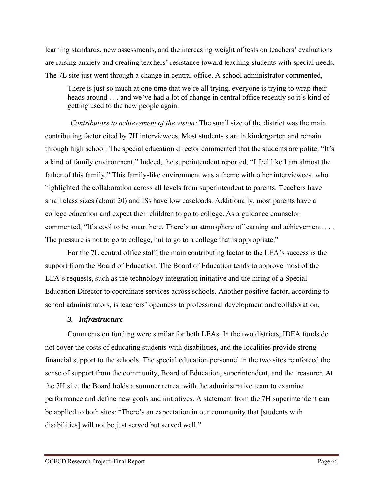learning standards, new assessments, and the increasing weight of tests on teachers' evaluations are raising anxiety and creating teachers' resistance toward teaching students with special needs. The 7L site just went through a change in central office. A school administrator commented,

There is just so much at one time that we're all trying, everyone is trying to wrap their heads around . . . and we've had a lot of change in central office recently so it's kind of getting used to the new people again.

 *Contributors to achievement of the vision:* The small size of the district was the main contributing factor cited by 7H interviewees. Most students start in kindergarten and remain through high school. The special education director commented that the students are polite: "It's a kind of family environment." Indeed, the superintendent reported, "I feel like I am almost the father of this family." This family-like environment was a theme with other interviewees, who highlighted the collaboration across all levels from superintendent to parents. Teachers have small class sizes (about 20) and ISs have low caseloads. Additionally, most parents have a college education and expect their children to go to college. As a guidance counselor commented, "It's cool to be smart here. There's an atmosphere of learning and achievement. . . . The pressure is not to go to college, but to go to a college that is appropriate."

For the 7L central office staff, the main contributing factor to the LEA's success is the support from the Board of Education. The Board of Education tends to approve most of the LEA's requests, such as the technology integration initiative and the hiring of a Special Education Director to coordinate services across schools. Another positive factor, according to school administrators, is teachers' openness to professional development and collaboration.

## *3. Infrastructure*

Comments on funding were similar for both LEAs. In the two districts, IDEA funds do not cover the costs of educating students with disabilities, and the localities provide strong financial support to the schools. The special education personnel in the two sites reinforced the sense of support from the community, Board of Education, superintendent, and the treasurer. At the 7H site, the Board holds a summer retreat with the administrative team to examine performance and define new goals and initiatives. A statement from the 7H superintendent can be applied to both sites: "There's an expectation in our community that [students with disabilities] will not be just served but served well."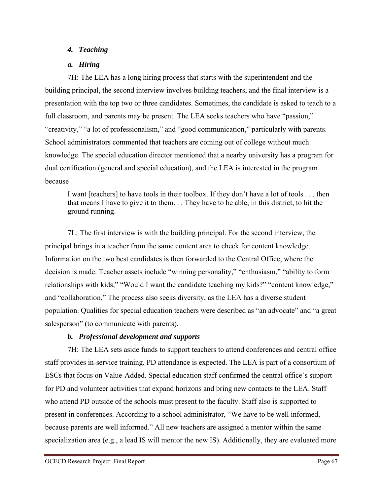# *4. Teaching*

# *a. Hiring*

7H: The LEA has a long hiring process that starts with the superintendent and the building principal, the second interview involves building teachers, and the final interview is a presentation with the top two or three candidates. Sometimes, the candidate is asked to teach to a full classroom, and parents may be present. The LEA seeks teachers who have "passion," "creativity," "a lot of professionalism," and "good communication," particularly with parents. School administrators commented that teachers are coming out of college without much knowledge. The special education director mentioned that a nearby university has a program for dual certification (general and special education), and the LEA is interested in the program because

I want [teachers] to have tools in their toolbox. If they don't have a lot of tools . . . then that means I have to give it to them. . . They have to be able, in this district, to hit the ground running.

7L: The first interview is with the building principal. For the second interview, the principal brings in a teacher from the same content area to check for content knowledge. Information on the two best candidates is then forwarded to the Central Office, where the decision is made. Teacher assets include "winning personality," "enthusiasm," "ability to form relationships with kids," "Would I want the candidate teaching my kids?" "content knowledge," and "collaboration." The process also seeks diversity, as the LEA has a diverse student population. Qualities for special education teachers were described as "an advocate" and "a great salesperson" (to communicate with parents).

# *b. Professional development and supports*

7H: The LEA sets aside funds to support teachers to attend conferences and central office staff provides in-service training. PD attendance is expected. The LEA is part of a consortium of ESCs that focus on Value-Added. Special education staff confirmed the central office's support for PD and volunteer activities that expand horizons and bring new contacts to the LEA. Staff who attend PD outside of the schools must present to the faculty. Staff also is supported to present in conferences. According to a school administrator, "We have to be well informed, because parents are well informed." All new teachers are assigned a mentor within the same specialization area (e.g., a lead IS will mentor the new IS). Additionally, they are evaluated more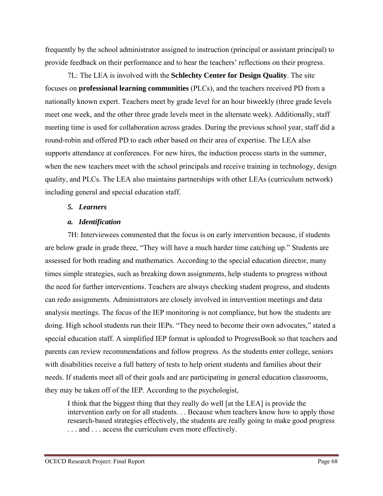frequently by the school administrator assigned to instruction (principal or assistant principal) to provide feedback on their performance and to hear the teachers' reflections on their progress.

7L: The LEA is involved with the **Schlechty Center for Design Quality**. The site focuses on **professional learning communities** (PLCs), and the teachers received PD from a nationally known expert. Teachers meet by grade level for an hour biweekly (three grade levels meet one week, and the other three grade levels meet in the alternate week). Additionally, staff meeting time is used for collaboration across grades. During the previous school year, staff did a round-robin and offered PD to each other based on their area of expertise. The LEA also supports attendance at conferences. For new hires, the induction process starts in the summer, when the new teachers meet with the school principals and receive training in technology, design quality, and PLCs. The LEA also maintains partnerships with other LEAs (curriculum network) including general and special education staff.

## *5. Learners*

## *a. Identification*

7H: Interviewees commented that the focus is on early intervention because, if students are below grade in grade three, "They will have a much harder time catching up." Students are assessed for both reading and mathematics. According to the special education director, many times simple strategies, such as breaking down assignments, help students to progress without the need for further interventions. Teachers are always checking student progress, and students can redo assignments. Administrators are closely involved in intervention meetings and data analysis meetings. The focus of the IEP monitoring is not compliance, but how the students are doing. High school students run their IEPs. "They need to become their own advocates," stated a special education staff. A simplified IEP format is uploaded to ProgressBook so that teachers and parents can review recommendations and follow progress. As the students enter college, seniors with disabilities receive a full battery of tests to help orient students and families about their needs. If students meet all of their goals and are participating in general education classrooms, they may be taken off of the IEP. According to the psychologist,

I think that the biggest thing that they really do well [at the LEA] is provide the intervention early on for all students. . . Because when teachers know how to apply those research-based strategies effectively, the students are really going to make good progress . . . and . . . access the curriculum even more effectively.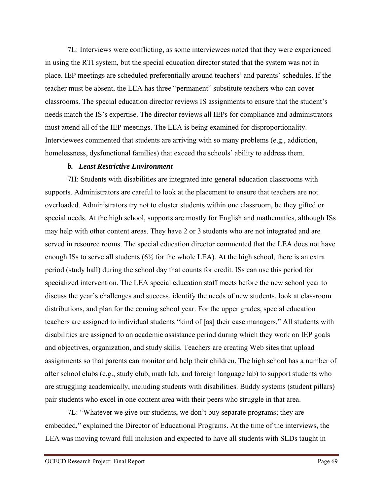7L: Interviews were conflicting, as some interviewees noted that they were experienced in using the RTI system, but the special education director stated that the system was not in place. IEP meetings are scheduled preferentially around teachers' and parents' schedules. If the teacher must be absent, the LEA has three "permanent" substitute teachers who can cover classrooms. The special education director reviews IS assignments to ensure that the student's needs match the IS's expertise. The director reviews all IEPs for compliance and administrators must attend all of the IEP meetings. The LEA is being examined for disproportionality. Interviewees commented that students are arriving with so many problems (e.g., addiction, homelessness, dysfunctional families) that exceed the schools' ability to address them.

#### *b. Least Restrictive Environment*

7H: Students with disabilities are integrated into general education classrooms with supports. Administrators are careful to look at the placement to ensure that teachers are not overloaded. Administrators try not to cluster students within one classroom, be they gifted or special needs. At the high school, supports are mostly for English and mathematics, although ISs may help with other content areas. They have 2 or 3 students who are not integrated and are served in resource rooms. The special education director commented that the LEA does not have enough ISs to serve all students (6½ for the whole LEA). At the high school, there is an extra period (study hall) during the school day that counts for credit. ISs can use this period for specialized intervention. The LEA special education staff meets before the new school year to discuss the year's challenges and success, identify the needs of new students, look at classroom distributions, and plan for the coming school year. For the upper grades, special education teachers are assigned to individual students "kind of [as] their case managers." All students with disabilities are assigned to an academic assistance period during which they work on IEP goals and objectives, organization, and study skills. Teachers are creating Web sites that upload assignments so that parents can monitor and help their children. The high school has a number of after school clubs (e.g., study club, math lab, and foreign language lab) to support students who are struggling academically, including students with disabilities. Buddy systems (student pillars) pair students who excel in one content area with their peers who struggle in that area.

7L: "Whatever we give our students, we don't buy separate programs; they are embedded," explained the Director of Educational Programs. At the time of the interviews, the LEA was moving toward full inclusion and expected to have all students with SLDs taught in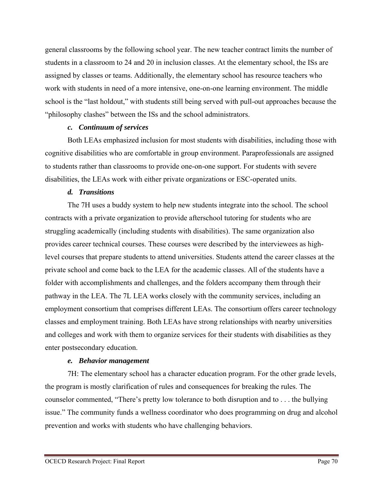general classrooms by the following school year. The new teacher contract limits the number of students in a classroom to 24 and 20 in inclusion classes. At the elementary school, the ISs are assigned by classes or teams. Additionally, the elementary school has resource teachers who work with students in need of a more intensive, one-on-one learning environment. The middle school is the "last holdout," with students still being served with pull-out approaches because the "philosophy clashes" between the ISs and the school administrators.

#### *c. Continuum of services*

Both LEAs emphasized inclusion for most students with disabilities, including those with cognitive disabilities who are comfortable in group environment. Paraprofessionals are assigned to students rather than classrooms to provide one-on-one support. For students with severe disabilities, the LEAs work with either private organizations or ESC-operated units.

#### *d. Transitions*

The 7H uses a buddy system to help new students integrate into the school. The school contracts with a private organization to provide afterschool tutoring for students who are struggling academically (including students with disabilities). The same organization also provides career technical courses. These courses were described by the interviewees as highlevel courses that prepare students to attend universities. Students attend the career classes at the private school and come back to the LEA for the academic classes. All of the students have a folder with accomplishments and challenges, and the folders accompany them through their pathway in the LEA. The 7L LEA works closely with the community services, including an employment consortium that comprises different LEAs. The consortium offers career technology classes and employment training. Both LEAs have strong relationships with nearby universities and colleges and work with them to organize services for their students with disabilities as they enter postsecondary education.

## *e. Behavior management*

7H: The elementary school has a character education program. For the other grade levels, the program is mostly clarification of rules and consequences for breaking the rules. The counselor commented, "There's pretty low tolerance to both disruption and to . . . the bullying issue." The community funds a wellness coordinator who does programming on drug and alcohol prevention and works with students who have challenging behaviors.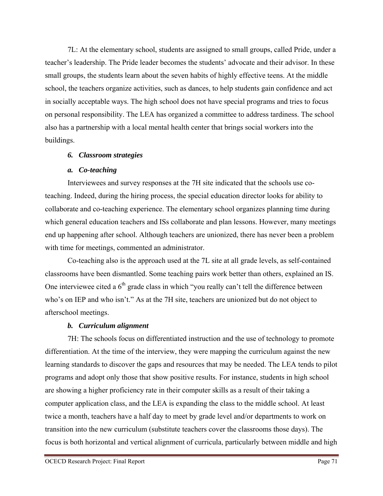7L: At the elementary school, students are assigned to small groups, called Pride, under a teacher's leadership. The Pride leader becomes the students' advocate and their advisor. In these small groups, the students learn about the seven habits of highly effective teens. At the middle school, the teachers organize activities, such as dances, to help students gain confidence and act in socially acceptable ways. The high school does not have special programs and tries to focus on personal responsibility. The LEA has organized a committee to address tardiness. The school also has a partnership with a local mental health center that brings social workers into the buildings.

## *6. Classroom strategies*

# *a. Co-teaching*

Interviewees and survey responses at the 7H site indicated that the schools use coteaching. Indeed, during the hiring process, the special education director looks for ability to collaborate and co-teaching experience. The elementary school organizes planning time during which general education teachers and ISs collaborate and plan lessons. However, many meetings end up happening after school. Although teachers are unionized, there has never been a problem with time for meetings, commented an administrator.

Co-teaching also is the approach used at the 7L site at all grade levels, as self-contained classrooms have been dismantled. Some teaching pairs work better than others, explained an IS. One interviewee cited a  $6<sup>th</sup>$  grade class in which "you really can't tell the difference between who's on IEP and who isn't." As at the 7H site, teachers are unionized but do not object to afterschool meetings.

# *b. Curriculum alignment*

7H: The schools focus on differentiated instruction and the use of technology to promote differentiation. At the time of the interview, they were mapping the curriculum against the new learning standards to discover the gaps and resources that may be needed. The LEA tends to pilot programs and adopt only those that show positive results. For instance, students in high school are showing a higher proficiency rate in their computer skills as a result of their taking a computer application class, and the LEA is expanding the class to the middle school. At least twice a month, teachers have a half day to meet by grade level and/or departments to work on transition into the new curriculum (substitute teachers cover the classrooms those days). The focus is both horizontal and vertical alignment of curricula, particularly between middle and high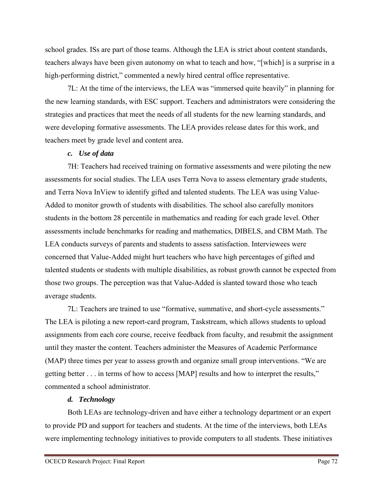school grades. ISs are part of those teams. Although the LEA is strict about content standards, teachers always have been given autonomy on what to teach and how, "[which] is a surprise in a high-performing district," commented a newly hired central office representative.

7L: At the time of the interviews, the LEA was "immersed quite heavily" in planning for the new learning standards, with ESC support. Teachers and administrators were considering the strategies and practices that meet the needs of all students for the new learning standards, and were developing formative assessments. The LEA provides release dates for this work, and teachers meet by grade level and content area.

# *c. Use of data*

7H: Teachers had received training on formative assessments and were piloting the new assessments for social studies. The LEA uses Terra Nova to assess elementary grade students, and Terra Nova InView to identify gifted and talented students. The LEA was using Value-Added to monitor growth of students with disabilities. The school also carefully monitors students in the bottom 28 percentile in mathematics and reading for each grade level. Other assessments include benchmarks for reading and mathematics, DIBELS, and CBM Math. The LEA conducts surveys of parents and students to assess satisfaction. Interviewees were concerned that Value-Added might hurt teachers who have high percentages of gifted and talented students or students with multiple disabilities, as robust growth cannot be expected from those two groups. The perception was that Value-Added is slanted toward those who teach average students.

7L: Teachers are trained to use "formative, summative, and short-cycle assessments." The LEA is piloting a new report-card program, Taskstream, which allows students to upload assignments from each core course, receive feedback from faculty, and resubmit the assignment until they master the content. Teachers administer the Measures of Academic Performance (MAP) three times per year to assess growth and organize small group interventions. "We are getting better . . . in terms of how to access [MAP] results and how to interpret the results," commented a school administrator.

# *d. Technology*

Both LEAs are technology-driven and have either a technology department or an expert to provide PD and support for teachers and students. At the time of the interviews, both LEAs were implementing technology initiatives to provide computers to all students. These initiatives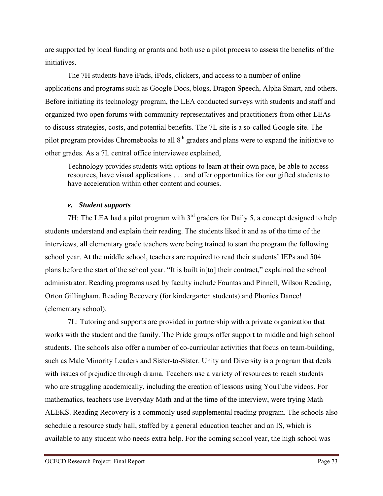are supported by local funding or grants and both use a pilot process to assess the benefits of the initiatives.

The 7H students have iPads, iPods, clickers, and access to a number of online applications and programs such as Google Docs, blogs, Dragon Speech, Alpha Smart, and others. Before initiating its technology program, the LEA conducted surveys with students and staff and organized two open forums with community representatives and practitioners from other LEAs to discuss strategies, costs, and potential benefits. The 7L site is a so-called Google site. The pilot program provides Chromebooks to all 8<sup>th</sup> graders and plans were to expand the initiative to other grades. As a 7L central office interviewee explained,

Technology provides students with options to learn at their own pace, be able to access resources, have visual applications . . . and offer opportunities for our gifted students to have acceleration within other content and courses.

## *e. Student supports*

7H: The LEA had a pilot program with  $3<sup>rd</sup>$  graders for Daily 5, a concept designed to help students understand and explain their reading. The students liked it and as of the time of the interviews, all elementary grade teachers were being trained to start the program the following school year. At the middle school, teachers are required to read their students' IEPs and 504 plans before the start of the school year. "It is built in[to] their contract," explained the school administrator. Reading programs used by faculty include Fountas and Pinnell, Wilson Reading, Orton Gillingham, Reading Recovery (for kindergarten students) and Phonics Dance! (elementary school).

7L: Tutoring and supports are provided in partnership with a private organization that works with the student and the family. The Pride groups offer support to middle and high school students. The schools also offer a number of co-curricular activities that focus on team-building, such as Male Minority Leaders and Sister-to-Sister. Unity and Diversity is a program that deals with issues of prejudice through drama. Teachers use a variety of resources to reach students who are struggling academically, including the creation of lessons using YouTube videos. For mathematics, teachers use Everyday Math and at the time of the interview, were trying Math ALEKS. Reading Recovery is a commonly used supplemental reading program. The schools also schedule a resource study hall, staffed by a general education teacher and an IS, which is available to any student who needs extra help. For the coming school year, the high school was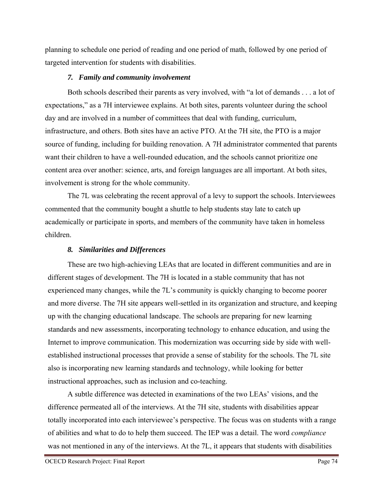planning to schedule one period of reading and one period of math, followed by one period of targeted intervention for students with disabilities.

## *7. Family and community involvement*

Both schools described their parents as very involved, with "a lot of demands . . . a lot of expectations," as a 7H interviewee explains. At both sites, parents volunteer during the school day and are involved in a number of committees that deal with funding, curriculum, infrastructure, and others. Both sites have an active PTO. At the 7H site, the PTO is a major source of funding, including for building renovation. A 7H administrator commented that parents want their children to have a well-rounded education, and the schools cannot prioritize one content area over another: science, arts, and foreign languages are all important. At both sites, involvement is strong for the whole community.

The 7L was celebrating the recent approval of a levy to support the schools. Interviewees commented that the community bought a shuttle to help students stay late to catch up academically or participate in sports, and members of the community have taken in homeless children.

# *8. Similarities and Differences*

These are two high-achieving LEAs that are located in different communities and are in different stages of development. The 7H is located in a stable community that has not experienced many changes, while the 7L's community is quickly changing to become poorer and more diverse. The 7H site appears well-settled in its organization and structure, and keeping up with the changing educational landscape. The schools are preparing for new learning standards and new assessments, incorporating technology to enhance education, and using the Internet to improve communication. This modernization was occurring side by side with wellestablished instructional processes that provide a sense of stability for the schools. The 7L site also is incorporating new learning standards and technology, while looking for better instructional approaches, such as inclusion and co-teaching.

A subtle difference was detected in examinations of the two LEAs' visions, and the difference permeated all of the interviews. At the 7H site, students with disabilities appear totally incorporated into each interviewee's perspective. The focus was on students with a range of abilities and what to do to help them succeed. The IEP was a detail. The word *compliance* was not mentioned in any of the interviews. At the 7L, it appears that students with disabilities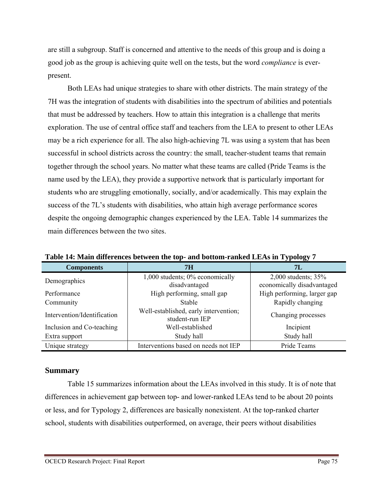are still a subgroup. Staff is concerned and attentive to the needs of this group and is doing a good job as the group is achieving quite well on the tests, but the word *compliance* is everpresent.

Both LEAs had unique strategies to share with other districts. The main strategy of the 7H was the integration of students with disabilities into the spectrum of abilities and potentials that must be addressed by teachers. How to attain this integration is a challenge that merits exploration. The use of central office staff and teachers from the LEA to present to other LEAs may be a rich experience for all. The also high-achieving 7L was using a system that has been successful in school districts across the country: the small, teacher-student teams that remain together through the school years. No matter what these teams are called (Pride Teams is the name used by the LEA), they provide a supportive network that is particularly important for students who are struggling emotionally, socially, and/or academically. This may explain the success of the 7L's students with disabilities, who attain high average performance scores despite the ongoing demographic changes experienced by the LEA. Table 14 summarizes the main differences between the two sites.

| <b>Components</b>           | 7H                                                       | 7L                                                |
|-----------------------------|----------------------------------------------------------|---------------------------------------------------|
| Demographics                | 1,000 students; 0% economically<br>disadvantaged         | 2,000 students; 35%<br>economically disadvantaged |
| Performance                 | High performing, small gap                               | High performing, larger gap                       |
| Community                   | <b>Stable</b>                                            | Rapidly changing                                  |
| Intervention/Identification | Well-established, early intervention;<br>student-run IEP | Changing processes                                |
| Inclusion and Co-teaching   | Well-established                                         | Incipient                                         |
| Extra support               | Study hall                                               | Study hall                                        |
| Unique strategy             | Interventions based on needs not IEP                     | Pride Teams                                       |

**Table 14: Main differences between the top- and bottom-ranked LEAs in Typology 7** 

## **Summary**

Table 15 summarizes information about the LEAs involved in this study. It is of note that differences in achievement gap between top- and lower-ranked LEAs tend to be about 20 points or less, and for Typology 2, differences are basically nonexistent. At the top-ranked charter school, students with disabilities outperformed, on average, their peers without disabilities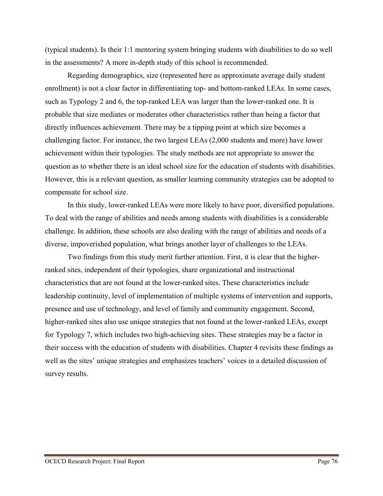(typical students). Is their 1:1 mentoring system bringing students with disabilities to do so well in the assessments? A more in-depth study of this school is recommended.

Regarding demographics, size (represented here as approximate average daily student enrollment) is not a clear factor in differentiating top- and bottom-ranked LEAs. In some cases, such as Typology 2 and 6, the top-ranked LEA was larger than the lower-ranked one. It is probable that size mediates or moderates other characteristics rather than being a factor that directly influences achievement. There may be a tipping point at which size becomes a challenging factor. For instance, the two largest LEAs (2,000 students and more) have lower achievement within their typologies. The study methods are not appropriate to answer the question as to whether there is an ideal school size for the education of students with disabilities. However, this is a relevant question, as smaller learning community strategies can be adopted to compensate for school size.

In this study, lower-ranked LEAs were more likely to have poor, diversified populations. To deal with the range of abilities and needs among students with disabilities is a considerable challenge. In addition, these schools are also dealing with the range of abilities and needs of a diverse, impoverished population, what brings another layer of challenges to the LEAs.

Two findings from this study merit further attention. First, it is clear that the higherranked sites, independent of their typologies, share organizational and instructional characteristics that are not found at the lower-ranked sites. These characteristics include leadership continuity, level of implementation of multiple systems of intervention and supports, presence and use of technology, and level of family and community engagement. Second, higher-ranked sites also use unique strategies that not found at the lower-ranked LEAs, except for Typology 7, which includes two high-achieving sites. These strategies may be a factor in their success with the education of students with disabilities. Chapter 4 revisits these findings as well as the sites' unique strategies and emphasizes teachers' voices in a detailed discussion of survey results.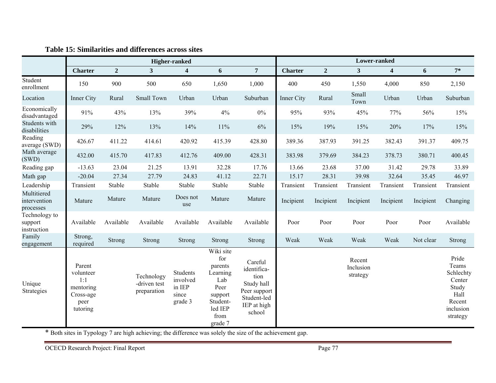|                                          | <b>Higher-ranked</b>                                                     |                |                                           |                                                    | Lower-ranked                                                                                                |                                                                                                      |                |                |                                 |                         |           |                                                                                           |
|------------------------------------------|--------------------------------------------------------------------------|----------------|-------------------------------------------|----------------------------------------------------|-------------------------------------------------------------------------------------------------------------|------------------------------------------------------------------------------------------------------|----------------|----------------|---------------------------------|-------------------------|-----------|-------------------------------------------------------------------------------------------|
|                                          | <b>Charter</b>                                                           | $\overline{2}$ | $\mathbf{3}$                              | $\overline{\mathbf{4}}$                            | 6                                                                                                           | 7                                                                                                    | <b>Charter</b> | $\overline{2}$ | $\mathbf{3}$                    | $\overline{\mathbf{4}}$ | 6         | $7*$                                                                                      |
| Student<br>enrollment                    | 150                                                                      | 900            | 500                                       | 650                                                | 1,650                                                                                                       | 1,000                                                                                                | 400            | 450            | 1,550                           | 4,000                   | 850       | 2,150                                                                                     |
| Location                                 | Inner City                                                               | Rural          | Small Town                                | Urban                                              | Urban                                                                                                       | Suburban                                                                                             | Inner City     | Rural          | Small<br>Town                   | Urban                   | Urban     | Suburban                                                                                  |
| Economically<br>disadvantaged            | 91%                                                                      | 43%            | 13%                                       | 39%                                                | 4%                                                                                                          | $0\%$                                                                                                | 95%            | 93%            | 45%                             | 77%                     | 56%       | 15%                                                                                       |
| Students with<br>disabilities            | 29%                                                                      | 12%            | 13%                                       | 14%                                                | $11\%$                                                                                                      | 6%                                                                                                   | 15%            | 19%            | 15%                             | 20%                     | 17%       | 15%                                                                                       |
| Reading<br>average (SWD)                 | 426.67                                                                   | 411.22         | 414.61                                    | 420.92                                             | 415.39                                                                                                      | 428.80                                                                                               | 389.36         | 387.93         | 391.25                          | 382.43                  | 391.37    | 409.75                                                                                    |
| Math average<br>(SWD)                    | 432.00                                                                   | 415.70         | 417.83                                    | 412.76                                             | 409.00                                                                                                      | 428.31                                                                                               | 383.98         | 379.69         | 384.23                          | 378.73                  | 380.71    | 400.45                                                                                    |
| Reading gap                              | $-13.63$                                                                 | 23.04          | 21.25                                     | 13.91                                              | 32.28                                                                                                       | 17.76                                                                                                | 13.66          | 23.68          | 37.00                           | 31.42                   | 29.78     | 33.89                                                                                     |
| Math gap                                 | $-20.04$                                                                 | 27.34          | 27.79                                     | 24.83                                              | 41.12                                                                                                       | 22.71                                                                                                | 15.17          | 28.31          | 39.98                           | 32.64                   | 35.45     | 46.97                                                                                     |
| Leadership                               | Transient                                                                | Stable         | Stable                                    | Stable                                             | Stable                                                                                                      | Stable                                                                                               | Transient      | Transient      | Transient                       | Transient               | Transient | Transient                                                                                 |
| Multitiered<br>intervention<br>processes | Mature                                                                   | Mature         | Mature                                    | Does not<br>use                                    | Mature                                                                                                      | Mature                                                                                               | Incipient      | Incipient      | Incipient                       | Incipient               | Incipient | Changing                                                                                  |
| Technology to<br>support<br>instruction  | Available                                                                | Available      | Available                                 | Available                                          | Available                                                                                                   | Available                                                                                            | Poor           | Poor           | Poor                            | Poor                    | Poor      | Available                                                                                 |
| Family<br>engagement                     | Strong,<br>required                                                      | Strong         | <b>Strong</b>                             | Strong                                             | Strong                                                                                                      | Strong                                                                                               | Weak           | Weak           | Weak                            | Weak                    | Not clear | Strong                                                                                    |
| Unique<br>Strategies                     | Parent<br>volunteer<br>1:1<br>mentoring<br>Cross-age<br>peer<br>tutoring |                | Technology<br>-driven test<br>preparation | Students<br>involved<br>in IEP<br>since<br>grade 3 | Wiki site<br>for<br>parents<br>Learning<br>Lab<br>Peer<br>support<br>Student-<br>led IEP<br>from<br>grade 7 | Careful<br>identifica-<br>tion<br>Study hall<br>Peer support<br>Student-led<br>IEP at high<br>school |                |                | Recent<br>Inclusion<br>strategy |                         |           | Pride<br>Teams<br>Schlechty<br>Center<br>Study<br>Hall<br>Recent<br>inclusion<br>strategy |

#### **Table 15: Similarities and differences across sites**

\* Both sites in Typology 7 are high achieving; the difference was solely the size of the achievement gap.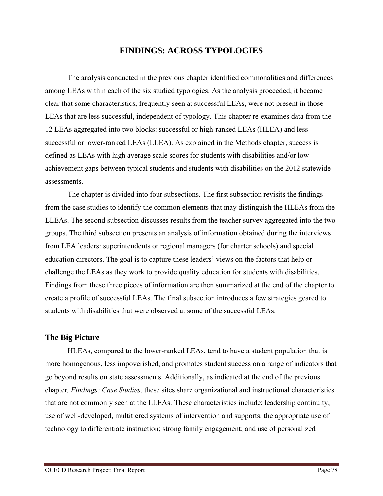# **FINDINGS: ACROSS TYPOLOGIES**

The analysis conducted in the previous chapter identified commonalities and differences among LEAs within each of the six studied typologies. As the analysis proceeded, it became clear that some characteristics, frequently seen at successful LEAs, were not present in those LEAs that are less successful, independent of typology. This chapter re-examines data from the 12 LEAs aggregated into two blocks: successful or high-ranked LEAs (HLEA) and less successful or lower-ranked LEAs (LLEA). As explained in the Methods chapter, success is defined as LEAs with high average scale scores for students with disabilities and/or low achievement gaps between typical students and students with disabilities on the 2012 statewide assessments.

The chapter is divided into four subsections. The first subsection revisits the findings from the case studies to identify the common elements that may distinguish the HLEAs from the LLEAs. The second subsection discusses results from the teacher survey aggregated into the two groups. The third subsection presents an analysis of information obtained during the interviews from LEA leaders: superintendents or regional managers (for charter schools) and special education directors. The goal is to capture these leaders' views on the factors that help or challenge the LEAs as they work to provide quality education for students with disabilities. Findings from these three pieces of information are then summarized at the end of the chapter to create a profile of successful LEAs. The final subsection introduces a few strategies geared to students with disabilities that were observed at some of the successful LEAs.

## **The Big Picture**

HLEAs, compared to the lower-ranked LEAs, tend to have a student population that is more homogenous, less impoverished, and promotes student success on a range of indicators that go beyond results on state assessments. Additionally, as indicated at the end of the previous chapter*, Findings: Case Studies,* these sites share organizational and instructional characteristics that are not commonly seen at the LLEAs. These characteristics include: leadership continuity; use of well-developed, multitiered systems of intervention and supports; the appropriate use of technology to differentiate instruction; strong family engagement; and use of personalized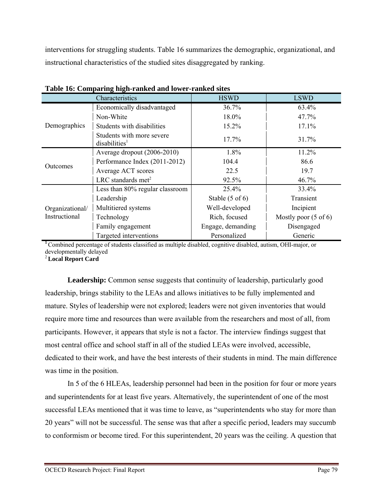interventions for struggling students. Table 16 summarizes the demographic, organizational, and instructional characteristics of the studied sites disaggregated by ranking.

|                                  | $\sim$<br>Characteristics                              | <b>HSWD</b>                | <b>LSWD</b>                     |
|----------------------------------|--------------------------------------------------------|----------------------------|---------------------------------|
|                                  | Economically disadvantaged                             | 36.7%                      | 63.4%                           |
|                                  | Non-White                                              | 18.0%                      | 47.7%                           |
| Demographics                     | Students with disabilities                             | 15.2%                      | 17.1%                           |
|                                  | Students with more severe<br>disabilities <sup>1</sup> | 17.7%                      | 31.7%                           |
|                                  | Average dropout (2006-2010)                            | 1.8%                       | 11.2%                           |
| Outcomes                         | Performance Index (2011-2012)                          | 104.4                      | 86.6                            |
|                                  | Average ACT scores                                     | 22.5                       | 19.7                            |
|                                  | LRC standards met <sup>2</sup>                         | 92.5%                      | 46.7%                           |
|                                  | Less than 80% regular classroom                        | 25.4%                      | 33.4%                           |
|                                  | Leadership                                             | Stable $(5 \text{ of } 6)$ | Transient                       |
| Organizational/<br>Instructional | Multitiered systems                                    | Well-developed             | Incipient                       |
|                                  | Technology                                             | Rich, focused              | Mostly poor $(5 \text{ of } 6)$ |
|                                  | Family engagement                                      | Engage, demanding          | Disengaged                      |
|                                  | Targeted interventions                                 | Personalized               | Generic                         |

<sup>1</sup>Combined percentage of students classified as multiple disabled, cognitive disabled, autism, OHI-major, or developmentally delayed

<sup>2</sup>**Local Report Card** 

**Leadership:** Common sense suggests that continuity of leadership, particularly good leadership, brings stability to the LEAs and allows initiatives to be fully implemented and mature. Styles of leadership were not explored; leaders were not given inventories that would require more time and resources than were available from the researchers and most of all, from participants. However, it appears that style is not a factor. The interview findings suggest that most central office and school staff in all of the studied LEAs were involved, accessible, dedicated to their work, and have the best interests of their students in mind. The main difference was time in the position.

In 5 of the 6 HLEAs, leadership personnel had been in the position for four or more years and superintendents for at least five years. Alternatively, the superintendent of one of the most successful LEAs mentioned that it was time to leave, as "superintendents who stay for more than 20 years" will not be successful. The sense was that after a specific period, leaders may succumb to conformism or become tired. For this superintendent, 20 years was the ceiling. A question that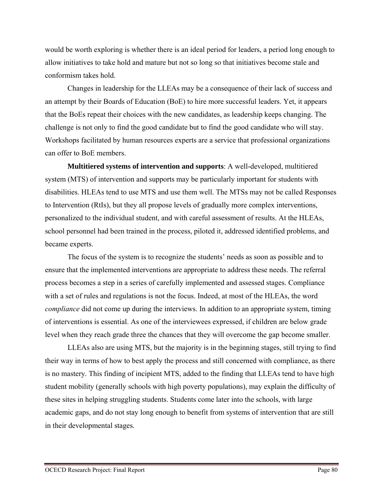would be worth exploring is whether there is an ideal period for leaders, a period long enough to allow initiatives to take hold and mature but not so long so that initiatives become stale and conformism takes hold.

Changes in leadership for the LLEAs may be a consequence of their lack of success and an attempt by their Boards of Education (BoE) to hire more successful leaders. Yet, it appears that the BoEs repeat their choices with the new candidates, as leadership keeps changing. The challenge is not only to find the good candidate but to find the good candidate who will stay. Workshops facilitated by human resources experts are a service that professional organizations can offer to BoE members.

**Multitiered systems of intervention and supports**: A well-developed, multitiered system (MTS) of intervention and supports may be particularly important for students with disabilities. HLEAs tend to use MTS and use them well. The MTSs may not be called Responses to Intervention (RtIs), but they all propose levels of gradually more complex interventions, personalized to the individual student, and with careful assessment of results. At the HLEAs, school personnel had been trained in the process, piloted it, addressed identified problems, and became experts.

The focus of the system is to recognize the students' needs as soon as possible and to ensure that the implemented interventions are appropriate to address these needs. The referral process becomes a step in a series of carefully implemented and assessed stages. Compliance with a set of rules and regulations is not the focus. Indeed, at most of the HLEAs, the word *compliance* did not come up during the interviews. In addition to an appropriate system, timing of interventions is essential. As one of the interviewees expressed, if children are below grade level when they reach grade three the chances that they will overcome the gap become smaller.

LLEAs also are using MTS, but the majority is in the beginning stages, still trying to find their way in terms of how to best apply the process and still concerned with compliance, as there is no mastery. This finding of incipient MTS, added to the finding that LLEAs tend to have high student mobility (generally schools with high poverty populations), may explain the difficulty of these sites in helping struggling students. Students come later into the schools, with large academic gaps, and do not stay long enough to benefit from systems of intervention that are still in their developmental stages.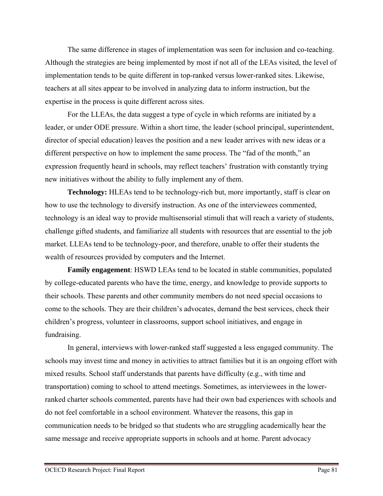The same difference in stages of implementation was seen for inclusion and co-teaching. Although the strategies are being implemented by most if not all of the LEAs visited, the level of implementation tends to be quite different in top-ranked versus lower-ranked sites. Likewise, teachers at all sites appear to be involved in analyzing data to inform instruction, but the expertise in the process is quite different across sites.

For the LLEAs, the data suggest a type of cycle in which reforms are initiated by a leader, or under ODE pressure. Within a short time, the leader (school principal, superintendent, director of special education) leaves the position and a new leader arrives with new ideas or a different perspective on how to implement the same process. The "fad of the month," an expression frequently heard in schools, may reflect teachers' frustration with constantly trying new initiatives without the ability to fully implement any of them.

**Technology:** HLEAs tend to be technology-rich but, more importantly, staff is clear on how to use the technology to diversify instruction. As one of the interviewees commented, technology is an ideal way to provide multisensorial stimuli that will reach a variety of students, challenge gifted students, and familiarize all students with resources that are essential to the job market. LLEAs tend to be technology-poor, and therefore, unable to offer their students the wealth of resources provided by computers and the Internet.

**Family engagement**: HSWD LEAs tend to be located in stable communities, populated by college-educated parents who have the time, energy, and knowledge to provide supports to their schools. These parents and other community members do not need special occasions to come to the schools. They are their children's advocates, demand the best services, check their children's progress, volunteer in classrooms, support school initiatives, and engage in fundraising.

In general, interviews with lower-ranked staff suggested a less engaged community. The schools may invest time and money in activities to attract families but it is an ongoing effort with mixed results. School staff understands that parents have difficulty (e.g., with time and transportation) coming to school to attend meetings. Sometimes, as interviewees in the lowerranked charter schools commented, parents have had their own bad experiences with schools and do not feel comfortable in a school environment. Whatever the reasons, this gap in communication needs to be bridged so that students who are struggling academically hear the same message and receive appropriate supports in schools and at home. Parent advocacy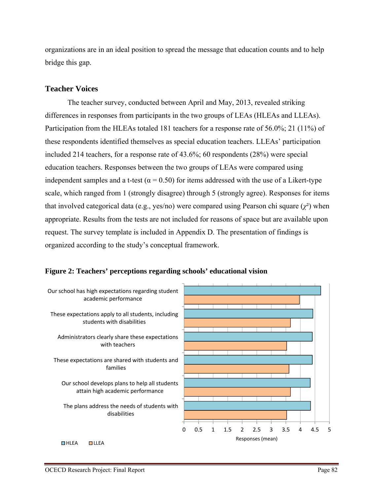organizations are in an ideal position to spread the message that education counts and to help bridge this gap.

# **Teacher Voices**

The teacher survey, conducted between April and May, 2013, revealed striking differences in responses from participants in the two groups of LEAs (HLEAs and LLEAs). Participation from the HLEAs totaled 181 teachers for a response rate of 56.0%; 21 (11%) of these respondents identified themselves as special education teachers. LLEAs' participation included 214 teachers, for a response rate of 43.6%; 60 respondents (28%) were special education teachers. Responses between the two groups of LEAs were compared using independent samples and a t-test ( $\alpha$  = 0.50) for items addressed with the use of a Likert-type scale, which ranged from 1 (strongly disagree) through 5 (strongly agree). Responses for items that involved categorical data (e.g., yes/no) were compared using Pearson chi square  $(\chi^2)$  when appropriate. Results from the tests are not included for reasons of space but are available upon request. The survey template is included in Appendix D. The presentation of findings is organized according to the study's conceptual framework.

## **Figure 2: Teachers' perceptions regarding schools' educational vision**

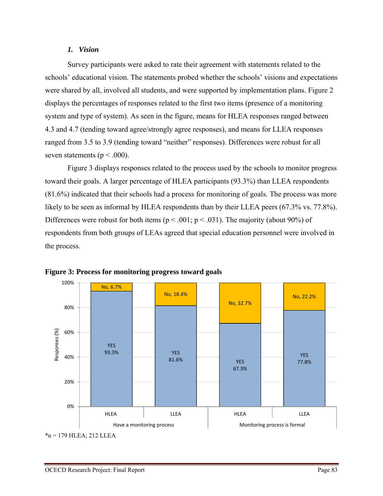#### *1. Vision*

Survey participants were asked to rate their agreement with statements related to the schools' educational vision. The statements probed whether the schools' visions and expectations were shared by all, involved all students, and were supported by implementation plans. Figure 2 displays the percentages of responses related to the first two items (presence of a monitoring system and type of system). As seen in the figure, means for HLEA responses ranged between 4.3 and 4.7 (tending toward agree/strongly agree responses), and means for LLEA responses ranged from 3.5 to 3.9 (tending toward "neither" responses). Differences were robust for all seven statements ( $p < .000$ ).

Figure 3 displays responses related to the process used by the schools to monitor progress toward their goals. A larger percentage of HLEA participants (93.3%) than LLEA respondents (81.6%) indicated that their schools had a process for monitoring of goals. The process was more likely to be seen as informal by HLEA respondents than by their LLEA peers (67.3% vs. 77.8%). Differences were robust for both items ( $p < .001$ ;  $p < .031$ ). The majority (about 90%) of respondents from both groups of LEAs agreed that special education personnel were involved in the process.



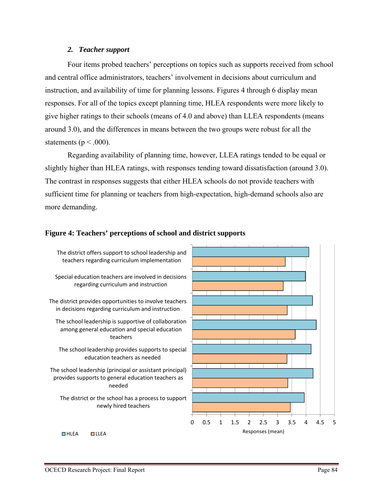#### *2. Teacher support*

Four items probed teachers' perceptions on topics such as supports received from school and central office administrators, teachers' involvement in decisions about curriculum and instruction, and availability of time for planning lessons. Figures 4 through 6 display mean responses. For all of the topics except planning time, HLEA respondents were more likely to give higher ratings to their schools (means of 4.0 and above) than LLEA respondents (means around 3.0), and the differences in means between the two groups were robust for all the statements ( $p < .000$ ).

Regarding availability of planning time, however, LLEA ratings tended to be equal or slightly higher than HLEA ratings, with responses tending toward dissatisfaction (around 3.0). The contrast in responses suggests that either HLEA schools do not provide teachers with sufficient time for planning or teachers from high-expectation, high-demand schools also are more demanding.

# **Figure 4: Teachers' perceptions of school and district supports**

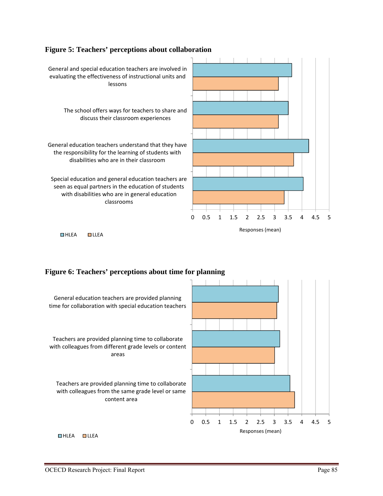#### **Figure 5: Teachers' perceptions about collaboration**



#### **Figure 6: Teachers' perceptions about time for planning**

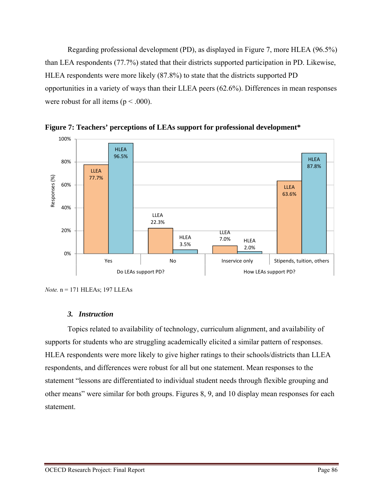Regarding professional development (PD), as displayed in Figure 7, more HLEA (96.5%) than LEA respondents (77.7%) stated that their districts supported participation in PD. Likewise, HLEA respondents were more likely (87.8%) to state that the districts supported PD opportunities in a variety of ways than their LLEA peers (62.6%). Differences in mean responses were robust for all items ( $p < .000$ ).



**Figure 7: Teachers' perceptions of LEAs support for professional development\*** 

*Note.* n = 171 HLEAs; 197 LLEAs

## *3. Instruction*

Topics related to availability of technology, curriculum alignment, and availability of supports for students who are struggling academically elicited a similar pattern of responses. HLEA respondents were more likely to give higher ratings to their schools/districts than LLEA respondents, and differences were robust for all but one statement. Mean responses to the statement "lessons are differentiated to individual student needs through flexible grouping and other means" were similar for both groups. Figures 8, 9, and 10 display mean responses for each statement.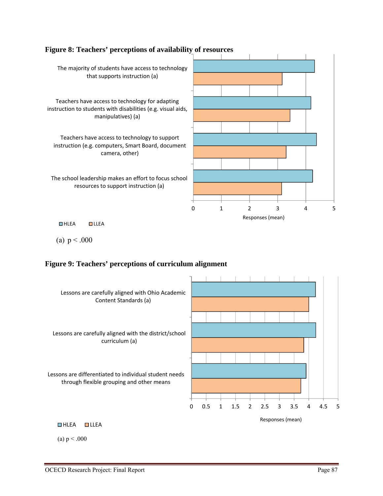

## **Figure 8: Teachers' perceptions of availability of resources**

(a)  $p < .000$ 

## **Figure 9: Teachers' perceptions of curriculum alignment**



(a)  $p < .000$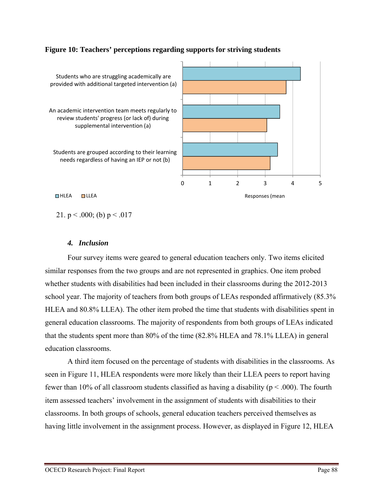

## **Figure 10: Teachers' perceptions regarding supports for striving students**

□HLEA □LLEA Responses (mean

21. p < .000; (b) p < .017

#### *4. Inclusion*

Four survey items were geared to general education teachers only. Two items elicited similar responses from the two groups and are not represented in graphics. One item probed whether students with disabilities had been included in their classrooms during the 2012-2013 school year. The majority of teachers from both groups of LEAs responded affirmatively (85.3% HLEA and 80.8% LLEA). The other item probed the time that students with disabilities spent in general education classrooms. The majority of respondents from both groups of LEAs indicated that the students spent more than 80% of the time (82.8% HLEA and 78.1% LLEA) in general education classrooms.

A third item focused on the percentage of students with disabilities in the classrooms. As seen in Figure 11, HLEA respondents were more likely than their LLEA peers to report having fewer than 10% of all classroom students classified as having a disability ( $p < .000$ ). The fourth item assessed teachers' involvement in the assignment of students with disabilities to their classrooms. In both groups of schools, general education teachers perceived themselves as having little involvement in the assignment process. However, as displayed in Figure 12, HLEA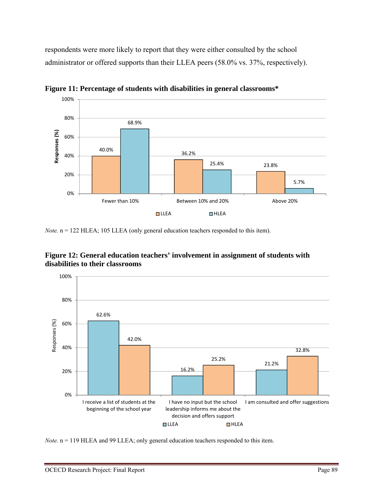respondents were more likely to report that they were either consulted by the school administrator or offered supports than their LLEA peers (58.0% vs. 37%, respectively).



**Figure 11: Percentage of students with disabilities in general classrooms\*** 

*Note.*  $n = 122$  HLEA; 105 LLEA (only general education teachers responded to this item).





*Note.*  $n = 119$  HLEA and 99 LLEA; only general education teachers responded to this item.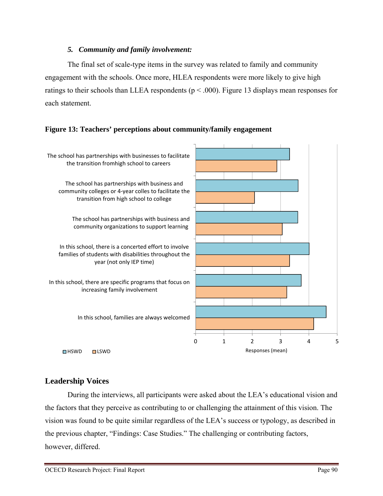## *5. Community and family involvement:*

The final set of scale-type items in the survey was related to family and community engagement with the schools. Once more, HLEA respondents were more likely to give high ratings to their schools than LLEA respondents ( $p < .000$ ). Figure 13 displays mean responses for each statement.

# **Figure 13: Teachers' perceptions about community/family engagement**



# **Leadership Voices**

During the interviews, all participants were asked about the LEA's educational vision and the factors that they perceive as contributing to or challenging the attainment of this vision. The vision was found to be quite similar regardless of the LEA's success or typology, as described in the previous chapter, "Findings: Case Studies." The challenging or contributing factors, however, differed.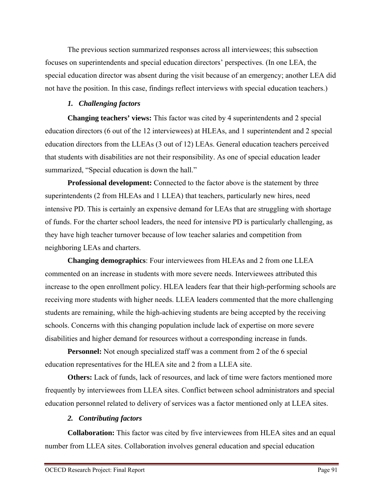The previous section summarized responses across all interviewees; this subsection focuses on superintendents and special education directors' perspectives. (In one LEA, the special education director was absent during the visit because of an emergency; another LEA did not have the position. In this case, findings reflect interviews with special education teachers.)

## *1. Challenging factors*

**Changing teachers' views:** This factor was cited by 4 superintendents and 2 special education directors (6 out of the 12 interviewees) at HLEAs, and 1 superintendent and 2 special education directors from the LLEAs (3 out of 12) LEAs. General education teachers perceived that students with disabilities are not their responsibility. As one of special education leader summarized, "Special education is down the hall."

**Professional development:** Connected to the factor above is the statement by three superintendents (2 from HLEAs and 1 LLEA) that teachers, particularly new hires, need intensive PD. This is certainly an expensive demand for LEAs that are struggling with shortage of funds. For the charter school leaders, the need for intensive PD is particularly challenging, as they have high teacher turnover because of low teacher salaries and competition from neighboring LEAs and charters.

**Changing demographics**: Four interviewees from HLEAs and 2 from one LLEA commented on an increase in students with more severe needs. Interviewees attributed this increase to the open enrollment policy. HLEA leaders fear that their high-performing schools are receiving more students with higher needs. LLEA leaders commented that the more challenging students are remaining, while the high-achieving students are being accepted by the receiving schools. Concerns with this changing population include lack of expertise on more severe disabilities and higher demand for resources without a corresponding increase in funds.

**Personnel:** Not enough specialized staff was a comment from 2 of the 6 special education representatives for the HLEA site and 2 from a LLEA site.

**Others:** Lack of funds, lack of resources, and lack of time were factors mentioned more frequently by interviewees from LLEA sites. Conflict between school administrators and special education personnel related to delivery of services was a factor mentioned only at LLEA sites.

# *2. Contributing factors*

**Collaboration:** This factor was cited by five interviewees from HLEA sites and an equal number from LLEA sites. Collaboration involves general education and special education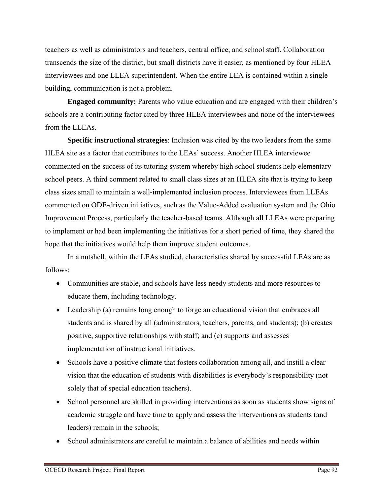teachers as well as administrators and teachers, central office, and school staff. Collaboration transcends the size of the district, but small districts have it easier, as mentioned by four HLEA interviewees and one LLEA superintendent. When the entire LEA is contained within a single building, communication is not a problem.

**Engaged community:** Parents who value education and are engaged with their children's schools are a contributing factor cited by three HLEA interviewees and none of the interviewees from the LLEAs.

**Specific instructional strategies**: Inclusion was cited by the two leaders from the same HLEA site as a factor that contributes to the LEAs' success. Another HLEA interviewee commented on the success of its tutoring system whereby high school students help elementary school peers. A third comment related to small class sizes at an HLEA site that is trying to keep class sizes small to maintain a well-implemented inclusion process. Interviewees from LLEAs commented on ODE-driven initiatives, such as the Value-Added evaluation system and the Ohio Improvement Process, particularly the teacher-based teams. Although all LLEAs were preparing to implement or had been implementing the initiatives for a short period of time, they shared the hope that the initiatives would help them improve student outcomes.

In a nutshell, within the LEAs studied, characteristics shared by successful LEAs are as follows:

- Communities are stable, and schools have less needy students and more resources to educate them, including technology.
- Leadership (a) remains long enough to forge an educational vision that embraces all students and is shared by all (administrators, teachers, parents, and students); (b) creates positive, supportive relationships with staff; and (c) supports and assesses implementation of instructional initiatives.
- Schools have a positive climate that fosters collaboration among all, and instill a clear vision that the education of students with disabilities is everybody's responsibility (not solely that of special education teachers).
- School personnel are skilled in providing interventions as soon as students show signs of academic struggle and have time to apply and assess the interventions as students (and leaders) remain in the schools;
- School administrators are careful to maintain a balance of abilities and needs within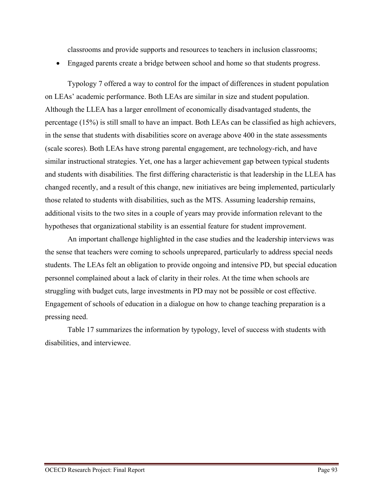classrooms and provide supports and resources to teachers in inclusion classrooms;

Engaged parents create a bridge between school and home so that students progress.

Typology 7 offered a way to control for the impact of differences in student population on LEAs' academic performance. Both LEAs are similar in size and student population. Although the LLEA has a larger enrollment of economically disadvantaged students, the percentage (15%) is still small to have an impact. Both LEAs can be classified as high achievers, in the sense that students with disabilities score on average above 400 in the state assessments (scale scores). Both LEAs have strong parental engagement, are technology-rich, and have similar instructional strategies. Yet, one has a larger achievement gap between typical students and students with disabilities. The first differing characteristic is that leadership in the LLEA has changed recently, and a result of this change, new initiatives are being implemented, particularly those related to students with disabilities, such as the MTS. Assuming leadership remains, additional visits to the two sites in a couple of years may provide information relevant to the hypotheses that organizational stability is an essential feature for student improvement.

An important challenge highlighted in the case studies and the leadership interviews was the sense that teachers were coming to schools unprepared, particularly to address special needs students. The LEAs felt an obligation to provide ongoing and intensive PD, but special education personnel complained about a lack of clarity in their roles. At the time when schools are struggling with budget cuts, large investments in PD may not be possible or cost effective. Engagement of schools of education in a dialogue on how to change teaching preparation is a pressing need.

Table 17 summarizes the information by typology, level of success with students with disabilities, and interviewee.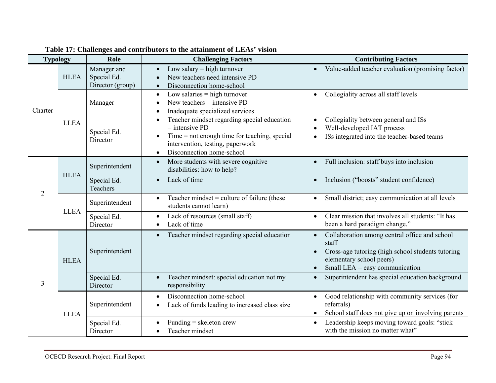| <b>Typology</b> |             | Role                                           | <b>Challenging Factors</b>                                                                                                                                                                                                | <b>Contributing Factors</b>                                                                                                                                                            |  |  |
|-----------------|-------------|------------------------------------------------|---------------------------------------------------------------------------------------------------------------------------------------------------------------------------------------------------------------------------|----------------------------------------------------------------------------------------------------------------------------------------------------------------------------------------|--|--|
| Charter         | <b>HLEA</b> | Manager and<br>Special Ed.<br>Director (group) | Low salary $=$ high turnover<br>New teachers need intensive PD<br>Disconnection home-school                                                                                                                               | Value-added teacher evaluation (promising factor)                                                                                                                                      |  |  |
|                 | <b>LLEA</b> | Manager                                        | Low salaries $=$ high turnover<br>New teachers $=$ intensive PD<br>Inadequate specialized services                                                                                                                        | Collegiality across all staff levels<br>$\bullet$                                                                                                                                      |  |  |
|                 |             | Special Ed.<br>Director                        | Teacher mindset regarding special education<br>$\bullet$<br>$=$ intensive PD<br>Time $=$ not enough time for teaching, special<br>$\bullet$<br>intervention, testing, paperwork<br>Disconnection home-school<br>$\bullet$ | Collegiality between general and ISs<br>$\bullet$<br>Well-developed IAT process<br>ISs integrated into the teacher-based teams                                                         |  |  |
| $\overline{2}$  | <b>HLEA</b> | Superintendent                                 | More students with severe cognitive<br>$\bullet$<br>disabilities: how to help?                                                                                                                                            | Full inclusion: staff buys into inclusion                                                                                                                                              |  |  |
|                 |             | Special Ed.<br>Teachers                        | Lack of time                                                                                                                                                                                                              | Inclusion ("boosts" student confidence)                                                                                                                                                |  |  |
|                 | <b>LLEA</b> | Superintendent                                 | Teacher mindset = culture of failure (these<br>students cannot learn)                                                                                                                                                     | Small district; easy communication at all levels                                                                                                                                       |  |  |
|                 |             | Special Ed.<br>Director                        | Lack of resources (small staff)<br>Lack of time                                                                                                                                                                           | Clear mission that involves all students: "It has<br>$\bullet$<br>been a hard paradigm change."                                                                                        |  |  |
| 3               | <b>HLEA</b> | Superintendent                                 | Teacher mindset regarding special education<br>$\bullet$                                                                                                                                                                  | Collaboration among central office and school<br>staff<br>Cross-age tutoring (high school students tutoring<br>elementary school peers)<br>Small LEA = easy communication<br>$\bullet$ |  |  |
|                 |             | Special Ed.<br>Director                        | Teacher mindset: special education not my<br>responsibility                                                                                                                                                               | Superintendent has special education background<br>$\bullet$                                                                                                                           |  |  |
|                 | <b>LLEA</b> | Superintendent                                 | Disconnection home-school<br>$\bullet$<br>Lack of funds leading to increased class size                                                                                                                                   | Good relationship with community services (for<br>referrals)<br>School staff does not give up on involving parents<br>$\bullet$                                                        |  |  |
|                 |             | Special Ed.<br>Director                        | Funding $=$ skeleton crew<br>Teacher mindset                                                                                                                                                                              | Leadership keeps moving toward goals: "stick<br>$\bullet$<br>with the mission no matter what"                                                                                          |  |  |

# **Table 17: Challenges and contributors to the attainment of LEAs' vision**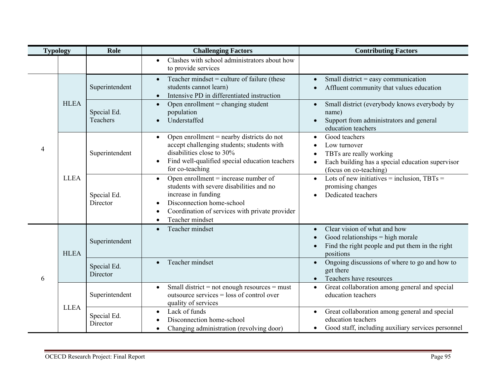| <b>Typology</b> |             | Role                    | <b>Challenging Factors</b>                                                                                                                                                                                               | <b>Contributing Factors</b>                                                                                                                                                                |  |  |
|-----------------|-------------|-------------------------|--------------------------------------------------------------------------------------------------------------------------------------------------------------------------------------------------------------------------|--------------------------------------------------------------------------------------------------------------------------------------------------------------------------------------------|--|--|
|                 |             |                         | Clashes with school administrators about how<br>$\bullet$<br>to provide services                                                                                                                                         |                                                                                                                                                                                            |  |  |
|                 | <b>HLEA</b> | Superintendent          | Teacher mindset = culture of failure (these<br>$\bullet$<br>students cannot learn)<br>Intensive PD in differentiated instruction                                                                                         | Small district $=$ easy communication<br>$\bullet$<br>Affluent community that values education                                                                                             |  |  |
|                 |             | Special Ed.<br>Teachers | Open enrollment $=$ changing student<br>$\bullet$<br>population<br>Understaffed<br>$\bullet$                                                                                                                             | Small district (everybody knows everybody by<br>$\bullet$<br>name)<br>Support from administrators and general<br>$\bullet$<br>education teachers                                           |  |  |
| $\overline{4}$  | <b>LLEA</b> | Superintendent          | Open enrollment $=$ nearby districts do not<br>$\bullet$<br>accept challenging students; students with<br>disabilities close to 30%<br>Find well-qualified special education teachers<br>for co-teaching                 | Good teachers<br>$\bullet$<br>Low turnover<br>$\bullet$<br>TBTs are really working<br>$\bullet$<br>Each building has a special education supervisor<br>$\bullet$<br>(focus on co-teaching) |  |  |
|                 |             | Special Ed.<br>Director | Open enrollment $=$ increase number of<br>$\bullet$<br>students with severe disabilities and no<br>increase in funding<br>Disconnection home-school<br>Coordination of services with private provider<br>Teacher mindset | Lots of new initiatives = inclusion, $TBTs =$<br>$\bullet$<br>promising changes<br>Dedicated teachers<br>$\bullet$                                                                         |  |  |
|                 | <b>HLEA</b> | Superintendent          | Teacher mindset<br>$\bullet$                                                                                                                                                                                             | Clear vision of what and how<br>$\bullet$<br>Good relationships $=$ high morale<br>$\bullet$<br>Find the right people and put them in the right<br>$\bullet$<br>positions                  |  |  |
| 6               |             | Special Ed.<br>Director | Teacher mindset                                                                                                                                                                                                          | Ongoing discussions of where to go and how to<br>$\bullet$<br>get there<br>Teachers have resources<br>$\bullet$                                                                            |  |  |
|                 | <b>LLEA</b> | Superintendent          | Small district = not enough resources = must<br>$\bullet$<br>outsource services $=$ loss of control over<br>quality of services                                                                                          | Great collaboration among general and special<br>$\bullet$<br>education teachers                                                                                                           |  |  |
|                 |             | Special Ed.<br>Director | Lack of funds<br>Disconnection home-school<br>Changing administration (revolving door)<br>$\bullet$                                                                                                                      | Great collaboration among general and special<br>$\bullet$<br>education teachers<br>Good staff, including auxiliary services personnel<br>$\bullet$                                        |  |  |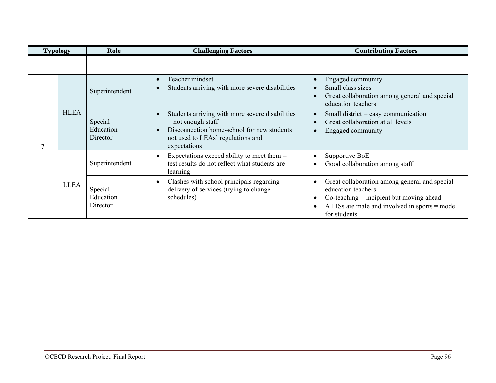| <b>Typology</b> |             | Role                             | <b>Challenging Factors</b>                                                                                                                                                 | <b>Contributing Factors</b>                                                                                                                                                           |  |  |
|-----------------|-------------|----------------------------------|----------------------------------------------------------------------------------------------------------------------------------------------------------------------------|---------------------------------------------------------------------------------------------------------------------------------------------------------------------------------------|--|--|
|                 |             |                                  |                                                                                                                                                                            |                                                                                                                                                                                       |  |  |
| 7               | <b>HLEA</b> | Superintendent                   | Teacher mindset<br>Students arriving with more severe disabilities                                                                                                         | Engaged community<br>Small class sizes<br>Great collaboration among general and special<br>education teachers                                                                         |  |  |
|                 |             | Special<br>Education<br>Director | Students arriving with more severe disabilities<br>$=$ not enough staff<br>Disconnection home-school for new students<br>not used to LEAs' regulations and<br>expectations | Small district $=$ easy communication<br>Great collaboration at all levels<br>Engaged community                                                                                       |  |  |
|                 | <b>LLEA</b> | Superintendent                   | Expectations exceed ability to meet them $=$<br>test results do not reflect what students are<br>learning                                                                  | Supportive BoE<br>Good collaboration among staff                                                                                                                                      |  |  |
|                 |             | Special<br>Education<br>Director | Clashes with school principals regarding<br>delivery of services (trying to change<br>schedules)                                                                           | Great collaboration among general and special<br>education teachers<br>$Co$ -teaching = incipient but moving ahead<br>All ISs are male and involved in sports = model<br>for students |  |  |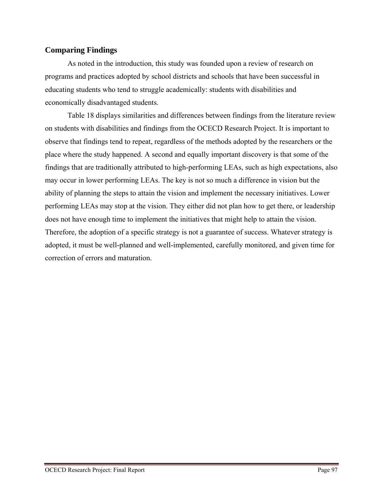# **Comparing Findings**

As noted in the introduction, this study was founded upon a review of research on programs and practices adopted by school districts and schools that have been successful in educating students who tend to struggle academically: students with disabilities and economically disadvantaged students.

Table 18 displays similarities and differences between findings from the literature review on students with disabilities and findings from the OCECD Research Project. It is important to observe that findings tend to repeat, regardless of the methods adopted by the researchers or the place where the study happened. A second and equally important discovery is that some of the findings that are traditionally attributed to high-performing LEAs, such as high expectations, also may occur in lower performing LEAs. The key is not so much a difference in vision but the ability of planning the steps to attain the vision and implement the necessary initiatives. Lower performing LEAs may stop at the vision. They either did not plan how to get there, or leadership does not have enough time to implement the initiatives that might help to attain the vision. Therefore, the adoption of a specific strategy is not a guarantee of success. Whatever strategy is adopted, it must be well-planned and well-implemented, carefully monitored, and given time for correction of errors and maturation.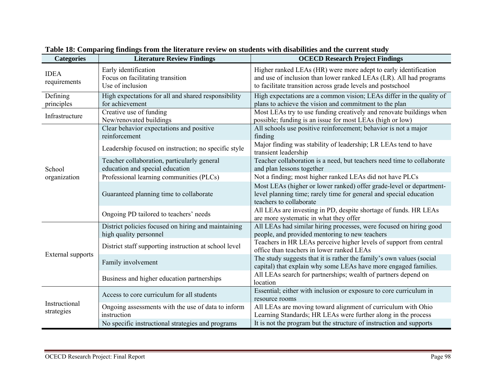| <b>Categories</b>           | <b>Literature Review Findings</b>                                              | <b>OCECD Research Project Findings</b>                                                                                                                                                               |
|-----------------------------|--------------------------------------------------------------------------------|------------------------------------------------------------------------------------------------------------------------------------------------------------------------------------------------------|
| <b>IDEA</b><br>requirements | Early identification<br>Focus on facilitating transition<br>Use of inclusion   | Higher ranked LEAs (HR) were more adept to early identification<br>and use of inclusion than lower ranked LEAs (LR). All had programs<br>to facilitate transition across grade levels and postschool |
| Defining<br>principles      | High expectations for all and shared responsibility<br>for achievement         | High expectations are a common vision; LEAs differ in the quality of<br>plans to achieve the vision and commitment to the plan                                                                       |
| Infrastructure              | Creative use of funding<br>New/renovated buildings                             | Most LEAs try to use funding creatively and renovate buildings when<br>possible; funding is an issue for most LEAs (high or low)                                                                     |
|                             | Clear behavior expectations and positive<br>reinforcement                      | All schools use positive reinforcement; behavior is not a major<br>finding                                                                                                                           |
| School                      | Leadership focused on instruction; no specific style                           | Major finding was stability of leadership; LR LEAs tend to have<br>transient leadership                                                                                                              |
|                             | Teacher collaboration, particularly general<br>education and special education | Teacher collaboration is a need, but teachers need time to collaborate<br>and plan lessons together                                                                                                  |
| organization                | Professional learning communities (PLCs)                                       | Not a finding; most higher ranked LEAs did not have PLCs                                                                                                                                             |
|                             | Guaranteed planning time to collaborate                                        | Most LEAs (higher or lower ranked) offer grade-level or department-<br>level planning time; rarely time for general and special education<br>teachers to collaborate                                 |
|                             | Ongoing PD tailored to teachers' needs                                         | All LEAs are investing in PD, despite shortage of funds. HR LEAs<br>are more systematic in what they offer                                                                                           |
| External supports           | District policies focused on hiring and maintaining<br>high quality personnel  | All LEAs had similar hiring processes, were focused on hiring good<br>people, and provided mentoring to new teachers                                                                                 |
|                             | District staff supporting instruction at school level                          | Teachers in HR LEAs perceive higher levels of support from central<br>office than teachers in lower ranked LEAs                                                                                      |
|                             | Family involvement                                                             | The study suggests that it is rather the family's own values (social<br>capital) that explain why some LEAs have more engaged families.                                                              |
|                             | Business and higher education partnerships                                     | All LEAs search for partnerships; wealth of partners depend on<br>location                                                                                                                           |
| Instructional<br>strategies | Access to core curriculum for all students                                     | Essential; either with inclusion or exposure to core curriculum in<br>resource rooms                                                                                                                 |
|                             | Ongoing assessments with the use of data to inform<br>instruction              | All LEAs are moving toward alignment of curriculum with Ohio<br>Learning Standards; HR LEAs were further along in the process                                                                        |
|                             | No specific instructional strategies and programs                              | It is not the program but the structure of instruction and supports                                                                                                                                  |

**Table 18: Comparing findings from the literature review on students with disabilities and the current study**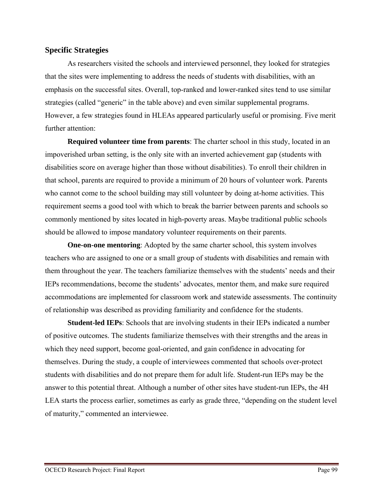## **Specific Strategies**

As researchers visited the schools and interviewed personnel, they looked for strategies that the sites were implementing to address the needs of students with disabilities, with an emphasis on the successful sites. Overall, top-ranked and lower-ranked sites tend to use similar strategies (called "generic" in the table above) and even similar supplemental programs. However, a few strategies found in HLEAs appeared particularly useful or promising. Five merit further attention:

**Required volunteer time from parents**: The charter school in this study, located in an impoverished urban setting, is the only site with an inverted achievement gap (students with disabilities score on average higher than those without disabilities). To enroll their children in that school, parents are required to provide a minimum of 20 hours of volunteer work. Parents who cannot come to the school building may still volunteer by doing at-home activities. This requirement seems a good tool with which to break the barrier between parents and schools so commonly mentioned by sites located in high-poverty areas. Maybe traditional public schools should be allowed to impose mandatory volunteer requirements on their parents.

**One-on-one mentoring**: Adopted by the same charter school, this system involves teachers who are assigned to one or a small group of students with disabilities and remain with them throughout the year. The teachers familiarize themselves with the students' needs and their IEPs recommendations, become the students' advocates, mentor them, and make sure required accommodations are implemented for classroom work and statewide assessments. The continuity of relationship was described as providing familiarity and confidence for the students.

**Student-led IEPs**: Schools that are involving students in their IEPs indicated a number of positive outcomes. The students familiarize themselves with their strengths and the areas in which they need support, become goal-oriented, and gain confidence in advocating for themselves. During the study, a couple of interviewees commented that schools over-protect students with disabilities and do not prepare them for adult life. Student-run IEPs may be the answer to this potential threat. Although a number of other sites have student-run IEPs, the 4H LEA starts the process earlier, sometimes as early as grade three, "depending on the student level of maturity," commented an interviewee.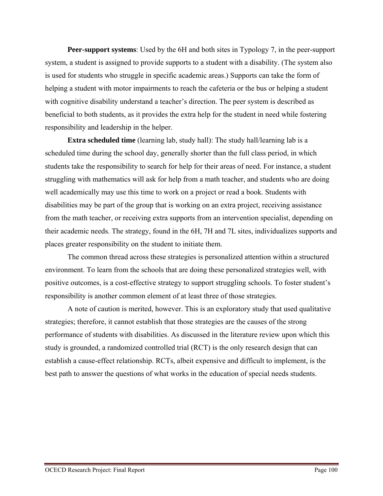**Peer-support systems**: Used by the 6H and both sites in Typology 7, in the peer-support system, a student is assigned to provide supports to a student with a disability. (The system also is used for students who struggle in specific academic areas.) Supports can take the form of helping a student with motor impairments to reach the cafeteria or the bus or helping a student with cognitive disability understand a teacher's direction. The peer system is described as beneficial to both students, as it provides the extra help for the student in need while fostering responsibility and leadership in the helper.

**Extra scheduled time** (learning lab, study hall): The study hall/learning lab is a scheduled time during the school day, generally shorter than the full class period, in which students take the responsibility to search for help for their areas of need. For instance, a student struggling with mathematics will ask for help from a math teacher, and students who are doing well academically may use this time to work on a project or read a book. Students with disabilities may be part of the group that is working on an extra project, receiving assistance from the math teacher, or receiving extra supports from an intervention specialist, depending on their academic needs. The strategy, found in the 6H, 7H and 7L sites, individualizes supports and places greater responsibility on the student to initiate them.

The common thread across these strategies is personalized attention within a structured environment. To learn from the schools that are doing these personalized strategies well, with positive outcomes, is a cost-effective strategy to support struggling schools. To foster student's responsibility is another common element of at least three of those strategies.

A note of caution is merited, however. This is an exploratory study that used qualitative strategies; therefore, it cannot establish that those strategies are the causes of the strong performance of students with disabilities. As discussed in the literature review upon which this study is grounded, a randomized controlled trial (RCT) is the only research design that can establish a cause-effect relationship. RCTs, albeit expensive and difficult to implement, is the best path to answer the questions of what works in the education of special needs students.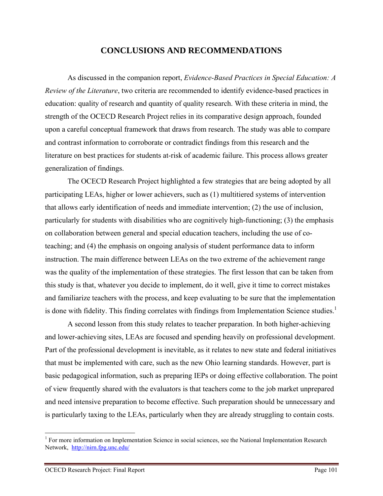# **CONCLUSIONS AND RECOMMENDATIONS**

As discussed in the companion report, *Evidence-Based Practices in Special Education: A Review of the Literature*, two criteria are recommended to identify evidence-based practices in education: quality of research and quantity of quality research. With these criteria in mind, the strength of the OCECD Research Project relies in its comparative design approach, founded upon a careful conceptual framework that draws from research. The study was able to compare and contrast information to corroborate or contradict findings from this research and the literature on best practices for students at-risk of academic failure. This process allows greater generalization of findings.

The OCECD Research Project highlighted a few strategies that are being adopted by all participating LEAs, higher or lower achievers, such as (1) multitiered systems of intervention that allows early identification of needs and immediate intervention; (2) the use of inclusion, particularly for students with disabilities who are cognitively high-functioning; (3) the emphasis on collaboration between general and special education teachers, including the use of coteaching; and (4) the emphasis on ongoing analysis of student performance data to inform instruction. The main difference between LEAs on the two extreme of the achievement range was the quality of the implementation of these strategies. The first lesson that can be taken from this study is that, whatever you decide to implement, do it well, give it time to correct mistakes and familiarize teachers with the process, and keep evaluating to be sure that the implementation is done with fidelity. This finding correlates with findings from Implementation Science studies.<sup>1</sup>

A second lesson from this study relates to teacher preparation. In both higher-achieving and lower-achieving sites, LEAs are focused and spending heavily on professional development. Part of the professional development is inevitable, as it relates to new state and federal initiatives that must be implemented with care, such as the new Ohio learning standards. However, part is basic pedagogical information, such as preparing IEPs or doing effective collaboration. The point of view frequently shared with the evaluators is that teachers come to the job market unprepared and need intensive preparation to become effective. Such preparation should be unnecessary and is particularly taxing to the LEAs, particularly when they are already struggling to contain costs.

1

<sup>&</sup>lt;sup>1</sup> For more information on Implementation Science in social sciences, see the National Implementation Research Network, http://nirn.fpg.unc.edu/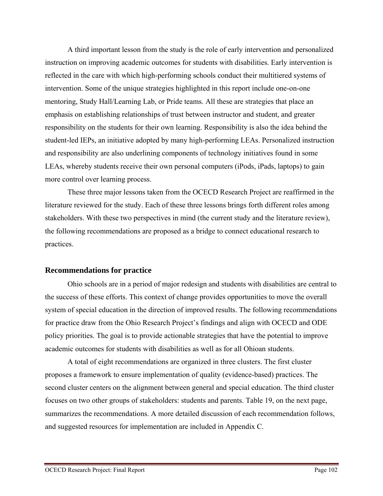A third important lesson from the study is the role of early intervention and personalized instruction on improving academic outcomes for students with disabilities. Early intervention is reflected in the care with which high-performing schools conduct their multitiered systems of intervention. Some of the unique strategies highlighted in this report include one-on-one mentoring, Study Hall/Learning Lab, or Pride teams. All these are strategies that place an emphasis on establishing relationships of trust between instructor and student, and greater responsibility on the students for their own learning. Responsibility is also the idea behind the student-led IEPs, an initiative adopted by many high-performing LEAs. Personalized instruction and responsibility are also underlining components of technology initiatives found in some LEAs, whereby students receive their own personal computers (iPods, iPads, laptops) to gain more control over learning process.

These three major lessons taken from the OCECD Research Project are reaffirmed in the literature reviewed for the study. Each of these three lessons brings forth different roles among stakeholders. With these two perspectives in mind (the current study and the literature review), the following recommendations are proposed as a bridge to connect educational research to practices.

### **Recommendations for practice**

Ohio schools are in a period of major redesign and students with disabilities are central to the success of these efforts. This context of change provides opportunities to move the overall system of special education in the direction of improved results. The following recommendations for practice draw from the Ohio Research Project's findings and align with OCECD and ODE policy priorities. The goal is to provide actionable strategies that have the potential to improve academic outcomes for students with disabilities as well as for all Ohioan students.

A total of eight recommendations are organized in three clusters. The first cluster proposes a framework to ensure implementation of quality (evidence-based) practices. The second cluster centers on the alignment between general and special education. The third cluster focuses on two other groups of stakeholders: students and parents. Table 19, on the next page, summarizes the recommendations. A more detailed discussion of each recommendation follows, and suggested resources for implementation are included in Appendix C.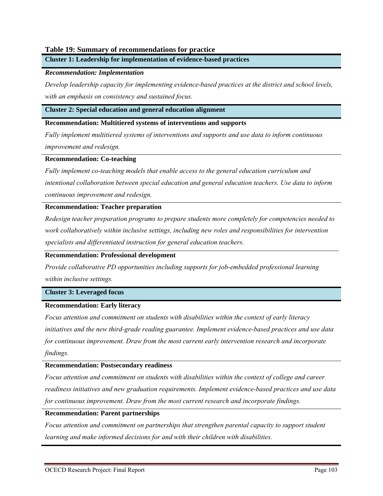### **Table 19: Summary of recommendations for practice**

**Cluster 1: Leadership for implementation of evidence-based practices** 

### *Recommendation: Implementation*

*Develop leadership capacity for implementing evidence-based practices at the district and school levels, with an emphasis on consistency and sustained focus.* 

#### **Cluster 2: Special education and general education alignment**

#### **Recommendation: Multitiered systems of interventions and supports**

*Fully implement multitiered systems of interventions and supports and use data to inform continuous improvement and redesign.* 

#### **Recommendation: Co-teaching**

*Fully implement co-teaching models that enable access to the general education curriculum and intentional collaboration between special education and general education teachers. Use data to inform continuous improvement and redesign.* 

#### **Recommendation: Teacher preparation**

*Redesign teacher preparation programs to prepare students more completely for competencies needed to work collaboratively within inclusive settings, including new roles and responsibilities for intervention specialists and differentiated instruction for general education teachers.* 

### **Recommendation: Professional development**

*Provide collaborative PD opportunities including supports for job-embedded professional learning within inclusive settings.* 

#### **Cluster 3: Leveraged focus**

### **Recommendation: Early literacy**

*Focus attention and commitment on students with disabilities within the context of early literacy initiatives and the new third-grade reading guarantee. Implement evidence-based practices and use data for continuous improvement. Draw from the most current early intervention research and incorporate findings.* 

### **Recommendation: Postsecondary readiness**

*Focus attention and commitment on students with disabilities within the context of college and career readiness initiatives and new graduation requirements. Implement evidence-based practices and use data for continuous improvement. Draw from the most current research and incorporate findings.* 

### **Recommendation: Parent partnerships**

*Focus attention and commitment on partnerships that strengthen parental capacity to support student learning and make informed decisions for and with their children with disabilities.*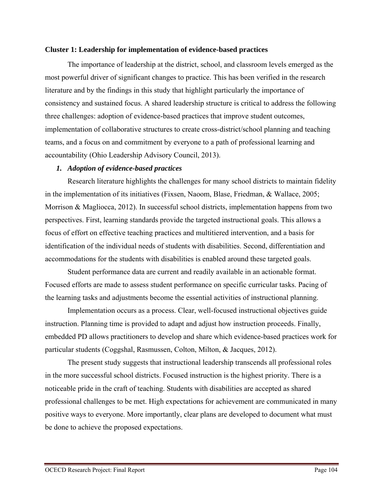### **Cluster 1: Leadership for implementation of evidence-based practices**

The importance of leadership at the district, school, and classroom levels emerged as the most powerful driver of significant changes to practice. This has been verified in the research literature and by the findings in this study that highlight particularly the importance of consistency and sustained focus. A shared leadership structure is critical to address the following three challenges: adoption of evidence-based practices that improve student outcomes, implementation of collaborative structures to create cross-district/school planning and teaching teams, and a focus on and commitment by everyone to a path of professional learning and accountability (Ohio Leadership Advisory Council, 2013).

### *1. Adoption of evidence-based practices*

Research literature highlights the challenges for many school districts to maintain fidelity in the implementation of its initiatives (Fixsen, Naoom, Blase, Friedman, & Wallace, 2005; Morrison & Magliocca, 2012). In successful school districts, implementation happens from two perspectives. First, learning standards provide the targeted instructional goals. This allows a focus of effort on effective teaching practices and multitiered intervention, and a basis for identification of the individual needs of students with disabilities. Second, differentiation and accommodations for the students with disabilities is enabled around these targeted goals.

Student performance data are current and readily available in an actionable format. Focused efforts are made to assess student performance on specific curricular tasks. Pacing of the learning tasks and adjustments become the essential activities of instructional planning.

Implementation occurs as a process. Clear, well-focused instructional objectives guide instruction. Planning time is provided to adapt and adjust how instruction proceeds. Finally, embedded PD allows practitioners to develop and share which evidence-based practices work for particular students (Coggshal, Rasmussen, Colton, Milton, & Jacques, 2012).

 The present study suggests that instructional leadership transcends all professional roles in the more successful school districts. Focused instruction is the highest priority. There is a noticeable pride in the craft of teaching. Students with disabilities are accepted as shared professional challenges to be met. High expectations for achievement are communicated in many positive ways to everyone. More importantly, clear plans are developed to document what must be done to achieve the proposed expectations.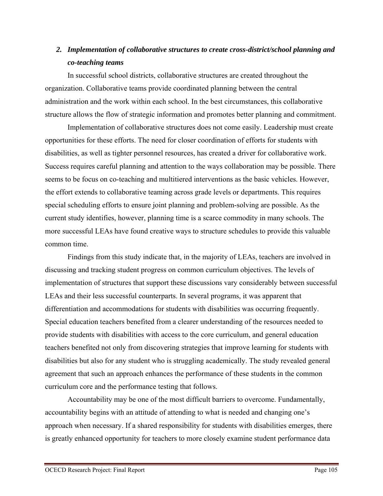# *2. Implementation of collaborative structures to create cross-district/school planning and co-teaching teams*

In successful school districts, collaborative structures are created throughout the organization. Collaborative teams provide coordinated planning between the central administration and the work within each school. In the best circumstances, this collaborative structure allows the flow of strategic information and promotes better planning and commitment.

Implementation of collaborative structures does not come easily. Leadership must create opportunities for these efforts. The need for closer coordination of efforts for students with disabilities, as well as tighter personnel resources, has created a driver for collaborative work. Success requires careful planning and attention to the ways collaboration may be possible. There seems to be focus on co-teaching and multitiered interventions as the basic vehicles. However, the effort extends to collaborative teaming across grade levels or departments. This requires special scheduling efforts to ensure joint planning and problem-solving are possible. As the current study identifies, however, planning time is a scarce commodity in many schools. The more successful LEAs have found creative ways to structure schedules to provide this valuable common time.

Findings from this study indicate that, in the majority of LEAs, teachers are involved in discussing and tracking student progress on common curriculum objectives. The levels of implementation of structures that support these discussions vary considerably between successful LEAs and their less successful counterparts. In several programs, it was apparent that differentiation and accommodations for students with disabilities was occurring frequently. Special education teachers benefited from a clearer understanding of the resources needed to provide students with disabilities with access to the core curriculum, and general education teachers benefited not only from discovering strategies that improve learning for students with disabilities but also for any student who is struggling academically. The study revealed general agreement that such an approach enhances the performance of these students in the common curriculum core and the performance testing that follows.

Accountability may be one of the most difficult barriers to overcome. Fundamentally, accountability begins with an attitude of attending to what is needed and changing one's approach when necessary. If a shared responsibility for students with disabilities emerges, there is greatly enhanced opportunity for teachers to more closely examine student performance data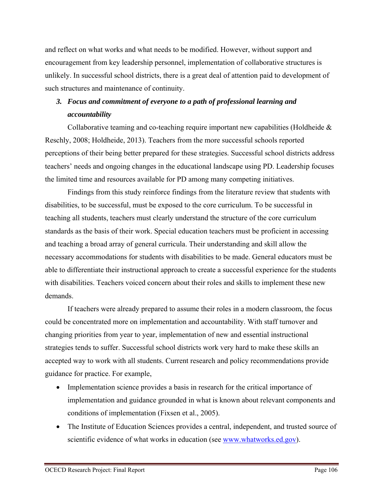and reflect on what works and what needs to be modified. However, without support and encouragement from key leadership personnel, implementation of collaborative structures is unlikely. In successful school districts, there is a great deal of attention paid to development of such structures and maintenance of continuity.

# *3. Focus and commitment of everyone to a path of professional learning and accountability*

Collaborative teaming and co-teaching require important new capabilities (Holdheide & Reschly, 2008; Holdheide, 2013). Teachers from the more successful schools reported perceptions of their being better prepared for these strategies. Successful school districts address teachers' needs and ongoing changes in the educational landscape using PD. Leadership focuses the limited time and resources available for PD among many competing initiatives.

Findings from this study reinforce findings from the literature review that students with disabilities, to be successful, must be exposed to the core curriculum. To be successful in teaching all students, teachers must clearly understand the structure of the core curriculum standards as the basis of their work. Special education teachers must be proficient in accessing and teaching a broad array of general curricula. Their understanding and skill allow the necessary accommodations for students with disabilities to be made. General educators must be able to differentiate their instructional approach to create a successful experience for the students with disabilities. Teachers voiced concern about their roles and skills to implement these new demands.

If teachers were already prepared to assume their roles in a modern classroom, the focus could be concentrated more on implementation and accountability. With staff turnover and changing priorities from year to year, implementation of new and essential instructional strategies tends to suffer. Successful school districts work very hard to make these skills an accepted way to work with all students. Current research and policy recommendations provide guidance for practice. For example,

- Implementation science provides a basis in research for the critical importance of implementation and guidance grounded in what is known about relevant components and conditions of implementation (Fixsen et al., 2005).
- The Institute of Education Sciences provides a central, independent, and trusted source of scientific evidence of what works in education (see www.whatworks.ed.gov).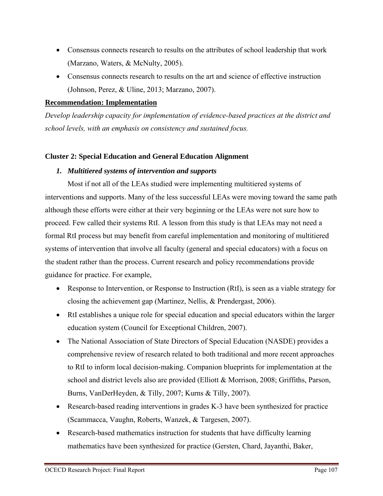- Consensus connects research to results on the attributes of school leadership that work (Marzano, Waters, & McNulty, 2005).
- Consensus connects research to results on the art and science of effective instruction (Johnson, Perez, & Uline, 2013; Marzano, 2007).

# **Recommendation: Implementation**

*Develop leadership capacity for implementation of evidence-based practices at the district and school levels, with an emphasis on consistency and sustained focus.* 

# **Cluster 2: Special Education and General Education Alignment**

### *1. Multitiered systems of intervention and supports*

Most if not all of the LEAs studied were implementing multitiered systems of interventions and supports. Many of the less successful LEAs were moving toward the same path although these efforts were either at their very beginning or the LEAs were not sure how to proceed. Few called their systems RtI. A lesson from this study is that LEAs may not need a formal RtI process but may benefit from careful implementation and monitoring of multitiered systems of intervention that involve all faculty (general and special educators) with a focus on the student rather than the process. Current research and policy recommendations provide guidance for practice. For example,

- Response to Intervention, or Response to Instruction (RtI), is seen as a viable strategy for closing the achievement gap (Martinez, Nellis, & Prendergast, 2006).
- RtI establishes a unique role for special education and special educators within the larger education system (Council for Exceptional Children, 2007).
- The National Association of State Directors of Special Education (NASDE) provides a comprehensive review of research related to both traditional and more recent approaches to RtI to inform local decision-making. Companion blueprints for implementation at the school and district levels also are provided (Elliott & Morrison, 2008; Griffiths, Parson, Burns, VanDerHeyden, & Tilly, 2007; Kurns & Tilly, 2007).
- Research-based reading interventions in grades K-3 have been synthesized for practice (Scammacca, Vaughn, Roberts, Wanzek, & Targesen, 2007).
- Research-based mathematics instruction for students that have difficulty learning mathematics have been synthesized for practice (Gersten, Chard, Jayanthi, Baker,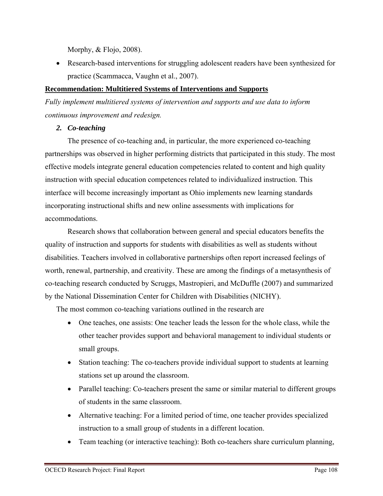Morphy, & Flojo, 2008).

 Research-based interventions for struggling adolescent readers have been synthesized for practice (Scammacca, Vaughn et al., 2007).

# **Recommendation: Multitiered Systems of Interventions and Supports**

*Fully implement multitiered systems of intervention and supports and use data to inform continuous improvement and redesign.* 

*2. Co-teaching* 

The presence of co-teaching and, in particular, the more experienced co-teaching partnerships was observed in higher performing districts that participated in this study. The most effective models integrate general education competencies related to content and high quality instruction with special education competences related to individualized instruction. This interface will become increasingly important as Ohio implements new learning standards incorporating instructional shifts and new online assessments with implications for accommodations.

Research shows that collaboration between general and special educators benefits the quality of instruction and supports for students with disabilities as well as students without disabilities. Teachers involved in collaborative partnerships often report increased feelings of worth, renewal, partnership, and creativity. These are among the findings of a metasynthesis of co-teaching research conducted by Scruggs, Mastropieri, and McDuffle (2007) and summarized by the National Dissemination Center for Children with Disabilities (NICHY).

The most common co-teaching variations outlined in the research are

- One teaches, one assists: One teacher leads the lesson for the whole class, while the other teacher provides support and behavioral management to individual students or small groups.
- Station teaching: The co-teachers provide individual support to students at learning stations set up around the classroom.
- Parallel teaching: Co-teachers present the same or similar material to different groups of students in the same classroom.
- Alternative teaching: For a limited period of time, one teacher provides specialized instruction to a small group of students in a different location.
- Team teaching (or interactive teaching): Both co-teachers share curriculum planning,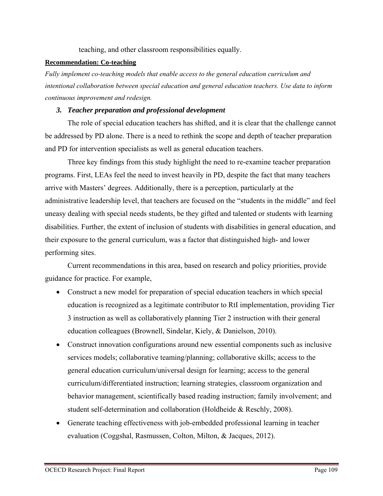teaching, and other classroom responsibilities equally.

### **Recommendation: Co-teaching**

*Fully implement co-teaching models that enable access to the general education curriculum and intentional collaboration between special education and general education teachers. Use data to inform continuous improvement and redesign.* 

# *3. Teacher preparation and professional development*

The role of special education teachers has shifted, and it is clear that the challenge cannot be addressed by PD alone. There is a need to rethink the scope and depth of teacher preparation and PD for intervention specialists as well as general education teachers.

Three key findings from this study highlight the need to re-examine teacher preparation programs. First, LEAs feel the need to invest heavily in PD, despite the fact that many teachers arrive with Masters' degrees. Additionally, there is a perception, particularly at the administrative leadership level, that teachers are focused on the "students in the middle" and feel uneasy dealing with special needs students, be they gifted and talented or students with learning disabilities. Further, the extent of inclusion of students with disabilities in general education, and their exposure to the general curriculum, was a factor that distinguished high- and lower performing sites.

Current recommendations in this area, based on research and policy priorities, provide guidance for practice. For example,

- Construct a new model for preparation of special education teachers in which special education is recognized as a legitimate contributor to RtI implementation, providing Tier 3 instruction as well as collaboratively planning Tier 2 instruction with their general education colleagues (Brownell, Sindelar, Kiely, & Danielson, 2010).
- Construct innovation configurations around new essential components such as inclusive services models; collaborative teaming/planning; collaborative skills; access to the general education curriculum/universal design for learning; access to the general curriculum/differentiated instruction; learning strategies, classroom organization and behavior management, scientifically based reading instruction; family involvement; and student self-determination and collaboration (Holdheide & Reschly, 2008).
- Generate teaching effectiveness with job-embedded professional learning in teacher evaluation (Coggshal, Rasmussen, Colton, Milton, & Jacques, 2012).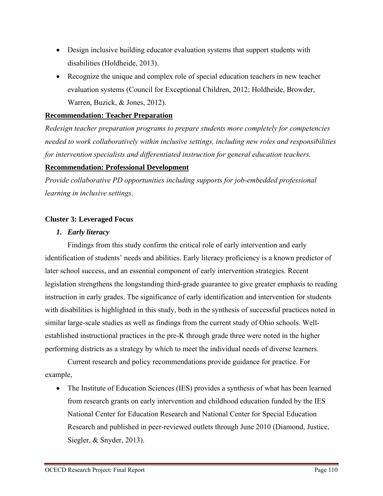- Design inclusive building educator evaluation systems that support students with disabilities (Holdheide, 2013).
- Recognize the unique and complex role of special education teachers in new teacher evaluation systems (Council for Exceptional Children, 2012; Holdheide, Browder, Warren, Buzick, & Jones, 2012).

# **Recommendation: Teacher Preparation**

*Redesign teacher preparation programs to prepare students more completely for competencies needed to work collaboratively within inclusive settings, including new roles and responsibilities for intervention specialists and differentiated instruction for general education teachers.* 

# **Recommendation: Professional Development**

*Provide collaborative PD opportunities including supports for job-embedded professional learning in inclusive settings.* 

# **Cluster 3: Leveraged Focus**

# *1. Early literacy*

Findings from this study confirm the critical role of early intervention and early identification of students' needs and abilities. Early literacy proficiency is a known predictor of later school success, and an essential component of early intervention strategies. Recent legislation strengthens the longstanding third-grade guarantee to give greater emphasis to reading instruction in early grades. The significance of early identification and intervention for students with disabilities is highlighted in this study, both in the synthesis of successful practices noted in similar large-scale studies as well as findings from the current study of Ohio schools. Wellestablished instructional practices in the pre-K through grade three were noted in the higher performing districts as a strategy by which to meet the individual needs of diverse learners.

Current research and policy recommendations provide guidance for practice. For example,

• The Institute of Education Sciences (IES) provides a synthesis of what has been learned from research grants on early intervention and childhood education funded by the IES National Center for Education Research and National Center for Special Education Research and published in peer-reviewed outlets through June 2010 (Diamond, Justice, Siegler, & Snyder, 2013).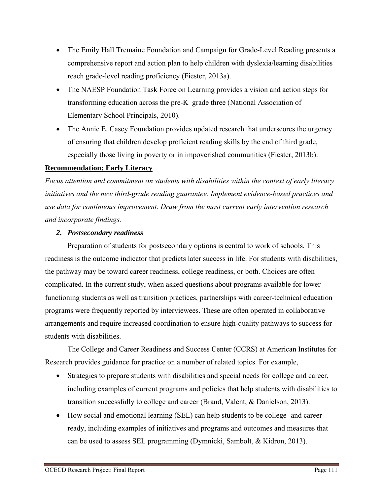- The Emily Hall Tremaine Foundation and Campaign for Grade-Level Reading presents a comprehensive report and action plan to help children with dyslexia/learning disabilities reach grade-level reading proficiency (Fiester, 2013a).
- The NAESP Foundation Task Force on Learning provides a vision and action steps for transforming education across the pre-K–grade three (National Association of Elementary School Principals, 2010).
- The Annie E. Casey Foundation provides updated research that underscores the urgency of ensuring that children develop proficient reading skills by the end of third grade, especially those living in poverty or in impoverished communities (Fiester, 2013b).

# **Recommendation: Early Literacy**

*Focus attention and commitment on students with disabilities within the context of early literacy initiatives and the new third-grade reading guarantee. Implement evidence-based practices and use data for continuous improvement. Draw from the most current early intervention research and incorporate findings.* 

# *2. Postsecondary readiness*

Preparation of students for postsecondary options is central to work of schools. This readiness is the outcome indicator that predicts later success in life. For students with disabilities, the pathway may be toward career readiness, college readiness, or both. Choices are often complicated. In the current study, when asked questions about programs available for lower functioning students as well as transition practices, partnerships with career-technical education programs were frequently reported by interviewees. These are often operated in collaborative arrangements and require increased coordination to ensure high-quality pathways to success for students with disabilities.

The College and Career Readiness and Success Center (CCRS) at American Institutes for Research provides guidance for practice on a number of related topics. For example,

- Strategies to prepare students with disabilities and special needs for college and career, including examples of current programs and policies that help students with disabilities to transition successfully to college and career (Brand, Valent, & Danielson, 2013).
- How social and emotional learning (SEL) can help students to be college- and careerready, including examples of initiatives and programs and outcomes and measures that can be used to assess SEL programming (Dymnicki, Sambolt, & Kidron, 2013).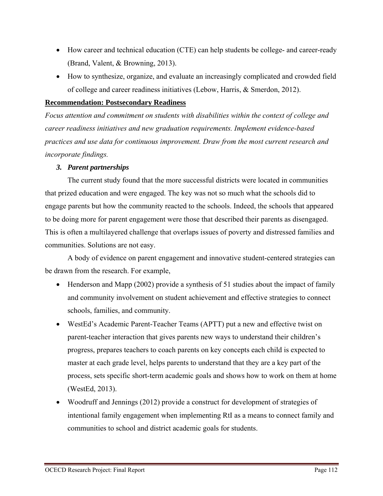- How career and technical education (CTE) can help students be college- and career-ready (Brand, Valent, & Browning, 2013).
- How to synthesize, organize, and evaluate an increasingly complicated and crowded field of college and career readiness initiatives (Lebow, Harris, & Smerdon, 2012).

## **Recommendation: Postsecondary Readiness**

*Focus attention and commitment on students with disabilities within the context of college and career readiness initiatives and new graduation requirements. Implement evidence-based practices and use data for continuous improvement. Draw from the most current research and incorporate findings.* 

# *3. Parent partnerships*

The current study found that the more successful districts were located in communities that prized education and were engaged. The key was not so much what the schools did to engage parents but how the community reacted to the schools. Indeed, the schools that appeared to be doing more for parent engagement were those that described their parents as disengaged. This is often a multilayered challenge that overlaps issues of poverty and distressed families and communities. Solutions are not easy.

A body of evidence on parent engagement and innovative student-centered strategies can be drawn from the research. For example,

- Henderson and Mapp (2002) provide a synthesis of 51 studies about the impact of family and community involvement on student achievement and effective strategies to connect schools, families, and community.
- WestEd's Academic Parent-Teacher Teams (APTT) put a new and effective twist on parent-teacher interaction that gives parents new ways to understand their children's progress, prepares teachers to coach parents on key concepts each child is expected to master at each grade level, helps parents to understand that they are a key part of the process, sets specific short-term academic goals and shows how to work on them at home (WestEd, 2013).
- Woodruff and Jennings (2012) provide a construct for development of strategies of intentional family engagement when implementing RtI as a means to connect family and communities to school and district academic goals for students.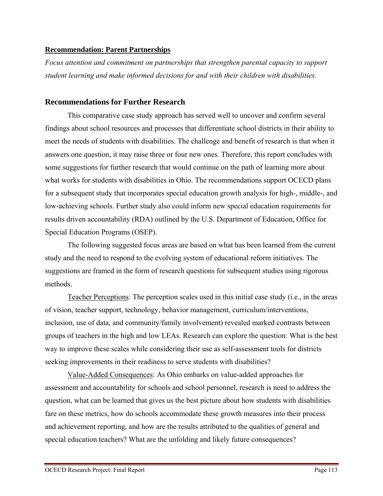# **Recommendation: Parent Partnerships**

*Focus attention and commitment on partnerships that strengthen parental capacity to support student learning and make informed decisions for and with their children with disabilities.* 

# **Recommendations for Further Research**

This comparative case study approach has served well to uncover and confirm several findings about school resources and processes that differentiate school districts in their ability to meet the needs of students with disabilities. The challenge and benefit of research is that when it answers one question, it may raise three or four new ones. Therefore, this report concludes with some suggestions for further research that would continue on the path of learning more about what works for students with disabilities in Ohio. The recommendations support OCECD plans for a subsequent study that incorporates special education growth analysis for high-, middle-, and low-achieving schools. Further study also could inform new special education requirements for results driven accountability (RDA) outlined by the U.S. Department of Education, Office for Special Education Programs (OSEP).

The following suggested focus areas are based on what has been learned from the current study and the need to respond to the evolving system of educational reform initiatives. The suggestions are framed in the form of research questions for subsequent studies using rigorous methods.

Teacher Perceptions: The perception scales used in this initial case study (i.e., in the areas of vision, teacher support, technology, behavior management, curriculum/interventions, inclusion, use of data, and community/family involvement) revealed marked contrasts between groups of teachers in the high and low LEAs. Research can explore the question: What is the best way to improve these scales while considering their use as self-assessment tools for districts seeking improvements in their readiness to serve students with disabilities?

Value-Added Consequences: As Ohio embarks on value-added approaches for assessment and accountability for schools and school personnel, research is need to address the question, what can be learned that gives us the best picture about how students with disabilities fare on these metrics, how do schools accommodate these growth measures into their process and achievement reporting, and how are the results attributed to the qualities of general and special education teachers? What are the unfolding and likely future consequences?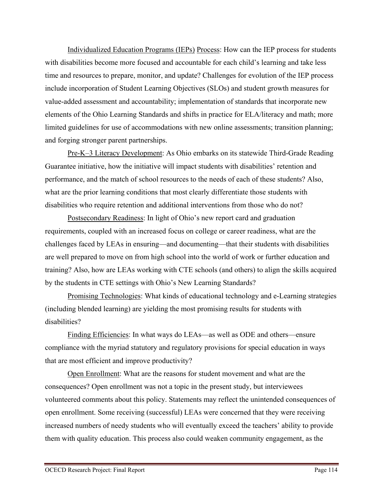Individualized Education Programs (IEPs) Process: How can the IEP process for students with disabilities become more focused and accountable for each child's learning and take less time and resources to prepare, monitor, and update? Challenges for evolution of the IEP process include incorporation of Student Learning Objectives (SLOs) and student growth measures for value-added assessment and accountability; implementation of standards that incorporate new elements of the Ohio Learning Standards and shifts in practice for ELA/literacy and math; more limited guidelines for use of accommodations with new online assessments; transition planning; and forging stronger parent partnerships.

Pre-K–3 Literacy Development: As Ohio embarks on its statewide Third-Grade Reading Guarantee initiative, how the initiative will impact students with disabilities' retention and performance, and the match of school resources to the needs of each of these students? Also, what are the prior learning conditions that most clearly differentiate those students with disabilities who require retention and additional interventions from those who do not?

Postsecondary Readiness: In light of Ohio's new report card and graduation requirements, coupled with an increased focus on college or career readiness, what are the challenges faced by LEAs in ensuring—and documenting—that their students with disabilities are well prepared to move on from high school into the world of work or further education and training? Also, how are LEAs working with CTE schools (and others) to align the skills acquired by the students in CTE settings with Ohio's New Learning Standards?

Promising Technologies: What kinds of educational technology and e-Learning strategies (including blended learning) are yielding the most promising results for students with disabilities?

Finding Efficiencies: In what ways do LEAs—as well as ODE and others—ensure compliance with the myriad statutory and regulatory provisions for special education in ways that are most efficient and improve productivity?

Open Enrollment: What are the reasons for student movement and what are the consequences? Open enrollment was not a topic in the present study, but interviewees volunteered comments about this policy. Statements may reflect the unintended consequences of open enrollment. Some receiving (successful) LEAs were concerned that they were receiving increased numbers of needy students who will eventually exceed the teachers' ability to provide them with quality education. This process also could weaken community engagement, as the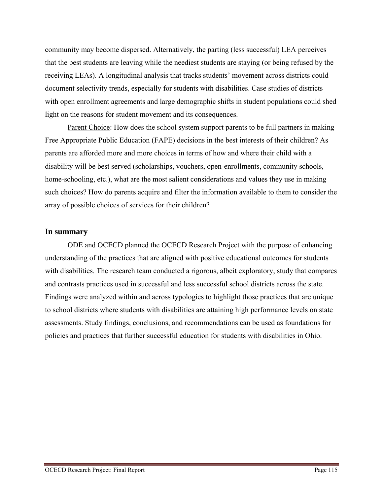community may become dispersed. Alternatively, the parting (less successful) LEA perceives that the best students are leaving while the neediest students are staying (or being refused by the receiving LEAs). A longitudinal analysis that tracks students' movement across districts could document selectivity trends, especially for students with disabilities. Case studies of districts with open enrollment agreements and large demographic shifts in student populations could shed light on the reasons for student movement and its consequences.

Parent Choice: How does the school system support parents to be full partners in making Free Appropriate Public Education (FAPE) decisions in the best interests of their children? As parents are afforded more and more choices in terms of how and where their child with a disability will be best served (scholarships, vouchers, open-enrollments, community schools, home-schooling, etc.), what are the most salient considerations and values they use in making such choices? How do parents acquire and filter the information available to them to consider the array of possible choices of services for their children?

# **In summary**

ODE and OCECD planned the OCECD Research Project with the purpose of enhancing understanding of the practices that are aligned with positive educational outcomes for students with disabilities. The research team conducted a rigorous, albeit exploratory, study that compares and contrasts practices used in successful and less successful school districts across the state. Findings were analyzed within and across typologies to highlight those practices that are unique to school districts where students with disabilities are attaining high performance levels on state assessments. Study findings, conclusions, and recommendations can be used as foundations for policies and practices that further successful education for students with disabilities in Ohio.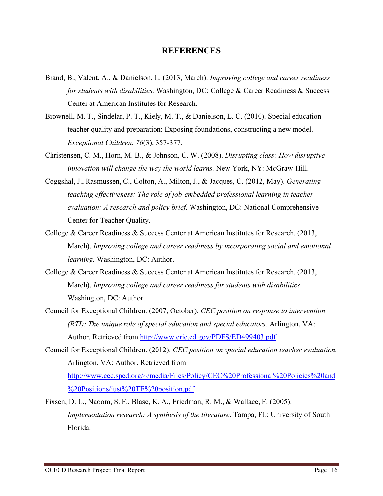# **REFERENCES**

- Brand, B., Valent, A., & Danielson, L. (2013, March). *Improving college and career readiness for students with disabilities.* Washington, DC: College & Career Readiness & Success Center at American Institutes for Research.
- Brownell, M. T., Sindelar, P. T., Kiely, M. T., & Danielson, L. C. (2010). Special education teacher quality and preparation: Exposing foundations, constructing a new model. *Exceptional Children, 76*(3), 357-377.
- Christensen, C. M., Horn, M. B., & Johnson, C. W. (2008). *Disrupting class: How disruptive innovation will change the way the world learns.* New York, NY: McGraw-Hill.
- Coggshal, J., Rasmussen, C., Colton, A., Milton, J., & Jacques, C. (2012, May). *Generating teaching effectiveness: The role of job-embedded professional learning in teacher evaluation: A research and policy brief.* Washington, DC: National Comprehensive Center for Teacher Quality.
- College & Career Readiness & Success Center at American Institutes for Research. (2013, March). *Improving college and career readiness by incorporating social and emotional learning.* Washington, DC: Author.
- College & Career Readiness & Success Center at American Institutes for Research. (2013, March). *Improving college and career readiness for students with disabilities*. Washington, DC: Author.
- Council for Exceptional Children. (2007, October). *CEC position on response to intervention (RTI): The unique role of special education and special educators.* Arlington, VA: Author. Retrieved from http://www.eric.ed.gov/PDFS/ED499403.pdf
- Council for Exceptional Children. (2012). *CEC position on special education teacher evaluation.*  Arlington, VA: Author. Retrieved from http://www.cec.sped.org/~/media/Files/Policy/CEC%20Professional%20Policies%20and %20Positions/just%20TE%20position.pdf
- Fixsen, D. L., Naoom, S. F., Blase, K. A., Friedman, R. M., & Wallace, F. (2005). *Implementation research: A synthesis of the literature*. Tampa, FL: University of South Florida.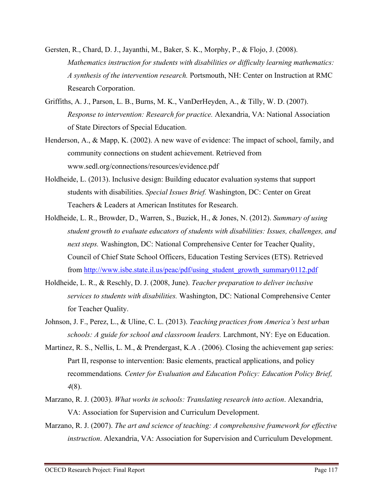- Gersten, R., Chard, D. J., Jayanthi, M., Baker, S. K., Morphy, P., & Flojo, J. (2008). *Mathematics instruction for students with disabilities or difficulty learning mathematics: A synthesis of the intervention research.* Portsmouth, NH: Center on Instruction at RMC Research Corporation.
- Griffiths, A. J., Parson, L. B., Burns, M. K., VanDerHeyden, A., & Tilly, W. D. (2007). *Response to intervention: Research for practice.* Alexandria, VA: National Association of State Directors of Special Education.
- Henderson, A., & Mapp, K. (2002). A new wave of evidence: The impact of school, family, and community connections on student achievement. Retrieved from www.sedl.org/connections/resources/evidence.pdf
- Holdheide, L. (2013). Inclusive design: Building educator evaluation systems that support students with disabilities. *Special Issues Brief.* Washington, DC: Center on Great Teachers & Leaders at American Institutes for Research.
- Holdheide, L. R., Browder, D., Warren, S., Buzick, H., & Jones, N. (2012). *Summary of using student growth to evaluate educators of students with disabilities: Issues, challenges, and next steps.* Washington, DC: National Comprehensive Center for Teacher Quality, Council of Chief State School Officers, Education Testing Services (ETS). Retrieved from http://www.isbe.state.il.us/peac/pdf/using\_student\_growth\_summary0112.pdf
- Holdheide, L. R., & Reschly, D. J. (2008, June). *Teacher preparation to deliver inclusive services to students with disabilities.* Washington, DC: National Comprehensive Center for Teacher Quality.
- Johnson, J. F., Perez, L., & Uline, C. L. (2013). *Teaching practices from America's best urban schools: A guide for school and classroom leaders.* Larchmont, NY: Eye on Education.
- Martinez, R. S., Nellis, L. M., & Prendergast, K.A. (2006). Closing the achievement gap series: Part II, response to intervention: Basic elements, practical applications, and policy recommendations*. Center for Evaluation and Education Policy: Education Policy Brief, 4*(8).
- Marzano, R. J. (2003). *What works in schools: Translating research into action*. Alexandria, VA: Association for Supervision and Curriculum Development.
- Marzano, R. J. (2007). *The art and science of teaching: A comprehensive framework for effective instruction*. Alexandria, VA: Association for Supervision and Curriculum Development.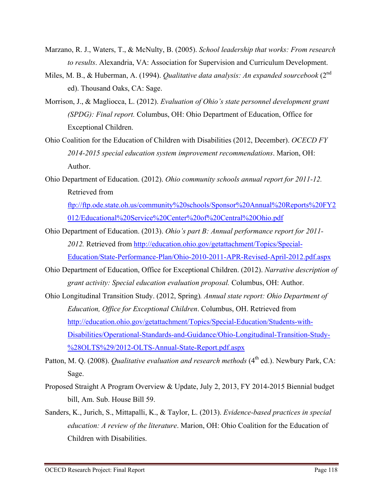- Marzano, R. J., Waters, T., & McNulty, B. (2005). *School leadership that works: From research to results*. Alexandria, VA: Association for Supervision and Curriculum Development.
- Miles, M. B., & Huberman, A. (1994). *Qualitative data analysis: An expanded sourcebook* (2<sup>nd</sup> ed). Thousand Oaks, CA: Sage.
- Morrison, J., & Magliocca, L. (2012). *Evaluation of Ohio's state personnel development grant (SPDG): Final report.* Columbus, OH: Ohio Department of Education, Office for Exceptional Children.
- Ohio Coalition for the Education of Children with Disabilities (2012, December). *OCECD FY 2014-2015 special education system improvement recommendations*. Marion, OH: Author.
- Ohio Department of Education. (2012). *Ohio community schools annual report for 2011-12.*  Retrieved from

ftp://ftp.ode.state.oh.us/community%20schools/Sponsor%20Annual%20Reports%20FY2 012/Educational%20Service%20Center%20of%20Central%20Ohio.pdf

- Ohio Department of Education. (2013). *Ohio's part B: Annual performance report for 2011- 2012.* Retrieved from http://education.ohio.gov/getattachment/Topics/Special-Education/State-Performance-Plan/Ohio-2010-2011-APR-Revised-April-2012.pdf.aspx
- Ohio Department of Education, Office for Exceptional Children. (2012). *Narrative description of grant activity: Special education evaluation proposal.* Columbus, OH: Author.
- Ohio Longitudinal Transition Study. (2012, Spring)*. Annual state report: Ohio Department of Education, Office for Exceptional Children*. Columbus, OH. Retrieved from http://education.ohio.gov/getattachment/Topics/Special-Education/Students-with-Disabilities/Operational-Standards-and-Guidance/Ohio-Longitudinal-Transition-Study- %28OLTS%29/2012-OLTS-Annual-State-Report.pdf.aspx
- Patton, M. Q. (2008). *Qualitative evaluation and research methods* (4<sup>th</sup> ed.). Newbury Park, CA: Sage.
- Proposed Straight A Program Overview & Update, July 2, 2013, FY 2014-2015 Biennial budget bill, Am. Sub. House Bill 59.
- Sanders, K., Jurich, S., Mittapalli, K., & Taylor, L. (2013). *Evidence-based practices in special education: A review of the literature*. Marion, OH: Ohio Coalition for the Education of Children with Disabilities.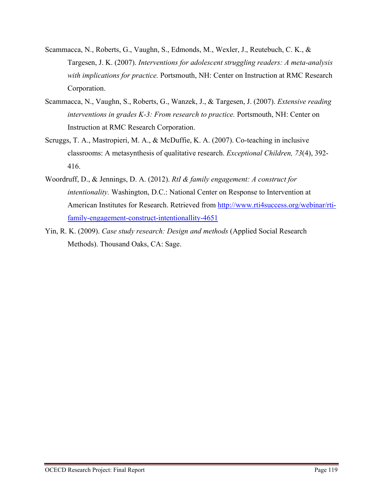- Scammacca, N., Roberts, G., Vaughn, S., Edmonds, M., Wexler, J., Reutebuch, C. K., & Targesen, J. K. (2007). *Interventions for adolescent struggling readers: A meta-analysis with implications for practice.* Portsmouth, NH: Center on Instruction at RMC Research Corporation.
- Scammacca, N., Vaughn, S., Roberts, G., Wanzek, J., & Targesen, J. (2007). *Extensive reading interventions in grades K-3: From research to practice.* Portsmouth, NH: Center on Instruction at RMC Research Corporation.
- Scruggs, T. A., Mastropieri, M. A., & McDuffie, K. A. (2007). Co-teaching in inclusive classrooms: A metasynthesis of qualitative research. *Exceptional Children, 73*(4), 392- 416.
- Woordruff, D., & Jennings, D. A. (2012). *RtI & family engagement: A construct for intentionality.* Washington, D.C.: National Center on Response to Intervention at American Institutes for Research. Retrieved from http://www.rti4success.org/webinar/rtifamily-engagement-construct-intentionallity-4651
- Yin, R. K. (2009). *Case study research: Design and methods* (Applied Social Research Methods). Thousand Oaks, CA: Sage.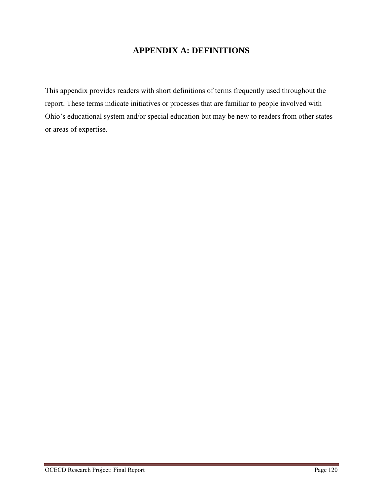# **APPENDIX A: DEFINITIONS**

This appendix provides readers with short definitions of terms frequently used throughout the report. These terms indicate initiatives or processes that are familiar to people involved with Ohio's educational system and/or special education but may be new to readers from other states or areas of expertise.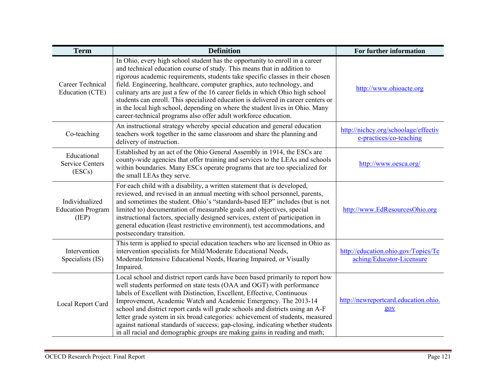| <b>Term</b>                                         | <b>Definition</b>                                                                                                                                                                                                                                                                                                                                                                                                                                                                                                                                                                                                                              | For further information                                          |
|-----------------------------------------------------|------------------------------------------------------------------------------------------------------------------------------------------------------------------------------------------------------------------------------------------------------------------------------------------------------------------------------------------------------------------------------------------------------------------------------------------------------------------------------------------------------------------------------------------------------------------------------------------------------------------------------------------------|------------------------------------------------------------------|
| <b>Career Technical</b><br>Education (CTE)          | In Ohio, every high school student has the opportunity to enroll in a career<br>and technical education course of study. This means that in addition to<br>rigorous academic requirements, students take specific classes in their chosen<br>field. Engineering, healthcare, computer graphics, auto technology, and<br>culinary arts are just a few of the 16 career fields in which Ohio high school<br>students can enroll. This specialized education is delivered in career centers or<br>in the local high school, depending on where the student lives in Ohio. Many<br>career-technical programs also offer adult workforce education. | http://www.ohioacte.org                                          |
| Co-teaching                                         | An instructional strategy whereby special education and general education<br>teachers work together in the same classroom and share the planning and<br>delivery of instruction.                                                                                                                                                                                                                                                                                                                                                                                                                                                               | http://nichcy.org/schoolage/effectiv<br>e-practices/co-teaching  |
| Educational<br><b>Service Centers</b><br>(ESCs)     | Established by an act of the Ohio General Assembly in 1914, the ESCs are<br>county-wide agencies that offer training and services to the LEAs and schools<br>within boundaries. Many ESCs operate programs that are too specialized for<br>the small LEAs they serve.                                                                                                                                                                                                                                                                                                                                                                          | http://www.oesca.org/                                            |
| Individualized<br><b>Education Program</b><br>(IEP) | For each child with a disability, a written statement that is developed,<br>reviewed, and revised in an annual meeting with school personnel, parents,<br>and sometimes the student. Ohio's "standards-based IEP" includes (but is not<br>limited to) documentation of measurable goals and objectives, special<br>instructional factors, specially designed services, extent of participation in<br>general education (least restrictive environment), test accommodations, and<br>postsecondary transition.                                                                                                                                  | http://www.EdResourcesOhio.org                                   |
| Intervention<br>Specialists (IS)                    | This term is applied to special education teachers who are licensed in Ohio as<br>intervention specialists for Mild/Moderate Educational Needs,<br>Moderate/Intensive Educational Needs, Hearing Impaired, or Visually<br>Impaired.                                                                                                                                                                                                                                                                                                                                                                                                            | http://education.ohio.gov/Topics/Te<br>aching/Educator-Licensure |
| Local Report Card                                   | Local school and district report cards have been based primarily to report how<br>well students performed on state tests (OAA and OGT) with performance<br>labels of Excellent with Distinction, Excellent, Effective, Continuous<br>Improvement, Academic Watch and Academic Emergency. The 2013-14<br>school and district report cards will grade schools and districts using an A-F<br>letter grade system in six broad categories: achievement of students, measured<br>against national standards of success; gap-closing, indicating whether students<br>in all racial and demographic groups are making gains in reading and math;      | http://newreportcard.education.ohio.<br>$g$ ov                   |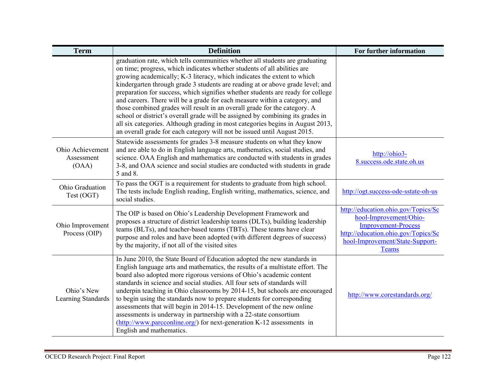| <b>Term</b>                             | <b>Definition</b>                                                                                                                                                                                                                                                                                                                                                                                                                                                                                                                                                                                                                                                                                                                                                                                                   | For further information                                                                                                                                                        |
|-----------------------------------------|---------------------------------------------------------------------------------------------------------------------------------------------------------------------------------------------------------------------------------------------------------------------------------------------------------------------------------------------------------------------------------------------------------------------------------------------------------------------------------------------------------------------------------------------------------------------------------------------------------------------------------------------------------------------------------------------------------------------------------------------------------------------------------------------------------------------|--------------------------------------------------------------------------------------------------------------------------------------------------------------------------------|
|                                         | graduation rate, which tells communities whether all students are graduating<br>on time; progress, which indicates whether students of all abilities are<br>growing academically; K-3 literacy, which indicates the extent to which<br>kindergarten through grade 3 students are reading at or above grade level; and<br>preparation for success, which signifies whether students are ready for college<br>and careers. There will be a grade for each measure within a category, and<br>those combined grades will result in an overall grade for the category. A<br>school or district's overall grade will be assigned by combining its grades in<br>all six categories. Although grading in most categories begins in August 2013,<br>an overall grade for each category will not be issued until August 2015. |                                                                                                                                                                                |
| Ohio Achievement<br>Assessment<br>(OAA) | Statewide assessments for grades 3-8 measure students on what they know<br>and are able to do in English language arts, mathematics, social studies, and<br>science. OAA English and mathematics are conducted with students in grades<br>3-8, and OAA science and social studies are conducted with students in grade<br>5 and 8.                                                                                                                                                                                                                                                                                                                                                                                                                                                                                  | http://ohio3-<br>8.success.ode.state.oh.us                                                                                                                                     |
| Ohio Graduation<br>Test (OGT)           | To pass the OGT is a requirement for students to graduate from high school.<br>The tests include English reading, English writing, mathematics, science, and<br>social studies.                                                                                                                                                                                                                                                                                                                                                                                                                                                                                                                                                                                                                                     | http://ogt.success-ode-sstate-oh-us                                                                                                                                            |
| Ohio Improvement<br>Process (OIP)       | The OIP is based on Ohio's Leadership Development Framework and<br>proposes a structure of district leadership teams (DLTs), building leadership<br>teams (BLTs), and teacher-based teams (TBTs). These teams have clear<br>purpose and roles and have been adopted (with different degrees of success)<br>by the majority, if not all of the visited sites                                                                                                                                                                                                                                                                                                                                                                                                                                                         | http://education.ohio.gov/Topics/Sc<br>hool-Improvement/Ohio-<br><b>Improvement-Process</b><br>http://education.ohio.gov/Topics/Sc<br>hool-Improvement/State-Support-<br>Teams |
| Ohio's New<br>Learning Standards        | In June 2010, the State Board of Education adopted the new standards in<br>English language arts and mathematics, the results of a multistate effort. The<br>board also adopted more rigorous versions of Ohio's academic content<br>standards in science and social studies. All four sets of standards will<br>underpin teaching in Ohio classrooms by 2014-15, but schools are encouraged<br>to begin using the standards now to prepare students for corresponding<br>assessments that will begin in 2014-15. Development of the new online<br>assessments is underway in partnership with a 22-state consortium<br>(http://www.parcconline.org/) for next-generation K-12 assessments in<br>English and mathematics.                                                                                           | http://www.corestandards.org/                                                                                                                                                  |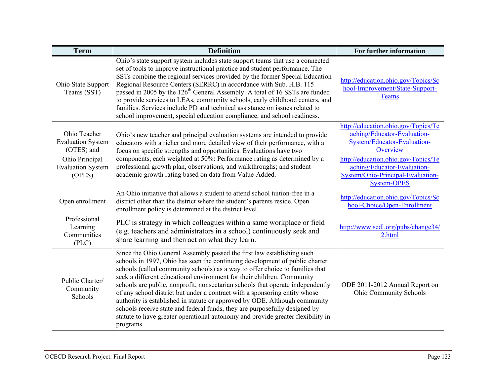| <b>Term</b>                                                                                                    | <b>Definition</b>                                                                                                                                                                                                                                                                                                                                                                                                                                                                                                                                                                                                                                                                                                                           | For further information                                                                                                                                                                                                                        |
|----------------------------------------------------------------------------------------------------------------|---------------------------------------------------------------------------------------------------------------------------------------------------------------------------------------------------------------------------------------------------------------------------------------------------------------------------------------------------------------------------------------------------------------------------------------------------------------------------------------------------------------------------------------------------------------------------------------------------------------------------------------------------------------------------------------------------------------------------------------------|------------------------------------------------------------------------------------------------------------------------------------------------------------------------------------------------------------------------------------------------|
| Ohio State Support<br>Teams (SST)                                                                              | Ohio's state support system includes state support teams that use a connected<br>set of tools to improve instructional practice and student performance. The<br>SSTs combine the regional services provided by the former Special Education<br>Regional Resource Centers (SERRC) in accordance with Sub. H.B. 115<br>passed in 2005 by the 126 <sup>th</sup> General Assembly. A total of 16 SSTs are funded<br>to provide services to LEAs, community schools, early childhood centers, and<br>families. Services include PD and technical assistance on issues related to<br>school improvement, special education compliance, and school readiness.                                                                                      | http://education.ohio.gov/Topics/Sc<br>hool-Improvement/State-Support-<br>Teams                                                                                                                                                                |
| Ohio Teacher<br><b>Evaluation System</b><br>(OTES) and<br>Ohio Principal<br><b>Evaluation System</b><br>(OPES) | Ohio's new teacher and principal evaluation systems are intended to provide<br>educators with a richer and more detailed view of their performance, with a<br>focus on specific strengths and opportunities. Evaluations have two<br>components, each weighted at 50%: Performance rating as determined by a<br>professional growth plan, observations, and walkthroughs; and student<br>academic growth rating based on data from Value-Added.                                                                                                                                                                                                                                                                                             | http://education.ohio.gov/Topics/Te<br>aching/Educator-Evaluation-<br>System/Educator-Evaluation-<br>Overview<br>http://education.ohio.gov/Topics/Te<br>aching/Educator-Evaluation-<br>System/Ohio-Principal-Evaluation-<br><b>System-OPES</b> |
| Open enrollment                                                                                                | An Ohio initiative that allows a student to attend school tuition-free in a<br>district other than the district where the student's parents reside. Open<br>enrollment policy is determined at the district level.                                                                                                                                                                                                                                                                                                                                                                                                                                                                                                                          | http://education.ohio.gov/Topics/Sc<br>hool-Choice/Open-Enrollment                                                                                                                                                                             |
| Professional<br>Learning<br>Communities<br>(PLC)                                                               | PLC is strategy in which colleagues within a same workplace or field<br>(e.g. teachers and administrators in a school) continuously seek and<br>share learning and then act on what they learn.                                                                                                                                                                                                                                                                                                                                                                                                                                                                                                                                             | http://www.sedl.org/pubs/change34/<br>2.html                                                                                                                                                                                                   |
| Public Charter/<br>Community<br>Schools                                                                        | Since the Ohio General Assembly passed the first law establishing such<br>schools in 1997, Ohio has seen the continuing development of public charter<br>schools (called community schools) as a way to offer choice to families that<br>seek a different educational environment for their children. Community<br>schools are public, nonprofit, nonsectarian schools that operate independently<br>of any school district but under a contract with a sponsoring entity whose<br>authority is established in statute or approved by ODE. Although community<br>schools receive state and federal funds, they are purposefully designed by<br>statute to have greater operational autonomy and provide greater flexibility in<br>programs. | ODE 2011-2012 Annual Report on<br>Ohio Community Schools                                                                                                                                                                                       |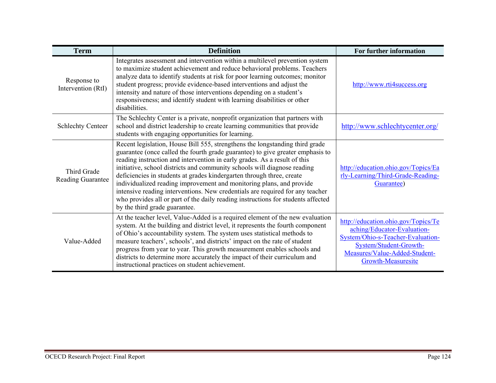| <b>Term</b>                             | <b>Definition</b>                                                                                                                                                                                                                                                                                                                                                                                                                                                                                                                                                                                                                                                              | For further information                                                                                                                                                                  |
|-----------------------------------------|--------------------------------------------------------------------------------------------------------------------------------------------------------------------------------------------------------------------------------------------------------------------------------------------------------------------------------------------------------------------------------------------------------------------------------------------------------------------------------------------------------------------------------------------------------------------------------------------------------------------------------------------------------------------------------|------------------------------------------------------------------------------------------------------------------------------------------------------------------------------------------|
| Response to<br>Intervention (RtI)       | Integrates assessment and intervention within a multilevel prevention system<br>to maximize student achievement and reduce behavioral problems. Teachers<br>analyze data to identify students at risk for poor learning outcomes; monitor<br>student progress; provide evidence-based interventions and adjust the<br>intensity and nature of those interventions depending on a student's<br>responsiveness; and identify student with learning disabilities or other<br>disabilities.                                                                                                                                                                                        | http://www.rti4success.org                                                                                                                                                               |
| <b>Schlechty Centeer</b>                | The Schlechty Center is a private, nonprofit organization that partners with<br>school and district leadership to create learning communities that provide<br>students with engaging opportunities for learning.                                                                                                                                                                                                                                                                                                                                                                                                                                                               | http://www.schlechtycenter.org/                                                                                                                                                          |
| Third Grade<br><b>Reading Guarantee</b> | Recent legislation, House Bill 555, strengthens the longstanding third grade<br>guarantee (once called the fourth grade guarantee) to give greater emphasis to<br>reading instruction and intervention in early grades. As a result of this<br>initiative, school districts and community schools will diagnose reading<br>deficiencies in students at grades kindergarten through three, create<br>individualized reading improvement and monitoring plans, and provide<br>intensive reading interventions. New credentials are required for any teacher<br>who provides all or part of the daily reading instructions for students affected<br>by the third grade guarantee. | http://education.ohio.gov/Topics/Ea<br>rly-Learning/Third-Grade-Reading-<br>Guarantee)                                                                                                   |
| Value-Added                             | At the teacher level, Value-Added is a required element of the new evaluation<br>system. At the building and district level, it represents the fourth component<br>of Ohio's accountability system. The system uses statistical methods to<br>measure teachers', schools', and districts' impact on the rate of student<br>progress from year to year. This growth measurement enables schools and<br>districts to determine more accurately the impact of their curriculum and<br>instructional practices on student achievement.                                                                                                                                             | http://education.ohio.gov/Topics/Te<br>aching/Educator-Evaluation-<br>System/Ohio-s-Teacher-Evaluation-<br>System/Student-Growth-<br>Measures/Value-Added-Student-<br>Growth-Measuresite |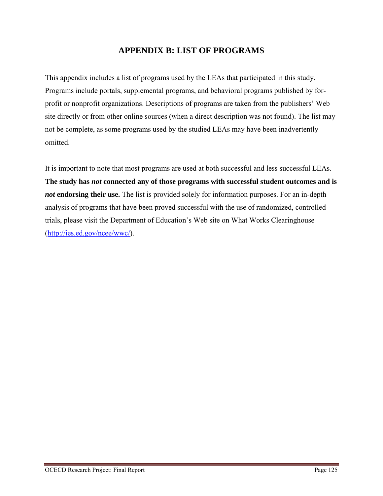# **APPENDIX B: LIST OF PROGRAMS**

This appendix includes a list of programs used by the LEAs that participated in this study. Programs include portals, supplemental programs, and behavioral programs published by forprofit or nonprofit organizations. Descriptions of programs are taken from the publishers' Web site directly or from other online sources (when a direct description was not found). The list may not be complete, as some programs used by the studied LEAs may have been inadvertently omitted.

It is important to note that most programs are used at both successful and less successful LEAs. **The study has** *not* **connected any of those programs with successful student outcomes and is**  *not* **endorsing their use.** The list is provided solely for information purposes. For an in-depth analysis of programs that have been proved successful with the use of randomized, controlled trials, please visit the Department of Education's Web site on What Works Clearinghouse (http://ies.ed.gov/ncee/wwc/).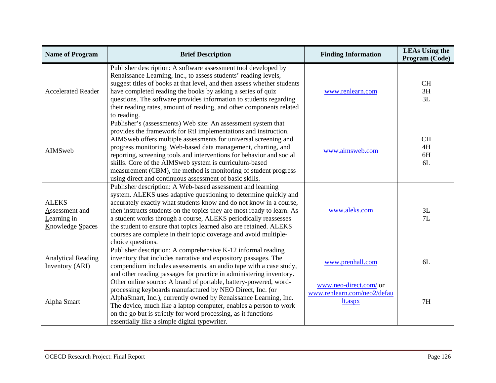| <b>Name of Program</b>                                                   | <b>Brief Description</b>                                                                                                                                                                                                                                                                                                                                                                                                                                                                                                             | <b>Finding Information</b>                                       | <b>LEAs Using the</b><br>Program (Code) |
|--------------------------------------------------------------------------|--------------------------------------------------------------------------------------------------------------------------------------------------------------------------------------------------------------------------------------------------------------------------------------------------------------------------------------------------------------------------------------------------------------------------------------------------------------------------------------------------------------------------------------|------------------------------------------------------------------|-----------------------------------------|
| <b>Accelerated Reader</b>                                                | Publisher description: A software assessment tool developed by<br>Renaissance Learning, Inc., to assess students' reading levels,<br>suggest titles of books at that level, and then assess whether students<br>have completed reading the books by asking a series of quiz<br>questions. The software provides information to students regarding<br>their reading rates, amount of reading, and other components related<br>to reading.                                                                                             | www.renlearn.com                                                 | <b>CH</b><br>3H<br>3L                   |
| AIMSweb                                                                  | Publisher's (assessments) Web site: An assessment system that<br>provides the framework for RtI implementations and instruction.<br>AIMSweb offers multiple assessments for universal screening and<br>progress monitoring, Web-based data management, charting, and<br>reporting, screening tools and interventions for behavior and social<br>skills. Core of the AIMSweb system is curriculum-based<br>measurement (CBM), the method is monitoring of student progress<br>using direct and continuous assessment of basic skills. | www.aimsweb.com                                                  | <b>CH</b><br>4H<br>6H<br>6L             |
| <b>ALEKS</b><br>Assessment and<br>Learning in<br><b>Knowledge Spaces</b> | Publisher description: A Web-based assessment and learning<br>system. ALEKS uses adaptive questioning to determine quickly and<br>accurately exactly what students know and do not know in a course,<br>then instructs students on the topics they are most ready to learn. As<br>a student works through a course, ALEKS periodically reassesses<br>the student to ensure that topics learned also are retained. ALEKS<br>courses are complete in their topic coverage and avoid multiple-<br>choice questions.                     | www.aleks.com                                                    | 3L<br>7L                                |
| <b>Analytical Reading</b><br>Inventory (ARI)                             | Publisher description: A comprehensive K-12 informal reading<br>inventory that includes narrative and expository passages. The<br>compendium includes assessments, an audio tape with a case study,<br>and other reading passages for practice in administering inventory.                                                                                                                                                                                                                                                           | www.prenhall.com                                                 | 6L                                      |
| Alpha Smart                                                              | Other online source: A brand of portable, battery-powered, word-<br>processing keyboards manufactured by NEO Direct, Inc. (or<br>AlphaSmart, Inc.), currently owned by Renaissance Learning, Inc.<br>The device, much like a laptop computer, enables a person to work<br>on the go but is strictly for word processing, as it functions<br>essentially like a simple digital typewriter.                                                                                                                                            | www.neo-direct.com/ or<br>www.renlearn.com/neo2/defau<br>lt.aspx | 7H                                      |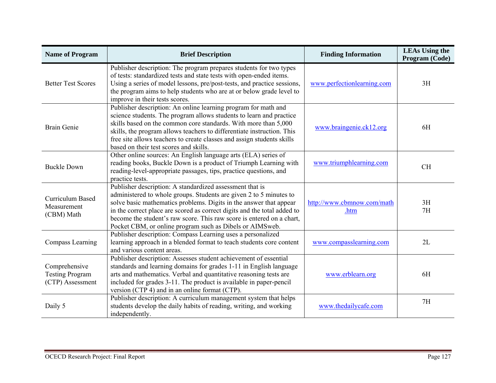| <b>Name of Program</b>                                      | <b>Brief Description</b>                                                                                                                                                                                                                                                                                                                                                                                              | <b>Finding Information</b>         | <b>LEAs Using the</b><br>Program (Code) |
|-------------------------------------------------------------|-----------------------------------------------------------------------------------------------------------------------------------------------------------------------------------------------------------------------------------------------------------------------------------------------------------------------------------------------------------------------------------------------------------------------|------------------------------------|-----------------------------------------|
| <b>Better Test Scores</b>                                   | Publisher description: The program prepares students for two types<br>of tests: standardized tests and state tests with open-ended items.<br>Using a series of model lessons, pre/post-tests, and practice sessions,<br>the program aims to help students who are at or below grade level to<br>improve in their tests scores.                                                                                        | www.perfectionlearning.com         | 3H                                      |
| <b>Brain Genie</b>                                          | Publisher description: An online learning program for math and<br>science students. The program allows students to learn and practice<br>skills based on the common core standards. With more than 5,000<br>skills, the program allows teachers to differentiate instruction. This<br>free site allows teachers to create classes and assign students skills<br>based on their test scores and skills.                | www.braingenie.ck12.org            | 6H                                      |
| <b>Buckle Down</b>                                          | Other online sources: An English language arts (ELA) series of<br>reading books, Buckle Down is a product of Triumph Learning with<br>reading-level-appropriate passages, tips, practice questions, and<br>practice tests.                                                                                                                                                                                            | www.triumphlearning.com            | <b>CH</b>                               |
| <b>Curriculum Based</b><br>Measurement<br>(CBM) Math        | Publisher description: A standardized assessment that is<br>administered to whole groups. Students are given 2 to 5 minutes to<br>solve basic mathematics problems. Digits in the answer that appear<br>in the correct place are scored as correct digits and the total added to<br>become the student's raw score. This raw score is entered on a chart,<br>Pocket CBM, or online program such as Dibels or AIMSweb. | http://www.cbmnow.com/math<br>.htm | 3H<br>7H                                |
| Compass Learning                                            | Publisher description: Compass Learning uses a personalized<br>learning approach in a blended format to teach students core content<br>and various content areas.                                                                                                                                                                                                                                                     | www.compasslearning.com            | 2L                                      |
| Comprehensive<br><b>Testing Program</b><br>(CTP) Assessment | Publisher description: Assesses student achievement of essential<br>standards and learning domains for grades 1-11 in English language<br>arts and mathematics. Verbal and quantitative reasoning tests are<br>included for grades 3-11. The product is available in paper-pencil<br>version (CTP 4) and in an online format (CTP).                                                                                   | www.erblearn.org                   | 6H                                      |
| Daily 5                                                     | Publisher description: A curriculum management system that helps<br>students develop the daily habits of reading, writing, and working<br>independently.                                                                                                                                                                                                                                                              | www.thedailycafe.com               | 7H                                      |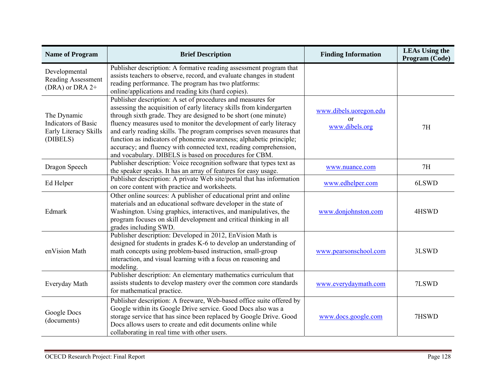| <b>Name of Program</b>                                                         | <b>Brief Description</b>                                                                                                                                                                                                                                                                                                                                                                                                                                                                                                                                  | <b>Finding Information</b>                             | <b>LEAs Using the</b><br>Program (Code) |
|--------------------------------------------------------------------------------|-----------------------------------------------------------------------------------------------------------------------------------------------------------------------------------------------------------------------------------------------------------------------------------------------------------------------------------------------------------------------------------------------------------------------------------------------------------------------------------------------------------------------------------------------------------|--------------------------------------------------------|-----------------------------------------|
| Developmental<br>Reading Assessment<br>(DRA) or DRA 2+                         | Publisher description: A formative reading assessment program that<br>assists teachers to observe, record, and evaluate changes in student<br>reading performance. The program has two platforms:<br>online/applications and reading kits (hard copies).                                                                                                                                                                                                                                                                                                  |                                                        |                                         |
| The Dynamic<br><b>Indicators</b> of Basic<br>Early Literacy Skills<br>(DIBELS) | Publisher description: A set of procedures and measures for<br>assessing the acquisition of early literacy skills from kindergarten<br>through sixth grade. They are designed to be short (one minute)<br>fluency measures used to monitor the development of early literacy<br>and early reading skills. The program comprises seven measures that<br>function as indicators of phonemic awareness; alphabetic principle;<br>accuracy; and fluency with connected text, reading comprehension,<br>and vocabulary. DIBELS is based on procedures for CBM. | www.dibels.uoregon.edu<br>$\alpha$ r<br>www.dibels.org | 7H                                      |
| Dragon Speech                                                                  | Publisher description: Voice recognition software that types text as<br>the speaker speaks. It has an array of features for easy usage.                                                                                                                                                                                                                                                                                                                                                                                                                   | www.nuance.com                                         | 7H                                      |
| Ed Helper                                                                      | Publisher description: A private Web site/portal that has information<br>on core content with practice and worksheets.                                                                                                                                                                                                                                                                                                                                                                                                                                    | www.edhelper.com                                       | 6LSWD                                   |
| Edmark                                                                         | Other online sources: A publisher of educational print and online<br>materials and an educational software developer in the state of<br>Washington. Using graphics, interactives, and manipulatives, the<br>program focuses on skill development and critical thinking in all<br>grades including SWD.                                                                                                                                                                                                                                                    | www.donjohnston.com                                    | 4HSWD                                   |
| enVision Math                                                                  | Publisher description: Developed in 2012, EnVision Math is<br>designed for students in grades K-6 to develop an understanding of<br>math concepts using problem-based instruction, small-group<br>interaction, and visual learning with a focus on reasoning and<br>modeling.                                                                                                                                                                                                                                                                             | www.pearsonschool.com                                  | 3LSWD                                   |
| Everyday Math                                                                  | Publisher description: An elementary mathematics curriculum that<br>assists students to develop mastery over the common core standards<br>for mathematical practice.                                                                                                                                                                                                                                                                                                                                                                                      | www.everydaymath.com                                   | 7LSWD                                   |
| Google Docs<br>(documents)                                                     | Publisher description: A freeware, Web-based office suite offered by<br>Google within its Google Drive service. Good Docs also was a<br>storage service that has since been replaced by Google Drive. Good<br>Docs allows users to create and edit documents online while<br>collaborating in real time with other users.                                                                                                                                                                                                                                 | www.docs.google.com                                    | 7HSWD                                   |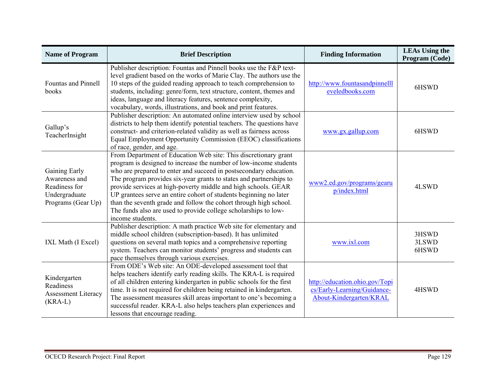| <b>Name of Program</b>                                                                 | <b>Brief Description</b>                                                                                                                                                                                                                                                                                                                                                                                                                                                                                                                                                           | <b>Finding Information</b>                                                               | <b>LEAs Using the</b><br>Program (Code) |
|----------------------------------------------------------------------------------------|------------------------------------------------------------------------------------------------------------------------------------------------------------------------------------------------------------------------------------------------------------------------------------------------------------------------------------------------------------------------------------------------------------------------------------------------------------------------------------------------------------------------------------------------------------------------------------|------------------------------------------------------------------------------------------|-----------------------------------------|
| Fountas and Pinnell<br>books                                                           | Publisher description: Fountas and Pinnell books use the F&P text-<br>level gradient based on the works of Marie Clay. The authors use the<br>10 steps of the guided reading approach to teach comprehension to<br>students, including: genre/form, text structure, content, themes and<br>ideas, language and literacy features, sentence complexity,<br>vocabulary, words, illustrations, and book and print features.                                                                                                                                                           | http://www.fountasandpinnelll<br>eveledbooks.com                                         | 6HSWD                                   |
| Gallup's<br>TeacherInsight                                                             | Publisher description: An automated online interview used by school<br>districts to help them identify potential teachers. The questions have<br>construct- and criterion-related validity as well as fairness across<br>Equal Employment Opportunity Commission (EEOC) classifications<br>of race, gender, and age.                                                                                                                                                                                                                                                               | www.gx.gallup.com                                                                        | 6HSWD                                   |
| Gaining Early<br>Awareness and<br>Readiness for<br>Undergraduate<br>Programs (Gear Up) | From Department of Education Web site: This discretionary grant<br>program is designed to increase the number of low-income students<br>who are prepared to enter and succeed in postsecondary education.<br>The program provides six-year grants to states and partnerships to<br>provide services at high-poverty middle and high schools. GEAR<br>UP grantees serve an entire cohort of students beginning no later<br>than the seventh grade and follow the cohort through high school.<br>The funds also are used to provide college scholarships to low-<br>income students. | www2.ed.gov/programs/gearu<br>p/index.html                                               | 4LSWD                                   |
| IXL Math (I Excel)                                                                     | Publisher description: A math practice Web site for elementary and<br>middle school children (subscription-based). It has unlimited<br>questions on several math topics and a comprehensive reporting<br>system. Teachers can monitor students' progress and students can<br>pace themselves through various exercises.                                                                                                                                                                                                                                                            | www.ixl.com                                                                              | 3HSWD<br>3LSWD<br>6HSWD                 |
| Kindergarten<br>Readiness<br><b>Assessment Literacy</b><br>$(KRA-L)$                   | From ODE's Web site: An ODE-developed assessment tool that<br>helps teachers identify early reading skills. The KRA-L is required<br>of all children entering kindergarten in public schools for the first<br>time. It is not required for children being retained in kindergarten.<br>The assessment measures skill areas important to one's becoming a<br>successful reader. KRA-L also helps teachers plan experiences and<br>lessons that encourage reading.                                                                                                                   | http://education.ohio.gov/Topi<br>cs/Early-Learning/Guidance-<br>About-Kindergarten/KRAL | 4HSWD                                   |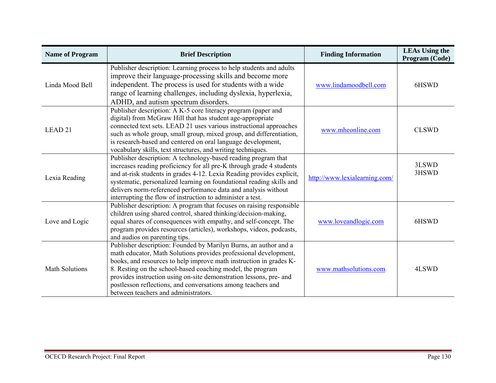| <b>Name of Program</b> | <b>Brief Description</b>                                                                                                                                                                                                                                                                                                                                                                                                                               | <b>Finding Information</b>    | <b>LEAs Using the</b><br>Program (Code) |
|------------------------|--------------------------------------------------------------------------------------------------------------------------------------------------------------------------------------------------------------------------------------------------------------------------------------------------------------------------------------------------------------------------------------------------------------------------------------------------------|-------------------------------|-----------------------------------------|
| Linda Mood Bell        | Publisher description: Learning process to help students and adults<br>improve their language-processing skills and become more<br>independent. The process is used for students with a wide<br>range of learning challenges, including dyslexia, hyperlexia,<br>ADHD, and autism spectrum disorders.                                                                                                                                                  | www.lindamoodbell.com         | 6HSWD                                   |
| LEAD <sub>21</sub>     | Publisher description: A K-5 core literacy program (paper and<br>digital) from McGraw Hill that has student age-appropriate<br>connected text sets. LEAD 21 uses various instructional approaches<br>such as whole group, small group, mixed group, and differentiation,<br>is research-based and centered on oral language development,<br>vocabulary skills, text structures, and writing techniques.                                                | www.mheonline.com             | <b>CLSWD</b>                            |
| Lexia Reading          | Publisher description: A technology-based reading program that<br>increases reading proficiency for all pre-K through grade 4 students<br>and at-risk students in grades 4-12. Lexia Reading provides explicit,<br>systematic, personalized learning on foundational reading skills and<br>delivers norm-referenced performance data and analysis without<br>interrupting the flow of instruction to administer a test.                                | http://www.lexialearning.com/ | 3LSWD<br>3HSWD                          |
| Love and Logic         | Publisher description: A program that focuses on raising responsible<br>children using shared control, shared thinking/decision-making,<br>equal shares of consequences with empathy, and self-concept. The<br>program provides resources (articles), workshops, videos, podcasts,<br>and audios on parenting tips.                                                                                                                                    | www.loveandlogic.com          | 6HSWD                                   |
| <b>Math Solutions</b>  | Publisher description: Founded by Marilyn Burns, an author and a<br>math educator, Math Solutions provides professional development,<br>books, and resources to help improve math instruction in grades K-<br>8. Resting on the school-based coaching model, the program<br>provides instruction using on-site demonstration lessons, pre- and<br>postlesson reflections, and conversations among teachers and<br>between teachers and administrators. | www.mathsolutions.com         | 4LSWD                                   |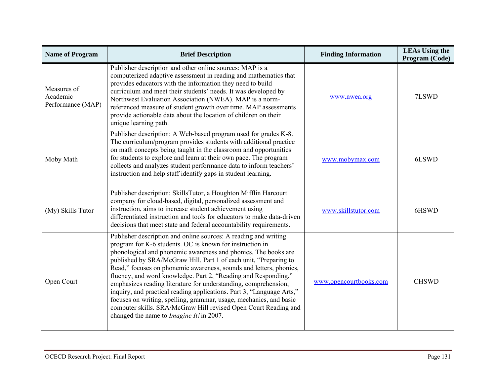| <b>Name of Program</b>                       | <b>Brief Description</b>                                                                                                                                                                                                                                                                                                                                                                                                                                                                                                                                                                                                                                                                                                                          | <b>Finding Information</b> | <b>LEAs Using the</b><br>Program (Code) |
|----------------------------------------------|---------------------------------------------------------------------------------------------------------------------------------------------------------------------------------------------------------------------------------------------------------------------------------------------------------------------------------------------------------------------------------------------------------------------------------------------------------------------------------------------------------------------------------------------------------------------------------------------------------------------------------------------------------------------------------------------------------------------------------------------------|----------------------------|-----------------------------------------|
| Measures of<br>Academic<br>Performance (MAP) | Publisher description and other online sources: MAP is a<br>computerized adaptive assessment in reading and mathematics that<br>provides educators with the information they need to build<br>curriculum and meet their students' needs. It was developed by<br>Northwest Evaluation Association (NWEA). MAP is a norm-<br>referenced measure of student growth over time. MAP assessments<br>provide actionable data about the location of children on their<br>unique learning path.                                                                                                                                                                                                                                                            | www.nwea.org               | 7LSWD                                   |
| Moby Math                                    | Publisher description: A Web-based program used for grades K-8.<br>The curriculum/program provides students with additional practice<br>on math concepts being taught in the classroom and opportunities<br>for students to explore and learn at their own pace. The program<br>collects and analyzes student performance data to inform teachers'<br>instruction and help staff identify gaps in student learning.                                                                                                                                                                                                                                                                                                                               | www.mobymax.com            | 6LSWD                                   |
| (My) Skills Tutor                            | Publisher description: SkillsTutor, a Houghton Mifflin Harcourt<br>company for cloud-based, digital, personalized assessment and<br>instruction, aims to increase student achievement using<br>differentiated instruction and tools for educators to make data-driven<br>decisions that meet state and federal accountability requirements.                                                                                                                                                                                                                                                                                                                                                                                                       | www.skillstutor.com        | 6HSWD                                   |
| Open Court                                   | Publisher description and online sources: A reading and writing<br>program for K-6 students. OC is known for instruction in<br>phonological and phonemic awareness and phonics. The books are<br>published by SRA/McGraw Hill. Part 1 of each unit, "Preparing to<br>Read," focuses on phonemic awareness, sounds and letters, phonics,<br>fluency, and word knowledge. Part 2, "Reading and Responding,"<br>emphasizes reading literature for understanding, comprehension,<br>inquiry, and practical reading applications. Part 3, "Language Arts,"<br>focuses on writing, spelling, grammar, usage, mechanics, and basic<br>computer skills. SRA/McGraw Hill revised Open Court Reading and<br>changed the name to <i>Imagine It!</i> in 2007. | www.opencourtbooks.com     | <b>CHSWD</b>                            |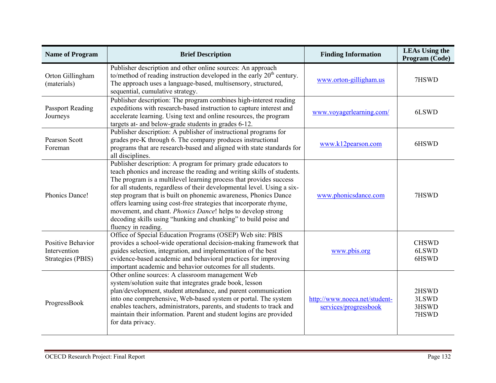| <b>Name of Program</b>                                 | <b>Brief Description</b>                                                                                                                                                                                                                                                                                                                                                                                                                                                                                                                                                                     | <b>Finding Information</b>                             | <b>LEAs Using the</b><br>Program (Code) |
|--------------------------------------------------------|----------------------------------------------------------------------------------------------------------------------------------------------------------------------------------------------------------------------------------------------------------------------------------------------------------------------------------------------------------------------------------------------------------------------------------------------------------------------------------------------------------------------------------------------------------------------------------------------|--------------------------------------------------------|-----------------------------------------|
| Orton Gillingham<br>(materials)                        | Publisher description and other online sources: An approach<br>to/method of reading instruction developed in the early $20th$ century.<br>The approach uses a language-based, multisensory, structured,<br>sequential, cumulative strategy.                                                                                                                                                                                                                                                                                                                                                  | www.orton-gilligham.us                                 | 7HSWD                                   |
| <b>Passport Reading</b><br>Journeys                    | Publisher description: The program combines high-interest reading<br>expeditions with research-based instruction to capture interest and<br>accelerate learning. Using text and online resources, the program<br>targets at- and below-grade students in grades 6-12.                                                                                                                                                                                                                                                                                                                        | www.voyagerlearning.com/                               | 6LSWD                                   |
| Pearson Scott<br>Foreman                               | Publisher description: A publisher of instructional programs for<br>grades pre-K through 6. The company produces instructional<br>programs that are research-based and aligned with state standards for<br>all disciplines.                                                                                                                                                                                                                                                                                                                                                                  | www.k12pearson.com                                     | 6HSWD                                   |
| Phonics Dance!                                         | Publisher description: A program for primary grade educators to<br>teach phonics and increase the reading and writing skills of students.<br>The program is a multilevel learning process that provides success<br>for all students, regardless of their developmental level. Using a six-<br>step program that is built on phonemic awareness, Phonics Dance<br>offers learning using cost-free strategies that incorporate rhyme,<br>movement, and chant. Phonics Dance! helps to develop strong<br>decoding skills using "hunking and chunking" to build poise and<br>fluency in reading. | www.phonicsdance.com                                   | 7HSWD                                   |
| Positive Behavior<br>Intervention<br>Strategies (PBIS) | Office of Special Education Programs (OSEP) Web site: PBIS<br>provides a school-wide operational decision-making framework that<br>guides selection, integration, and implementation of the best<br>evidence-based academic and behavioral practices for improving<br>important academic and behavior outcomes for all students.                                                                                                                                                                                                                                                             | www.pbis.org                                           | <b>CHSWD</b><br>6LSWD<br>6HSWD          |
| ProgressBook                                           | Other online sources: A classroom management Web<br>system/solution suite that integrates grade book, lesson<br>plan/development, student attendance, and parent communication<br>into one comprehensive, Web-based system or portal. The system<br>enables teachers, administrators, parents, and students to track and<br>maintain their information. Parent and student logins are provided<br>for data privacy.                                                                                                                                                                          | http://www.noeca.net/student-<br>services/progressbook | 2HSWD<br>3LSWD<br>3HSWD<br>7HSWD        |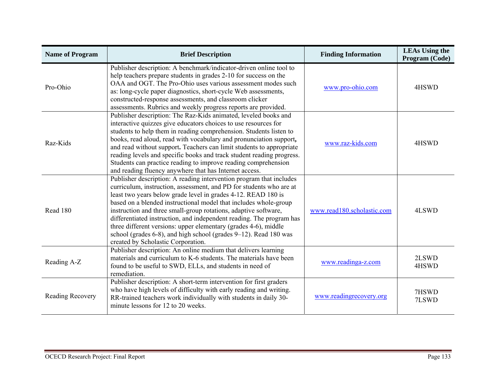| <b>Name of Program</b> | <b>Brief Description</b>                                                                                                                                                                                                                                                                                                                                                                                                                                                                                                                                                                                | <b>Finding Information</b> | <b>LEAs Using the</b><br>Program (Code) |
|------------------------|---------------------------------------------------------------------------------------------------------------------------------------------------------------------------------------------------------------------------------------------------------------------------------------------------------------------------------------------------------------------------------------------------------------------------------------------------------------------------------------------------------------------------------------------------------------------------------------------------------|----------------------------|-----------------------------------------|
| Pro-Ohio               | Publisher description: A benchmark/indicator-driven online tool to<br>help teachers prepare students in grades 2-10 for success on the<br>OAA and OGT. The Pro-Ohio uses various assessment modes such<br>as: long-cycle paper diagnostics, short-cycle Web assessments,<br>constructed-response assessments, and classroom clicker<br>assessments. Rubrics and weekly progress reports are provided.                                                                                                                                                                                                   | www.pro-ohio.com           | 4HSWD                                   |
| Raz-Kids               | Publisher description: The Raz-Kids animated, leveled books and<br>interactive quizzes give educators choices to use resources for<br>students to help them in reading comprehension. Students listen to<br>books, read aloud, read with vocabulary and pronunciation support,<br>and read without support. Teachers can limit students to appropriate<br>reading levels and specific books and track student reading progress.<br>Students can practice reading to improve reading comprehension<br>and reading fluency anywhere that has Internet access.                                             | www.raz-kids.com           | 4HSWD                                   |
| Read 180               | Publisher description: A reading intervention program that includes<br>curriculum, instruction, assessment, and PD for students who are at<br>least two years below grade level in grades 4-12. READ 180 is<br>based on a blended instructional model that includes whole-group<br>instruction and three small-group rotations, adaptive software,<br>differentiated instruction, and independent reading. The program has<br>three different versions: upper elementary (grades 4-6), middle<br>school (grades 6-8), and high school (grades 9–12). Read 180 was<br>created by Scholastic Corporation. | www.read180.scholastic.com | 4LSWD                                   |
| Reading A-Z            | Publisher description: An online medium that delivers learning<br>materials and curriculum to K-6 students. The materials have been<br>found to be useful to SWD, ELLs, and students in need of<br>remediation.                                                                                                                                                                                                                                                                                                                                                                                         | www.readinga-z.com         | 2LSWD<br>4HSWD                          |
| Reading Recovery       | Publisher description: A short-term intervention for first graders<br>who have high levels of difficulty with early reading and writing.<br>RR-trained teachers work individually with students in daily 30-<br>minute lessons for 12 to 20 weeks.                                                                                                                                                                                                                                                                                                                                                      | www.readingrecovery.org    | 7HSWD<br>7LSWD                          |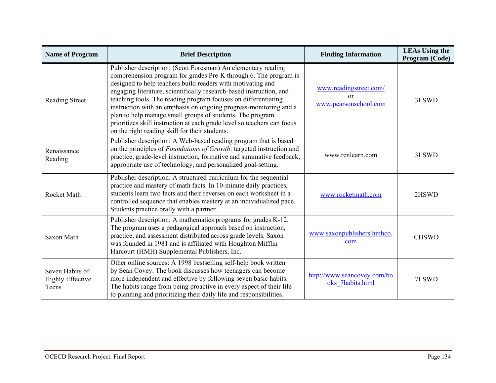| <b>Name of Program</b>                              | <b>Brief Description</b>                                                                                                                                                                                                                                                                                                                                                                                                                                                                                                                                                                                 | <b>Finding Information</b>                                  | <b>LEAs Using the</b><br>Program (Code) |
|-----------------------------------------------------|----------------------------------------------------------------------------------------------------------------------------------------------------------------------------------------------------------------------------------------------------------------------------------------------------------------------------------------------------------------------------------------------------------------------------------------------------------------------------------------------------------------------------------------------------------------------------------------------------------|-------------------------------------------------------------|-----------------------------------------|
| <b>Reading Street</b>                               | Publisher description: (Scott Foresman) An elementary reading<br>comprehension program for grades Pre-K through 6. The program is<br>designed to help teachers build readers with motivating and<br>engaging literature, scientifically research-based instruction, and<br>teaching tools. The reading program focuses on differentiating<br>instruction with an emphasis on ongoing progress-monitoring and a<br>plan to help manage small groups of students. The program<br>prioritizes skill instruction at each grade level so teachers can focus<br>on the right reading skill for their students. | www.readingstreet.com/<br>$\alpha$<br>www.pearsonschool.com | 3LSWD                                   |
| Renaissance<br>Reading                              | Publisher description: A Web-based reading program that is based<br>on the principles of Foundations of Growth: targeted instruction and<br>practice, grade-level instruction, formative and summative feedback,<br>appropriate use of technology, and personalized goal-setting.                                                                                                                                                                                                                                                                                                                        | www.renlearn.com                                            | 3LSWD                                   |
| <b>Rocket Math</b>                                  | Publisher description: A structured curriculum for the sequential<br>practice and mastery of math facts. In 10-minute daily practices,<br>students learn two facts and their reverses on each worksheet in a<br>controlled sequence that enables mastery at an individualized pace.<br>Students practice orally with a partner.                                                                                                                                                                                                                                                                          | www.rocketmath.com                                          | 2HSWD                                   |
| Saxon Math                                          | Publisher description: A mathematics programs for grades K-12.<br>The program uses a pedagogical approach based on instruction,<br>practice, and assessment distributed across grade levels. Saxon<br>was founded in 1981 and is affiliated with Houghton Mifflin<br>Harcourt (HMH) Supplemental Publishers, Inc.                                                                                                                                                                                                                                                                                        | www.saxonpublishers.hmhco.<br>com                           | <b>CHSWD</b>                            |
| Seven Habits of<br><b>Highly Effective</b><br>Teens | Other online sources: A 1998 bestselling self-help book written<br>by Sean Covey. The book discusses how teenagers can become<br>more independent and effective by following seven basic habits.<br>The habits range from being proactive in every aspect of their life<br>to planning and prioritizing their daily life and responsibilities.                                                                                                                                                                                                                                                           | http://www.seancovey.com/bo<br>oks 7habits.html             | 7LSWD                                   |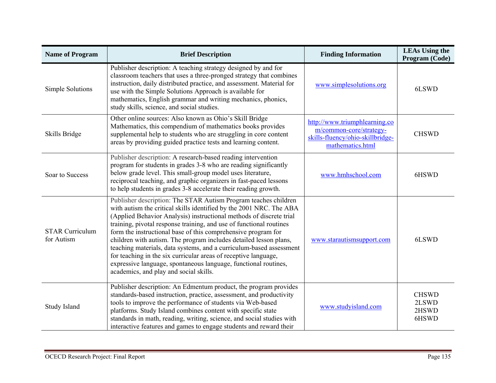| <b>Name of Program</b>               | <b>Brief Description</b>                                                                                                                                                                                                                                                                                                                                                                                                                                                                                                                                                                                                                                                          | <b>Finding Information</b>                                                                                       | <b>LEAs Using the</b><br>Program (Code) |
|--------------------------------------|-----------------------------------------------------------------------------------------------------------------------------------------------------------------------------------------------------------------------------------------------------------------------------------------------------------------------------------------------------------------------------------------------------------------------------------------------------------------------------------------------------------------------------------------------------------------------------------------------------------------------------------------------------------------------------------|------------------------------------------------------------------------------------------------------------------|-----------------------------------------|
| Simple Solutions                     | Publisher description: A teaching strategy designed by and for<br>classroom teachers that uses a three-pronged strategy that combines<br>instruction, daily distributed practice, and assessment. Material for<br>use with the Simple Solutions Approach is available for<br>mathematics, English grammar and writing mechanics, phonics,<br>study skills, science, and social studies.                                                                                                                                                                                                                                                                                           | www.simplesolutions.org                                                                                          | 6LSWD                                   |
| Skills Bridge                        | Other online sources: Also known as Ohio's Skill Bridge<br>Mathematics, this compendium of mathematics books provides<br>supplemental help to students who are struggling in core content<br>areas by providing guided practice tests and learning content.                                                                                                                                                                                                                                                                                                                                                                                                                       | http://www.triumphlearning.co<br>m/common-core/strategy-<br>skills-fluency/ohio-skillbridge-<br>mathematics.html | <b>CHSWD</b>                            |
| Soar to Success                      | Publisher description: A research-based reading intervention<br>program for students in grades 3-8 who are reading significantly<br>below grade level. This small-group model uses literature,<br>reciprocal teaching, and graphic organizers in fast-paced lessons<br>to help students in grades 3-8 accelerate their reading growth.                                                                                                                                                                                                                                                                                                                                            | www.hmhschool.com                                                                                                | 6HSWD                                   |
| <b>STAR Curriculum</b><br>for Autism | Publisher description: The STAR Autism Program teaches children<br>with autism the critical skills identified by the 2001 NRC. The ABA<br>(Applied Behavior Analysis) instructional methods of discrete trial<br>training, pivotal response training, and use of functional routines<br>form the instructional base of this comprehensive program for<br>children with autism. The program includes detailed lesson plans,<br>teaching materials, data systems, and a curriculum-based assessment<br>for teaching in the six curricular areas of receptive language,<br>expressive language, spontaneous language, functional routines,<br>academics, and play and social skills. | www.starautismsupport.com                                                                                        | 6LSWD                                   |
| Study Island                         | Publisher description: An Edmentum product, the program provides<br>standards-based instruction, practice, assessment, and productivity<br>tools to improve the performance of students via Web-based<br>platforms. Study Island combines content with specific state<br>standards in math, reading, writing, science, and social studies with<br>interactive features and games to engage students and reward their                                                                                                                                                                                                                                                              | www.studyisland.com                                                                                              | <b>CHSWD</b><br>2LSWD<br>2HSWD<br>6HSWD |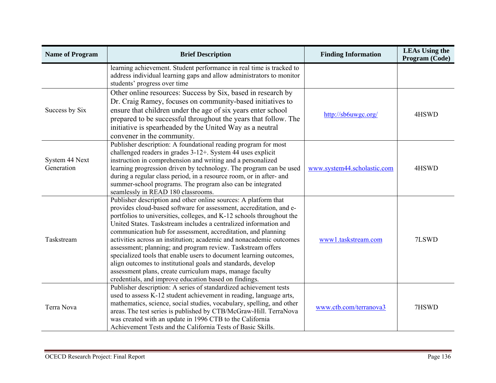| <b>Name of Program</b>       | <b>Brief Description</b>                                                                                                                                                                                                                                                                                                                                                                                                                                                                                                                                                                                                                                                                                                                              | <b>Finding Information</b>  | <b>LEAs Using the</b><br>Program (Code) |
|------------------------------|-------------------------------------------------------------------------------------------------------------------------------------------------------------------------------------------------------------------------------------------------------------------------------------------------------------------------------------------------------------------------------------------------------------------------------------------------------------------------------------------------------------------------------------------------------------------------------------------------------------------------------------------------------------------------------------------------------------------------------------------------------|-----------------------------|-----------------------------------------|
|                              | learning achievement. Student performance in real time is tracked to<br>address individual learning gaps and allow administrators to monitor<br>students' progress over time                                                                                                                                                                                                                                                                                                                                                                                                                                                                                                                                                                          |                             |                                         |
| Success by Six               | Other online resources: Success by Six, based in research by<br>Dr. Craig Ramey, focuses on community-based initiatives to<br>ensure that children under the age of six years enter school<br>prepared to be successful throughout the years that follow. The<br>initiative is spearheaded by the United Way as a neutral<br>convener in the community.                                                                                                                                                                                                                                                                                                                                                                                               | http://sb6uwgc.org/         | 4HSWD                                   |
| System 44 Next<br>Generation | Publisher description: A foundational reading program for most<br>challenged readers in grades 3-12+. System 44 uses explicit<br>instruction in comprehension and writing and a personalized<br>learning progression driven by technology. The program can be used<br>during a regular class period, in a resource room, or in after- and<br>summer-school programs. The program also can be integrated<br>seamlessly in READ 180 classrooms.                                                                                                                                                                                                                                                                                                         | www.system44.scholastic.com | 4HSWD                                   |
| Taskstream                   | Publisher description and other online sources: A platform that<br>provides cloud-based software for assessment, accreditation, and e-<br>portfolios to universities, colleges, and K-12 schools throughout the<br>United States. Taskstream includes a centralized information and<br>communication hub for assessment, accreditation, and planning<br>activities across an institution; academic and nonacademic outcomes<br>assessment; planning; and program review. Taskstream offers<br>specialized tools that enable users to document learning outcomes,<br>align outcomes to institutional goals and standards, develop<br>assessment plans, create curriculum maps, manage faculty<br>credentials, and improve education based on findings. | www1.taskstream.com         | 7LSWD                                   |
| Terra Nova                   | Publisher description: A series of standardized achievement tests<br>used to assess K-12 student achievement in reading, language arts,<br>mathematics, science, social studies, vocabulary, spelling, and other<br>areas. The test series is published by CTB/McGraw-Hill. TerraNova<br>was created with an update in 1996 CTB to the California<br>Achievement Tests and the California Tests of Basic Skills.                                                                                                                                                                                                                                                                                                                                      | www.ctb.com/terranova3      | 7HSWD                                   |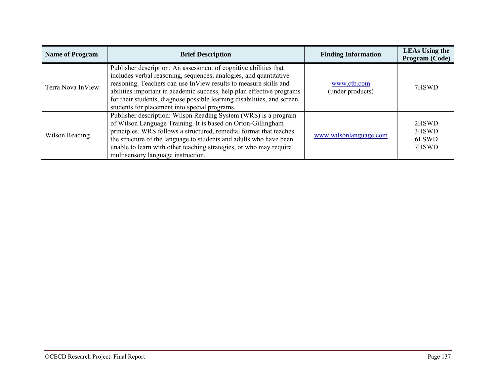| <b>Name of Program</b> | <b>Brief Description</b>                                                                                                                                                                                                                                                                                                                                                                                       | <b>Finding Information</b>      | <b>LEAs Using the</b><br>Program (Code) |
|------------------------|----------------------------------------------------------------------------------------------------------------------------------------------------------------------------------------------------------------------------------------------------------------------------------------------------------------------------------------------------------------------------------------------------------------|---------------------------------|-----------------------------------------|
| Terra Nova InView      | Publisher description: An assessment of cognitive abilities that<br>includes verbal reasoning, sequences, analogies, and quantitative<br>reasoning. Teachers can use InView results to measure skills and<br>abilities important in academic success, help plan effective programs<br>for their students, diagnose possible learning disabilities, and screen<br>students for placement into special programs. | www.ctb.com<br>(under products) | 7HSWD                                   |
| Wilson Reading         | Publisher description: Wilson Reading System (WRS) is a program<br>of Wilson Language Training. It is based on Orton-Gillingham<br>principles. WRS follows a structured, remedial format that teaches<br>the structure of the language to students and adults who have been<br>unable to learn with other teaching strategies, or who may require<br>multisensory language instruction.                        | www.wilsonlanguage.com          | 2HSWD<br>3HSWD<br>6LSWD<br>7HSWD        |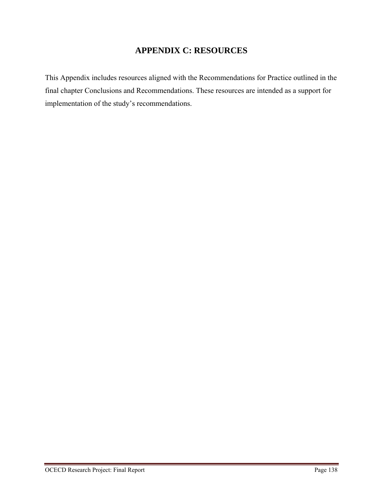# **APPENDIX C: RESOURCES**

This Appendix includes resources aligned with the Recommendations for Practice outlined in the final chapter Conclusions and Recommendations. These resources are intended as a support for implementation of the study's recommendations.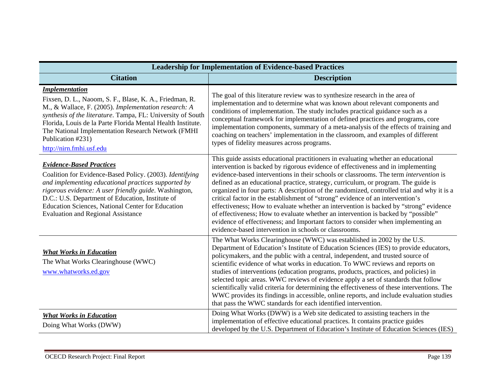| <b>Leadership for Implementation of Evidence-based Practices</b>                                                                                                                                                                                                                                                                                                                            |                                                                                                                                                                                                                                                                                                                                                                                                                                                                                                                                                                                                                                                                                                                                                                                                                                                                         |  |
|---------------------------------------------------------------------------------------------------------------------------------------------------------------------------------------------------------------------------------------------------------------------------------------------------------------------------------------------------------------------------------------------|-------------------------------------------------------------------------------------------------------------------------------------------------------------------------------------------------------------------------------------------------------------------------------------------------------------------------------------------------------------------------------------------------------------------------------------------------------------------------------------------------------------------------------------------------------------------------------------------------------------------------------------------------------------------------------------------------------------------------------------------------------------------------------------------------------------------------------------------------------------------------|--|
| <b>Citation</b>                                                                                                                                                                                                                                                                                                                                                                             | <b>Description</b>                                                                                                                                                                                                                                                                                                                                                                                                                                                                                                                                                                                                                                                                                                                                                                                                                                                      |  |
| <i><u><b>Implementation</b></u></i><br>Fixsen, D. L., Naoom, S. F., Blase, K. A., Friedman, R.<br>M., & Wallace, F. (2005). Implementation research: A<br>synthesis of the literature. Tampa, FL: University of South<br>Florida, Louis de la Parte Florida Mental Health Institute.<br>The National Implementation Research Network (FMHI<br>Publication #231)<br>http://nirn.fmhi.usf.edu | The goal of this literature review was to synthesize research in the area of<br>implementation and to determine what was known about relevant components and<br>conditions of implementation. The study includes practical guidance such as a<br>conceptual framework for implementation of defined practices and programs, core<br>implementation components, summary of a meta-analysis of the effects of training and<br>coaching on teachers' implementation in the classroom, and examples of different<br>types of fidelity measures across programs.                                                                                                                                                                                                                                                                                                             |  |
| <b>Evidence-Based Practices</b><br>Coalition for Evidence-Based Policy. (2003). Identifying<br>and implementing educational practices supported by<br>rigorous evidence: A user friendly guide. Washington,<br>D.C.: U.S. Department of Education, Institute of<br>Education Sciences, National Center for Education<br><b>Evaluation and Regional Assistance</b>                           | This guide assists educational practitioners in evaluating whether an educational<br>intervention is backed by rigorous evidence of effectiveness and in implementing<br>evidence-based interventions in their schools or classrooms. The term <i>intervention</i> is<br>defined as an educational practice, strategy, curriculum, or program. The guide is<br>organized in four parts: A description of the randomized, controlled trial and why it is a<br>critical factor in the establishment of "strong" evidence of an intervention's<br>effectiveness; How to evaluate whether an intervention is backed by "strong" evidence<br>of effectiveness; How to evaluate whether an intervention is backed by "possible"<br>evidence of effectiveness; and Important factors to consider when implementing an<br>evidence-based intervention in schools or classrooms. |  |
| <b>What Works in Education</b><br>The What Works Clearinghouse (WWC)<br>www.whatworks.ed.gov                                                                                                                                                                                                                                                                                                | The What Works Clearinghouse (WWC) was established in 2002 by the U.S.<br>Department of Education's Institute of Education Sciences (IES) to provide educators,<br>policymakers, and the public with a central, independent, and trusted source of<br>scientific evidence of what works in education. To WWC reviews and reports on<br>studies of interventions (education programs, products, practices, and policies) in<br>selected topic areas. WWC reviews of evidence apply a set of standards that follow<br>scientifically valid criteria for determining the effectiveness of these interventions. The<br>WWC provides its findings in accessible, online reports, and include evaluation studies<br>that pass the WWC standards for each identified intervention.                                                                                             |  |
| <b>What Works in Education</b><br>Doing What Works (DWW)                                                                                                                                                                                                                                                                                                                                    | Doing What Works (DWW) is a Web site dedicated to assisting teachers in the<br>implementation of effective educational practices. It contains practice guides<br>developed by the U.S. Department of Education's Institute of Education Sciences (IES)                                                                                                                                                                                                                                                                                                                                                                                                                                                                                                                                                                                                                  |  |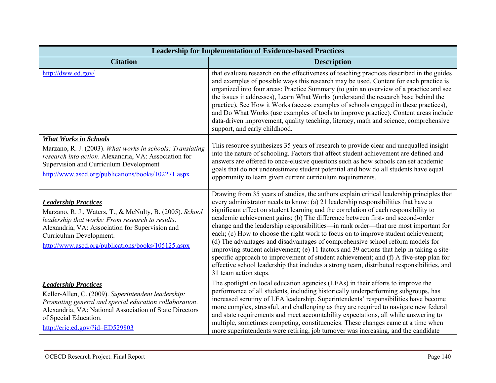| <b>Leadership for Implementation of Evidence-based Practices</b>                                                                                                                                                                                                                |                                                                                                                                                                                                                                                                                                                                                                                                                                                                                                                                                                                                                                                                                                                                                                                                                                                                                                                                      |
|---------------------------------------------------------------------------------------------------------------------------------------------------------------------------------------------------------------------------------------------------------------------------------|--------------------------------------------------------------------------------------------------------------------------------------------------------------------------------------------------------------------------------------------------------------------------------------------------------------------------------------------------------------------------------------------------------------------------------------------------------------------------------------------------------------------------------------------------------------------------------------------------------------------------------------------------------------------------------------------------------------------------------------------------------------------------------------------------------------------------------------------------------------------------------------------------------------------------------------|
| <b>Citation</b>                                                                                                                                                                                                                                                                 | <b>Description</b>                                                                                                                                                                                                                                                                                                                                                                                                                                                                                                                                                                                                                                                                                                                                                                                                                                                                                                                   |
| http://dww.ed.gov/                                                                                                                                                                                                                                                              | that evaluate research on the effectiveness of teaching practices described in the guides<br>and examples of possible ways this research may be used. Content for each practice is<br>organized into four areas: Practice Summary (to gain an overview of a practice and see<br>the issues it addresses), Learn What Works (understand the research base behind the<br>practice), See How it Works (access examples of schools engaged in these practices),<br>and Do What Works (use examples of tools to improve practice). Content areas include<br>data-driven improvement, quality teaching, literacy, math and science, comprehensive<br>support, and early childhood.                                                                                                                                                                                                                                                         |
| <b>What Works in Schools</b><br>Marzano, R. J. (2003). What works in schools: Translating<br>research into action. Alexandria, VA: Association for<br>Supervision and Curriculum Development<br>http://www.ascd.org/publications/books/102271.aspx                              | This resource synthesizes 35 years of research to provide clear and unequalled insight<br>into the nature of schooling. Factors that affect student achievement are defined and<br>answers are offered to once-elusive questions such as how schools can set academic<br>goals that do not underestimate student potential and how do all students have equal<br>opportunity to learn given current curriculum requirements.                                                                                                                                                                                                                                                                                                                                                                                                                                                                                                         |
| <b>Leadership Practices</b><br>Marzano, R. J., Waters, T., & McNulty, B. (2005). School<br>leadership that works: From research to results.<br>Alexandria, VA: Association for Supervision and<br>Curriculum Development.<br>http://www.ascd.org/publications/books/105125.aspx | Drawing from 35 years of studies, the authors explain critical leadership principles that<br>every administrator needs to know: (a) 21 leadership responsibilities that have a<br>significant effect on student learning and the correlation of each responsibility to<br>academic achievement gains; (b) The difference between first- and second-order<br>change and the leadership responsibilities—in rank order—that are most important for<br>each; (c) How to choose the right work to focus on to improve student achievement;<br>(d) The advantages and disadvantages of comprehensive school reform models for<br>improving student achievement; (e) 11 factors and 39 actions that help in taking a site-<br>specific approach to improvement of student achievement; and (f) A five-step plan for<br>effective school leadership that includes a strong team, distributed responsibilities, and<br>31 team action steps. |
| <b>Leadership Practices</b><br>Keller-Allen, C. (2009). Superintendent leadership:<br>Promoting general and special education collaboration.<br>Alexandria, VA: National Association of State Directors<br>of Special Education.<br>http://eric.ed.gov/?id=ED529803             | The spotlight on local education agencies (LEAs) in their efforts to improve the<br>performance of all students, including historically underperforming subgroups, has<br>increased scrutiny of LEA leadership. Superintendents' responsibilities have become<br>more complex, stressful, and challenging as they are required to navigate new federal<br>and state requirements and meet accountability expectations, all while answering to<br>multiple, sometimes competing, constituencies. These changes came at a time when<br>more superintendents were retiring, job turnover was increasing, and the candidate                                                                                                                                                                                                                                                                                                              |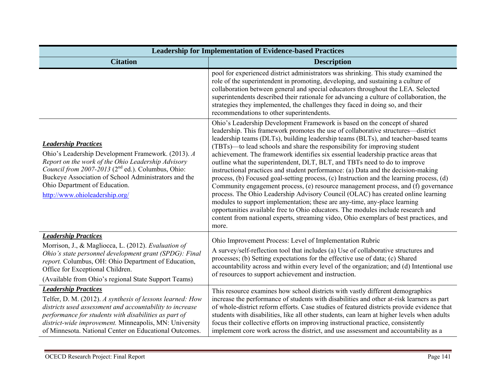| <b>Leadership for Implementation of Evidence-based Practices</b>                                                                                                                                                                                                                                                                    |                                                                                                                                                                                                                                                                                                                                                                                                                                                                                                                                                                                                                                                                                                                                                                                                                                                                                                                                                                                                                                                                                                                                  |
|-------------------------------------------------------------------------------------------------------------------------------------------------------------------------------------------------------------------------------------------------------------------------------------------------------------------------------------|----------------------------------------------------------------------------------------------------------------------------------------------------------------------------------------------------------------------------------------------------------------------------------------------------------------------------------------------------------------------------------------------------------------------------------------------------------------------------------------------------------------------------------------------------------------------------------------------------------------------------------------------------------------------------------------------------------------------------------------------------------------------------------------------------------------------------------------------------------------------------------------------------------------------------------------------------------------------------------------------------------------------------------------------------------------------------------------------------------------------------------|
| <b>Citation</b>                                                                                                                                                                                                                                                                                                                     | <b>Description</b>                                                                                                                                                                                                                                                                                                                                                                                                                                                                                                                                                                                                                                                                                                                                                                                                                                                                                                                                                                                                                                                                                                               |
|                                                                                                                                                                                                                                                                                                                                     | pool for experienced district administrators was shrinking. This study examined the<br>role of the superintendent in promoting, developing, and sustaining a culture of<br>collaboration between general and special educators throughout the LEA. Selected<br>superintendents described their rationale for advancing a culture of collaboration, the<br>strategies they implemented, the challenges they faced in doing so, and their<br>recommendations to other superintendents.                                                                                                                                                                                                                                                                                                                                                                                                                                                                                                                                                                                                                                             |
| <b>Leadership Practices</b><br>Ohio's Leadership Development Framework. (2013). A<br>Report on the work of the Ohio Leadership Advisory<br>Council from 2007-2013 (2 <sup>nd</sup> ed.). Columbus, Ohio:<br>Buckeye Association of School Administrators and the<br>Ohio Department of Education.<br>http://www.ohioleadership.org/ | Ohio's Leadership Development Framework is based on the concept of shared<br>leadership. This framework promotes the use of collaborative structures—district<br>leadership teams (DLTs), building leadership teams (BLTs), and teacher-based teams<br>(TBTs)—to lead schools and share the responsibility for improving student<br>achievement. The framework identifies six essential leadership practice areas that<br>outline what the superintendent, DLT, BLT, and TBTs need to do to improve<br>instructional practices and student performance: (a) Data and the decision-making<br>process, (b) Focused goal-setting process, (c) Instruction and the learning process, (d)<br>Community engagement process, (e) resource management process, and (f) governance<br>process. The Ohio Leadership Advisory Council (OLAC) has created online learning<br>modules to support implementation; these are any-time, any-place learning<br>opportunities available free to Ohio educators. The modules include research and<br>content from national experts, streaming video, Ohio exemplars of best practices, and<br>more. |
| <b>Leadership Practices</b><br>Morrison, J., & Magliocca, L. (2012). Evaluation of<br>Ohio's state personnel development grant (SPDG): Final<br>report. Columbus, OH: Ohio Department of Education,<br>Office for Exceptional Children.<br>(Available from Ohio's regional State Support Teams)                                     | Ohio Improvement Process: Level of Implementation Rubric<br>A survey/self-reflection tool that includes (a) Use of collaborative structures and<br>processes; (b) Setting expectations for the effective use of data; (c) Shared<br>accountability across and within every level of the organization; and (d) Intentional use<br>of resources to support achievement and instruction.                                                                                                                                                                                                                                                                                                                                                                                                                                                                                                                                                                                                                                                                                                                                            |
| <b>Leadership Practices</b><br>Telfer, D. M. (2012). A synthesis of lessons learned: How<br>districts used assessment and accountability to increase<br>performance for students with disabilities as part of<br>district-wide improvement. Minneapolis, MN: University<br>of Minnesota. National Center on Educational Outcomes.   | This resource examines how school districts with vastly different demographics<br>increase the performance of students with disabilities and other at-risk learners as part<br>of whole-district reform efforts. Case studies of featured districts provide evidence that<br>students with disabilities, like all other students, can learn at higher levels when adults<br>focus their collective efforts on improving instructional practice, consistently<br>implement core work across the district, and use assessment and accountability as a                                                                                                                                                                                                                                                                                                                                                                                                                                                                                                                                                                              |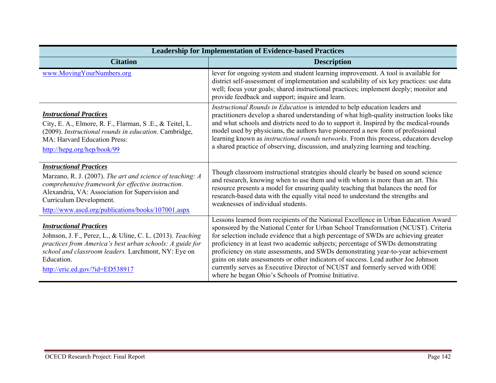| <b>Leadership for Implementation of Evidence-based Practices</b>                                                                                                                                                                                                                      |                                                                                                                                                                                                                                                                                                                                                                                                                                                                                                                                                                                                                                                                        |
|---------------------------------------------------------------------------------------------------------------------------------------------------------------------------------------------------------------------------------------------------------------------------------------|------------------------------------------------------------------------------------------------------------------------------------------------------------------------------------------------------------------------------------------------------------------------------------------------------------------------------------------------------------------------------------------------------------------------------------------------------------------------------------------------------------------------------------------------------------------------------------------------------------------------------------------------------------------------|
| <b>Citation</b>                                                                                                                                                                                                                                                                       | <b>Description</b>                                                                                                                                                                                                                                                                                                                                                                                                                                                                                                                                                                                                                                                     |
| www.MovingYourNumbers.org                                                                                                                                                                                                                                                             | lever for ongoing system and student learning improvement. A tool is available for<br>district self-assessment of implementation and scalability of six key practices: use data<br>well; focus your goals; shared instructional practices; implement deeply; monitor and<br>provide feedback and support; inquire and learn.                                                                                                                                                                                                                                                                                                                                           |
| <b>Instructional Practices</b><br>City, E. A., Elmore, R. F., Flarman, S.E., & Teitel, L.<br>(2009). Instructional rounds in education. Cambridge,<br><b>MA: Harvard Education Press:</b><br>http://hepg.org/hep/book/99                                                              | Instructional Rounds in Education is intended to help education leaders and<br>practitioners develop a shared understanding of what high-quality instruction looks like<br>and what schools and districts need to do to support it. Inspired by the medical-rounds<br>model used by physicians, the authors have pioneered a new form of professional<br>learning known as instructional rounds networks. From this process, educators develop<br>a shared practice of observing, discussion, and analyzing learning and teaching.                                                                                                                                     |
| <b>Instructional Practices</b><br>Marzano, R. J. (2007). The art and science of teaching: A<br>comprehensive framework for effective instruction.<br>Alexandria, VA: Association for Supervision and<br>Curriculum Development.<br>http://www.ascd.org/publications/books/107001.aspx | Though classroom instructional strategies should clearly be based on sound science<br>and research, knowing when to use them and with whom is more than an art. This<br>resource presents a model for ensuring quality teaching that balances the need for<br>research-based data with the equally vital need to understand the strengths and<br>weaknesses of individual students.                                                                                                                                                                                                                                                                                    |
| <b>Instructional Practices</b><br>Johnson, J. F., Perez, L., & Uline, C. L. (2013). Teaching<br>practices from America's best urban schools: A guide for<br>school and classroom leaders. Larchmont, NY: Eye on<br>Education.<br>http://eric.ed.gov/?id=ED538917                      | Lessons learned from recipients of the National Excellence in Urban Education Award<br>sponsored by the National Center for Urban School Transformation (NCUST). Criteria<br>for selection include evidence that a high percentage of SWDs are achieving greater<br>proficiency in at least two academic subjects; percentage of SWDs demonstrating<br>proficiency on state assessments, and SWDs demonstrating year-to-year achievement<br>gains on state assessments or other indicators of success. Lead author Joe Johnson<br>currently serves as Executive Director of NCUST and formerly served with ODE<br>where he began Ohio's Schools of Promise Initiative. |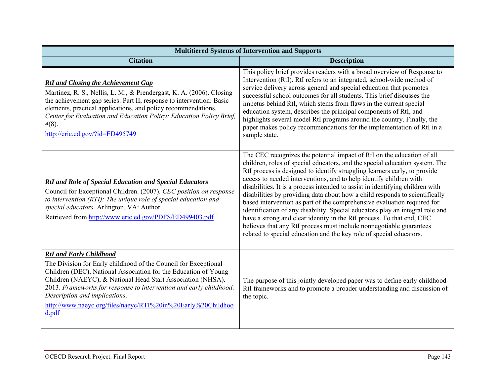| <b>Multitiered Systems of Intervention and Supports</b>                                                                                                                                                                                                                                                                                                                                                             |                                                                                                                                                                                                                                                                                                                                                                                                                                                                                                                                                                                                                                                                                                                                                                                                                                                             |
|---------------------------------------------------------------------------------------------------------------------------------------------------------------------------------------------------------------------------------------------------------------------------------------------------------------------------------------------------------------------------------------------------------------------|-------------------------------------------------------------------------------------------------------------------------------------------------------------------------------------------------------------------------------------------------------------------------------------------------------------------------------------------------------------------------------------------------------------------------------------------------------------------------------------------------------------------------------------------------------------------------------------------------------------------------------------------------------------------------------------------------------------------------------------------------------------------------------------------------------------------------------------------------------------|
| <b>Citation</b>                                                                                                                                                                                                                                                                                                                                                                                                     | <b>Description</b>                                                                                                                                                                                                                                                                                                                                                                                                                                                                                                                                                                                                                                                                                                                                                                                                                                          |
| <b>RtI</b> and Closing the Achievement Gap<br>Martinez, R. S., Nellis, L. M., & Prendergast, K. A. (2006). Closing<br>the achievement gap series: Part II, response to intervention: Basic<br>elements, practical applications, and policy recommendations.<br>Center for Evaluation and Education Policy: Education Policy Brief,<br>$4(8)$ .<br>http://eric.ed.gov/?id=ED495749                                   | This policy brief provides readers with a broad overview of Response to<br>Intervention (RtI). RtI refers to an integrated, school-wide method of<br>service delivery across general and special education that promotes<br>successful school outcomes for all students. This brief discusses the<br>impetus behind RtI, which stems from flaws in the current special<br>education system, describes the principal components of RtI, and<br>highlights several model RtI programs around the country. Finally, the<br>paper makes policy recommendations for the implementation of RtI in a<br>sample state.                                                                                                                                                                                                                                              |
| <b>RtI</b> and Role of Special Education and Special Educators<br>Council for Exceptional Children. (2007). CEC position on response<br>to intervention (RTI): The unique role of special education and<br>special educators. Arlington, VA: Author.<br>Retrieved from http://www.eric.ed.gov/PDFS/ED499403.pdf                                                                                                     | The CEC recognizes the potential impact of RtI on the education of all<br>children, roles of special educators, and the special education system. The<br>RtI process is designed to identify struggling learners early, to provide<br>access to needed interventions, and to help identify children with<br>disabilities. It is a process intended to assist in identifying children with<br>disabilities by providing data about how a child responds to scientifically<br>based intervention as part of the comprehensive evaluation required for<br>identification of any disability. Special educators play an integral role and<br>have a strong and clear identity in the RtI process. To that end, CEC<br>believes that any RtI process must include nonnegotiable guarantees<br>related to special education and the key role of special educators. |
| <b>RtI</b> and Early Childhood<br>The Division for Early childhood of the Council for Exceptional<br>Children (DEC), National Association for the Education of Young<br>Children (NAEYC), & National Head Start Association (NHSA).<br>2013. Frameworks for response to intervention and early childhood:<br>Description and implications.<br>http://www.naeyc.org/files/naeyc/RTI%20in%20Early%20Childhoo<br>d.pdf | The purpose of this jointly developed paper was to define early childhood<br>RtI frameworks and to promote a broader understanding and discussion of<br>the topic.                                                                                                                                                                                                                                                                                                                                                                                                                                                                                                                                                                                                                                                                                          |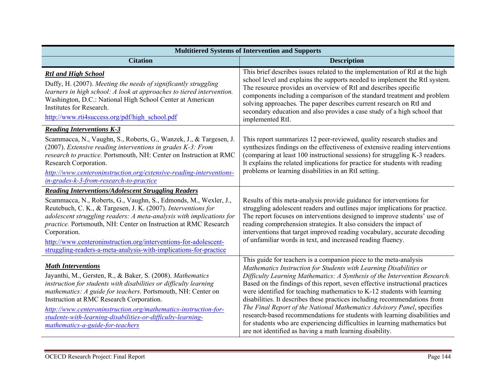| <b>Multitiered Systems of Intervention and Supports</b>                                                                                                                                                                                                                                                                                                                                                                                                                                             |                                                                                                                                                                                                                                                                                                                                                                                                                                                                                                                                                                                                                                                                                                                                                                  |  |
|-----------------------------------------------------------------------------------------------------------------------------------------------------------------------------------------------------------------------------------------------------------------------------------------------------------------------------------------------------------------------------------------------------------------------------------------------------------------------------------------------------|------------------------------------------------------------------------------------------------------------------------------------------------------------------------------------------------------------------------------------------------------------------------------------------------------------------------------------------------------------------------------------------------------------------------------------------------------------------------------------------------------------------------------------------------------------------------------------------------------------------------------------------------------------------------------------------------------------------------------------------------------------------|--|
| <b>Citation</b>                                                                                                                                                                                                                                                                                                                                                                                                                                                                                     | <b>Description</b>                                                                                                                                                                                                                                                                                                                                                                                                                                                                                                                                                                                                                                                                                                                                               |  |
| <b>RtI</b> and High School<br>Duffy, H. (2007). Meeting the needs of significantly struggling<br>learners in high school: A look at approaches to tiered intervention.<br>Washington, D.C.: National High School Center at American<br>Institutes for Research.<br>http://www.rti4success.org/pdf/high_school.pdf                                                                                                                                                                                   | This brief describes issues related to the implementation of RtI at the high<br>school level and explains the supports needed to implement the RtI system.<br>The resource provides an overview of RtI and describes specific<br>components including a comparison of the standard treatment and problem<br>solving approaches. The paper describes current research on RtI and<br>secondary education and also provides a case study of a high school that<br>implemented RtI.                                                                                                                                                                                                                                                                                  |  |
| <b>Reading Interventions K-3</b><br>Scammacca, N., Vaughn, S., Roberts, G., Wanzek, J., & Targesen, J.<br>$(2007)$ . Extensive reading interventions in grades $K-3$ : From<br>research to practice. Portsmouth, NH: Center on Instruction at RMC<br>Research Corporation.<br>http://www.centeroninstruction.org/extensive-reading-interventions-<br>in-grades-k-3-from-research-to-practice                                                                                                        | This report summarizes 12 peer-reviewed, quality research studies and<br>synthesizes findings on the effectiveness of extensive reading interventions<br>(comparing at least 100 instructional sessions) for struggling K-3 readers.<br>It explains the related implications for practice for students with reading<br>problems or learning disabilities in an RtI setting.                                                                                                                                                                                                                                                                                                                                                                                      |  |
| <b>Reading Interventions/Adolescent Struggling Readers</b><br>Scammacca, N., Roberts, G., Vaughn, S., Edmonds, M., Wexler, J.,<br>Reutebuch, C. K., & Targesen, J. K. (2007). Interventions for<br>adolescent struggling readers: A meta-analysis with implications for<br>practice. Portsmouth, NH: Center on Instruction at RMC Research<br>Corporation.<br>http://www.centeroninstruction.org/interventions-for-adolescent-<br>struggling-readers-a-meta-analysis-with-implications-for-practice | Results of this meta-analysis provide guidance for interventions for<br>struggling adolescent readers and outlines major implications for practice.<br>The report focuses on interventions designed to improve students' use of<br>reading comprehension strategies. It also considers the impact of<br>interventions that target improved reading vocabulary, accurate decoding<br>of unfamiliar words in text, and increased reading fluency.                                                                                                                                                                                                                                                                                                                  |  |
| <b>Math Interventions</b><br>Jayanthi, M., Gersten, R., & Baker, S. (2008). Mathematics<br>instruction for students with disabilities or difficulty learning<br>mathematics: A guide for teachers. Portsmouth, NH: Center on<br>Instruction at RMC Research Corporation.<br>http://www.centeroninstruction.org/mathematics-instruction-for-<br>students-with-learning-disabilities-or-difficulty-learning-<br>mathematics-a-guide-for-teachers                                                      | This guide for teachers is a companion piece to the meta-analysis<br>Mathematics Instruction for Students with Learning Disabilities or<br>Difficulty Learning Mathematics: A Synthesis of the Intervention Research.<br>Based on the findings of this report, seven effective instructional practices<br>were identified for teaching mathematics to K-12 students with learning<br>disabilities. It describes these practices including recommendations from<br>The Final Report of the National Mathematics Advisory Panel, specifies<br>research-based recommendations for students with learning disabilities and<br>for students who are experiencing difficulties in learning mathematics but<br>are not identified as having a math learning disability. |  |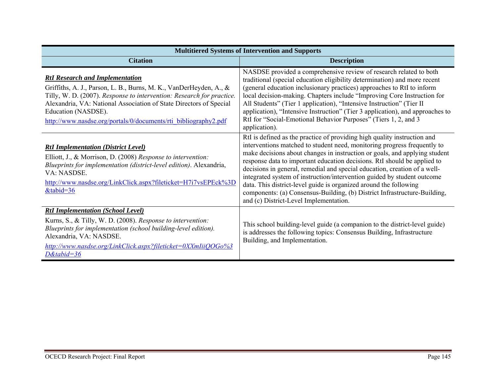| <b>Multitiered Systems of Intervention and Supports</b>                                                                                                                                                                                                                                                                                               |                                                                                                                                                                                                                                                                                                                                                                                                                                                                                                                                                                                                                                                                    |  |
|-------------------------------------------------------------------------------------------------------------------------------------------------------------------------------------------------------------------------------------------------------------------------------------------------------------------------------------------------------|--------------------------------------------------------------------------------------------------------------------------------------------------------------------------------------------------------------------------------------------------------------------------------------------------------------------------------------------------------------------------------------------------------------------------------------------------------------------------------------------------------------------------------------------------------------------------------------------------------------------------------------------------------------------|--|
| <b>Citation</b>                                                                                                                                                                                                                                                                                                                                       | <b>Description</b>                                                                                                                                                                                                                                                                                                                                                                                                                                                                                                                                                                                                                                                 |  |
| <b>RtI Research and Implementation</b><br>Griffiths, A. J., Parson, L. B., Burns, M. K., VanDerHeyden, A., &<br>Tilly, W. D. (2007). Response to intervention: Research for practice.<br>Alexandria, VA: National Association of State Directors of Special<br>Education (NASDSE).<br>http://www.nasdse.org/portals/0/documents/rti_bibliography2.pdf | NASDSE provided a comprehensive review of research related to both<br>traditional (special education eligibility determination) and more recent<br>(general education inclusionary practices) approaches to RtI to inform<br>local decision-making. Chapters include "Improving Core Instruction for<br>All Students" (Tier 1 application), "Intensive Instruction" (Tier II<br>application), "Intensive Instruction" (Tier 3 application), and approaches to<br>RtI for "Social-Emotional Behavior Purposes" (Tiers 1, 2, and 3<br>application).                                                                                                                  |  |
| <b>RtI Implementation (District Level)</b><br>Elliott, J., & Morrison, D. (2008) Response to intervention:<br>Blueprints for implementation (district-level edition). Alexandria,<br>VA: NASDSE.<br>http://www.nasdse.org/LinkClick.aspx?fileticket=H7i7vsEPEck%3D<br>&tabid=36                                                                       | RtI is defined as the practice of providing high quality instruction and<br>interventions matched to student need, monitoring progress frequently to<br>make decisions about changes in instruction or goals, and applying student<br>response data to important education decisions. RtI should be applied to<br>decisions in general, remedial and special education, creation of a well-<br>integrated system of instruction/intervention guided by student outcome<br>data. This district-level guide is organized around the following<br>components: (a) Consensus-Building, (b) District Infrastructure-Building,<br>and (c) District-Level Implementation. |  |
| <b>RtI Implementation (School Level)</b><br>Kurns, S., & Tilly, W. D. (2008). Response to intervention:<br>Blueprints for implementation (school building-level edition).<br>Alexandria, VA: NASDSE.<br>http://www.nasdse.org/LinkClick.aspx?fileticket=0XXmIiiQOGo%3<br>$D\&$ tabid=36                                                               | This school building-level guide (a companion to the district-level guide)<br>is addresses the following topics: Consensus Building, Infrastructure<br>Building, and Implementation.                                                                                                                                                                                                                                                                                                                                                                                                                                                                               |  |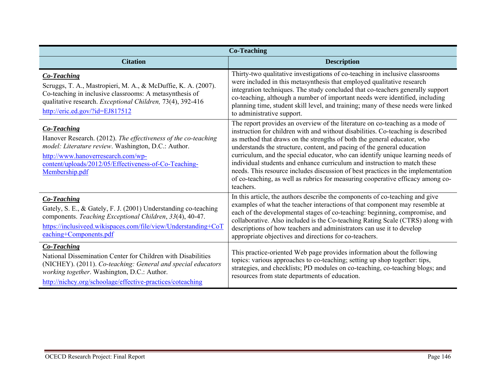| <b>Co-Teaching</b>                                                                                                                                                                                                                                              |                                                                                                                                                                                                                                                                                                                                                                                                                                                                                                                                                                                                                                                                             |
|-----------------------------------------------------------------------------------------------------------------------------------------------------------------------------------------------------------------------------------------------------------------|-----------------------------------------------------------------------------------------------------------------------------------------------------------------------------------------------------------------------------------------------------------------------------------------------------------------------------------------------------------------------------------------------------------------------------------------------------------------------------------------------------------------------------------------------------------------------------------------------------------------------------------------------------------------------------|
| <b>Citation</b>                                                                                                                                                                                                                                                 | <b>Description</b>                                                                                                                                                                                                                                                                                                                                                                                                                                                                                                                                                                                                                                                          |
| <b>Co-Teaching</b><br>Scruggs, T. A., Mastropieri, M. A., & McDuffie, K. A. (2007).<br>Co-teaching in inclusive classrooms: A metasynthesis of<br>qualitative research. Exceptional Children, 73(4), 392-416<br>$http://eric.edu.gov/?id=EJ817512$              | Thirty-two qualitative investigations of co-teaching in inclusive classrooms<br>were included in this metasynthesis that employed qualitative research<br>integration techniques. The study concluded that co-teachers generally support<br>co-teaching, although a number of important needs were identified, including<br>planning time, student skill level, and training; many of these needs were linked<br>to administrative support.                                                                                                                                                                                                                                 |
| <b>Co-Teaching</b><br>Hanover Research. (2012). The effectiveness of the co-teaching<br>model: Literature review. Washington, D.C.: Author.<br>http://www.hanoverresearch.com/wp-<br>content/uploads/2012/05/Effectiveness-of-Co-Teaching-<br>Membership.pdf    | The report provides an overview of the literature on co-teaching as a mode of<br>instruction for children with and without disabilities. Co-teaching is described<br>as method that draws on the strengths of both the general educator, who<br>understands the structure, content, and pacing of the general education<br>curriculum, and the special educator, who can identify unique learning needs of<br>individual students and enhance curriculum and instruction to match these<br>needs. This resource includes discussion of best practices in the implementation<br>of co-teaching, as well as rubrics for measuring cooperative efficacy among co-<br>teachers. |
| Co-Teaching<br>Gately, S. E., & Gately, F. J. (2001) Understanding co-teaching<br>components. Teaching Exceptional Children, 33(4), 40-47.<br>https://inclusiveed.wikispaces.com/file/view/Understanding+CoT<br>eaching+Components.pdf                          | In this article, the authors describe the components of co-teaching and give<br>examples of what the teacher interactions of that component may resemble at<br>each of the developmental stages of co-teaching: beginning, compromise, and<br>collaborative. Also included is the Co-teaching Rating Scale (CTRS) along with<br>descriptions of how teachers and administrators can use it to develop<br>appropriate objectives and directions for co-teachers.                                                                                                                                                                                                             |
| <b>Co-Teaching</b><br>National Dissemination Center for Children with Disabilities<br>(NICHEY). (2011). Co-teaching: General and special educators<br>working together. Washington, D.C.: Author.<br>http://nichcy.org/schoolage/effective-practices/coteaching | This practice-oriented Web page provides information about the following<br>topics: various approaches to co-teaching; setting up shop together: tips,<br>strategies, and checklists; PD modules on co-teaching, co-teaching blogs; and<br>resources from state departments of education.                                                                                                                                                                                                                                                                                                                                                                                   |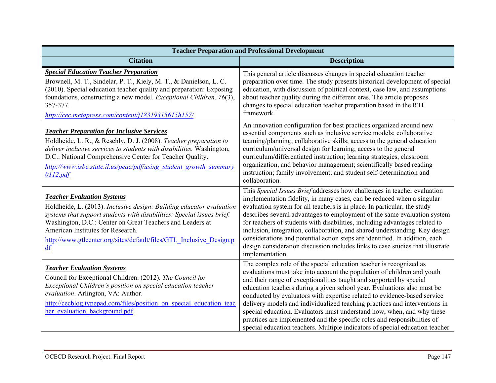| <b>Teacher Preparation and Professional Development</b>                                                                                                                                                                                                                                                                                                            |                                                                                                                                                                                                                                                                                                                                                                                                                                                                                                                                                                                                                                                                                                 |  |
|--------------------------------------------------------------------------------------------------------------------------------------------------------------------------------------------------------------------------------------------------------------------------------------------------------------------------------------------------------------------|-------------------------------------------------------------------------------------------------------------------------------------------------------------------------------------------------------------------------------------------------------------------------------------------------------------------------------------------------------------------------------------------------------------------------------------------------------------------------------------------------------------------------------------------------------------------------------------------------------------------------------------------------------------------------------------------------|--|
| <b>Citation</b>                                                                                                                                                                                                                                                                                                                                                    | <b>Description</b>                                                                                                                                                                                                                                                                                                                                                                                                                                                                                                                                                                                                                                                                              |  |
| <b>Special Education Teacher Preparation</b><br>Brownell, M. T., Sindelar, P. T., Kiely, M. T., & Danielson, L. C.<br>(2010). Special education teacher quality and preparation: Exposing<br>foundations, constructing a new model. Exceptional Children, 76(3),<br>357-377.<br>http://cec.metapress.com/content/j18319315615h157/                                 | This general article discusses changes in special education teacher<br>preparation over time. The study presents historical development of special<br>education, with discussion of political context, case law, and assumptions<br>about teacher quality during the different eras. The article proposes<br>changes to special education teacher preparation based in the RTI<br>framework.                                                                                                                                                                                                                                                                                                    |  |
| <b>Teacher Preparation for Inclusive Services</b><br>Holdheide, L. R., & Reschly, D. J. (2008). Teacher preparation to<br>deliver inclusive services to students with disabilities. Washington,<br>D.C.: National Comprehensive Center for Teacher Quality.<br>http://www.isbe.state.il.us/peac/pdf/using student growth summary<br>0112.pdf                       | An innovation configuration for best practices organized around new<br>essential components such as inclusive service models; collaborative<br>teaming/planning; collaborative skills; access to the general education<br>curriculum/universal design for learning; access to the general<br>curriculum/differentiated instruction; learning strategies, classroom<br>organization, and behavior management; scientifically based reading<br>instruction; family involvement; and student self-determination and<br>collaboration.                                                                                                                                                              |  |
| <b>Teacher Evaluation Systems</b><br>Holdheide, L. (2013). Inclusive design: Building educator evaluation<br>systems that support students with disabilities: Special issues brief.<br>Washington, D.C.: Center on Great Teachers and Leaders at<br>American Institutes for Research.<br>http://www.gtlcenter.org/sites/default/files/GTL Inclusive Design.p<br>df | This Special Issues Brief addresses how challenges in teacher evaluation<br>implementation fidelity, in many cases, can be reduced when a singular<br>evaluation system for all teachers is in place. In particular, the study<br>describes several advantages to employment of the same evaluation system<br>for teachers of students with disabilities, including advantages related to<br>inclusion, integration, collaboration, and shared understanding. Key design<br>considerations and potential action steps are identified. In addition, each<br>design consideration discussion includes links to case studies that illustrate<br>implementation.                                    |  |
| <b>Teacher Evaluation Systems</b><br>Council for Exceptional Children. (2012). The Council for<br>Exceptional Children's position on special education teacher<br>evaluation. Arlington, VA: Author.<br>http://cecblog.typepad.com/files/position on special education teac<br>her evaluation background.pdf.                                                      | The complex role of the special education teacher is recognized as<br>evaluations must take into account the population of children and youth<br>and their range of exceptionalities taught and supported by special<br>education teachers during a given school year. Evaluations also must be<br>conducted by evaluators with expertise related to evidence-based service<br>delivery models and individualized teaching practices and interventions in<br>special education. Evaluators must understand how, when, and why these<br>practices are implemented and the specific roles and responsibilities of<br>special education teachers. Multiple indicators of special education teacher |  |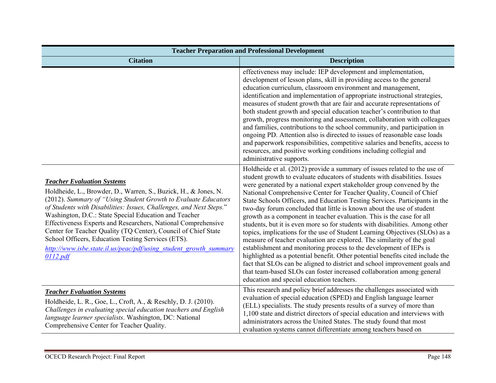| <b>Teacher Preparation and Professional Development</b>                                                                                                                                                                                                                                                                                                                                                                                                                                                                                                                          |                                                                                                                                                                                                                                                                                                                                                                                                                                                                                                                                                                                                                                                                                                                                                                                                                                                                                                                                                                                                                                                                                                                                               |
|----------------------------------------------------------------------------------------------------------------------------------------------------------------------------------------------------------------------------------------------------------------------------------------------------------------------------------------------------------------------------------------------------------------------------------------------------------------------------------------------------------------------------------------------------------------------------------|-----------------------------------------------------------------------------------------------------------------------------------------------------------------------------------------------------------------------------------------------------------------------------------------------------------------------------------------------------------------------------------------------------------------------------------------------------------------------------------------------------------------------------------------------------------------------------------------------------------------------------------------------------------------------------------------------------------------------------------------------------------------------------------------------------------------------------------------------------------------------------------------------------------------------------------------------------------------------------------------------------------------------------------------------------------------------------------------------------------------------------------------------|
| <b>Citation</b>                                                                                                                                                                                                                                                                                                                                                                                                                                                                                                                                                                  | <b>Description</b>                                                                                                                                                                                                                                                                                                                                                                                                                                                                                                                                                                                                                                                                                                                                                                                                                                                                                                                                                                                                                                                                                                                            |
|                                                                                                                                                                                                                                                                                                                                                                                                                                                                                                                                                                                  | effectiveness may include: IEP development and implementation,<br>development of lesson plans, skill in providing access to the general<br>education curriculum, classroom environment and management,<br>identification and implementation of appropriate instructional strategies,<br>measures of student growth that are fair and accurate representations of<br>both student growth and special education teacher's contribution to that<br>growth, progress monitoring and assessment, collaboration with colleagues<br>and families, contributions to the school community, and participation in<br>ongoing PD. Attention also is directed to issues of reasonable case loads<br>and paperwork responsibilities, competitive salaries and benefits, access to<br>resources, and positive working conditions including collegial and<br>administrative supports.                                                                                                                                                                                                                                                                         |
| <b>Teacher Evaluation Systems</b><br>Holdheide, L., Browder, D., Warren, S., Buzick, H., & Jones, N.<br>(2012). Summary of "Using Student Growth to Evaluate Educators<br>of Students with Disabilities: Issues, Challenges, and Next Steps."<br>Washington, D.C.: State Special Education and Teacher<br>Effectiveness Experts and Researchers, National Comprehensive<br>Center for Teacher Quality (TQ Center), Council of Chief State<br>School Officers, Education Testing Services (ETS).<br>http://www.isbe.state.il.us/peac/pdf/using student growth summary<br>0112.pdf | Holdheide et al. (2012) provide a summary of issues related to the use of<br>student growth to evaluate educators of students with disabilities. Issues<br>were generated by a national expert stakeholder group convened by the<br>National Comprehensive Center for Teacher Quality, Council of Chief<br>State Schools Officers, and Education Testing Services. Participants in the<br>two-day forum concluded that little is known about the use of student<br>growth as a component in teacher evaluation. This is the case for all<br>students, but it is even more so for students with disabilities. Among other<br>topics, implications for the use of Student Learning Objectives (SLOs) as a<br>measure of teacher evaluation are explored. The similarity of the goal<br>establishment and monitoring process to the development of IEPs is<br>highlighted as a potential benefit. Other potential benefits cited include the<br>fact that SLOs can be aligned to district and school improvement goals and<br>that team-based SLOs can foster increased collaboration among general<br>education and special education teachers. |
| <b>Teacher Evaluation Systems</b><br>Holdheide, L. R., Goe, L., Croft, A., & Reschly, D. J. (2010).<br>Challenges in evaluating special education teachers and English<br>language learner specialists. Washington, DC: National<br>Comprehensive Center for Teacher Quality.                                                                                                                                                                                                                                                                                                    | This research and policy brief addresses the challenges associated with<br>evaluation of special education (SPED) and English language learner<br>(ELL) specialists. The study presents results of a survey of more than<br>1,100 state and district directors of special education and interviews with<br>administrators across the United States. The study found that most<br>evaluation systems cannot differentiate among teachers based on                                                                                                                                                                                                                                                                                                                                                                                                                                                                                                                                                                                                                                                                                              |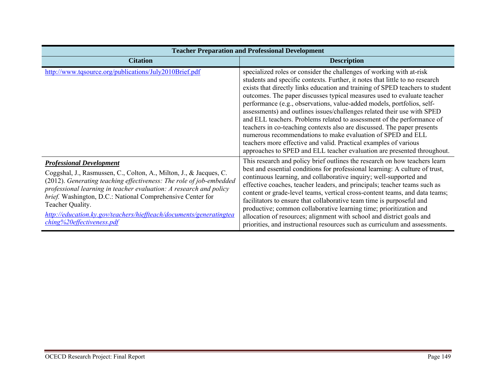| <b>Teacher Preparation and Professional Development</b>                                                                                                                                                                                                                                                                                                                                                                                  |                                                                                                                                                                                                                                                                                                                                                                                                                                                                                                                                                                                                                                                                                                                                                                                                                                          |
|------------------------------------------------------------------------------------------------------------------------------------------------------------------------------------------------------------------------------------------------------------------------------------------------------------------------------------------------------------------------------------------------------------------------------------------|------------------------------------------------------------------------------------------------------------------------------------------------------------------------------------------------------------------------------------------------------------------------------------------------------------------------------------------------------------------------------------------------------------------------------------------------------------------------------------------------------------------------------------------------------------------------------------------------------------------------------------------------------------------------------------------------------------------------------------------------------------------------------------------------------------------------------------------|
| <b>Citation</b>                                                                                                                                                                                                                                                                                                                                                                                                                          | <b>Description</b>                                                                                                                                                                                                                                                                                                                                                                                                                                                                                                                                                                                                                                                                                                                                                                                                                       |
| http://www.tqsource.org/publications/July2010Brief.pdf                                                                                                                                                                                                                                                                                                                                                                                   | specialized roles or consider the challenges of working with at-risk<br>students and specific contexts. Further, it notes that little to no research<br>exists that directly links education and training of SPED teachers to student<br>outcomes. The paper discusses typical measures used to evaluate teacher<br>performance (e.g., observations, value-added models, portfolios, self-<br>assessments) and outlines issues/challenges related their use with SPED<br>and ELL teachers. Problems related to assessment of the performance of<br>teachers in co-teaching contexts also are discussed. The paper presents<br>numerous recommendations to make evaluation of SPED and ELL<br>teachers more effective and valid. Practical examples of various<br>approaches to SPED and ELL teacher evaluation are presented throughout. |
| <b>Professional Development</b><br>Coggshal, J., Rasmussen, C., Colton, A., Milton, J., & Jacques, C.<br>(2012). Generating teaching effectiveness: The role of job-embedded<br>professional learning in teacher evaluation: A research and policy<br>brief. Washington, D.C.: National Comprehensive Center for<br>Teacher Quality.<br>http://education.ky.gov/teachers/hieffteach/documents/generatingtea<br>ching%20effectiveness.pdf | This research and policy brief outlines the research on how teachers learn<br>best and essential conditions for professional learning: A culture of trust,<br>continuous learning, and collaborative inquiry; well-supported and<br>effective coaches, teacher leaders, and principals; teacher teams such as<br>content or grade-level teams, vertical cross-content teams, and data teams;<br>facilitators to ensure that collaborative team time is purposeful and<br>productive; common collaborative learning time; prioritization and<br>allocation of resources; alignment with school and district goals and<br>priorities, and instructional resources such as curriculum and assessments.                                                                                                                                      |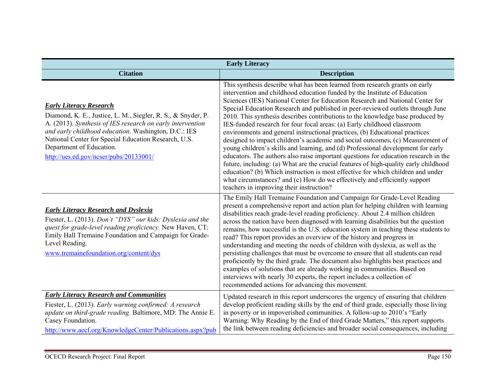| <b>Early Literacy</b>                                                                                                                                                                                                                                                                                                                              |                                                                                                                                                                                                                                                                                                                                                                                                                                                                                                                                                                                                                                                                                                                                                                                                                                                                                                                                                                                                                                                                                                                                          |
|----------------------------------------------------------------------------------------------------------------------------------------------------------------------------------------------------------------------------------------------------------------------------------------------------------------------------------------------------|------------------------------------------------------------------------------------------------------------------------------------------------------------------------------------------------------------------------------------------------------------------------------------------------------------------------------------------------------------------------------------------------------------------------------------------------------------------------------------------------------------------------------------------------------------------------------------------------------------------------------------------------------------------------------------------------------------------------------------------------------------------------------------------------------------------------------------------------------------------------------------------------------------------------------------------------------------------------------------------------------------------------------------------------------------------------------------------------------------------------------------------|
| <b>Citation</b>                                                                                                                                                                                                                                                                                                                                    | <b>Description</b>                                                                                                                                                                                                                                                                                                                                                                                                                                                                                                                                                                                                                                                                                                                                                                                                                                                                                                                                                                                                                                                                                                                       |
| <b>Early Literacy Research</b><br>Diamond, K. E., Justice, L. M., Siegler, R. S., & Snyder, P.<br>A. (2013). Synthesis of IES research on early intervention<br>and early childhood education. Washington, D.C.: IES<br>National Center for Special Education Research, U.S.<br>Department of Education.<br>http://ues.ed.gov/ncser/pubs/20133001/ | This synthesis describe what has been learned from research grants on early<br>intervention and childhood education funded by the Institute of Education<br>Sciences (IES) National Center for Education Research and National Center for<br>Special Education Research and published in peer-reviewed outlets through June<br>2010. This synthesis describes contributions to the knowledge base produced by<br>IES-funded research for four focal areas: (a) Early childhood classroom<br>environments and general instructional practices, (b) Educational practices<br>designed to impact children's academic and social outcomes, (c) Measurement of<br>young children's skills and learning, and (d) Professional development for early<br>educators. The authors also raise important questions for education research in the<br>future, including: (a) What are the crucial features of high-quality early childhood<br>education? (b) Which instruction is most effective for which children and under<br>what circumstances? and (c) How do we effectively and efficiently support<br>teachers in improving their instruction? |
| <b>Early Literacy Research and Dyslexia</b><br>Fiester, L. (2013). Don't "DYS" our kids: Dyslexia and the<br>quest for grade-level reading proficiency. New Haven, CT:<br>Emily Hall Tremaine Foundation and Campaign for Grade-<br>Level Reading.<br>www.tremainefoundation.org/content/dys                                                       | The Emily Hall Tremaine Foundation and Campaign for Grade-Level Reading<br>present a comprehensive report and action plan for helping children with learning<br>disabilities reach grade-level reading proficiency. About 2.4 million children<br>across the nation have been diagnosed with learning disabilities but the question<br>remains, how successful is the U.S. education system in teaching these students to<br>read? This report provides an overview of the history and progress in<br>understanding and meeting the needs of children with dyslexia, as well as the<br>persisting challenges that must be overcome to ensure that all students can read<br>proficiently by the third grade. The document also highlights best practices and<br>examples of solutions that are already working in communities. Based on<br>interviews with nearly 30 experts, the report includes a collection of<br>recommended actions for advancing this movement.                                                                                                                                                                     |
| <b>Early Literacy Research and Communities</b><br>Fiester, L. (2013). Early warning confirmed: A research<br>update on third-grade reading. Baltimore, MD: The Annie E.<br>Casey Foundation.<br>http://www.aecf.org/KnowledgeCenter/Publications.aspx?pub                                                                                          | Updated research in this report underscores the urgency of ensuring that children<br>develop proficient reading skills by the end of third grade, especially those living<br>in poverty or in impoverished communities. A follow-up to 2010's "Early<br>Warning: Why Reading by the End of third Grade Matters," this report supports<br>the link between reading deficiencies and broader social consequences, including                                                                                                                                                                                                                                                                                                                                                                                                                                                                                                                                                                                                                                                                                                                |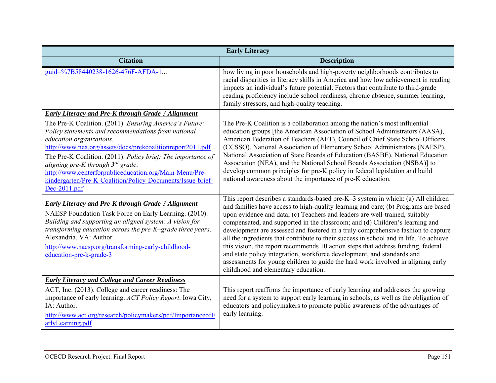| <b>Early Literacy</b>                                                                                                                                                                                                                                                                                                                                                                                                                                      |                                                                                                                                                                                                                                                                                                                                                                                                                                                                                                                                                                                                                                                                                                                                                                                                                |  |
|------------------------------------------------------------------------------------------------------------------------------------------------------------------------------------------------------------------------------------------------------------------------------------------------------------------------------------------------------------------------------------------------------------------------------------------------------------|----------------------------------------------------------------------------------------------------------------------------------------------------------------------------------------------------------------------------------------------------------------------------------------------------------------------------------------------------------------------------------------------------------------------------------------------------------------------------------------------------------------------------------------------------------------------------------------------------------------------------------------------------------------------------------------------------------------------------------------------------------------------------------------------------------------|--|
| <b>Citation</b>                                                                                                                                                                                                                                                                                                                                                                                                                                            | <b>Description</b>                                                                                                                                                                                                                                                                                                                                                                                                                                                                                                                                                                                                                                                                                                                                                                                             |  |
| guid=%7B58440238-1626-476F-AFDA-1                                                                                                                                                                                                                                                                                                                                                                                                                          | how living in poor households and high-poverty neighborhoods contributes to<br>racial disparities in literacy skills in America and how low achievement in reading<br>impacts an individual's future potential. Factors that contribute to third-grade<br>reading proficiency include school readiness, chronic absence, summer learning,<br>family stressors, and high-quality teaching.                                                                                                                                                                                                                                                                                                                                                                                                                      |  |
| <b>Early Literacy and Pre-K through Grade 3 Alignment</b>                                                                                                                                                                                                                                                                                                                                                                                                  |                                                                                                                                                                                                                                                                                                                                                                                                                                                                                                                                                                                                                                                                                                                                                                                                                |  |
| The Pre-K Coalition. (2011). Ensuring America's Future:<br>Policy statements and recommendations from national<br>education organizations.<br>http://www.nea.org/assets/docs/prekcoalitionreport2011.pdf<br>The Pre-K Coalition. (2011). Policy brief: The importance of<br>aligning pre-K through $3^{rd}$ grade.<br>http://www.centerforpubliceducation.org/Main-Menu/Pre-<br>kindergarten/Pre-K-Coalition/Policy-Documents/Issue-brief-<br>Dec-2011.pdf | The Pre-K Coalition is a collaboration among the nation's most influential<br>education groups [the American Association of School Administrators (AASA),<br>American Federation of Teachers (AFT), Council of Chief State School Officers<br>(CCSSO), National Association of Elementary School Administrators (NAESP),<br>National Association of State Boards of Education (BASBE), National Education<br>Association (NEA), and the National School Boards Association (NSBA)] to<br>develop common principles for pre-K policy in federal legislation and build<br>national awareness about the importance of pre-K education.                                                                                                                                                                            |  |
| <b>Early Literacy and Pre-K through Grade 3 Alignment</b><br>NAESP Foundation Task Force on Early Learning. (2010).<br>Building and supporting an aligned system: A vision for<br>transforming education across the pre-K-grade three years.<br>Alexandria, VA: Author.<br>http://www.naesp.org/transforming-early-childhood-<br>education-pre-k-grade-3                                                                                                   | This report describes a standards-based pre-K-3 system in which: (a) All children<br>and families have access to high-quality learning and care; (b) Programs are based<br>upon evidence and data; (c) Teachers and leaders are well-trained, suitably<br>compensated, and supported in the classroom; and (d) Children's learning and<br>development are assessed and fostered in a truly comprehensive fashion to capture<br>all the ingredients that contribute to their success in school and in life. To achieve<br>this vision, the report recommends 10 action steps that address funding, federal<br>and state policy integration, workforce development, and standards and<br>assessments for young children to guide the hard work involved in aligning early<br>childhood and elementary education. |  |
| <b>Early Literacy and College and Career Readiness</b>                                                                                                                                                                                                                                                                                                                                                                                                     |                                                                                                                                                                                                                                                                                                                                                                                                                                                                                                                                                                                                                                                                                                                                                                                                                |  |
| ACT, Inc. (2013). College and career readiness: The<br>importance of early learning. ACT Policy Report. Iowa City,<br>IA: Author.<br>http://www.act.org/research/policymakers/pdf/ImportanceofE<br>arlyLearning.pdf                                                                                                                                                                                                                                        | This report reaffirms the importance of early learning and addresses the growing<br>need for a system to support early learning in schools, as well as the obligation of<br>educators and policymakers to promote public awareness of the advantages of<br>early learning.                                                                                                                                                                                                                                                                                                                                                                                                                                                                                                                                     |  |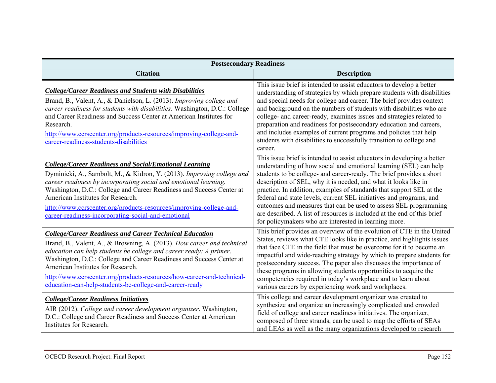| <b>Postsecondary Readiness</b>                                                                                                                                                                                                                                                                                                                                                                                                                                   |                                                                                                                                                                                                                                                                                                                                                                                                                                                                                                                                                                                                                                                |  |  |
|------------------------------------------------------------------------------------------------------------------------------------------------------------------------------------------------------------------------------------------------------------------------------------------------------------------------------------------------------------------------------------------------------------------------------------------------------------------|------------------------------------------------------------------------------------------------------------------------------------------------------------------------------------------------------------------------------------------------------------------------------------------------------------------------------------------------------------------------------------------------------------------------------------------------------------------------------------------------------------------------------------------------------------------------------------------------------------------------------------------------|--|--|
| <b>Citation</b>                                                                                                                                                                                                                                                                                                                                                                                                                                                  | <b>Description</b>                                                                                                                                                                                                                                                                                                                                                                                                                                                                                                                                                                                                                             |  |  |
| <b>College/Career Readiness and Students with Disabilities</b><br>Brand, B., Valent, A., & Danielson, L. (2013). Improving college and<br>career readiness for students with disabilities. Washington, D.C.: College<br>and Career Readiness and Success Center at American Institutes for<br>Research.<br>http://www.ccrscenter.org/products-resources/improving-college-and-<br>career-readiness-students-disabilities                                         | This issue brief is intended to assist educators to develop a better<br>understanding of strategies by which prepare students with disabilities<br>and special needs for college and career. The brief provides context<br>and background on the numbers of students with disabilities who are<br>college- and career-ready, examines issues and strategies related to<br>preparation and readiness for postsecondary education and careers,<br>and includes examples of current programs and policies that help<br>students with disabilities to successfully transition to college and<br>career.                                            |  |  |
| <b>College/Career Readiness and Social/Emotional Learning</b><br>Dyminicki, A., Sambolt, M., & Kidron, Y. (2013). Improving college and<br>career readiness by incorporating social and emotional learning.<br>Washington, D.C.: College and Career Readiness and Success Center at<br>American Institutes for Research.<br>http://www.ccrscenter.org/products-resources/improving-college-and-<br>career-readiness-incorporating-social-and-emotional           | This issue brief is intended to assist educators in developing a better<br>understanding of how social and emotional learning (SEL) can help<br>students to be college- and career-ready. The brief provides a short<br>description of SEL, why it is needed, and what it looks like in<br>practice. In addition, examples of standards that support SEL at the<br>federal and state levels, current SEL initiatives and programs, and<br>outcomes and measures that can be used to assess SEL programming<br>are described. A list of resources is included at the end of this brief<br>for policymakers who are interested in learning more. |  |  |
| <b>College/Career Readiness and Career Technical Education</b><br>Brand, B., Valent, A., & Browning, A. (2013). How career and technical<br>education can help students be college and career ready: A primer.<br>Washington, D.C.: College and Career Readiness and Success Center at<br>American Institutes for Research.<br>http://www.ccrscenter.org/products-resources/how-career-and-technical-<br>education-can-help-students-be-college-and-career-ready | This brief provides an overview of the evolution of CTE in the United<br>States, reviews what CTE looks like in practice, and highlights issues<br>that face CTE in the field that must be overcome for it to become an<br>impactful and wide-reaching strategy by which to prepare students for<br>postsecondary success. The paper also discusses the importance of<br>these programs in allowing students opportunities to acquire the<br>competencies required in today's workplace and to learn about<br>various careers by experiencing work and workplaces.                                                                             |  |  |
| <b>College/Career Readiness Initiatives</b><br>AIR (2012). College and career development organizer. Washington,<br>D.C.: College and Career Readiness and Success Center at American<br>Institutes for Research.                                                                                                                                                                                                                                                | This college and career development organizer was created to<br>synthesize and organize an increasingly complicated and crowded<br>field of college and career readiness initiatives. The organizer,<br>composed of three strands, can be used to map the efforts of SEAs<br>and LEAs as well as the many organizations developed to research                                                                                                                                                                                                                                                                                                  |  |  |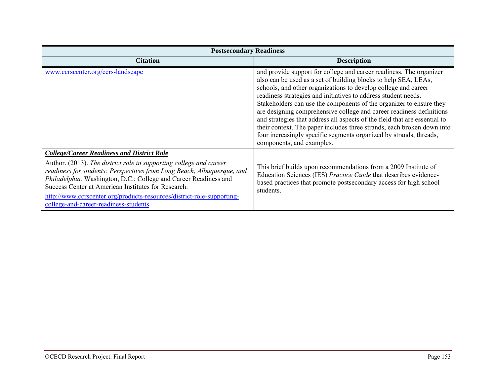| <b>Postsecondary Readiness</b>                                                                                                                                                                                                                                                                                                                                                                                                                  |                                                                                                                                                                                                                                                                                                                                                                                                                                                                                                                                                                                                                                                                                      |  |
|-------------------------------------------------------------------------------------------------------------------------------------------------------------------------------------------------------------------------------------------------------------------------------------------------------------------------------------------------------------------------------------------------------------------------------------------------|--------------------------------------------------------------------------------------------------------------------------------------------------------------------------------------------------------------------------------------------------------------------------------------------------------------------------------------------------------------------------------------------------------------------------------------------------------------------------------------------------------------------------------------------------------------------------------------------------------------------------------------------------------------------------------------|--|
| <b>Citation</b>                                                                                                                                                                                                                                                                                                                                                                                                                                 | <b>Description</b>                                                                                                                                                                                                                                                                                                                                                                                                                                                                                                                                                                                                                                                                   |  |
| www.ccrscenter.org/ccrs-landscape                                                                                                                                                                                                                                                                                                                                                                                                               | and provide support for college and career readiness. The organizer<br>also can be used as a set of building blocks to help SEA, LEAs,<br>schools, and other organizations to develop college and career<br>readiness strategies and initiatives to address student needs.<br>Stakeholders can use the components of the organizer to ensure they<br>are designing comprehensive college and career readiness definitions<br>and strategies that address all aspects of the field that are essential to<br>their context. The paper includes three strands, each broken down into<br>four increasingly specific segments organized by strands, threads,<br>components, and examples. |  |
| <b>College/Career Readiness and District Role</b><br>Author. (2013). The district role in supporting college and career<br>readiness for students: Perspectives from Long Beach, Albuquerque, and<br>Philadelphia. Washington, D.C.: College and Career Readiness and<br>Success Center at American Institutes for Research.<br>http://www.ccrscenter.org/products-resources/district-role-supporting-<br>college-and-career-readiness-students | This brief builds upon recommendations from a 2009 Institute of<br>Education Sciences (IES) Practice Guide that describes evidence-<br>based practices that promote postsecondary access for high school<br>students.                                                                                                                                                                                                                                                                                                                                                                                                                                                                |  |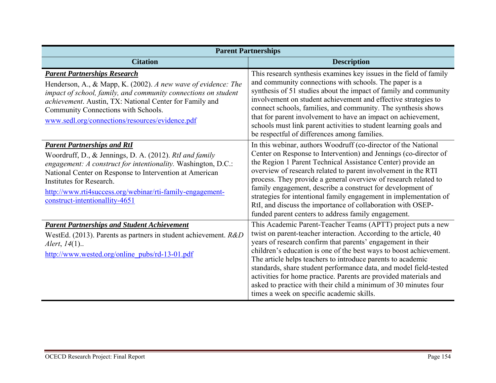| <b>Parent Partnerships</b>                                                                                                                                                                                                                                                                                                                           |                                                                                                                                                                                                                                                                                                                                                                                                                                                                                                                                                                                                |  |  |
|------------------------------------------------------------------------------------------------------------------------------------------------------------------------------------------------------------------------------------------------------------------------------------------------------------------------------------------------------|------------------------------------------------------------------------------------------------------------------------------------------------------------------------------------------------------------------------------------------------------------------------------------------------------------------------------------------------------------------------------------------------------------------------------------------------------------------------------------------------------------------------------------------------------------------------------------------------|--|--|
| <b>Citation</b>                                                                                                                                                                                                                                                                                                                                      | <b>Description</b>                                                                                                                                                                                                                                                                                                                                                                                                                                                                                                                                                                             |  |  |
| <b>Parent Partnerships Research</b><br>Henderson, A., & Mapp, K. (2002). A new wave of evidence: The<br>impact of school, family, and community connections on student<br>achievement. Austin, TX: National Center for Family and<br>Community Connections with Schools.<br>www.sedl.org/connections/resources/evidence.pdf                          | This research synthesis examines key issues in the field of family<br>and community connections with schools. The paper is a<br>synthesis of 51 studies about the impact of family and community<br>involvement on student achievement and effective strategies to<br>connect schools, families, and community. The synthesis shows<br>that for parent involvement to have an impact on achievement,<br>schools must link parent activities to student learning goals and<br>be respectful of differences among families.                                                                      |  |  |
| <b>Parent Partnerships and RtI</b><br>Woordruff, D., & Jennings, D. A. (2012). RtI and family<br>engagement: A construct for intentionality. Washington, D.C.:<br>National Center on Response to Intervention at American<br>Institutes for Research.<br>http://www.rti4success.org/webinar/rti-family-engagement-<br>construct-intentionallity-4651 | In this webinar, authors Woodruff (co-director of the National<br>Center on Response to Intervention) and Jennings (co-director of<br>the Region 1 Parent Technical Assistance Center) provide an<br>overview of research related to parent involvement in the RTI<br>process. They provide a general overview of research related to<br>family engagement, describe a construct for development of<br>strategies for intentional family engagement in implementation of<br>RtI, and discuss the importance of collaboration with OSEP-<br>funded parent centers to address family engagement. |  |  |
| <b>Parent Partnerships and Student Achievement</b><br>WestEd. (2013). Parents as partners in student achievement. $R&D$<br><i>Alert</i> , $14(1)$<br>http://www.wested.org/online_pubs/rd-13-01.pdf                                                                                                                                                  | This Academic Parent-Teacher Teams (APTT) project puts a new<br>twist on parent-teacher interaction. According to the article, 40<br>years of research confirm that parents' engagement in their<br>children's education is one of the best ways to boost achievement.<br>The article helps teachers to introduce parents to academic<br>standards, share student performance data, and model field-tested<br>activities for home practice. Parents are provided materials and<br>asked to practice with their child a minimum of 30 minutes four<br>times a week on specific academic skills. |  |  |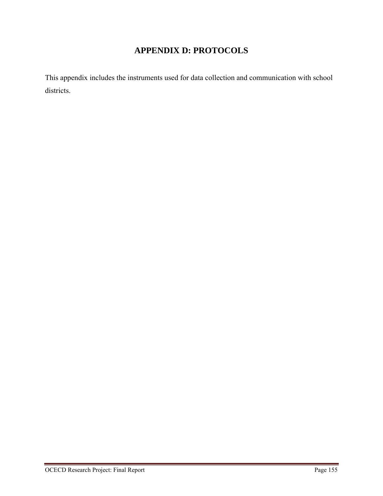# **APPENDIX D: PROTOCOLS**

This appendix includes the instruments used for data collection and communication with school districts.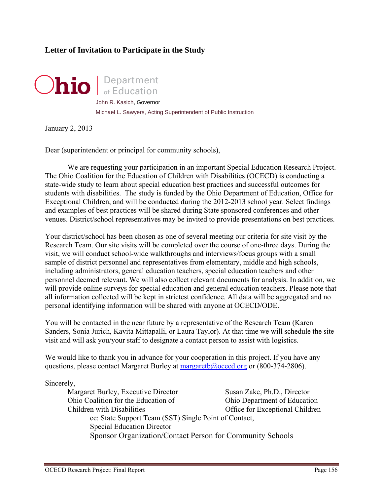# **Letter of Invitation to Participate in the Study**



John R. Kasich, Governor Michael L. Sawyers, Acting Superintendent of Public Instruction

January 2, 2013

Dear (superintendent or principal for community schools),

 We are requesting your participation in an important Special Education Research Project. The Ohio Coalition for the Education of Children with Disabilities (OCECD) is conducting a state-wide study to learn about special education best practices and successful outcomes for students with disabilities. The study is funded by the Ohio Department of Education, Office for Exceptional Children, and will be conducted during the 2012-2013 school year. Select findings and examples of best practices will be shared during State sponsored conferences and other venues. District/school representatives may be invited to provide presentations on best practices.

Your district/school has been chosen as one of several meeting our criteria for site visit by the Research Team. Our site visits will be completed over the course of one-three days. During the visit, we will conduct school-wide walkthroughs and interviews/focus groups with a small sample of district personnel and representatives from elementary, middle and high schools, including administrators, general education teachers, special education teachers and other personnel deemed relevant. We will also collect relevant documents for analysis. In addition, we will provide online surveys for special education and general education teachers. Please note that all information collected will be kept in strictest confidence. All data will be aggregated and no personal identifying information will be shared with anyone at OCECD/ODE.

You will be contacted in the near future by a representative of the Research Team (Karen Sanders, Sonia Jurich, Kavita Mittapalli, or Laura Taylor). At that time we will schedule the site visit and will ask you/your staff to designate a contact person to assist with logistics.

We would like to thank you in advance for your cooperation in this project. If you have any questions, please contact Margaret Burley at margaretb@ocecd.org or (800-374-2806).

Sincerely,

| Margaret Burley, Executive Director                       | Susan Zake, Ph.D., Director     |
|-----------------------------------------------------------|---------------------------------|
| Ohio Coalition for the Education of                       | Ohio Department of Education    |
| Children with Disabilities                                | Office for Exceptional Children |
| cc: State Support Team (SST) Single Point of Contact,     |                                 |
| <b>Special Education Director</b>                         |                                 |
| Sponsor Organization/Contact Person for Community Schools |                                 |
|                                                           |                                 |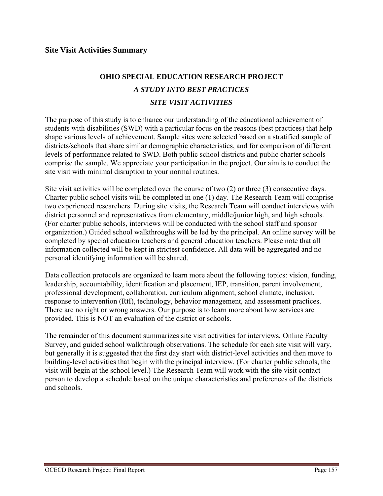# **OHIO SPECIAL EDUCATION RESEARCH PROJECT**  *A STUDY INTO BEST PRACTICES SITE VISIT ACTIVITIES*

The purpose of this study is to enhance our understanding of the educational achievement of students with disabilities (SWD) with a particular focus on the reasons (best practices) that help shape various levels of achievement. Sample sites were selected based on a stratified sample of districts/schools that share similar demographic characteristics, and for comparison of different levels of performance related to SWD. Both public school districts and public charter schools comprise the sample. We appreciate your participation in the project. Our aim is to conduct the site visit with minimal disruption to your normal routines.

Site visit activities will be completed over the course of two (2) or three (3) consecutive days. Charter public school visits will be completed in one (1) day. The Research Team will comprise two experienced researchers. During site visits, the Research Team will conduct interviews with district personnel and representatives from elementary, middle/junior high, and high schools. (For charter public schools, interviews will be conducted with the school staff and sponsor organization.) Guided school walkthroughs will be led by the principal. An online survey will be completed by special education teachers and general education teachers. Please note that all information collected will be kept in strictest confidence. All data will be aggregated and no personal identifying information will be shared.

Data collection protocols are organized to learn more about the following topics: vision, funding, leadership, accountability, identification and placement, IEP, transition, parent involvement, professional development, collaboration, curriculum alignment, school climate, inclusion, response to intervention (RtI), technology, behavior management, and assessment practices. There are no right or wrong answers. Our purpose is to learn more about how services are provided. This is NOT an evaluation of the district or schools.

The remainder of this document summarizes site visit activities for interviews, Online Faculty Survey, and guided school walkthrough observations. The schedule for each site visit will vary, but generally it is suggested that the first day start with district-level activities and then move to building-level activities that begin with the principal interview. (For charter public schools, the visit will begin at the school level.) The Research Team will work with the site visit contact person to develop a schedule based on the unique characteristics and preferences of the districts and schools.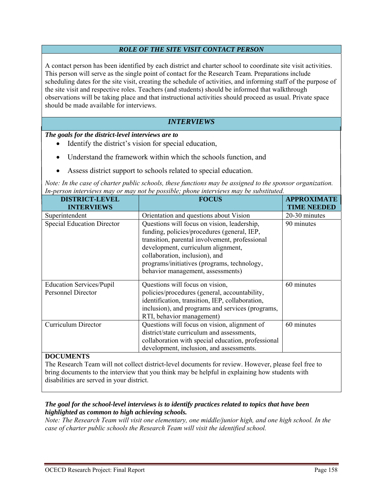#### *ROLE OF THE SITE VISIT CONTACT PERSON*

A contact person has been identified by each district and charter school to coordinate site visit activities. This person will serve as the single point of contact for the Research Team. Preparations include scheduling dates for the site visit, creating the schedule of activities, and informing staff of the purpose of the site visit and respective roles. Teachers (and students) should be informed that walkthrough observations will be taking place and that instructional activities should proceed as usual. Private space should be made available for interviews.

# *INTERVIEWS*

*The goals for the district-level interviews are to* 

- Identify the district's vision for special education,
- Understand the framework within which the schools function, and
- Assess district support to schools related to special education.

*Note: In the case of charter public schools, these functions may be assigned to the sponsor organization. In-person interviews may or may not be possible; phone interviews may be substituted.*

| <b>DISTRICT-LEVEL</b>             | <b>FOCUS</b>                                                                  | <b>APPROXIMATE</b> |
|-----------------------------------|-------------------------------------------------------------------------------|--------------------|
| <b>INTERVIEWS</b>                 |                                                                               | <b>TIME NEEDED</b> |
| Superintendent                    | Orientation and questions about Vision                                        | 20-30 minutes      |
| <b>Special Education Director</b> | Questions will focus on vision, leadership,                                   | 90 minutes         |
|                                   | funding, policies/procedures (general, IEP,                                   |                    |
|                                   | transition, parental involvement, professional                                |                    |
|                                   | development, curriculum alignment,                                            |                    |
|                                   | collaboration, inclusion), and<br>programs/initiatives (programs, technology, |                    |
|                                   | behavior management, assessments)                                             |                    |
|                                   |                                                                               |                    |
| <b>Education Services/Pupil</b>   | Questions will focus on vision,                                               | 60 minutes         |
| <b>Personnel Director</b>         | policies/procedures (general, accountability,                                 |                    |
|                                   | identification, transition, IEP, collaboration,                               |                    |
|                                   | inclusion), and programs and services (programs,                              |                    |
|                                   | RTI, behavior management)                                                     |                    |
| Curriculum Director               | Questions will focus on vision, alignment of                                  | 60 minutes         |
|                                   | district/state curriculum and assessments,                                    |                    |
|                                   | collaboration with special education, professional                            |                    |
|                                   | development, inclusion, and assessments.                                      |                    |
| <b>DOCUMENTS</b>                  |                                                                               |                    |

The Research Team will not collect district-level documents for review. However, please feel free to bring documents to the interview that you think may be helpful in explaining how students with disabilities are served in your district.

#### *The goal for the school-level interviews is to identify practices related to topics that have been highlighted as common to high achieving schools.*

*Note: The Research Team will visit one elementary, one middle/junior high, and one high school. In the case of charter public schools the Research Team will visit the identified school.*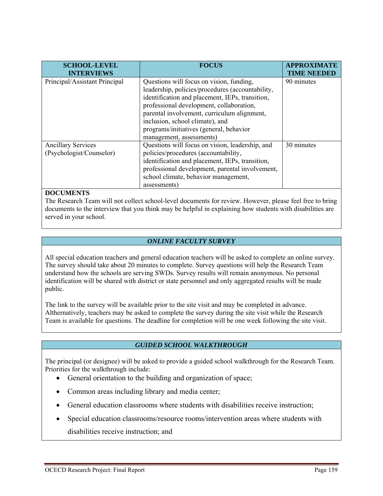| <b>SCHOOL-LEVEL</b><br><b>INTERVIEWS</b>              | <b>FOCUS</b>                                                                                                                                                                                                                                                                                                                                         | <b>APPROXIMATE</b><br><b>TIME NEEDED</b> |
|-------------------------------------------------------|------------------------------------------------------------------------------------------------------------------------------------------------------------------------------------------------------------------------------------------------------------------------------------------------------------------------------------------------------|------------------------------------------|
| Principal/Assistant Principal                         | Questions will focus on vision, funding,<br>leadership, policies/procedures (accountability,<br>identification and placement, IEPs, transition,<br>professional development, collaboration,<br>parental involvement, curriculum alignment,<br>inclusion, school climate), and<br>programs/initiatives (general, behavior<br>management, assessments) | 90 minutes                               |
| <b>Ancillary Services</b><br>(Psychologist/Counselor) | Questions will focus on vision, leadership, and<br>policies/procedures (accountability,<br>identification and placement, IEPs, transition,<br>professional development, parental involvement,<br>school climate, behavior management,<br>assessments)                                                                                                | 30 minutes                               |

#### **DOCUMENTS**

The Research Team will not collect school-level documents for review. However, please feel free to bring documents to the interview that you think may be helpful in explaining how students with disabilities are served in your school.

#### *ONLINE FACULTY SURVEY*

All special education teachers and general education teachers will be asked to complete an online survey. The survey should take about 20 minutes to complete. Survey questions will help the Research Team understand how the schools are serving SWDs. Survey results will remain anonymous. No personal identification will be shared with district or state personnel and only aggregated results will be made public.

The link to the survey will be available prior to the site visit and may be completed in advance. Althernatively, teachers may be asked to complete the survey during the site visit while the Research Team is available for questions. The deadline for completion will be one week following the site visit.

#### *GUIDED SCHOOL WALKTHROUGH*

The principal (or designee) will be asked to provide a guided school walkthrough for the Research Team. Priorities for the walkthrough include:

- General orientation to the building and organization of space;
- Common areas including library and media center;
- General education classrooms where students with disabilities receive instruction;
- Special education classrooms/resource rooms/intervention areas where students with disabilities receive instruction; and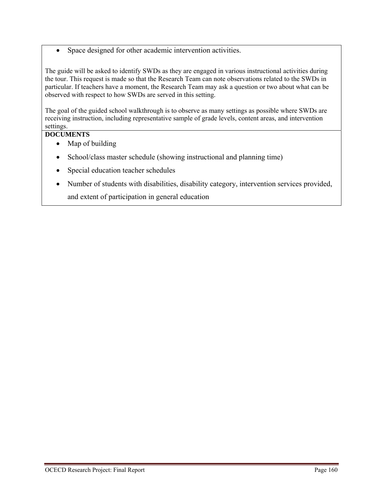Space designed for other academic intervention activities.

The guide will be asked to identify SWDs as they are engaged in various instructional activities during the tour. This request is made so that the Research Team can note observations related to the SWDs in particular. If teachers have a moment, the Research Team may ask a question or two about what can be observed with respect to how SWDs are served in this setting.

The goal of the guided school walkthrough is to observe as many settings as possible where SWDs are receiving instruction, including representative sample of grade levels, content areas, and intervention settings.

## **DOCUMENTS**

- Map of building
- School/class master schedule (showing instructional and planning time)
- Special education teacher schedules
- Number of students with disabilities, disability category, intervention services provided, and extent of participation in general education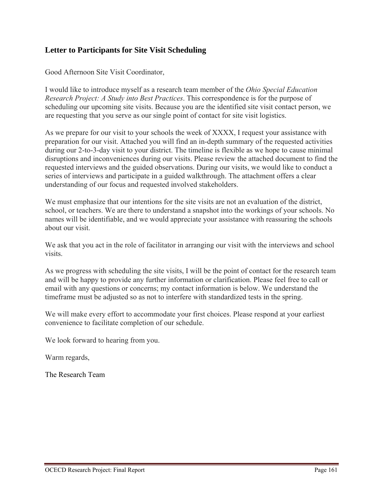# **Letter to Participants for Site Visit Scheduling**

Good Afternoon Site Visit Coordinator,

I would like to introduce myself as a research team member of the *Ohio Special Education Research Project: A Study into Best Practices*. This correspondence is for the purpose of scheduling our upcoming site visits. Because you are the identified site visit contact person, we are requesting that you serve as our single point of contact for site visit logistics.

As we prepare for our visit to your schools the week of XXXX, I request your assistance with preparation for our visit. Attached you will find an in-depth summary of the requested activities during our 2-to-3-day visit to your district. The timeline is flexible as we hope to cause minimal disruptions and inconveniences during our visits. Please review the attached document to find the requested interviews and the guided observations. During our visits, we would like to conduct a series of interviews and participate in a guided walkthrough. The attachment offers a clear understanding of our focus and requested involved stakeholders.

We must emphasize that our intentions for the site visits are not an evaluation of the district, school, or teachers. We are there to understand a snapshot into the workings of your schools. No names will be identifiable, and we would appreciate your assistance with reassuring the schools about our visit.

We ask that you act in the role of facilitator in arranging our visit with the interviews and school visits.

As we progress with scheduling the site visits, I will be the point of contact for the research team and will be happy to provide any further information or clarification. Please feel free to call or email with any questions or concerns; my contact information is below. We understand the timeframe must be adjusted so as not to interfere with standardized tests in the spring.

We will make every effort to accommodate your first choices. Please respond at your earliest convenience to facilitate completion of our schedule.

We look forward to hearing from you.

Warm regards,

The Research Team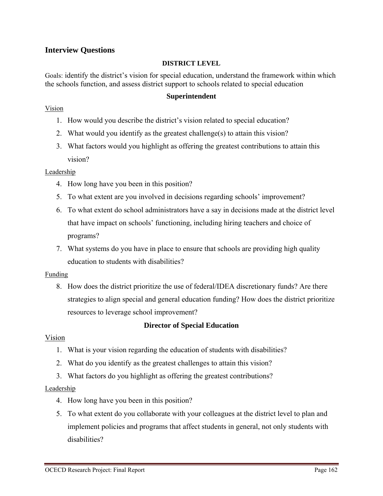# **Interview Questions**

#### **DISTRICT LEVEL**

Goals: identify the district's vision for special education, understand the framework within which the schools function, and assess district support to schools related to special education

#### **Superintendent**

#### Vision

- 1. How would you describe the district's vision related to special education?
- 2. What would you identify as the greatest challenge(s) to attain this vision?
- 3. What factors would you highlight as offering the greatest contributions to attain this vision?

#### Leadership

- 4. How long have you been in this position?
- 5. To what extent are you involved in decisions regarding schools' improvement?
- 6. To what extent do school administrators have a say in decisions made at the district level that have impact on schools' functioning, including hiring teachers and choice of programs?
- 7. What systems do you have in place to ensure that schools are providing high quality education to students with disabilities?

#### Funding

8. How does the district prioritize the use of federal/IDEA discretionary funds? Are there strategies to align special and general education funding? How does the district prioritize resources to leverage school improvement?

## **Director of Special Education**

## Vision

- 1. What is your vision regarding the education of students with disabilities?
- 2. What do you identify as the greatest challenges to attain this vision?
- 3. What factors do you highlight as offering the greatest contributions?

#### Leadership

- 4. How long have you been in this position?
- 5. To what extent do you collaborate with your colleagues at the district level to plan and implement policies and programs that affect students in general, not only students with disabilities?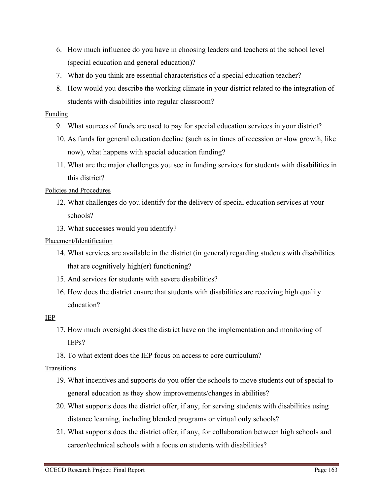- 6. How much influence do you have in choosing leaders and teachers at the school level (special education and general education)?
- 7. What do you think are essential characteristics of a special education teacher?
- 8. How would you describe the working climate in your district related to the integration of students with disabilities into regular classroom?

## Funding

- 9. What sources of funds are used to pay for special education services in your district?
- 10. As funds for general education decline (such as in times of recession or slow growth, like now), what happens with special education funding?
- 11. What are the major challenges you see in funding services for students with disabilities in this district?

# Policies and Procedures

- 12. What challenges do you identify for the delivery of special education services at your schools?
- 13. What successes would you identify?

# Placement/Identification

- 14. What services are available in the district (in general) regarding students with disabilities that are cognitively high(er) functioning?
- 15. And services for students with severe disabilities?
- 16. How does the district ensure that students with disabilities are receiving high quality education?

## IEP

- 17. How much oversight does the district have on the implementation and monitoring of IEPs?
- 18. To what extent does the IEP focus on access to core curriculum?

# Transitions

- 19. What incentives and supports do you offer the schools to move students out of special to general education as they show improvements/changes in abilities?
- 20. What supports does the district offer, if any, for serving students with disabilities using distance learning, including blended programs or virtual only schools?
- 21. What supports does the district offer, if any, for collaboration between high schools and career/technical schools with a focus on students with disabilities?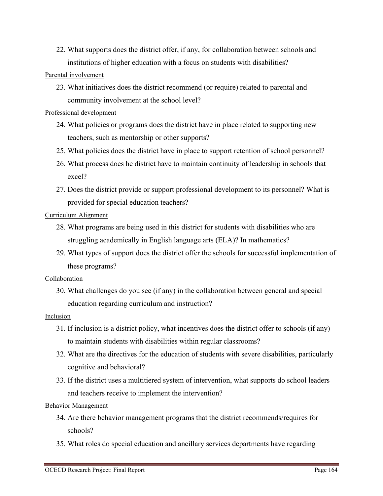22. What supports does the district offer, if any, for collaboration between schools and institutions of higher education with a focus on students with disabilities?

#### Parental involvement

23. What initiatives does the district recommend (or require) related to parental and community involvement at the school level?

#### Professional development

- 24. What policies or programs does the district have in place related to supporting new teachers, such as mentorship or other supports?
- 25. What policies does the district have in place to support retention of school personnel?
- 26. What process does he district have to maintain continuity of leadership in schools that excel?
- 27. Does the district provide or support professional development to its personnel? What is provided for special education teachers?

## Curriculum Alignment

- 28. What programs are being used in this district for students with disabilities who are struggling academically in English language arts (ELA)? In mathematics?
- 29. What types of support does the district offer the schools for successful implementation of these programs?

#### Collaboration

30. What challenges do you see (if any) in the collaboration between general and special education regarding curriculum and instruction?

#### Inclusion

- 31. If inclusion is a district policy, what incentives does the district offer to schools (if any) to maintain students with disabilities within regular classrooms?
- 32. What are the directives for the education of students with severe disabilities, particularly cognitive and behavioral?
- 33. If the district uses a multitiered system of intervention, what supports do school leaders and teachers receive to implement the intervention?

## Behavior Management

- 34. Are there behavior management programs that the district recommends/requires for schools?
- 35. What roles do special education and ancillary services departments have regarding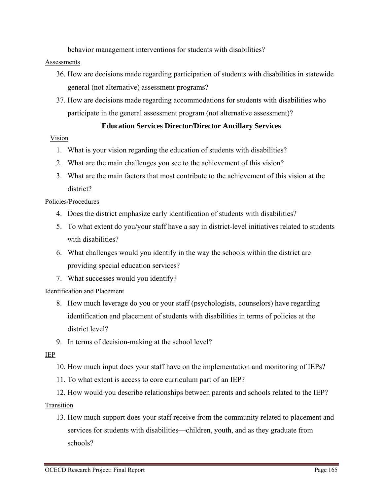behavior management interventions for students with disabilities?

#### **Assessments**

- 36. How are decisions made regarding participation of students with disabilities in statewide general (not alternative) assessment programs?
- 37. How are decisions made regarding accommodations for students with disabilities who participate in the general assessment program (not alternative assessment)?

# **Education Services Director/Director Ancillary Services**

#### Vision

- 1. What is your vision regarding the education of students with disabilities?
- 2. What are the main challenges you see to the achievement of this vision?
- 3. What are the main factors that most contribute to the achievement of this vision at the district?

## Policies/Procedures

- 4. Does the district emphasize early identification of students with disabilities?
- 5. To what extent do you/your staff have a say in district-level initiatives related to students with disabilities?
- 6. What challenges would you identify in the way the schools within the district are providing special education services?
- 7. What successes would you identify?

## Identification and Placement

- 8. How much leverage do you or your staff (psychologists, counselors) have regarding identification and placement of students with disabilities in terms of policies at the district level?
- 9. In terms of decision-making at the school level?

## IEP

- 10. How much input does your staff have on the implementation and monitoring of IEPs?
- 11. To what extent is access to core curriculum part of an IEP?
- 12. How would you describe relationships between parents and schools related to the IEP? Transition
	- 13. How much support does your staff receive from the community related to placement and services for students with disabilities—children, youth, and as they graduate from schools?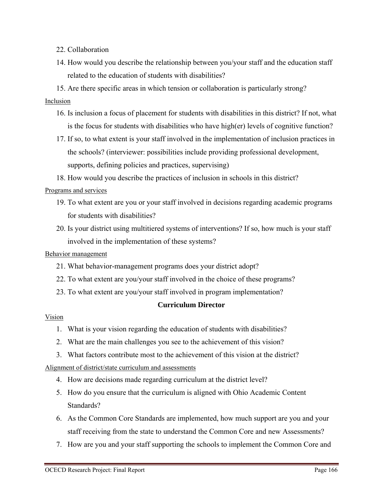- 22. Collaboration
- 14. How would you describe the relationship between you/your staff and the education staff related to the education of students with disabilities?
- 15. Are there specific areas in which tension or collaboration is particularly strong?

# Inclusion

- 16. Is inclusion a focus of placement for students with disabilities in this district? If not, what is the focus for students with disabilities who have high(er) levels of cognitive function?
- 17. If so, to what extent is your staff involved in the implementation of inclusion practices in the schools? (interviewer: possibilities include providing professional development, supports, defining policies and practices, supervising)
- 18. How would you describe the practices of inclusion in schools in this district?

# Programs and services

- 19. To what extent are you or your staff involved in decisions regarding academic programs for students with disabilities?
- 20. Is your district using multitiered systems of interventions? If so, how much is your staff involved in the implementation of these systems?

## Behavior management

- 21. What behavior-management programs does your district adopt?
- 22. To what extent are you/your staff involved in the choice of these programs?
- 23. To what extent are you/your staff involved in program implementation?

# **Curriculum Director**

## Vision

- 1. What is your vision regarding the education of students with disabilities?
- 2. What are the main challenges you see to the achievement of this vision?
- 3. What factors contribute most to the achievement of this vision at the district?

# Alignment of district/state curriculum and assessments

- 4. How are decisions made regarding curriculum at the district level?
- 5. How do you ensure that the curriculum is aligned with Ohio Academic Content Standards?
- 6. As the Common Core Standards are implemented, how much support are you and your staff receiving from the state to understand the Common Core and new Assessments?
- 7. How are you and your staff supporting the schools to implement the Common Core and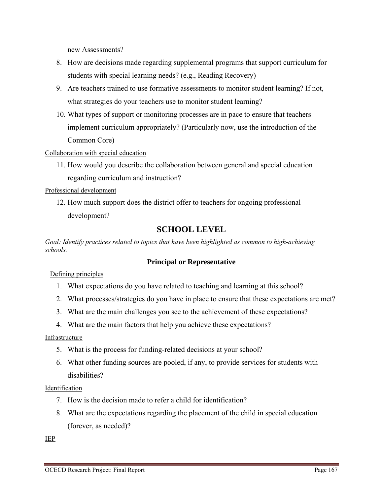new Assessments?

- 8. How are decisions made regarding supplemental programs that support curriculum for students with special learning needs? (e.g., Reading Recovery)
- 9. Are teachers trained to use formative assessments to monitor student learning? If not, what strategies do your teachers use to monitor student learning?
- 10. What types of support or monitoring processes are in pace to ensure that teachers implement curriculum appropriately? (Particularly now, use the introduction of the Common Core)

Collaboration with special education

11. How would you describe the collaboration between general and special education regarding curriculum and instruction?

Professional development

12. How much support does the district offer to teachers for ongoing professional development?

# **SCHOOL LEVEL**

*Goal: Identify practices related to topics that have been highlighted as common to high-achieving schools.* 

## **Principal or Representative**

Defining principles

- 1. What expectations do you have related to teaching and learning at this school?
- 2. What processes/strategies do you have in place to ensure that these expectations are met?
- 3. What are the main challenges you see to the achievement of these expectations?
- 4. What are the main factors that help you achieve these expectations?

Infrastructure

- 5. What is the process for funding-related decisions at your school?
- 6. What other funding sources are pooled, if any, to provide services for students with disabilities?

## Identification

- 7. How is the decision made to refer a child for identification?
- 8. What are the expectations regarding the placement of the child in special education (forever, as needed)?

IEP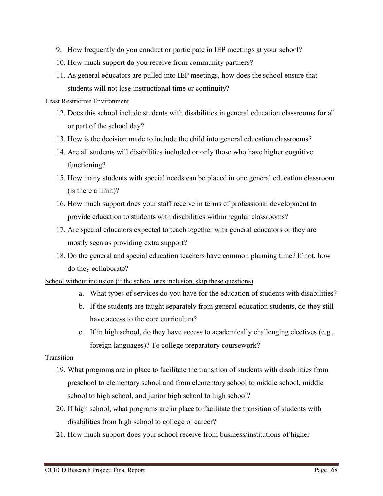- 9. How frequently do you conduct or participate in IEP meetings at your school?
- 10. How much support do you receive from community partners?
- 11. As general educators are pulled into IEP meetings, how does the school ensure that students will not lose instructional time or continuity?

#### Least Restrictive Environment

- 12. Does this school include students with disabilities in general education classrooms for all or part of the school day?
- 13. How is the decision made to include the child into general education classrooms?
- 14. Are all students will disabilities included or only those who have higher cognitive functioning?
- 15. How many students with special needs can be placed in one general education classroom (is there a limit)?
- 16. How much support does your staff receive in terms of professional development to provide education to students with disabilities within regular classrooms?
- 17. Are special educators expected to teach together with general educators or they are mostly seen as providing extra support?
- 18. Do the general and special education teachers have common planning time? If not, how do they collaborate?

#### School without inclusion (if the school uses inclusion, skip these questions)

- a. What types of services do you have for the education of students with disabilities?
- b. If the students are taught separately from general education students, do they still have access to the core curriculum?
- c. If in high school, do they have access to academically challenging electives (e.g., foreign languages)? To college preparatory coursework?

## Transition

- 19. What programs are in place to facilitate the transition of students with disabilities from preschool to elementary school and from elementary school to middle school, middle school to high school, and junior high school to high school?
- 20. If high school, what programs are in place to facilitate the transition of students with disabilities from high school to college or career?
- 21. How much support does your school receive from business/institutions of higher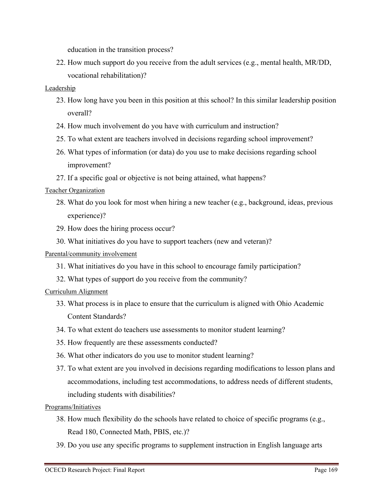education in the transition process?

22. How much support do you receive from the adult services (e.g., mental health, MR/DD, vocational rehabilitation)?

## Leadership

- 23. How long have you been in this position at this school? In this similar leadership position overall?
- 24. How much involvement do you have with curriculum and instruction?
- 25. To what extent are teachers involved in decisions regarding school improvement?
- 26. What types of information (or data) do you use to make decisions regarding school improvement?
- 27. If a specific goal or objective is not being attained, what happens?

# Teacher Organization

- 28. What do you look for most when hiring a new teacher (e.g., background, ideas, previous experience)?
- 29. How does the hiring process occur?
- 30. What initiatives do you have to support teachers (new and veteran)?

## Parental/community involvement

- 31. What initiatives do you have in this school to encourage family participation?
- 32. What types of support do you receive from the community?

## Curriculum Alignment

- 33. What process is in place to ensure that the curriculum is aligned with Ohio Academic Content Standards?
- 34. To what extent do teachers use assessments to monitor student learning?
- 35. How frequently are these assessments conducted?
- 36. What other indicators do you use to monitor student learning?
- 37. To what extent are you involved in decisions regarding modifications to lesson plans and accommodations, including test accommodations, to address needs of different students, including students with disabilities?

## Programs/Initiatives

- 38. How much flexibility do the schools have related to choice of specific programs (e.g., Read 180, Connected Math, PBIS, etc.)?
- 39. Do you use any specific programs to supplement instruction in English language arts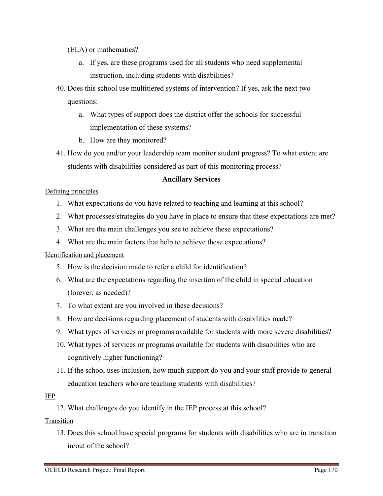## (ELA) or mathematics?

- a. If yes, are these programs used for all students who need supplemental instruction, including students with disabilities?
- 40. Does this school use multitiered systems of intervention? If yes, ask the next two questions:
	- a. What types of support does the district offer the schools for successful implementation of these systems?
	- b. How are they monitored?
- 41. How do you and/or your leadership team monitor student progress? To what extent are students with disabilities considered as part of this monitoring process?

## **Ancillary Services**

## Defining principles

- 1. What expectations do you have related to teaching and learning at this school?
- 2. What processes/strategies do you have in place to ensure that these expectations are met?
- 3. What are the main challenges you see to achieve these expectations?
- 4. What are the main factors that help to achieve these expectations?

## Identification and placement

- 5. How is the decision made to refer a child for identification?
- 6. What are the expectations regarding the insertion of the child in special education (forever, as needed)?
- 7. To what extent are you involved in these decisions?
- 8. How are decisions regarding placement of students with disabilities made?
- 9. What types of services or programs available for students with more severe disabilities?
- 10. What types of services or programs available for students with disabilities who are cognitively higher functioning?
- 11. If the school uses inclusion, how much support do you and your staff provide to general education teachers who are teaching students with disabilities?

## IEP

12. What challenges do you identify in the IEP process at this school?

Transition

13. Does this school have special programs for students with disabilities who are in transition in/out of the school?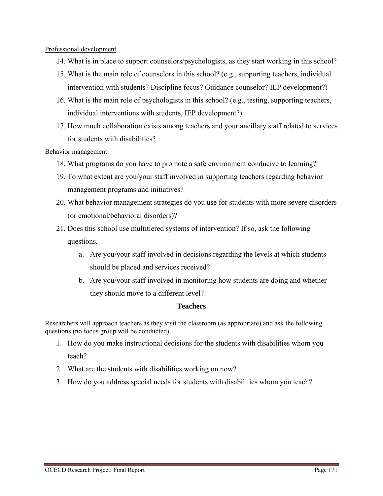Professional development

- 14. What is in place to support counselors/psychologists, as they start working in this school?
- 15. What is the main role of counselors in this school? (e.g., supporting teachers, individual intervention with students? Discipline focus? Guidance counselor? IEP development?)
- 16. What is the main role of psychologists in this school? (e.g., testing, supporting teachers, individual interventions with students, IEP development?)
- 17. How much collaboration exists among teachers and your ancillary staff related to services for students with disabilities?

#### Behavior management

- 18. What programs do you have to promote a safe environment conducive to learning?
- 19. To what extent are you/your staff involved in supporting teachers regarding behavior management programs and initiatives?
- 20. What behavior management strategies do you use for students with more severe disorders (or emotional/behavioral disorders)?
- 21. Does this school use multitiered systems of intervention? If so, ask the following questions.
	- a. Are you/your staff involved in decisions regarding the levels at which students should be placed and services received?
	- b. Are you/your staff involved in monitoring how students are doing and whether they should move to a different level?

#### **Teachers**

Researchers will approach teachers as they visit the classroom (as appropriate) and ask the following questions (no focus group will be conducted).

- 1. How do you make instructional decisions for the students with disabilities whom you teach?
- 2. What are the students with disabilities working on now?
- 3. How do you address special needs for students with disabilities whom you teach?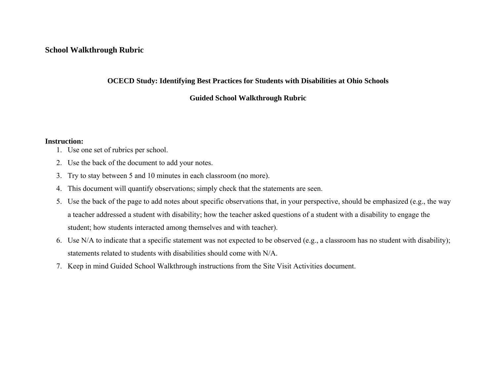#### **School Walkthrough Rubric**

#### **OCECD Study: Identifying Best Practices for Students with Disabilities at Ohio Schools**

#### **Guided School Walkthrough Rubric**

#### **Instruction:**

- 1. Use one set of rubrics per school.
- 2. Use the back of the document to add your notes.
- 3. Try to stay between 5 and 10 minutes in each classroom (no more).
- 4. This document will quantify observations; simply check that the statements are seen.
- 5. Use the back of the page to add notes about specific observations that, in your perspective, should be emphasized (e.g., the way a teacher addressed a student with disability; how the teacher asked questions of a student with a disability to engage the student; how students interacted among themselves and with teacher).
- 6. Use N/A to indicate that a specific statement was not expected to be observed (e.g., a classroom has no student with disability); statements related to students with disabilities should come with N/A.
- 7. Keep in mind Guided School Walkthrough instructions from the Site Visit Activities document.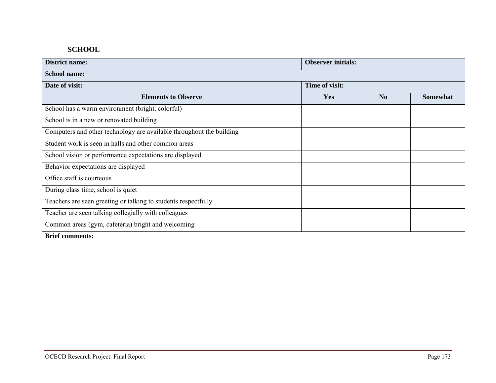## **SCHOOL**

| <b>District name:</b>                                                | <b>Observer initials:</b> |                |                 |
|----------------------------------------------------------------------|---------------------------|----------------|-----------------|
| <b>School name:</b>                                                  |                           |                |                 |
| Date of visit:                                                       | Time of visit:            |                |                 |
| <b>Elements to Observe</b>                                           | Yes                       | N <sub>o</sub> | <b>Somewhat</b> |
| School has a warm environment (bright, colorful)                     |                           |                |                 |
| School is in a new or renovated building                             |                           |                |                 |
| Computers and other technology are available throughout the building |                           |                |                 |
| Student work is seen in halls and other common areas                 |                           |                |                 |
| School vision or performance expectations are displayed              |                           |                |                 |
| Behavior expectations are displayed                                  |                           |                |                 |
| Office staff is courteous                                            |                           |                |                 |
| During class time, school is quiet                                   |                           |                |                 |
| Teachers are seen greeting or talking to students respectfully       |                           |                |                 |
| Teacher are seen talking collegially with colleagues                 |                           |                |                 |
| Common areas (gym, cafeteria) bright and welcoming                   |                           |                |                 |
| <b>Brief comments:</b>                                               |                           |                |                 |
|                                                                      |                           |                |                 |
|                                                                      |                           |                |                 |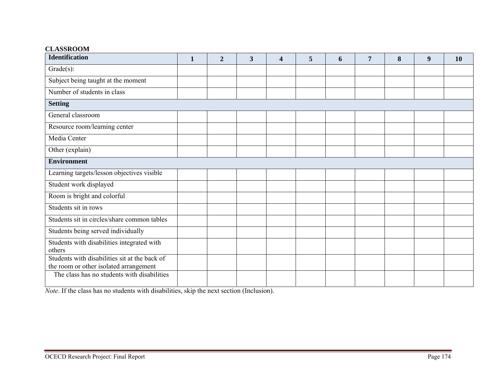#### **CLASSROOM**

| <b>Identification</b>                                                                   | $\mathbf{1}$ | $\mathbf{2}$ | 3 | 4 | 5 | 6 | 7 | 8 | 9 | 10 |
|-----------------------------------------------------------------------------------------|--------------|--------------|---|---|---|---|---|---|---|----|
| $Grade(s)$ :                                                                            |              |              |   |   |   |   |   |   |   |    |
| Subject being taught at the moment                                                      |              |              |   |   |   |   |   |   |   |    |
| Number of students in class                                                             |              |              |   |   |   |   |   |   |   |    |
| <b>Setting</b>                                                                          |              |              |   |   |   |   |   |   |   |    |
| General classroom                                                                       |              |              |   |   |   |   |   |   |   |    |
| Resource room/learning center                                                           |              |              |   |   |   |   |   |   |   |    |
| Media Center                                                                            |              |              |   |   |   |   |   |   |   |    |
| Other (explain)                                                                         |              |              |   |   |   |   |   |   |   |    |
| <b>Environment</b>                                                                      |              |              |   |   |   |   |   |   |   |    |
| Learning targets/lesson objectives visible                                              |              |              |   |   |   |   |   |   |   |    |
| Student work displayed                                                                  |              |              |   |   |   |   |   |   |   |    |
| Room is bright and colorful                                                             |              |              |   |   |   |   |   |   |   |    |
| Students sit in rows                                                                    |              |              |   |   |   |   |   |   |   |    |
| Students sit in circles/share common tables                                             |              |              |   |   |   |   |   |   |   |    |
| Students being served individually                                                      |              |              |   |   |   |   |   |   |   |    |
| Students with disabilities integrated with<br>others                                    |              |              |   |   |   |   |   |   |   |    |
| Students with disabilities sit at the back of<br>the room or other isolated arrangement |              |              |   |   |   |   |   |   |   |    |
| The class has no students with disabilities                                             |              |              |   |   |   |   |   |   |   |    |

*Note*. If the class has no students with disabilities, skip the next section (Inclusion).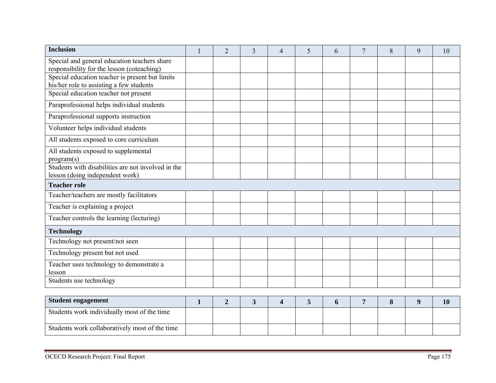| <b>Inclusion</b>                                                                            | $\overline{2}$ | 3 | $\overline{4}$ | 5 | 6 | 7 | 8 | 9 | 10 |
|---------------------------------------------------------------------------------------------|----------------|---|----------------|---|---|---|---|---|----|
| Special and general education teachers share<br>responsibility for the lesson (coteaching)  |                |   |                |   |   |   |   |   |    |
| Special education teacher is present but limits<br>his/her role to assisting a few students |                |   |                |   |   |   |   |   |    |
| Special education teacher not present                                                       |                |   |                |   |   |   |   |   |    |
| Paraprofessional helps individual students                                                  |                |   |                |   |   |   |   |   |    |
| Paraprofessional supports instruction                                                       |                |   |                |   |   |   |   |   |    |
| Volunteer helps individual students                                                         |                |   |                |   |   |   |   |   |    |
| All students exposed to core curriculum                                                     |                |   |                |   |   |   |   |   |    |
| All students exposed to supplemental<br>program(s)                                          |                |   |                |   |   |   |   |   |    |
| Students with disabilities are not involved in the<br>lesson (doing independent work)       |                |   |                |   |   |   |   |   |    |
| <b>Teacher role</b>                                                                         |                |   |                |   |   |   |   |   |    |
| Teacher/teachers are mostly facilitators                                                    |                |   |                |   |   |   |   |   |    |
| Teacher is explaining a project                                                             |                |   |                |   |   |   |   |   |    |
| Teacher controls the learning (lecturing)                                                   |                |   |                |   |   |   |   |   |    |
| <b>Technology</b>                                                                           |                |   |                |   |   |   |   |   |    |
| Technology not present/not seen                                                             |                |   |                |   |   |   |   |   |    |
| Technology present but not used                                                             |                |   |                |   |   |   |   |   |    |
| Teacher uses technology to demonstrate a<br>lesson                                          |                |   |                |   |   |   |   |   |    |
| Students use technology                                                                     |                |   |                |   |   |   |   |   |    |
| Student engagement                                                                          |                |   |                |   |   |   |   |   |    |

| <b>Student engagement</b>                      |  |  |  |  | 10 |
|------------------------------------------------|--|--|--|--|----|
| Students work individually most of the time    |  |  |  |  |    |
| Students work collaboratively most of the time |  |  |  |  |    |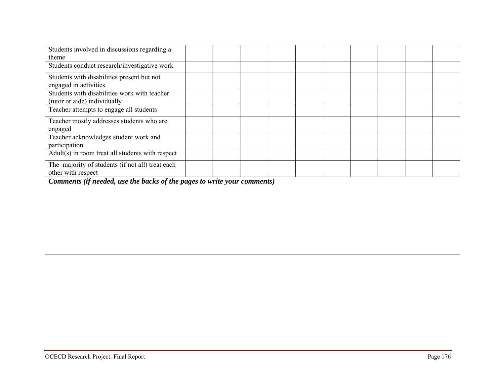| Students involved in discussions regarding a                            |  |  |  |  |  |
|-------------------------------------------------------------------------|--|--|--|--|--|
| theme                                                                   |  |  |  |  |  |
| Students conduct research/investigative work                            |  |  |  |  |  |
| Students with disabilities present but not                              |  |  |  |  |  |
| engaged in activities                                                   |  |  |  |  |  |
| Students with disabilities work with teacher                            |  |  |  |  |  |
| (tutor or aide) individually                                            |  |  |  |  |  |
| Teacher attempts to engage all students                                 |  |  |  |  |  |
| Teacher mostly addresses students who are                               |  |  |  |  |  |
| engaged                                                                 |  |  |  |  |  |
| Teacher acknowledges student work and                                   |  |  |  |  |  |
| participation                                                           |  |  |  |  |  |
| Adult(s) in room treat all students with respect                        |  |  |  |  |  |
| The majority of students (if not all) treat each                        |  |  |  |  |  |
| other with respect                                                      |  |  |  |  |  |
| Comments (if needed, use the backs of the pages to write your comments) |  |  |  |  |  |
|                                                                         |  |  |  |  |  |
|                                                                         |  |  |  |  |  |
|                                                                         |  |  |  |  |  |
|                                                                         |  |  |  |  |  |
|                                                                         |  |  |  |  |  |
|                                                                         |  |  |  |  |  |
|                                                                         |  |  |  |  |  |
|                                                                         |  |  |  |  |  |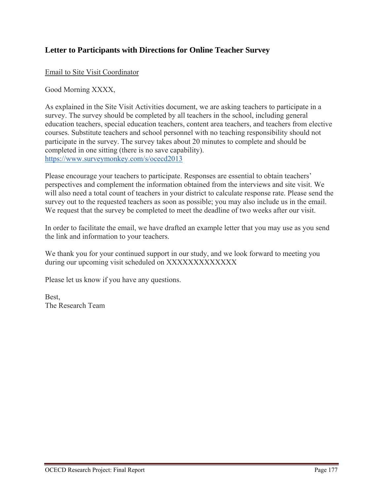# **Letter to Participants with Directions for Online Teacher Survey**

Email to Site Visit Coordinator

Good Morning XXXX,

As explained in the Site Visit Activities document, we are asking teachers to participate in a survey. The survey should be completed by all teachers in the school, including general education teachers, special education teachers, content area teachers, and teachers from elective courses. Substitute teachers and school personnel with no teaching responsibility should not participate in the survey. The survey takes about 20 minutes to complete and should be completed in one sitting (there is no save capability). https://www.surveymonkey.com/s/ocecd2013

Please encourage your teachers to participate. Responses are essential to obtain teachers' perspectives and complement the information obtained from the interviews and site visit. We will also need a total count of teachers in your district to calculate response rate. Please send the survey out to the requested teachers as soon as possible; you may also include us in the email. We request that the survey be completed to meet the deadline of two weeks after our visit.

In order to facilitate the email, we have drafted an example letter that you may use as you send the link and information to your teachers.

We thank you for your continued support in our study, and we look forward to meeting you during our upcoming visit scheduled on XXXXXXXXXXXXXX

Please let us know if you have any questions.

Best, The Research Team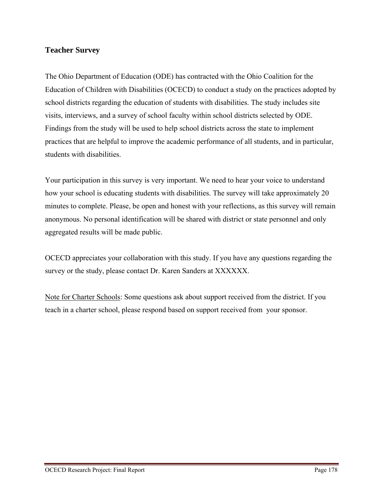# **Teacher Survey**

The Ohio Department of Education (ODE) has contracted with the Ohio Coalition for the Education of Children with Disabilities (OCECD) to conduct a study on the practices adopted by school districts regarding the education of students with disabilities. The study includes site visits, interviews, and a survey of school faculty within school districts selected by ODE. Findings from the study will be used to help school districts across the state to implement practices that are helpful to improve the academic performance of all students, and in particular, students with disabilities.

Your participation in this survey is very important. We need to hear your voice to understand how your school is educating students with disabilities. The survey will take approximately 20 minutes to complete. Please, be open and honest with your reflections, as this survey will remain anonymous. No personal identification will be shared with district or state personnel and only aggregated results will be made public.

OCECD appreciates your collaboration with this study. If you have any questions regarding the survey or the study, please contact Dr. Karen Sanders at XXXXXX.

Note for Charter Schools: Some questions ask about support received from the district. If you teach in a charter school, please respond based on support received from your sponsor.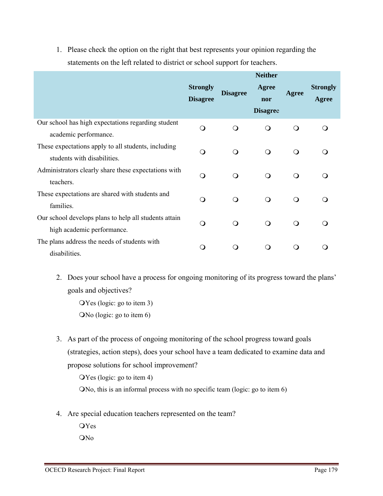1. Please check the option on the right that best represents your opinion regarding the statements on the left related to district or school support for teachers.

|                                                                             | <b>Neither</b>                     |                 |                 |              |                          |  |
|-----------------------------------------------------------------------------|------------------------------------|-----------------|-----------------|--------------|--------------------------|--|
|                                                                             | <b>Strongly</b><br><b>Disagree</b> | <b>Disagree</b> | Agree<br>nor    | Agree        | <b>Strongly</b><br>Agree |  |
|                                                                             |                                    |                 | <b>Disagree</b> |              |                          |  |
| Our school has high expectations regarding student<br>academic performance. | $\bigcirc$                         | $\Omega$        | $\circ$         | $\mathsf{O}$ | ∩                        |  |
| These expectations apply to all students, including                         | $\Omega$                           | $\Omega$        | $\circ$         | $\mathsf{O}$ | $\Omega$                 |  |
| students with disabilities.                                                 |                                    |                 |                 |              |                          |  |
| Administrators clearly share these expectations with                        | $\Omega$                           |                 | $\Omega$        | $\Omega$     | ∩                        |  |
| teachers.                                                                   |                                    | $\Omega$        |                 |              |                          |  |
| These expectations are shared with students and                             |                                    |                 |                 |              |                          |  |
| families.                                                                   | $\Omega$                           | $\mathsf{O}$    | $\circ$         | $\mathsf{O}$ | ∩                        |  |
| Our school develops plans to help all students attain                       |                                    |                 |                 |              |                          |  |
| high academic performance.                                                  | $\Omega$                           | $\Omega$        | $\Omega$        | $\Omega$     | ∩                        |  |
| The plans address the needs of students with                                |                                    |                 |                 |              |                          |  |
| disabilities.                                                               | Q                                  | ∩               | ∩               | Q            |                          |  |

2. Does your school have a process for ongoing monitoring of its progress toward the plans' goals and objectives?

Yes (logic: go to item 3) No (logic: go to item 6)

3. As part of the process of ongoing monitoring of the school progress toward goals (strategies, action steps), does your school have a team dedicated to examine data and propose solutions for school improvement?

Yes (logic: go to item 4)

No, this is an informal process with no specific team (logic: go to item 6)

4. Are special education teachers represented on the team?

**OYes** ON<sub>0</sub>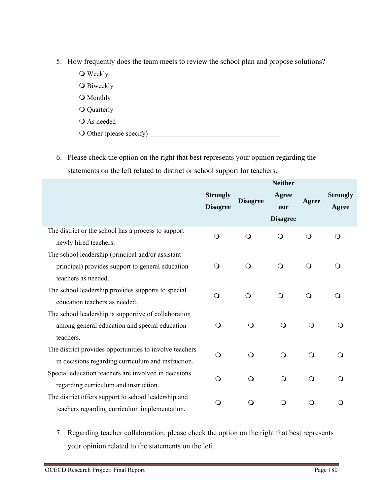- 5. How frequently does the team meets to review the school plan and propose solutions?
	- **O** Weekly
	- O Biweekly
	- O Monthly
	- Quarterly
	- As needed
	- Other (please specify) \_\_\_\_\_\_\_\_\_\_\_\_\_\_\_\_\_\_\_\_\_\_\_\_\_\_\_\_\_\_\_\_\_\_\_\_\_\_
- 6. Please check the option on the right that best represents your opinion regarding the statements on the left related to district or school support for teachers.

|                                                                                                                              | <b>Neither</b>                     |                 |                                 |              |                          |  |
|------------------------------------------------------------------------------------------------------------------------------|------------------------------------|-----------------|---------------------------------|--------------|--------------------------|--|
|                                                                                                                              | <b>Strongly</b><br><b>Disagree</b> | <b>Disagree</b> | Agree<br>nor<br><b>Disagree</b> | Agree        | <b>Strongly</b><br>Agree |  |
| The district or the school has a process to support<br>newly hired teachers.                                                 | $\bigcirc$                         | $\bigcirc$      | ∩                               | $\bigcirc$   | $\Omega$                 |  |
| The school leadership (principal and/or assistant<br>principal) provides support to general education<br>teachers as needed. | $\Omega$                           | $\mathsf{O}$    | $\bigcirc$                      | $\mathsf{O}$ | Q                        |  |
| The school leadership provides supports to special<br>education teachers as needed.                                          | $\bigcirc$                         | $\circ$         | $\bigcirc$                      | $\bigcirc$   | Q                        |  |
| The school leadership is supportive of collaboration<br>among general education and special education<br>teachers.           | $\Omega$                           | $\bigcirc$      | $\Omega$                        | $\Omega$     |                          |  |
| The district provides opportunities to involve teachers<br>in decisions regarding curriculum and instruction.                | $\bigcirc$                         | $\bigcirc$      | $\bigcirc$                      | $\Omega$     | ∩                        |  |
| Special education teachers are involved in decisions<br>regarding curriculum and instruction.                                | O                                  | $\Omega$        | $\Omega$                        | $\Omega$     |                          |  |
| The district offers support to school leadership and<br>teachers regarding curriculum implementation.                        | O                                  | $\mathsf{O}$    | ∩                               | 0            |                          |  |

7. Regarding teacher collaboration, please check the option on the right that best represents your opinion related to the statements on the left.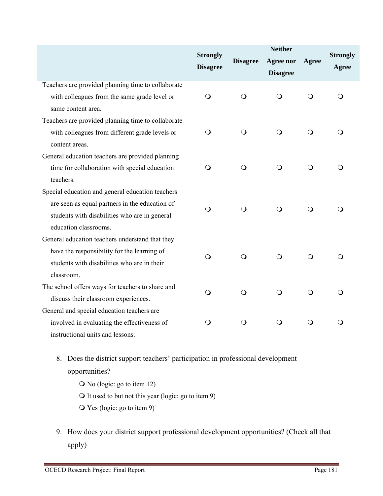|                                                    | <b>Strongly</b><br><b>Disagree</b> | <b>Disagree</b> | <b>Neither</b><br><b>Agree nor</b><br><b>Disagree</b> | Agree      | <b>Strongly</b><br>Agree |
|----------------------------------------------------|------------------------------------|-----------------|-------------------------------------------------------|------------|--------------------------|
| Teachers are provided planning time to collaborate |                                    |                 |                                                       |            |                          |
| with colleagues from the same grade level or       | $\Omega$                           | $\circ$         | $\Omega$                                              | $\Omega$   | ∩                        |
| same content area.                                 |                                    |                 |                                                       |            |                          |
| Teachers are provided planning time to collaborate |                                    |                 |                                                       |            |                          |
| with colleagues from different grade levels or     | O                                  | $\mathsf{O}$    | $\circ$                                               | $\circ$    | O                        |
| content areas.                                     |                                    |                 |                                                       |            |                          |
| General education teachers are provided planning   |                                    |                 |                                                       |            |                          |
| time for collaboration with special education      | O                                  | $\bigcirc$      | $\bigcirc$                                            | $\bigcirc$ | ∩                        |
| teachers.                                          |                                    |                 |                                                       |            |                          |
| Special education and general education teachers   |                                    |                 |                                                       |            |                          |
| are seen as equal partners in the education of     | $\bigcirc$                         | $\bigcirc$      | $\bigcirc$                                            | O          |                          |
| students with disabilities who are in general      |                                    |                 |                                                       |            |                          |
| education classrooms.                              |                                    |                 |                                                       |            |                          |
| General education teachers understand that they    |                                    |                 |                                                       |            |                          |
| have the responsibility for the learning of        | Q                                  | $\bigcirc$      | $\Omega$                                              | Q          | $\Omega$                 |
| students with disabilities who are in their        |                                    |                 |                                                       |            |                          |
| classroom.                                         |                                    |                 |                                                       |            |                          |
| The school offers ways for teachers to share and   | O                                  | $\bigcirc$      | $\circ$                                               | $\circ$    | ∩                        |
| discuss their classroom experiences.               |                                    |                 |                                                       |            |                          |
| General and special education teachers are         |                                    |                 |                                                       |            |                          |
| involved in evaluating the effectiveness of        | O                                  | $\bigcirc$      | $\bigcirc$                                            | $\bigcirc$ | ∩                        |
| instructional units and lessons.                   |                                    |                 |                                                       |            |                          |

8. Does the district support teachers' participation in professional development opportunities?

- No (logic: go to item 12)
- It used to but not this year (logic: go to item 9)
- Yes (logic: go to item 9)
- 9. How does your district support professional development opportunities? (Check all that apply)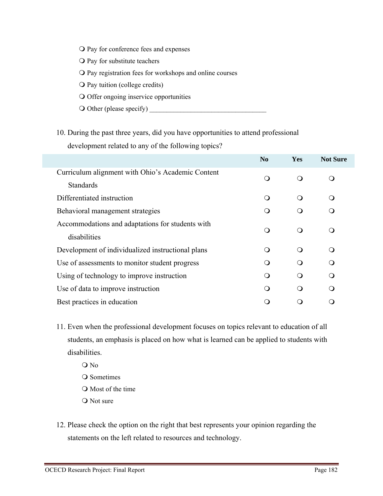- O Pay for conference fees and expenses
- O Pay for substitute teachers
- O Pay registration fees for workshops and online courses
- O Pay tuition (college credits)
- O Offer ongoing inservice opportunities
- O Other (please specify)
- 10. During the past three years, did you have opportunities to attend professional development related to any of the following topics?

|                                                   | N <sub>0</sub> | <b>Yes</b> | <b>Not Sure</b> |
|---------------------------------------------------|----------------|------------|-----------------|
| Curriculum alignment with Ohio's Academic Content |                | ∩          | $\Omega$        |
| <b>Standards</b>                                  |                |            |                 |
| Differentiated instruction                        | ∩              | ∩          | ∩               |
| Behavioral management strategies                  |                | ∩          | ∩               |
| Accommodations and adaptations for students with  | ∩              | ∩          | ∩               |
| disabilities                                      |                |            |                 |
| Development of individualized instructional plans | $\Omega$       | ∩          | ∩               |
| Use of assessments to monitor student progress    | $\Omega$       | ∩          | $\Omega$        |
| Using of technology to improve instruction        | $\bigcap$      | ∩          | ∩               |
| Use of data to improve instruction                | $\Omega$       | ∩          | ∩               |
| Best practices in education                       |                |            |                 |

- 11. Even when the professional development focuses on topics relevant to education of all students, an emphasis is placed on how what is learned can be applied to students with disabilities.
	- O No Q Sometimes Most of the time Q Not sure
- 12. Please check the option on the right that best represents your opinion regarding the statements on the left related to resources and technology.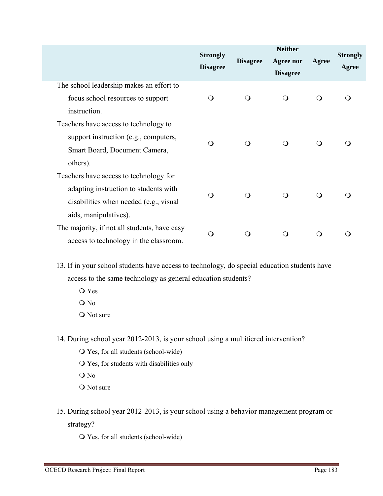|                                                                                                                                                    | <b>Strongly</b><br><b>Disagree</b> | <b>Disagree</b> | <b>Neither</b><br><b>Agree nor</b><br><b>Disagree</b> | <b>Agree</b> | <b>Strongly</b><br>Agree |
|----------------------------------------------------------------------------------------------------------------------------------------------------|------------------------------------|-----------------|-------------------------------------------------------|--------------|--------------------------|
| The school leadership makes an effort to<br>focus school resources to support<br>instruction.                                                      | $\Omega$                           | $\circ$         | $\bigcirc$                                            | $\Omega$     |                          |
| Teachers have access to technology to<br>support instruction (e.g., computers,<br>Smart Board, Document Camera,<br>others).                        | $\Omega$                           | $\Omega$        | $\Omega$                                              | ∩            |                          |
| Teachers have access to technology for<br>adapting instruction to students with<br>disabilities when needed (e.g., visual<br>aids, manipulatives). | $\Omega$                           | $\Omega$        | ∩                                                     | Q            |                          |
| The majority, if not all students, have easy<br>access to technology in the classroom.                                                             | ∩                                  | ∩               |                                                       | ∩            |                          |

13. If in your school students have access to technology, do special education students have access to the same technology as general education students?

 Yes O No O Not sure

14. During school year 2012-2013, is your school using a multitiered intervention?

- Yes, for all students (school-wide)
- Yes, for students with disabilities only
- O No
- O Not sure
- 15. During school year 2012-2013, is your school using a behavior management program or strategy?

Yes, for all students (school-wide)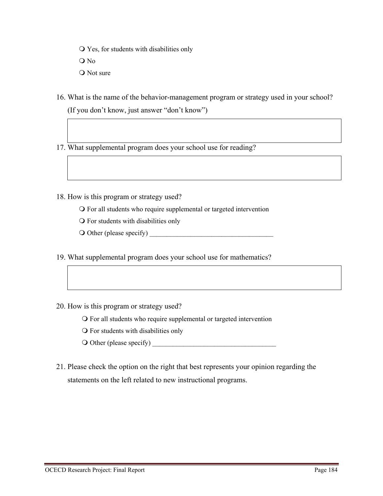Yes, for students with disabilities only

O No

- O Not sure
- 16. What is the name of the behavior-management program or strategy used in your school? (If you don't know, just answer "don't know")
- 17. What supplemental program does your school use for reading?
- 18. How is this program or strategy used?
	- For all students who require supplemental or targeted intervention
	- For students with disabilities only
	- $\bigcirc$  Other (please specify)
- 19. What supplemental program does your school use for mathematics?
- 20. How is this program or strategy used?
	- For all students who require supplemental or targeted intervention
	- For students with disabilities only
	- $\bigcirc$  Other (please specify)
- 21. Please check the option on the right that best represents your opinion regarding the statements on the left related to new instructional programs.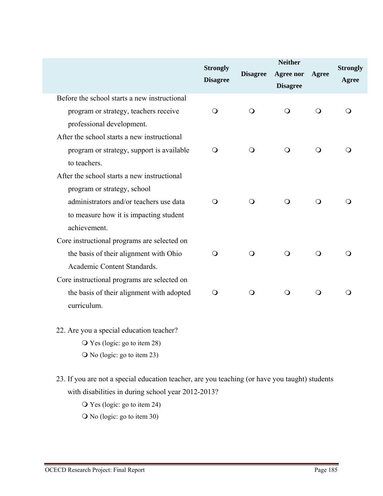|                                              | <b>Strongly</b><br><b>Disagree</b> | <b>Disagree</b> | <b>Neither</b><br><b>Agree nor</b><br><b>Disagree</b> | Agree      | <b>Strongly</b><br>Agree |
|----------------------------------------------|------------------------------------|-----------------|-------------------------------------------------------|------------|--------------------------|
| Before the school starts a new instructional |                                    |                 |                                                       |            |                          |
| program or strategy, teachers receive        | $\circ$                            | $\circ$         | Q                                                     | Q          | O                        |
| professional development.                    |                                    |                 |                                                       |            |                          |
| After the school starts a new instructional  |                                    |                 |                                                       |            |                          |
| program or strategy, support is available    | $\mathsf{O}$                       | $\bigcirc$      | $\circ$                                               | $\bigcirc$ | O                        |
| to teachers.                                 |                                    |                 |                                                       |            |                          |
| After the school starts a new instructional  |                                    |                 |                                                       |            |                          |
| program or strategy, school                  |                                    |                 |                                                       |            |                          |
| administrators and/or teachers use data      | $\Omega$                           | $\bigcirc$      | $\bigcirc$                                            | $\bigcirc$ | O                        |
| to measure how it is impacting student       |                                    |                 |                                                       |            |                          |
| achievement.                                 |                                    |                 |                                                       |            |                          |
| Core instructional programs are selected on  |                                    |                 |                                                       |            |                          |
| the basis of their alignment with Ohio       | $\bigcirc$                         | $\bigcirc$      | $\circ$                                               | $\bigcirc$ | O                        |
| Academic Content Standards.                  |                                    |                 |                                                       |            |                          |
| Core instructional programs are selected on  |                                    |                 |                                                       |            |                          |
| the basis of their alignment with adopted    | $\circ$                            | $\circ$         | $\circ$                                               | $\bigcirc$ | ∩                        |
| curriculum.                                  |                                    |                 |                                                       |            |                          |
| 22. Are you a special education teacher?     |                                    |                 |                                                       |            |                          |
| $\overline{O}$ Yes (logic: go to item 28)    |                                    |                 |                                                       |            |                          |

23. If you are not a special education teacher, are you teaching (or have you taught) students with disabilities in during school year 2012-2013?

Yes (logic: go to item 24)

No (logic: go to item 23)

No (logic: go to item 30)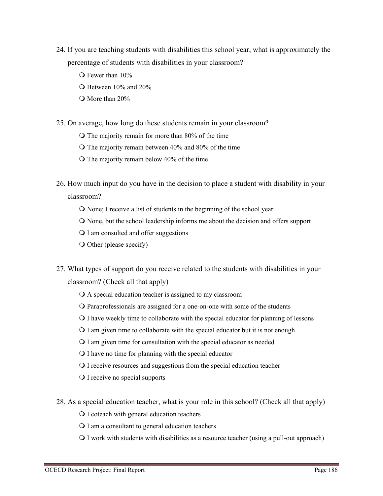- 24. If you are teaching students with disabilities this school year, what is approximately the percentage of students with disabilities in your classroom?
	- O Fewer than 10%
	- Between 10% and 20%
	- More than 20%

25. On average, how long do these students remain in your classroom?

- $\Omega$  The majority remain for more than 80% of the time
- $\Omega$  The majority remain between 40% and 80% of the time
- $\Omega$  The majority remain below 40% of the time

26. How much input do you have in the decision to place a student with disability in your

classroom?

- None; I receive a list of students in the beginning of the school year
- None, but the school leadership informs me about the decision and offers support
- Q I am consulted and offer suggestions
- $\bigcirc$  Other (please specify)
- 27. What types of support do you receive related to the students with disabilities in your classroom? (Check all that apply)
	- A special education teacher is assigned to my classroom
	- Paraprofessionals are assigned for a one-on-one with some of the students
	- I have weekly time to collaborate with the special educator for planning of lessons
	- I am given time to collaborate with the special educator but it is not enough
	- I am given time for consultation with the special educator as needed
	- I have no time for planning with the special educator
	- I receive resources and suggestions from the special education teacher
	- Q I receive no special supports
- 28. As a special education teacher, what is your role in this school? (Check all that apply)
	- I coteach with general education teachers
	- I am a consultant to general education teachers
	- I work with students with disabilities as a resource teacher (using a pull-out approach)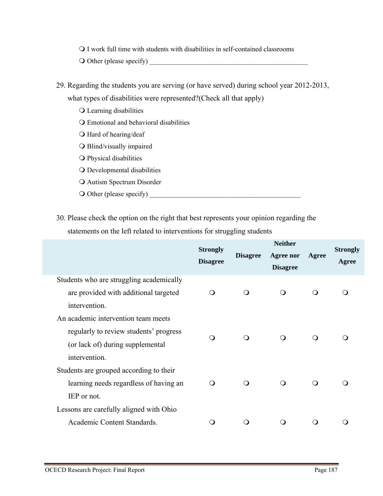I work full time with students with disabilities in self-contained classrooms

O Other (please specify)

- 29. Regarding the students you are serving (or have served) during school year 2012-2013, what types of disabilities were represented?(Check all that apply)
	- Learning disabilities
	- Emotional and behavioral disabilities
	- O Hard of hearing/deaf
	- Blind/visually impaired
	- Physical disabilities
	- O Developmental disabilities
	- **O** Autism Spectrum Disorder
	- Other (please specify) \_\_\_\_\_\_\_\_\_\_\_\_\_\_\_\_\_\_\_\_\_\_\_\_\_\_\_\_\_\_\_\_\_\_\_\_\_\_\_\_\_\_\_\_
- 30. Please check the option on the right that best represents your opinion regarding the statements on the left related to interventions for struggling students

|                                                                                                                                    | <b>Strongly</b><br><b>Disagree</b> | <b>Disagree</b> | <b>Neither</b><br><b>Agree nor</b><br><b>Disagree</b> | Agree    | <b>Strongly</b><br>Agree |
|------------------------------------------------------------------------------------------------------------------------------------|------------------------------------|-----------------|-------------------------------------------------------|----------|--------------------------|
| Students who are struggling academically<br>are provided with additional targeted<br>intervention.                                 | ∩                                  | ∩               | $\circ$                                               | ∩        |                          |
| An academic intervention team meets<br>regularly to review students' progress<br>(or lack of) during supplemental<br>intervention. | ∩                                  | $\Omega$        | $\Omega$                                              | ∩        |                          |
| Students are grouped according to their<br>learning needs regardless of having an<br>IEP or not.                                   | ∩                                  | ∩               | $\circ$                                               | $\Omega$ |                          |
| Lessons are carefully aligned with Ohio<br>Academic Content Standards.                                                             |                                    |                 | ு                                                     |          |                          |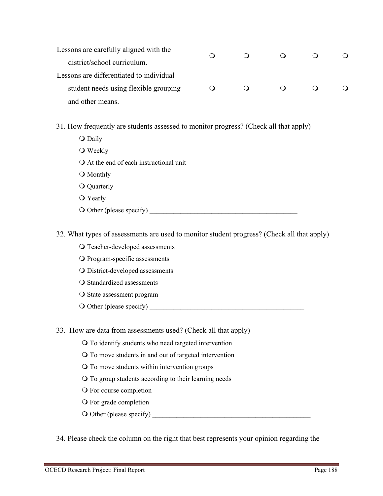| Lessons are carefully aligned with the   |  |  |  |
|------------------------------------------|--|--|--|
| district/school curriculum.              |  |  |  |
| Lessons are differentiated to individual |  |  |  |
| student needs using flexible grouping    |  |  |  |
| and other means.                         |  |  |  |

- 31. How frequently are students assessed to monitor progress? (Check all that apply)
	- Q Daily
	- **O** Weekly
	- At the end of each instructional unit
	- O Monthly
	- Q Quarterly
	- Yearly
	- O Other (please specify)
- 32. What types of assessments are used to monitor student progress? (Check all that apply)
	- O Teacher-developed assessments
	- Program-specific assessments
	- District-developed assessments
	- O Standardized assessments
	- O State assessment program
	- Other (please specify) \_\_\_\_\_\_\_\_\_\_\_\_\_\_\_\_\_\_\_\_\_\_\_\_\_\_\_\_\_\_\_\_\_\_\_\_\_\_\_\_\_\_\_\_\_
- 33. How are data from assessments used? (Check all that apply)
	- To identify students who need targeted intervention
	- To move students in and out of targeted intervention
	- To move students within intervention groups
	- To group students according to their learning needs
	- O For course completion
	- O For grade completion
	- O Other (please specify)

34. Please check the column on the right that best represents your opinion regarding the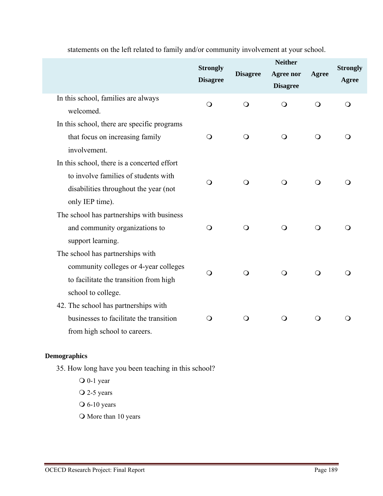|                                                                                                                                                 | <b>Strongly</b><br><b>Disagree</b> | <b>Disagree</b> | <b>Neither</b><br><b>Agree nor</b><br><b>Disagree</b> | Agree          | <b>Strongly</b><br>Agree |
|-------------------------------------------------------------------------------------------------------------------------------------------------|------------------------------------|-----------------|-------------------------------------------------------|----------------|--------------------------|
| In this school, families are always<br>welcomed.                                                                                                | $\bigcirc$                         | $\bigcirc$      | $\bigcirc$                                            | $\bigcirc$     | O                        |
| In this school, there are specific programs<br>that focus on increasing family<br>involvement.                                                  | O                                  | $\bigcirc$      | $\bigcirc$                                            | $\bigcirc$     | ∩                        |
| In this school, there is a concerted effort<br>to involve families of students with<br>disabilities throughout the year (not<br>only IEP time). | Q                                  | $\bigcirc$      | $\bigcirc$                                            | $\bigcirc$     |                          |
| The school has partnerships with business<br>and community organizations to<br>support learning.                                                | $\mathsf{O}$                       | $\bigcirc$      | $\bigcirc$                                            | $\bigcirc$     |                          |
| The school has partnerships with<br>community colleges or 4-year colleges<br>to facilitate the transition from high<br>school to college.       | $\Omega$                           | $\bigcirc$      | $\bigcirc$                                            | $\overline{O}$ |                          |
| 42. The school has partnerships with<br>businesses to facilitate the transition<br>from high school to careers.                                 | O                                  | $\circ$         | $\bigcirc$                                            | $\circ$        |                          |

statements on the left related to family and/or community involvement at your school.

#### **Demographics**

- 35. How long have you been teaching in this school?
	- O 0-1 year  $\overline{Q}$  2-5 years  $\overline{\smash{\bigcirc}}$  6-10 years O More than 10 years